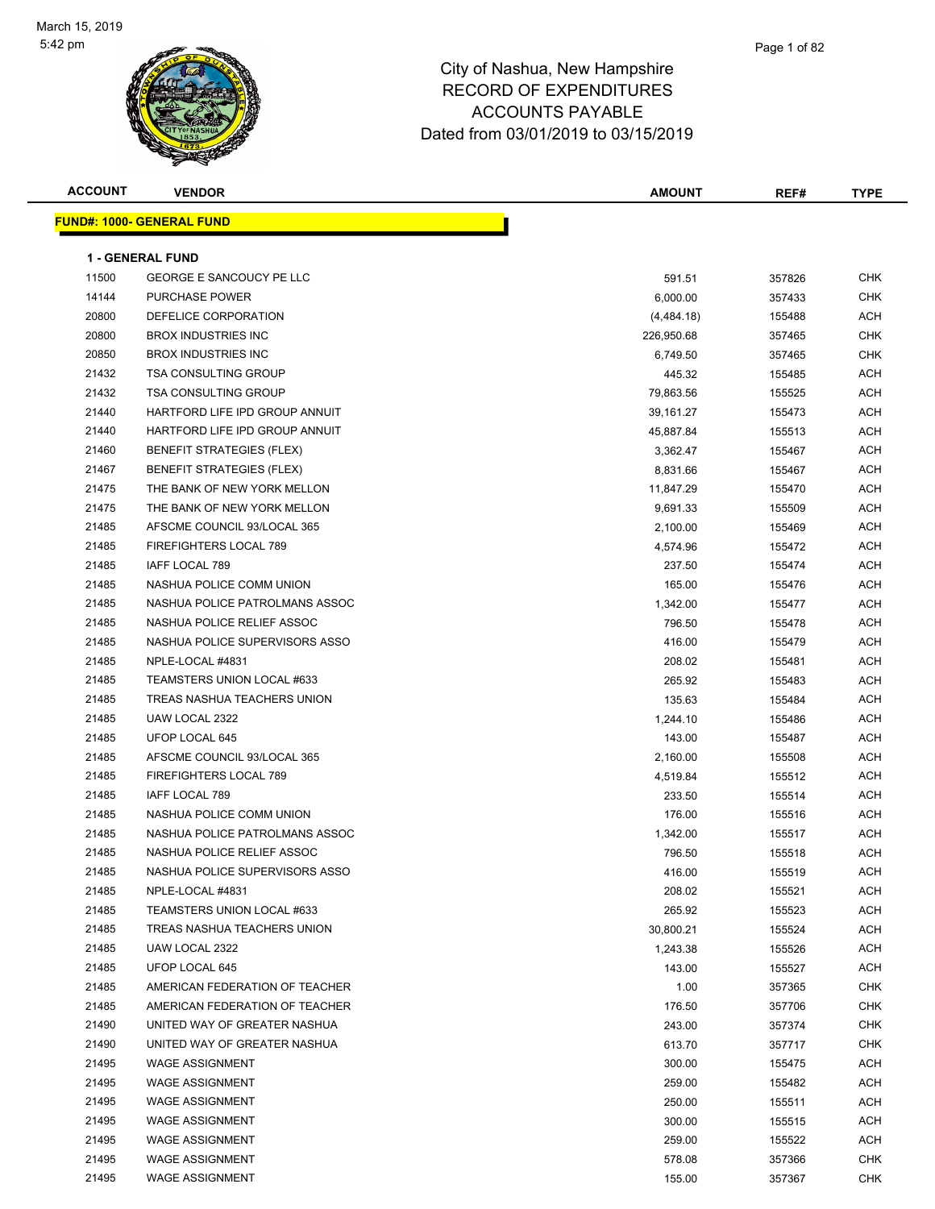

# City of Nashua, New Hampshire

#### RECORD OF EXPENDITURES ACCOUNTS PAYABLE Dated from 03/01/2019 to 03/15/2019

| <b>ACCOUNT</b> | <b>VENDOR</b>                    | <b>AMOUNT</b> | REF#   | <b>TYPE</b> |
|----------------|----------------------------------|---------------|--------|-------------|
|                | <b>FUND#: 1000- GENERAL FUND</b> |               |        |             |
|                | <b>1 - GENERAL FUND</b>          |               |        |             |
| 11500          | <b>GEORGE E SANCOUCY PE LLC</b>  | 591.51        | 357826 | <b>CHK</b>  |
| 14144          | <b>PURCHASE POWER</b>            | 6,000.00      | 357433 | <b>CHK</b>  |
| 20800          | DEFELICE CORPORATION             | (4,484.18)    | 155488 | <b>ACH</b>  |
| 20800          | <b>BROX INDUSTRIES INC</b>       | 226,950.68    | 357465 | <b>CHK</b>  |
| 20850          | <b>BROX INDUSTRIES INC</b>       | 6,749.50      | 357465 | <b>CHK</b>  |
| 21432          | <b>TSA CONSULTING GROUP</b>      | 445.32        | 155485 | <b>ACH</b>  |
| 21432          | <b>TSA CONSULTING GROUP</b>      | 79,863.56     | 155525 | <b>ACH</b>  |
| 21440          | HARTFORD LIFE IPD GROUP ANNUIT   | 39,161.27     | 155473 | <b>ACH</b>  |
| 21440          | HARTFORD LIFE IPD GROUP ANNUIT   | 45,887.84     | 155513 | <b>ACH</b>  |
| 21460          | <b>BENEFIT STRATEGIES (FLEX)</b> | 3,362.47      | 155467 | <b>ACH</b>  |
| 21467          | <b>BENEFIT STRATEGIES (FLEX)</b> | 8,831.66      | 155467 | ACH         |
| 21475          | THE BANK OF NEW YORK MELLON      | 11,847.29     | 155470 | ACH         |
| 21475          | THE BANK OF NEW YORK MELLON      | 9,691.33      | 155509 | ACH         |
| 21485          | AFSCME COUNCIL 93/LOCAL 365      | 2,100.00      | 155469 | <b>ACH</b>  |
| 21485          | FIREFIGHTERS LOCAL 789           | 4,574.96      | 155472 | ACH         |
| 21485          | IAFF LOCAL 789                   | 237.50        | 155474 | ACH         |
| 21485          | NASHUA POLICE COMM UNION         | 165.00        | 155476 | <b>ACH</b>  |
| 21485          | NASHUA POLICE PATROLMANS ASSOC   | 1,342.00      | 155477 | ACH         |
| 21485          | NASHUA POLICE RELIEF ASSOC       | 796.50        | 155478 | <b>ACH</b>  |
| 21485          | NASHUA POLICE SUPERVISORS ASSO   | 416.00        | 155479 | <b>ACH</b>  |
| 21485          | NPLE-LOCAL #4831                 | 208.02        | 155481 | <b>ACH</b>  |
| 21485          | TEAMSTERS UNION LOCAL #633       | 265.92        | 155483 | <b>ACH</b>  |
| 21485          | TREAS NASHUA TEACHERS UNION      | 135.63        | 155484 | ACH         |
| 21485          | UAW LOCAL 2322                   | 1,244.10      | 155486 | <b>ACH</b>  |
| 21485          | UFOP LOCAL 645                   | 143.00        | 155487 | <b>ACH</b>  |
| 21485          | AFSCME COUNCIL 93/LOCAL 365      | 2,160.00      | 155508 | <b>ACH</b>  |
| 21485          | FIREFIGHTERS LOCAL 789           | 4,519.84      | 155512 | ACH         |
| 21485          | IAFF LOCAL 789                   | 233.50        | 155514 | <b>ACH</b>  |
| 21485          | NASHUA POLICE COMM UNION         | 176.00        | 155516 | ACH         |
| 21485          | NASHUA POLICE PATROLMANS ASSOC   | 1,342.00      | 155517 | <b>ACH</b>  |
| 21485          | NASHUA POLICE RELIEF ASSOC       | 796.50        | 155518 | <b>ACH</b>  |
| 21485          | NASHUA POLICE SUPERVISORS ASSO   | 416.00        | 155519 | ACH         |
| 21485          | NPLE-LOCAL #4831                 | 208.02        | 155521 | <b>ACH</b>  |
| 21485          | TEAMSTERS UNION LOCAL #633       | 265.92        | 155523 | <b>ACH</b>  |
| 21485          | TREAS NASHUA TEACHERS UNION      | 30,800.21     | 155524 | <b>ACH</b>  |
| 21485          | UAW LOCAL 2322                   | 1,243.38      | 155526 | <b>ACH</b>  |
| 21485          | UFOP LOCAL 645                   | 143.00        | 155527 | <b>ACH</b>  |
| 21485          | AMERICAN FEDERATION OF TEACHER   | 1.00          | 357365 | CHK         |
| 21485          | AMERICAN FEDERATION OF TEACHER   | 176.50        | 357706 | <b>CHK</b>  |
| 21490          | UNITED WAY OF GREATER NASHUA     | 243.00        | 357374 | <b>CHK</b>  |
| 21490          | UNITED WAY OF GREATER NASHUA     | 613.70        | 357717 | CHK         |
| 21495          | <b>WAGE ASSIGNMENT</b>           | 300.00        | 155475 | ACH         |
| 21495          | <b>WAGE ASSIGNMENT</b>           | 259.00        | 155482 | <b>ACH</b>  |
| 21495          | <b>WAGE ASSIGNMENT</b>           | 250.00        | 155511 | <b>ACH</b>  |
| 21495          | <b>WAGE ASSIGNMENT</b>           | 300.00        | 155515 | <b>ACH</b>  |
| 21495          | <b>WAGE ASSIGNMENT</b>           | 259.00        | 155522 | <b>ACH</b>  |
| 21495          | <b>WAGE ASSIGNMENT</b>           | 578.08        | 357366 | <b>CHK</b>  |
| 21495          | <b>WAGE ASSIGNMENT</b>           | 155.00        | 357367 | CHK         |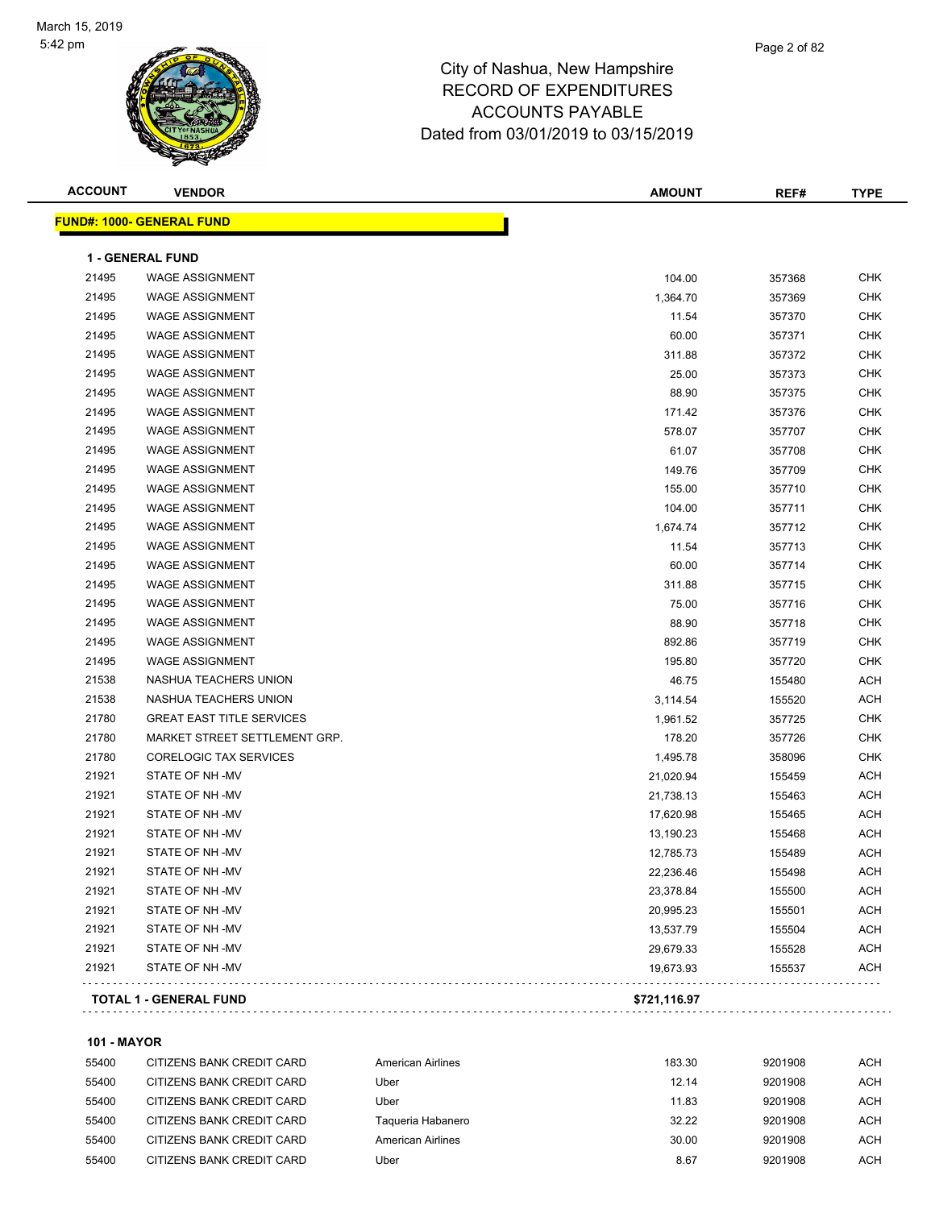#### Page 2 of 82

#### City of Nashua, New Hampshire RECORD OF EXPENDITURES ACCOUNTS PAYABLE Dated from 03/01/2019 to 03/15/2019

| <b>ACCOUNT</b> | <b>VENDOR</b>                     | <b>AMOUNT</b> | REF#   | <b>TYPE</b> |
|----------------|-----------------------------------|---------------|--------|-------------|
|                | <u> FUND#: 1000- GENERAL FUND</u> |               |        |             |
|                | <b>1 - GENERAL FUND</b>           |               |        |             |
| 21495          | <b>WAGE ASSIGNMENT</b>            | 104.00        | 357368 | <b>CHK</b>  |
| 21495          | <b>WAGE ASSIGNMENT</b>            | 1,364.70      | 357369 | <b>CHK</b>  |
| 21495          | <b>WAGE ASSIGNMENT</b>            | 11.54         | 357370 | <b>CHK</b>  |
| 21495          | <b>WAGE ASSIGNMENT</b>            | 60.00         | 357371 | <b>CHK</b>  |
| 21495          | <b>WAGE ASSIGNMENT</b>            | 311.88        | 357372 | <b>CHK</b>  |
| 21495          | <b>WAGE ASSIGNMENT</b>            | 25.00         | 357373 | <b>CHK</b>  |
| 21495          | <b>WAGE ASSIGNMENT</b>            | 88.90         | 357375 | <b>CHK</b>  |
| 21495          | <b>WAGE ASSIGNMENT</b>            | 171.42        | 357376 | <b>CHK</b>  |
| 21495          | <b>WAGE ASSIGNMENT</b>            | 578.07        | 357707 | <b>CHK</b>  |
| 21495          | <b>WAGE ASSIGNMENT</b>            | 61.07         | 357708 | <b>CHK</b>  |
| 21495          | <b>WAGE ASSIGNMENT</b>            | 149.76        | 357709 | <b>CHK</b>  |
| 21495          | <b>WAGE ASSIGNMENT</b>            | 155.00        | 357710 | <b>CHK</b>  |
| 21495          | <b>WAGE ASSIGNMENT</b>            | 104.00        | 357711 | <b>CHK</b>  |
| 21495          | <b>WAGE ASSIGNMENT</b>            | 1,674.74      | 357712 | <b>CHK</b>  |
| 21495          | <b>WAGE ASSIGNMENT</b>            | 11.54         | 357713 | <b>CHK</b>  |
| 21495          | <b>WAGE ASSIGNMENT</b>            | 60.00         | 357714 | <b>CHK</b>  |
| 21495          | <b>WAGE ASSIGNMENT</b>            | 311.88        | 357715 | <b>CHK</b>  |
| 21495          | <b>WAGE ASSIGNMENT</b>            | 75.00         | 357716 | <b>CHK</b>  |
| 21495          | <b>WAGE ASSIGNMENT</b>            | 88.90         | 357718 | <b>CHK</b>  |
| 21495          | <b>WAGE ASSIGNMENT</b>            | 892.86        | 357719 | <b>CHK</b>  |
| 21495          | <b>WAGE ASSIGNMENT</b>            | 195.80        | 357720 | <b>CHK</b>  |
| 21538          | NASHUA TEACHERS UNION             | 46.75         | 155480 | <b>ACH</b>  |
| 21538          | NASHUA TEACHERS UNION             | 3,114.54      | 155520 | <b>ACH</b>  |
| 21780          | <b>GREAT EAST TITLE SERVICES</b>  | 1,961.52      | 357725 | <b>CHK</b>  |
| 21780          | MARKET STREET SETTLEMENT GRP.     | 178.20        | 357726 | <b>CHK</b>  |
| 21780          | <b>CORELOGIC TAX SERVICES</b>     | 1,495.78      | 358096 | <b>CHK</b>  |
| 21921          | STATE OF NH-MV                    | 21,020.94     | 155459 | <b>ACH</b>  |
| 21921          | STATE OF NH-MV                    | 21,738.13     | 155463 | <b>ACH</b>  |
| 21921          | STATE OF NH-MV                    | 17,620.98     | 155465 | ACH         |
| 21921          | STATE OF NH-MV                    | 13,190.23     | 155468 | ACH         |
| 21921          | STATE OF NH-MV                    | 12,785.73     | 155489 | ACH         |
| 21921          | STATE OF NH-MV                    | 22,236.46     | 155498 | ACH         |
| 21921          | STATE OF NH -MV                   | 23,378.84     | 155500 | ACH         |
| 21921          | STATE OF NH-MV                    | 20,995.23     | 155501 | <b>ACH</b>  |
| 21921          | STATE OF NH-MV                    | 13,537.79     | 155504 | ACH         |
| 21921          | STATE OF NH-MV                    | 29,679.33     | 155528 | <b>ACH</b>  |
| 21921          | STATE OF NH-MV                    | 19,673.93     | 155537 | <b>ACH</b>  |
|                | <b>TOTAL 1 - GENERAL FUND</b>     | \$721,116.97  |        |             |
|                |                                   |               |        |             |

#### **101 - MAYOR**

| 55400 | CITIZENS BANK CREDIT CARD | American Airlines | 183.30 | 9201908 | ACH |
|-------|---------------------------|-------------------|--------|---------|-----|
| 55400 | CITIZENS BANK CREDIT CARD | Uber              | 12.14  | 9201908 | ACH |
| 55400 | CITIZENS BANK CREDIT CARD | Uber              | 11.83  | 9201908 | ACH |
| 55400 | CITIZENS BANK CREDIT CARD | Taqueria Habanero | 32.22  | 9201908 | ACH |
| 55400 | CITIZENS BANK CREDIT CARD | American Airlines | 30.00  | 9201908 | ACH |
| 55400 | CITIZENS BANK CREDIT CARD | Uber              | 8.67   | 9201908 | ACH |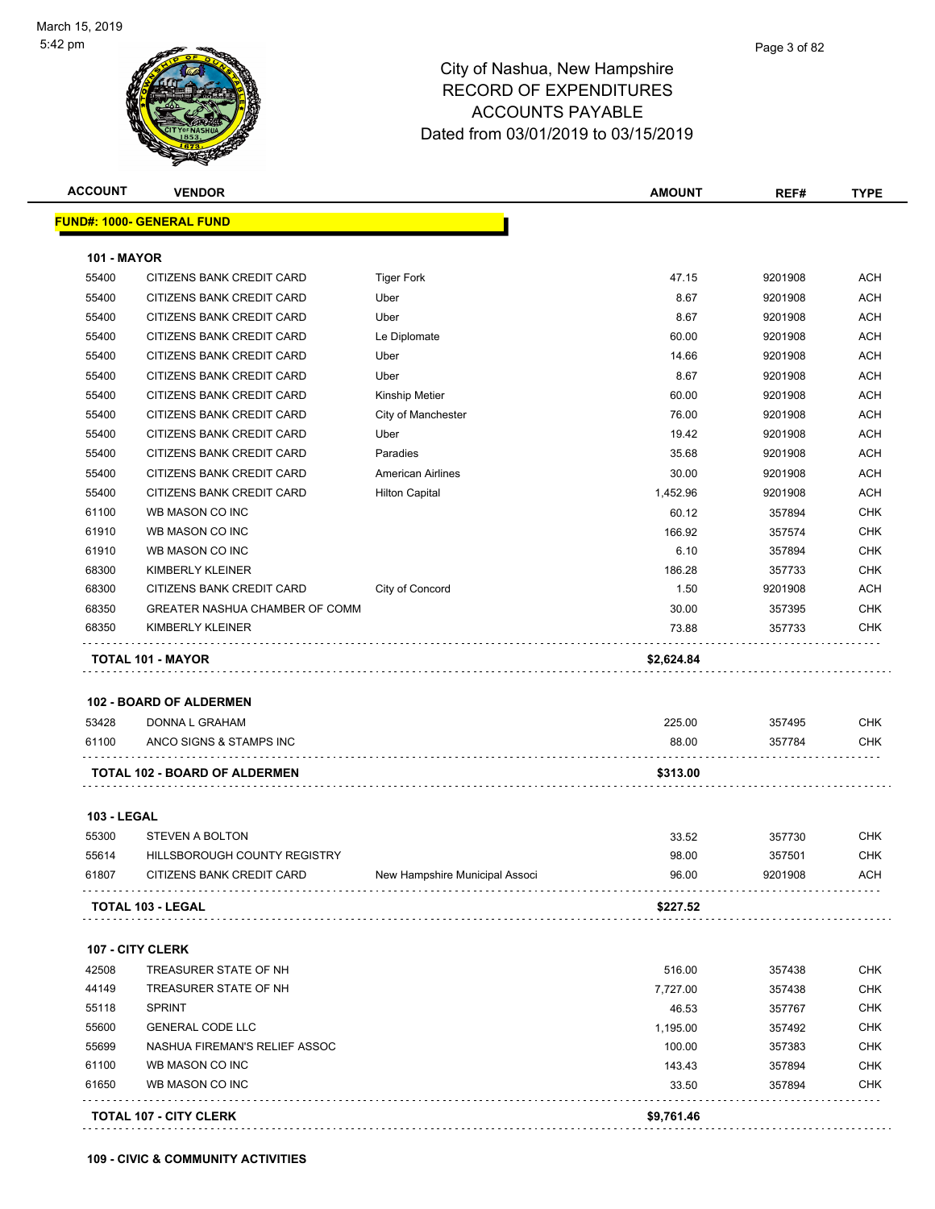

| <b>ACCOUNT</b>     | <b>VENDOR</b>                                 |                                | <b>AMOUNT</b> | REF#              | <b>TYPE</b> |
|--------------------|-----------------------------------------------|--------------------------------|---------------|-------------------|-------------|
|                    | <u> FUND#: 1000- GENERAL FUND</u>             |                                |               |                   |             |
| <b>101 - MAYOR</b> |                                               |                                |               |                   |             |
| 55400              | CITIZENS BANK CREDIT CARD                     | <b>Tiger Fork</b>              | 47.15         | 9201908           | <b>ACH</b>  |
| 55400              | CITIZENS BANK CREDIT CARD                     | Uber                           | 8.67          | 9201908           | <b>ACH</b>  |
| 55400              | CITIZENS BANK CREDIT CARD                     | Uber                           | 8.67          | 9201908           | <b>ACH</b>  |
| 55400              | CITIZENS BANK CREDIT CARD                     | Le Diplomate                   | 60.00         | 9201908           | <b>ACH</b>  |
| 55400              | CITIZENS BANK CREDIT CARD                     | Uber                           | 14.66         | 9201908           | <b>ACH</b>  |
| 55400              | CITIZENS BANK CREDIT CARD                     | Uber                           | 8.67          | 9201908           | <b>ACH</b>  |
| 55400              | CITIZENS BANK CREDIT CARD                     | <b>Kinship Metier</b>          | 60.00         | 9201908           | <b>ACH</b>  |
| 55400              | CITIZENS BANK CREDIT CARD                     | City of Manchester             | 76.00         | 9201908           | <b>ACH</b>  |
| 55400              | CITIZENS BANK CREDIT CARD                     | Uber                           | 19.42         | 9201908           | <b>ACH</b>  |
| 55400              | CITIZENS BANK CREDIT CARD                     | Paradies                       | 35.68         | 9201908           | ACH         |
| 55400              | CITIZENS BANK CREDIT CARD                     | <b>American Airlines</b>       | 30.00         | 9201908           | <b>ACH</b>  |
| 55400              | CITIZENS BANK CREDIT CARD                     | <b>Hilton Capital</b>          | 1,452.96      | 9201908           | <b>ACH</b>  |
| 61100              | WB MASON CO INC                               |                                | 60.12         | 357894            | <b>CHK</b>  |
| 61910              | WB MASON CO INC                               |                                | 166.92        | 357574            | <b>CHK</b>  |
| 61910              | WB MASON CO INC                               |                                | 6.10          | 357894            | <b>CHK</b>  |
|                    |                                               |                                | 186.28        |                   | <b>CHK</b>  |
| 68300<br>68300     | KIMBERLY KLEINER<br>CITIZENS BANK CREDIT CARD |                                | 1.50          | 357733<br>9201908 | ACH         |
| 68350              | <b>GREATER NASHUA CHAMBER OF COMM</b>         | City of Concord                |               |                   | <b>CHK</b>  |
|                    |                                               |                                | 30.00         | 357395            | <b>CHK</b>  |
| 68350              | KIMBERLY KLEINER                              |                                | 73.88         | 357733            |             |
|                    | <b>TOTAL 101 - MAYOR</b>                      |                                | \$2,624.84    |                   |             |
|                    |                                               |                                |               |                   |             |
| 53428              | 102 - BOARD OF ALDERMEN<br>DONNA L GRAHAM     |                                | 225.00        | 357495            | <b>CHK</b>  |
| 61100              | ANCO SIGNS & STAMPS INC                       |                                | 88.00         | 357784            | CHK         |
|                    |                                               |                                |               |                   |             |
|                    | <b>TOTAL 102 - BOARD OF ALDERMEN</b>          |                                | \$313.00      |                   |             |
| <b>103 - LEGAL</b> |                                               |                                |               |                   |             |
| 55300              | STEVEN A BOLTON                               |                                | 33.52         | 357730            | <b>CHK</b>  |
| 55614              | <b>HILLSBOROUGH COUNTY REGISTRY</b>           |                                | 98.00         | 357501            | <b>CHK</b>  |
| 61807              | CITIZENS BANK CREDIT CARD                     | New Hampshire Municipal Associ | 96.00         | 9201908           | ACH         |
|                    |                                               |                                |               |                   |             |
|                    | TOTAL 103 - LEGAL                             |                                | \$227.52      |                   |             |
|                    | <b>107 - CITY CLERK</b>                       |                                |               |                   |             |
| 42508              | TREASURER STATE OF NH                         |                                | 516.00        | 357438            | <b>CHK</b>  |
| 44149              | TREASURER STATE OF NH                         |                                | 7,727.00      | 357438            | <b>CHK</b>  |
| 55118              | <b>SPRINT</b>                                 |                                | 46.53         | 357767            | <b>CHK</b>  |
| 55600              | <b>GENERAL CODE LLC</b>                       |                                | 1,195.00      | 357492            | <b>CHK</b>  |
| 55699              | NASHUA FIREMAN'S RELIEF ASSOC                 |                                | 100.00        | 357383            | <b>CHK</b>  |
| 61100              | WB MASON CO INC                               |                                | 143.43        | 357894            | <b>CHK</b>  |
| 61650              | WB MASON CO INC                               |                                | 33.50         | 357894            | <b>CHK</b>  |
|                    | <b>TOTAL 107 - CITY CLERK</b>                 |                                | \$9,761.46    |                   |             |
|                    |                                               |                                |               |                   |             |

**109 - CIVIC & COMMUNITY ACTIVITIES**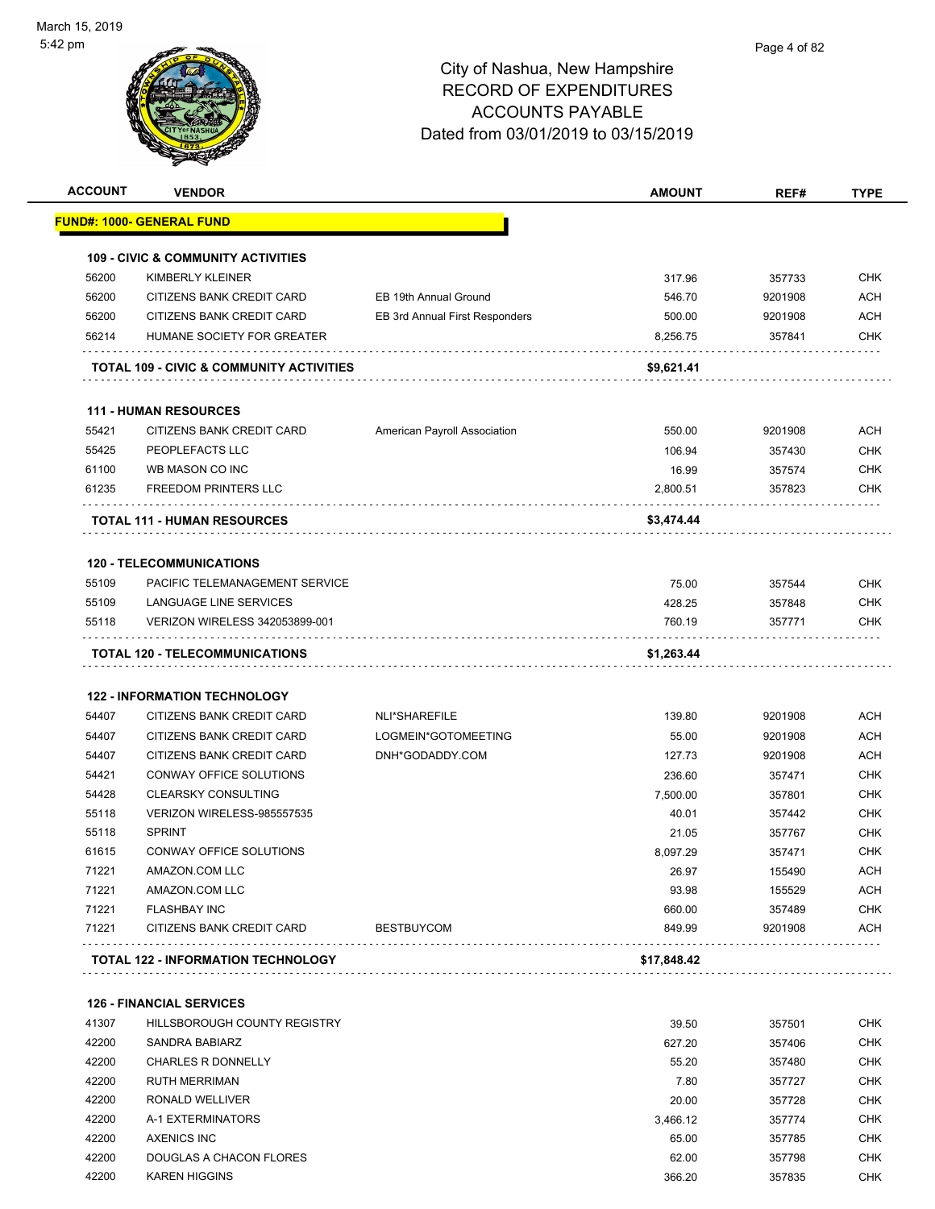

| <b>ACCOUNT</b> | <b>VENDOR</b>                                 |                                | <b>AMOUNT</b> | REF#    | <b>TYPE</b> |
|----------------|-----------------------------------------------|--------------------------------|---------------|---------|-------------|
|                | <b>FUND#: 1000- GENERAL FUND</b>              |                                |               |         |             |
|                | <b>109 - CIVIC &amp; COMMUNITY ACTIVITIES</b> |                                |               |         |             |
| 56200          | KIMBERLY KLEINER                              |                                | 317.96        | 357733  | <b>CHK</b>  |
| 56200          | CITIZENS BANK CREDIT CARD                     | EB 19th Annual Ground          | 546.70        | 9201908 | <b>ACH</b>  |
| 56200          | CITIZENS BANK CREDIT CARD                     | EB 3rd Annual First Responders | 500.00        | 9201908 | <b>ACH</b>  |
| 56214          | HUMANE SOCIETY FOR GREATER                    |                                | 8,256.75      | 357841  | <b>CHK</b>  |
|                | TOTAL 109 - CIVIC & COMMUNITY ACTIVITIES      |                                | \$9,621.41    |         |             |
|                | <b>111 - HUMAN RESOURCES</b>                  |                                |               |         |             |
| 55421          | CITIZENS BANK CREDIT CARD                     | American Payroll Association   | 550.00        | 9201908 | <b>ACH</b>  |
| 55425          | PEOPLEFACTS LLC                               |                                | 106.94        | 357430  | <b>CHK</b>  |
| 61100          | WB MASON CO INC                               |                                | 16.99         | 357574  | <b>CHK</b>  |
| 61235          | <b>FREEDOM PRINTERS LLC</b>                   |                                | 2,800.51      | 357823  | <b>CHK</b>  |
|                | <b>TOTAL 111 - HUMAN RESOURCES</b>            |                                | \$3,474.44    |         |             |
|                | <b>120 - TELECOMMUNICATIONS</b>               |                                |               |         |             |
| 55109          | PACIFIC TELEMANAGEMENT SERVICE                |                                | 75.00         | 357544  | <b>CHK</b>  |
| 55109          | LANGUAGE LINE SERVICES                        |                                | 428.25        | 357848  | <b>CHK</b>  |
| 55118          | VERIZON WIRELESS 342053899-001                |                                | 760.19        | 357771  | <b>CHK</b>  |
|                | TOTAL 120 - TELECOMMUNICATIONS                |                                | \$1,263.44    |         |             |
|                | <b>122 - INFORMATION TECHNOLOGY</b>           |                                |               |         |             |
| 54407          | CITIZENS BANK CREDIT CARD                     | NLI*SHAREFILE                  | 139.80        | 9201908 | <b>ACH</b>  |
| 54407          | CITIZENS BANK CREDIT CARD                     | LOGMEIN*GOTOMEETING            | 55.00         | 9201908 | <b>ACH</b>  |
| 54407          | CITIZENS BANK CREDIT CARD                     | DNH*GODADDY.COM                | 127.73        | 9201908 | <b>ACH</b>  |
| 54421          | CONWAY OFFICE SOLUTIONS                       |                                | 236.60        | 357471  | <b>CHK</b>  |
| 54428          | <b>CLEARSKY CONSULTING</b>                    |                                | 7,500.00      | 357801  | <b>CHK</b>  |
| 55118          | VERIZON WIRELESS-985557535                    |                                | 40.01         | 357442  | <b>CHK</b>  |
| 55118          | <b>SPRINT</b>                                 |                                | 21.05         | 357767  | <b>CHK</b>  |
| 61615          | CONWAY OFFICE SOLUTIONS                       |                                | 8,097.29      | 357471  | <b>CHK</b>  |
| 71221          | AMAZON.COM LLC                                |                                | 26.97         | 155490  | <b>ACH</b>  |
| 71221          | AMAZON.COM LLC                                |                                | 93.98         | 155529  | <b>ACH</b>  |
| 71221          | <b>FLASHBAY INC</b>                           |                                | 660.00        | 357489  | <b>CHK</b>  |
| 71221          | CITIZENS BANK CREDIT CARD                     | <b>BESTBUYCOM</b>              | 849.99        | 9201908 | <b>ACH</b>  |
|                | TOTAL 122 - INFORMATION TECHNOLOGY            |                                | \$17,848.42   |         |             |
|                | <b>126 - FINANCIAL SERVICES</b>               |                                |               |         |             |
| 41307          | HILLSBOROUGH COUNTY REGISTRY                  |                                | 39.50         | 357501  | CHK         |

| 42200 | SANDRA BABIARZ            | 627.20   | 357406 | <b>CHK</b> |
|-------|---------------------------|----------|--------|------------|
| 42200 | <b>CHARLES R DONNELLY</b> | 55.20    | 357480 | CHK        |
| 42200 | <b>RUTH MERRIMAN</b>      | 7.80     | 357727 | <b>CHK</b> |
| 42200 | RONALD WELLIVER           | 20.00    | 357728 | <b>CHK</b> |
| 42200 | A-1 EXTERMINATORS         | 3.466.12 | 357774 | CHK.       |
| 42200 | AXENICS INC               | 65.00    | 357785 | CHK        |
| 42200 | DOUGLAS A CHACON FLORES   | 62.00    | 357798 | CHK        |
| 42200 | <b>KAREN HIGGINS</b>      | 366.20   | 357835 | CHK        |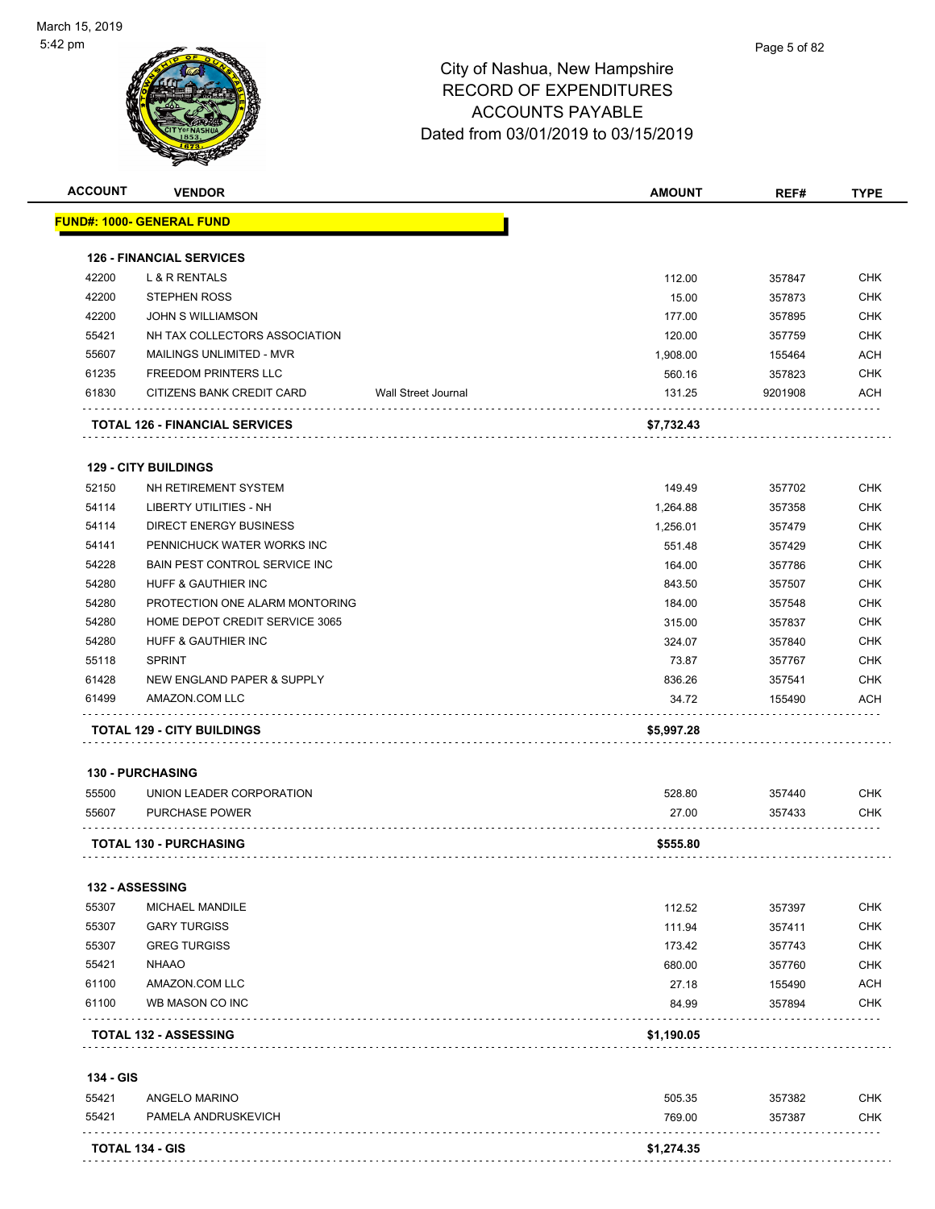

| <b>ACCOUNT</b> | <b>VENDOR</b>                         |                     | <b>AMOUNT</b> | REF#    | <b>TYPE</b> |
|----------------|---------------------------------------|---------------------|---------------|---------|-------------|
|                | <u> FUND#: 1000- GENERAL FUND</u>     |                     |               |         |             |
|                | <b>126 - FINANCIAL SERVICES</b>       |                     |               |         |             |
| 42200          | L & R RENTALS                         |                     | 112.00        | 357847  | <b>CHK</b>  |
| 42200          | <b>STEPHEN ROSS</b>                   |                     | 15.00         | 357873  | <b>CHK</b>  |
| 42200          | <b>JOHN S WILLIAMSON</b>              |                     | 177.00        | 357895  | <b>CHK</b>  |
| 55421          | NH TAX COLLECTORS ASSOCIATION         |                     | 120.00        | 357759  | <b>CHK</b>  |
| 55607          | <b>MAILINGS UNLIMITED - MVR</b>       |                     | 1,908.00      | 155464  | <b>ACH</b>  |
| 61235          | <b>FREEDOM PRINTERS LLC</b>           |                     | 560.16        | 357823  | <b>CHK</b>  |
| 61830          | CITIZENS BANK CREDIT CARD             | Wall Street Journal | 131.25        | 9201908 | <b>ACH</b>  |
|                | <b>TOTAL 126 - FINANCIAL SERVICES</b> |                     | \$7,732.43    |         |             |
|                | <b>129 - CITY BUILDINGS</b>           |                     |               |         |             |
| 52150          | NH RETIREMENT SYSTEM                  |                     | 149.49        | 357702  | <b>CHK</b>  |
| 54114          | <b>LIBERTY UTILITIES - NH</b>         |                     | 1,264.88      | 357358  | <b>CHK</b>  |
| 54114          | <b>DIRECT ENERGY BUSINESS</b>         |                     | 1,256.01      | 357479  | <b>CHK</b>  |
| 54141          | PENNICHUCK WATER WORKS INC            |                     | 551.48        | 357429  | <b>CHK</b>  |
| 54228          | <b>BAIN PEST CONTROL SERVICE INC</b>  |                     | 164.00        | 357786  | <b>CHK</b>  |
| 54280          | HUFF & GAUTHIER INC                   |                     | 843.50        | 357507  | <b>CHK</b>  |
| 54280          | PROTECTION ONE ALARM MONTORING        |                     | 184.00        | 357548  | <b>CHK</b>  |
| 54280          | HOME DEPOT CREDIT SERVICE 3065        |                     | 315.00        | 357837  | <b>CHK</b>  |
| 54280          | HUFF & GAUTHIER INC                   |                     | 324.07        | 357840  | <b>CHK</b>  |
| 55118          | <b>SPRINT</b>                         |                     | 73.87         | 357767  | <b>CHK</b>  |
| 61428          | NEW ENGLAND PAPER & SUPPLY            |                     | 836.26        | 357541  | <b>CHK</b>  |
| 61499          | AMAZON.COM LLC                        |                     | 34.72         | 155490  | ACH         |
|                | <b>TOTAL 129 - CITY BUILDINGS</b>     |                     | \$5,997.28    |         |             |
|                | <b>130 - PURCHASING</b>               |                     |               |         |             |
| 55500          | UNION LEADER CORPORATION              |                     | 528.80        | 357440  | <b>CHK</b>  |
|                |                                       |                     | 27.00         | 357433  | CHK         |
| 55607          | <b>PURCHASE POWER</b>                 |                     |               |         |             |
|                | <b>TOTAL 130 - PURCHASING</b>         |                     | \$555.80      |         |             |
|                | 132 - ASSESSING                       |                     |               |         |             |
| 55307          | MICHAEL MANDILE                       |                     | 112.52        | 357397  | <b>CHK</b>  |
| 55307          | <b>GARY TURGISS</b>                   |                     | 111.94        | 357411  | <b>CHK</b>  |
| 55307          | <b>GREG TURGISS</b>                   |                     | 173.42        | 357743  | CHK         |
| 55421          | <b>NHAAO</b>                          |                     | 680.00        | 357760  | CHK         |
| 61100          | AMAZON.COM LLC                        |                     | 27.18         | 155490  | ACH         |
| 61100          | WB MASON CO INC                       |                     | 84.99         | 357894  | <b>CHK</b>  |
|                | <b>TOTAL 132 - ASSESSING</b>          |                     | \$1,190.05    |         |             |
|                |                                       |                     |               |         |             |
| 134 - GIS      |                                       |                     | 505.35        | 357382  | <b>CHK</b>  |
| 55421          | ANGELO MARINO                         |                     |               |         |             |
| 55421          | PAMELA ANDRUSKEVICH                   |                     | 769.00        | 357387  | <b>CHK</b>  |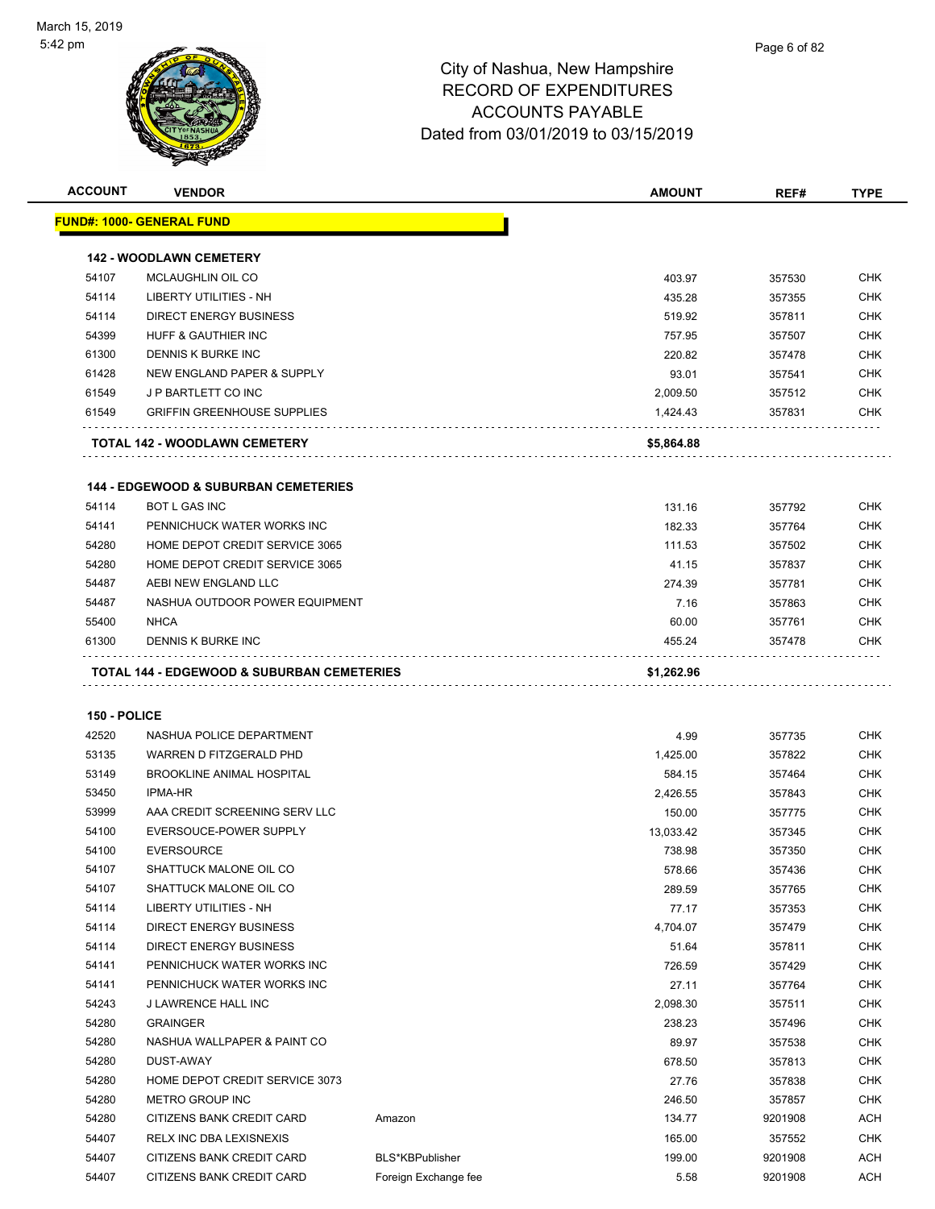

| <b>ACCOUNT</b> | <b>VENDOR</b>                                   |                      | <b>AMOUNT</b> | REF#    | <b>TYPE</b> |
|----------------|-------------------------------------------------|----------------------|---------------|---------|-------------|
|                | FUND#: 1000- GENERAL FUND                       |                      |               |         |             |
|                | <b>142 - WOODLAWN CEMETERY</b>                  |                      |               |         |             |
| 54107          | <b>MCLAUGHLIN OIL CO</b>                        |                      | 403.97        | 357530  | <b>CHK</b>  |
| 54114          | <b>LIBERTY UTILITIES - NH</b>                   |                      | 435.28        | 357355  | <b>CHK</b>  |
| 54114          | DIRECT ENERGY BUSINESS                          |                      | 519.92        | 357811  | CHK         |
| 54399          | <b>HUFF &amp; GAUTHIER INC</b>                  |                      | 757.95        | 357507  | <b>CHK</b>  |
| 61300          | DENNIS K BURKE INC                              |                      | 220.82        | 357478  | CHK         |
| 61428          | NEW ENGLAND PAPER & SUPPLY                      |                      | 93.01         | 357541  | <b>CHK</b>  |
| 61549          | J P BARTLETT CO INC                             |                      | 2,009.50      | 357512  | <b>CHK</b>  |
| 61549          | <b>GRIFFIN GREENHOUSE SUPPLIES</b>              |                      | 1,424.43      | 357831  | <b>CHK</b>  |
|                | TOTAL 142 - WOODLAWN CEMETERY                   |                      | \$5,864.88    |         |             |
|                | <b>144 - EDGEWOOD &amp; SUBURBAN CEMETERIES</b> |                      |               |         |             |
| 54114          | <b>BOT L GAS INC</b>                            |                      | 131.16        | 357792  | <b>CHK</b>  |
| 54141          | PENNICHUCK WATER WORKS INC                      |                      | 182.33        | 357764  | <b>CHK</b>  |
| 54280          | HOME DEPOT CREDIT SERVICE 3065                  |                      | 111.53        | 357502  | CHK         |
| 54280          | HOME DEPOT CREDIT SERVICE 3065                  |                      | 41.15         | 357837  | <b>CHK</b>  |
| 54487          | AEBI NEW ENGLAND LLC                            |                      | 274.39        | 357781  | CHK         |
| 54487          | NASHUA OUTDOOR POWER EQUIPMENT                  |                      | 7.16          | 357863  | <b>CHK</b>  |
| 55400          | <b>NHCA</b>                                     |                      | 60.00         | 357761  | <b>CHK</b>  |
| 61300          | DENNIS K BURKE INC                              |                      | 455.24        | 357478  | <b>CHK</b>  |
|                |                                                 |                      |               |         |             |
|                |                                                 |                      |               |         |             |
| 150 - POLICE   |                                                 |                      |               |         |             |
| 42520          | NASHUA POLICE DEPARTMENT                        |                      | 4.99          | 357735  | CHK         |
| 53135          | WARREN D FITZGERALD PHD                         |                      | 1,425.00      | 357822  | <b>CHK</b>  |
| 53149          | <b>BROOKLINE ANIMAL HOSPITAL</b>                |                      | 584.15        | 357464  | CHK         |
| 53450          | <b>IPMA-HR</b>                                  |                      | 2,426.55      | 357843  | <b>CHK</b>  |
| 53999          | AAA CREDIT SCREENING SERV LLC                   |                      | 150.00        | 357775  | CHK         |
| 54100          | EVERSOUCE-POWER SUPPLY                          |                      | 13,033.42     | 357345  | <b>CHK</b>  |
| 54100          | <b>EVERSOURCE</b>                               |                      | 738.98        | 357350  | <b>CHK</b>  |
| 54107          | SHATTUCK MALONE OIL CO                          |                      | 578.66        | 357436  | <b>CHK</b>  |
| 54107          | SHATTUCK MALONE OIL CO                          |                      | 289.59        | 357765  | <b>CHK</b>  |
| 54114          | LIBERTY UTILITIES - NH                          |                      | 77.17         | 357353  | <b>CHK</b>  |
| 54114          | <b>DIRECT ENERGY BUSINESS</b>                   |                      | 4,704.07      | 357479  | CHK         |
| 54114          | <b>DIRECT ENERGY BUSINESS</b>                   |                      | 51.64         | 357811  | CHK         |
| 54141          | PENNICHUCK WATER WORKS INC                      |                      | 726.59        | 357429  | <b>CHK</b>  |
| 54141          | PENNICHUCK WATER WORKS INC                      |                      | 27.11         | 357764  | <b>CHK</b>  |
| 54243          | J LAWRENCE HALL INC                             |                      | 2,098.30      | 357511  | <b>CHK</b>  |
| 54280          | <b>GRAINGER</b>                                 |                      | 238.23        | 357496  | <b>CHK</b>  |
| 54280          | NASHUA WALLPAPER & PAINT CO                     |                      | 89.97         | 357538  | <b>CHK</b>  |
| 54280          | DUST-AWAY                                       |                      | 678.50        | 357813  | <b>CHK</b>  |
| 54280          | HOME DEPOT CREDIT SERVICE 3073                  |                      | 27.76         | 357838  | <b>CHK</b>  |
| 54280          | METRO GROUP INC                                 |                      | 246.50        | 357857  | <b>CHK</b>  |
| 54280          | CITIZENS BANK CREDIT CARD                       | Amazon               | 134.77        | 9201908 | ACH         |
| 54407          | RELX INC DBA LEXISNEXIS                         |                      | 165.00        | 357552  | <b>CHK</b>  |
| 54407          | CITIZENS BANK CREDIT CARD                       | BLS*KBPublisher      | 199.00        | 9201908 | <b>ACH</b>  |
| 54407          | CITIZENS BANK CREDIT CARD                       | Foreign Exchange fee | 5.58          | 9201908 | ACH         |
|                |                                                 |                      |               |         |             |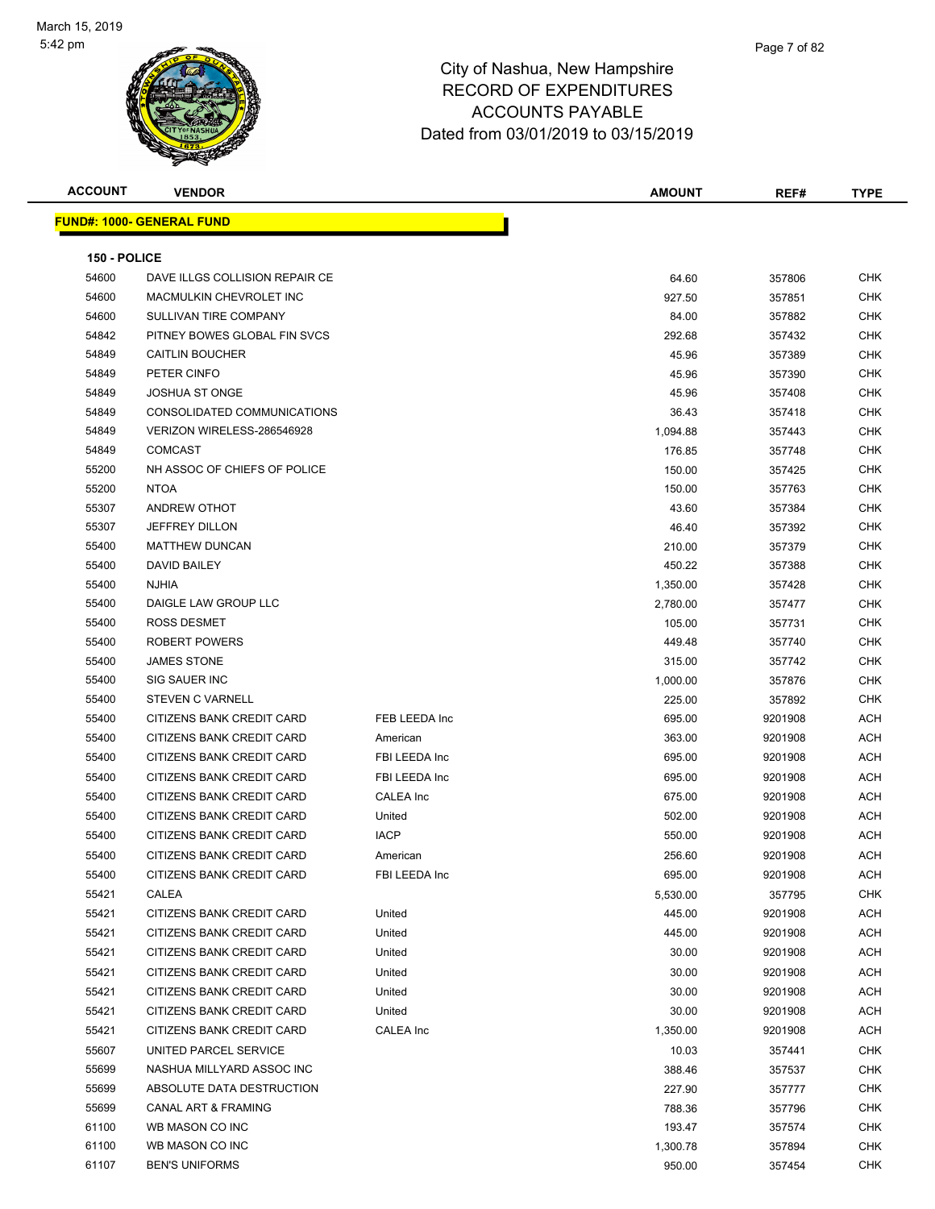

| <b>ACCOUNT</b> | <b>VENDOR</b>                     |                  | <b>AMOUNT</b> | REF#    | <b>TYPE</b> |
|----------------|-----------------------------------|------------------|---------------|---------|-------------|
|                | <u> FUND#: 1000- GENERAL FUND</u> |                  |               |         |             |
|                |                                   |                  |               |         |             |
| 150 - POLICE   |                                   |                  |               |         |             |
| 54600          | DAVE ILLGS COLLISION REPAIR CE    |                  | 64.60         | 357806  | <b>CHK</b>  |
| 54600          | MACMULKIN CHEVROLET INC           |                  | 927.50        | 357851  | <b>CHK</b>  |
| 54600          | SULLIVAN TIRE COMPANY             |                  | 84.00         | 357882  | CHK         |
| 54842          | PITNEY BOWES GLOBAL FIN SVCS      |                  | 292.68        | 357432  | <b>CHK</b>  |
| 54849          | <b>CAITLIN BOUCHER</b>            |                  | 45.96         | 357389  | CHK         |
| 54849          | PETER CINFO                       |                  | 45.96         | 357390  | CHK         |
| 54849          | <b>JOSHUA ST ONGE</b>             |                  | 45.96         | 357408  | CHK         |
| 54849          | CONSOLIDATED COMMUNICATIONS       |                  | 36.43         | 357418  | CHK         |
| 54849          | VERIZON WIRELESS-286546928        |                  | 1,094.88      | 357443  | CHK         |
| 54849          | <b>COMCAST</b>                    |                  | 176.85        | 357748  | CHK         |
| 55200          | NH ASSOC OF CHIEFS OF POLICE      |                  | 150.00        | 357425  | <b>CHK</b>  |
| 55200          | <b>NTOA</b>                       |                  | 150.00        | 357763  | CHK         |
| 55307          | ANDREW OTHOT                      |                  | 43.60         | 357384  | CHK         |
| 55307          | <b>JEFFREY DILLON</b>             |                  | 46.40         | 357392  | CHK         |
| 55400          | <b>MATTHEW DUNCAN</b>             |                  | 210.00        | 357379  | CHK         |
| 55400          | DAVID BAILEY                      |                  | 450.22        | 357388  | CHK         |
| 55400          | <b>NJHIA</b>                      |                  | 1,350.00      | 357428  | CHK         |
| 55400          | DAIGLE LAW GROUP LLC              |                  | 2,780.00      | 357477  | CHK         |
| 55400          | <b>ROSS DESMET</b>                |                  | 105.00        | 357731  | CHK         |
| 55400          | ROBERT POWERS                     |                  | 449.48        | 357740  | CHK         |
| 55400          | <b>JAMES STONE</b>                |                  | 315.00        | 357742  | CHK         |
| 55400          | SIG SAUER INC                     |                  | 1,000.00      | 357876  | CHK         |
| 55400          | STEVEN C VARNELL                  |                  | 225.00        | 357892  | CHK         |
| 55400          | CITIZENS BANK CREDIT CARD         | FEB LEEDA Inc    | 695.00        | 9201908 | ACH         |
| 55400          | CITIZENS BANK CREDIT CARD         | American         | 363.00        | 9201908 | ACH         |
| 55400          | CITIZENS BANK CREDIT CARD         | FBI LEEDA Inc    | 695.00        | 9201908 | ACH         |
| 55400          | CITIZENS BANK CREDIT CARD         | FBI LEEDA Inc    | 695.00        | 9201908 | ACH         |
| 55400          | CITIZENS BANK CREDIT CARD         | CALEA Inc        | 675.00        | 9201908 | ACH         |
| 55400          | CITIZENS BANK CREDIT CARD         | United           | 502.00        | 9201908 | ACH         |
| 55400          | CITIZENS BANK CREDIT CARD         | <b>IACP</b>      | 550.00        | 9201908 | ACH         |
| 55400          | CITIZENS BANK CREDIT CARD         | American         | 256.60        | 9201908 | ACH         |
| 55400          | CITIZENS BANK CREDIT CARD         | FBI LEEDA Inc    | 695.00        | 9201908 | ACH         |
| 55421          | CALEA                             |                  | 5,530.00      | 357795  | <b>CHK</b>  |
| 55421          | CITIZENS BANK CREDIT CARD         | United           | 445.00        | 9201908 | ACH         |
| 55421          | CITIZENS BANK CREDIT CARD         | United           | 445.00        | 9201908 | ACH         |
| 55421          | CITIZENS BANK CREDIT CARD         | United           | 30.00         | 9201908 | ACH         |
| 55421          | CITIZENS BANK CREDIT CARD         | United           | 30.00         | 9201908 | ACH         |
| 55421          | CITIZENS BANK CREDIT CARD         | United           | 30.00         | 9201908 | ACH         |
| 55421          | CITIZENS BANK CREDIT CARD         | United           | 30.00         | 9201908 | ACH         |
| 55421          | CITIZENS BANK CREDIT CARD         | <b>CALEA</b> Inc | 1,350.00      | 9201908 | ACH         |
| 55607          | UNITED PARCEL SERVICE             |                  | 10.03         | 357441  | CHK         |
| 55699          | NASHUA MILLYARD ASSOC INC         |                  | 388.46        | 357537  | <b>CHK</b>  |
| 55699          | ABSOLUTE DATA DESTRUCTION         |                  | 227.90        | 357777  | CHK         |
| 55699          | CANAL ART & FRAMING               |                  | 788.36        | 357796  | CHK         |
| 61100          | WB MASON CO INC                   |                  | 193.47        | 357574  | CHK         |
| 61100          | WB MASON CO INC                   |                  | 1,300.78      | 357894  | CHK         |
| 61107          | <b>BEN'S UNIFORMS</b>             |                  | 950.00        | 357454  | CHK         |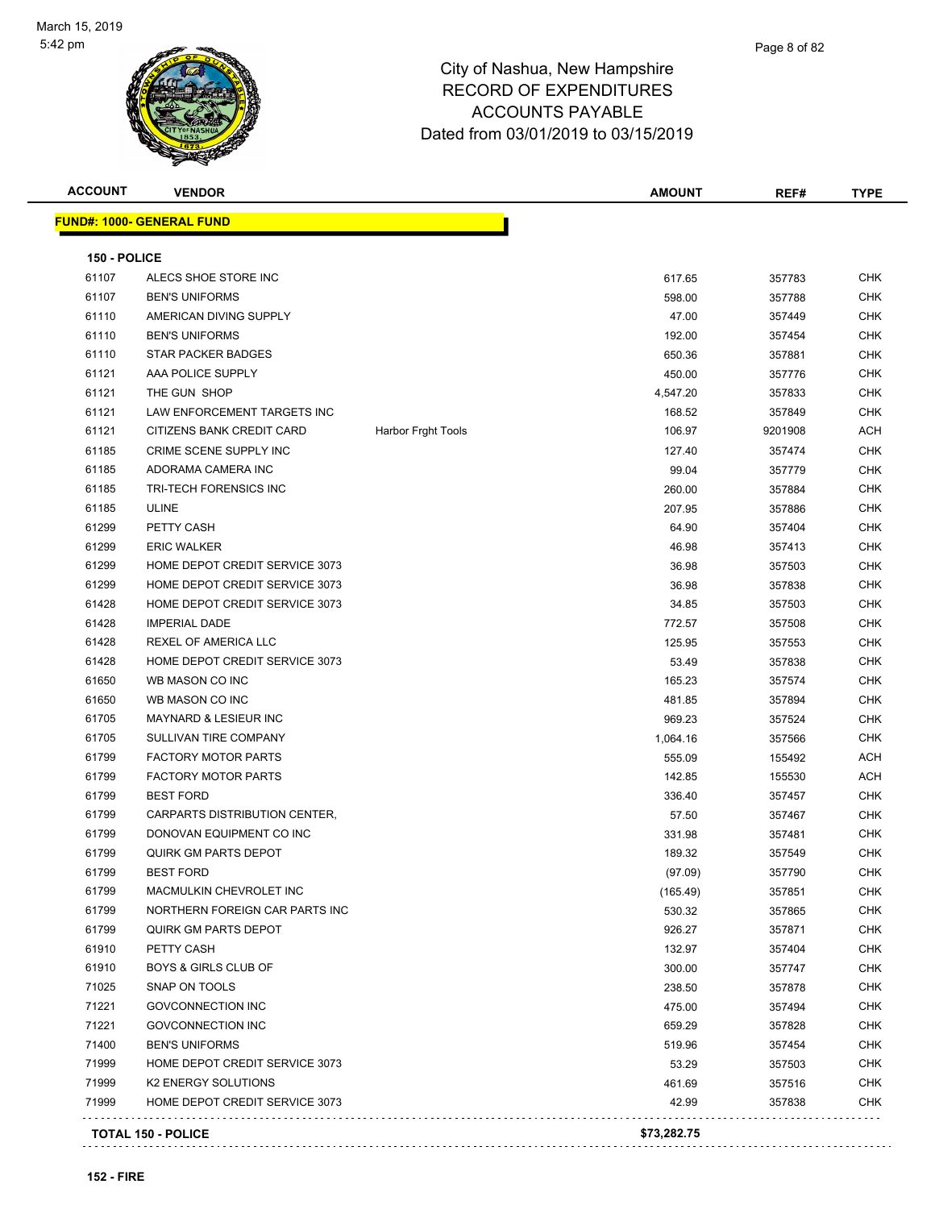

| <b>FUND#: 1000- GENERAL FUND</b><br>150 - POLICE<br>617.65<br><b>CHK</b><br>61107<br>ALECS SHOE STORE INC<br>357783<br>61107<br><b>BEN'S UNIFORMS</b><br>598.00<br>357788<br>61110<br>AMERICAN DIVING SUPPLY<br>47.00<br><b>CHK</b><br>357449<br>61110<br><b>BEN'S UNIFORMS</b><br>192.00<br>357454<br>61110<br>STAR PACKER BADGES<br>650.36<br>357881<br>61121<br>AAA POLICE SUPPLY<br>CHK<br>450.00<br>357776<br>61121<br>THE GUN SHOP<br>4,547.20<br>357833<br>61121<br>LAW ENFORCEMENT TARGETS INC<br>168.52<br>357849<br>61121<br>CITIZENS BANK CREDIT CARD<br><b>Harbor Frght Tools</b><br>106.97<br>9201908<br>61185<br>CRIME SCENE SUPPLY INC<br>127.40<br>357474<br>61185<br>ADORAMA CAMERA INC<br>99.04<br>357779<br>61185<br>TRI-TECH FORENSICS INC<br>260.00<br><b>CHK</b><br>357884<br>61185<br><b>ULINE</b><br>207.95<br>357886<br>61299<br>PETTY CASH<br>64.90<br>357404<br>61299<br><b>ERIC WALKER</b><br>46.98<br>357413<br>61299<br>HOME DEPOT CREDIT SERVICE 3073<br>36.98<br>357503<br>61299<br>HOME DEPOT CREDIT SERVICE 3073<br>36.98<br>357838<br>61428<br>HOME DEPOT CREDIT SERVICE 3073<br>34.85<br>357503<br>61428<br><b>IMPERIAL DADE</b><br>772.57<br>357508<br>61428<br>REXEL OF AMERICA LLC<br>125.95<br>357553<br>61428<br>HOME DEPOT CREDIT SERVICE 3073<br>53.49<br>357838<br>61650<br>WB MASON CO INC<br>165.23<br>357574<br>61650<br>WB MASON CO INC<br>481.85<br>357894<br>61705<br>MAYNARD & LESIEUR INC<br>969.23<br>357524<br>61705<br>SULLIVAN TIRE COMPANY<br>1,064.16<br>357566<br>61799<br><b>FACTORY MOTOR PARTS</b><br>555.09<br>155492<br>61799<br><b>FACTORY MOTOR PARTS</b><br>142.85<br>155530<br>61799<br><b>BEST FORD</b><br>336.40<br>357457<br>61799<br>CARPARTS DISTRIBUTION CENTER,<br>57.50<br>357467<br>61799<br>DONOVAN EQUIPMENT CO INC<br>331.98<br>357481<br>61799<br><b>QUIRK GM PARTS DEPOT</b><br>189.32<br>357549<br>61799<br><b>BEST FORD</b><br>(97.09)<br>357790<br>61799<br>MACMULKIN CHEVROLET INC<br>(165.49)<br>357851<br>61799<br>530.32<br>NORTHERN FOREIGN CAR PARTS INC<br>357865<br>61799<br><b>QUIRK GM PARTS DEPOT</b><br>926.27<br>357871<br>61910<br>132.97<br>PETTY CASH<br>357404<br>61910<br><b>BOYS &amp; GIRLS CLUB OF</b><br>300.00<br>357747<br>71025<br><b>SNAP ON TOOLS</b><br>238.50<br>357878<br>71221<br><b>GOVCONNECTION INC</b><br>475.00<br>357494<br>71221<br><b>GOVCONNECTION INC</b><br>659.29<br>357828<br>71400<br><b>BEN'S UNIFORMS</b><br>519.96<br>357454<br>71999<br>HOME DEPOT CREDIT SERVICE 3073<br>53.29<br>357503<br>71999<br><b>K2 ENERGY SOLUTIONS</b><br>461.69<br>357516<br>71999<br>HOME DEPOT CREDIT SERVICE 3073<br>42.99<br>357838<br><b>TOTAL 150 - POLICE</b> | <b>ACCOUNT</b> | <b>VENDOR</b> | <b>AMOUNT</b> | REF# | <b>TYPE</b> |
|---------------------------------------------------------------------------------------------------------------------------------------------------------------------------------------------------------------------------------------------------------------------------------------------------------------------------------------------------------------------------------------------------------------------------------------------------------------------------------------------------------------------------------------------------------------------------------------------------------------------------------------------------------------------------------------------------------------------------------------------------------------------------------------------------------------------------------------------------------------------------------------------------------------------------------------------------------------------------------------------------------------------------------------------------------------------------------------------------------------------------------------------------------------------------------------------------------------------------------------------------------------------------------------------------------------------------------------------------------------------------------------------------------------------------------------------------------------------------------------------------------------------------------------------------------------------------------------------------------------------------------------------------------------------------------------------------------------------------------------------------------------------------------------------------------------------------------------------------------------------------------------------------------------------------------------------------------------------------------------------------------------------------------------------------------------------------------------------------------------------------------------------------------------------------------------------------------------------------------------------------------------------------------------------------------------------------------------------------------------------------------------------------------------------------------------------------------------------------------------------------------------------------------------------------------------------------------------------------------------------------------------------------------------------------------------|----------------|---------------|---------------|------|-------------|
|                                                                                                                                                                                                                                                                                                                                                                                                                                                                                                                                                                                                                                                                                                                                                                                                                                                                                                                                                                                                                                                                                                                                                                                                                                                                                                                                                                                                                                                                                                                                                                                                                                                                                                                                                                                                                                                                                                                                                                                                                                                                                                                                                                                                                                                                                                                                                                                                                                                                                                                                                                                                                                                                                       |                |               |               |      |             |
|                                                                                                                                                                                                                                                                                                                                                                                                                                                                                                                                                                                                                                                                                                                                                                                                                                                                                                                                                                                                                                                                                                                                                                                                                                                                                                                                                                                                                                                                                                                                                                                                                                                                                                                                                                                                                                                                                                                                                                                                                                                                                                                                                                                                                                                                                                                                                                                                                                                                                                                                                                                                                                                                                       |                |               |               |      |             |
|                                                                                                                                                                                                                                                                                                                                                                                                                                                                                                                                                                                                                                                                                                                                                                                                                                                                                                                                                                                                                                                                                                                                                                                                                                                                                                                                                                                                                                                                                                                                                                                                                                                                                                                                                                                                                                                                                                                                                                                                                                                                                                                                                                                                                                                                                                                                                                                                                                                                                                                                                                                                                                                                                       |                |               |               |      |             |
|                                                                                                                                                                                                                                                                                                                                                                                                                                                                                                                                                                                                                                                                                                                                                                                                                                                                                                                                                                                                                                                                                                                                                                                                                                                                                                                                                                                                                                                                                                                                                                                                                                                                                                                                                                                                                                                                                                                                                                                                                                                                                                                                                                                                                                                                                                                                                                                                                                                                                                                                                                                                                                                                                       |                |               |               |      | <b>CHK</b>  |
|                                                                                                                                                                                                                                                                                                                                                                                                                                                                                                                                                                                                                                                                                                                                                                                                                                                                                                                                                                                                                                                                                                                                                                                                                                                                                                                                                                                                                                                                                                                                                                                                                                                                                                                                                                                                                                                                                                                                                                                                                                                                                                                                                                                                                                                                                                                                                                                                                                                                                                                                                                                                                                                                                       |                |               |               |      |             |
|                                                                                                                                                                                                                                                                                                                                                                                                                                                                                                                                                                                                                                                                                                                                                                                                                                                                                                                                                                                                                                                                                                                                                                                                                                                                                                                                                                                                                                                                                                                                                                                                                                                                                                                                                                                                                                                                                                                                                                                                                                                                                                                                                                                                                                                                                                                                                                                                                                                                                                                                                                                                                                                                                       |                |               |               |      | <b>CHK</b>  |
|                                                                                                                                                                                                                                                                                                                                                                                                                                                                                                                                                                                                                                                                                                                                                                                                                                                                                                                                                                                                                                                                                                                                                                                                                                                                                                                                                                                                                                                                                                                                                                                                                                                                                                                                                                                                                                                                                                                                                                                                                                                                                                                                                                                                                                                                                                                                                                                                                                                                                                                                                                                                                                                                                       |                |               |               |      | <b>CHK</b>  |
|                                                                                                                                                                                                                                                                                                                                                                                                                                                                                                                                                                                                                                                                                                                                                                                                                                                                                                                                                                                                                                                                                                                                                                                                                                                                                                                                                                                                                                                                                                                                                                                                                                                                                                                                                                                                                                                                                                                                                                                                                                                                                                                                                                                                                                                                                                                                                                                                                                                                                                                                                                                                                                                                                       |                |               |               |      |             |
|                                                                                                                                                                                                                                                                                                                                                                                                                                                                                                                                                                                                                                                                                                                                                                                                                                                                                                                                                                                                                                                                                                                                                                                                                                                                                                                                                                                                                                                                                                                                                                                                                                                                                                                                                                                                                                                                                                                                                                                                                                                                                                                                                                                                                                                                                                                                                                                                                                                                                                                                                                                                                                                                                       |                |               |               |      | <b>CHK</b>  |
|                                                                                                                                                                                                                                                                                                                                                                                                                                                                                                                                                                                                                                                                                                                                                                                                                                                                                                                                                                                                                                                                                                                                                                                                                                                                                                                                                                                                                                                                                                                                                                                                                                                                                                                                                                                                                                                                                                                                                                                                                                                                                                                                                                                                                                                                                                                                                                                                                                                                                                                                                                                                                                                                                       |                |               |               |      | <b>CHK</b>  |
|                                                                                                                                                                                                                                                                                                                                                                                                                                                                                                                                                                                                                                                                                                                                                                                                                                                                                                                                                                                                                                                                                                                                                                                                                                                                                                                                                                                                                                                                                                                                                                                                                                                                                                                                                                                                                                                                                                                                                                                                                                                                                                                                                                                                                                                                                                                                                                                                                                                                                                                                                                                                                                                                                       |                |               |               |      | ACH         |
|                                                                                                                                                                                                                                                                                                                                                                                                                                                                                                                                                                                                                                                                                                                                                                                                                                                                                                                                                                                                                                                                                                                                                                                                                                                                                                                                                                                                                                                                                                                                                                                                                                                                                                                                                                                                                                                                                                                                                                                                                                                                                                                                                                                                                                                                                                                                                                                                                                                                                                                                                                                                                                                                                       |                |               |               |      | CHK         |
|                                                                                                                                                                                                                                                                                                                                                                                                                                                                                                                                                                                                                                                                                                                                                                                                                                                                                                                                                                                                                                                                                                                                                                                                                                                                                                                                                                                                                                                                                                                                                                                                                                                                                                                                                                                                                                                                                                                                                                                                                                                                                                                                                                                                                                                                                                                                                                                                                                                                                                                                                                                                                                                                                       |                |               |               |      | CHK         |
|                                                                                                                                                                                                                                                                                                                                                                                                                                                                                                                                                                                                                                                                                                                                                                                                                                                                                                                                                                                                                                                                                                                                                                                                                                                                                                                                                                                                                                                                                                                                                                                                                                                                                                                                                                                                                                                                                                                                                                                                                                                                                                                                                                                                                                                                                                                                                                                                                                                                                                                                                                                                                                                                                       |                |               |               |      |             |
|                                                                                                                                                                                                                                                                                                                                                                                                                                                                                                                                                                                                                                                                                                                                                                                                                                                                                                                                                                                                                                                                                                                                                                                                                                                                                                                                                                                                                                                                                                                                                                                                                                                                                                                                                                                                                                                                                                                                                                                                                                                                                                                                                                                                                                                                                                                                                                                                                                                                                                                                                                                                                                                                                       |                |               |               |      | <b>CHK</b>  |
|                                                                                                                                                                                                                                                                                                                                                                                                                                                                                                                                                                                                                                                                                                                                                                                                                                                                                                                                                                                                                                                                                                                                                                                                                                                                                                                                                                                                                                                                                                                                                                                                                                                                                                                                                                                                                                                                                                                                                                                                                                                                                                                                                                                                                                                                                                                                                                                                                                                                                                                                                                                                                                                                                       |                |               |               |      | <b>CHK</b>  |
|                                                                                                                                                                                                                                                                                                                                                                                                                                                                                                                                                                                                                                                                                                                                                                                                                                                                                                                                                                                                                                                                                                                                                                                                                                                                                                                                                                                                                                                                                                                                                                                                                                                                                                                                                                                                                                                                                                                                                                                                                                                                                                                                                                                                                                                                                                                                                                                                                                                                                                                                                                                                                                                                                       |                |               |               |      | <b>CHK</b>  |
|                                                                                                                                                                                                                                                                                                                                                                                                                                                                                                                                                                                                                                                                                                                                                                                                                                                                                                                                                                                                                                                                                                                                                                                                                                                                                                                                                                                                                                                                                                                                                                                                                                                                                                                                                                                                                                                                                                                                                                                                                                                                                                                                                                                                                                                                                                                                                                                                                                                                                                                                                                                                                                                                                       |                |               |               |      | <b>CHK</b>  |
|                                                                                                                                                                                                                                                                                                                                                                                                                                                                                                                                                                                                                                                                                                                                                                                                                                                                                                                                                                                                                                                                                                                                                                                                                                                                                                                                                                                                                                                                                                                                                                                                                                                                                                                                                                                                                                                                                                                                                                                                                                                                                                                                                                                                                                                                                                                                                                                                                                                                                                                                                                                                                                                                                       |                |               |               |      | <b>CHK</b>  |
|                                                                                                                                                                                                                                                                                                                                                                                                                                                                                                                                                                                                                                                                                                                                                                                                                                                                                                                                                                                                                                                                                                                                                                                                                                                                                                                                                                                                                                                                                                                                                                                                                                                                                                                                                                                                                                                                                                                                                                                                                                                                                                                                                                                                                                                                                                                                                                                                                                                                                                                                                                                                                                                                                       |                |               |               |      | <b>CHK</b>  |
|                                                                                                                                                                                                                                                                                                                                                                                                                                                                                                                                                                                                                                                                                                                                                                                                                                                                                                                                                                                                                                                                                                                                                                                                                                                                                                                                                                                                                                                                                                                                                                                                                                                                                                                                                                                                                                                                                                                                                                                                                                                                                                                                                                                                                                                                                                                                                                                                                                                                                                                                                                                                                                                                                       |                |               |               |      | CHK         |
|                                                                                                                                                                                                                                                                                                                                                                                                                                                                                                                                                                                                                                                                                                                                                                                                                                                                                                                                                                                                                                                                                                                                                                                                                                                                                                                                                                                                                                                                                                                                                                                                                                                                                                                                                                                                                                                                                                                                                                                                                                                                                                                                                                                                                                                                                                                                                                                                                                                                                                                                                                                                                                                                                       |                |               |               |      | <b>CHK</b>  |
|                                                                                                                                                                                                                                                                                                                                                                                                                                                                                                                                                                                                                                                                                                                                                                                                                                                                                                                                                                                                                                                                                                                                                                                                                                                                                                                                                                                                                                                                                                                                                                                                                                                                                                                                                                                                                                                                                                                                                                                                                                                                                                                                                                                                                                                                                                                                                                                                                                                                                                                                                                                                                                                                                       |                |               |               |      | CHK         |
|                                                                                                                                                                                                                                                                                                                                                                                                                                                                                                                                                                                                                                                                                                                                                                                                                                                                                                                                                                                                                                                                                                                                                                                                                                                                                                                                                                                                                                                                                                                                                                                                                                                                                                                                                                                                                                                                                                                                                                                                                                                                                                                                                                                                                                                                                                                                                                                                                                                                                                                                                                                                                                                                                       |                |               |               |      | CHK         |
|                                                                                                                                                                                                                                                                                                                                                                                                                                                                                                                                                                                                                                                                                                                                                                                                                                                                                                                                                                                                                                                                                                                                                                                                                                                                                                                                                                                                                                                                                                                                                                                                                                                                                                                                                                                                                                                                                                                                                                                                                                                                                                                                                                                                                                                                                                                                                                                                                                                                                                                                                                                                                                                                                       |                |               |               |      | <b>CHK</b>  |
|                                                                                                                                                                                                                                                                                                                                                                                                                                                                                                                                                                                                                                                                                                                                                                                                                                                                                                                                                                                                                                                                                                                                                                                                                                                                                                                                                                                                                                                                                                                                                                                                                                                                                                                                                                                                                                                                                                                                                                                                                                                                                                                                                                                                                                                                                                                                                                                                                                                                                                                                                                                                                                                                                       |                |               |               |      | <b>CHK</b>  |
|                                                                                                                                                                                                                                                                                                                                                                                                                                                                                                                                                                                                                                                                                                                                                                                                                                                                                                                                                                                                                                                                                                                                                                                                                                                                                                                                                                                                                                                                                                                                                                                                                                                                                                                                                                                                                                                                                                                                                                                                                                                                                                                                                                                                                                                                                                                                                                                                                                                                                                                                                                                                                                                                                       |                |               |               |      | <b>CHK</b>  |
|                                                                                                                                                                                                                                                                                                                                                                                                                                                                                                                                                                                                                                                                                                                                                                                                                                                                                                                                                                                                                                                                                                                                                                                                                                                                                                                                                                                                                                                                                                                                                                                                                                                                                                                                                                                                                                                                                                                                                                                                                                                                                                                                                                                                                                                                                                                                                                                                                                                                                                                                                                                                                                                                                       |                |               |               |      | <b>ACH</b>  |
|                                                                                                                                                                                                                                                                                                                                                                                                                                                                                                                                                                                                                                                                                                                                                                                                                                                                                                                                                                                                                                                                                                                                                                                                                                                                                                                                                                                                                                                                                                                                                                                                                                                                                                                                                                                                                                                                                                                                                                                                                                                                                                                                                                                                                                                                                                                                                                                                                                                                                                                                                                                                                                                                                       |                |               |               |      | ACH         |
|                                                                                                                                                                                                                                                                                                                                                                                                                                                                                                                                                                                                                                                                                                                                                                                                                                                                                                                                                                                                                                                                                                                                                                                                                                                                                                                                                                                                                                                                                                                                                                                                                                                                                                                                                                                                                                                                                                                                                                                                                                                                                                                                                                                                                                                                                                                                                                                                                                                                                                                                                                                                                                                                                       |                |               |               |      | <b>CHK</b>  |
|                                                                                                                                                                                                                                                                                                                                                                                                                                                                                                                                                                                                                                                                                                                                                                                                                                                                                                                                                                                                                                                                                                                                                                                                                                                                                                                                                                                                                                                                                                                                                                                                                                                                                                                                                                                                                                                                                                                                                                                                                                                                                                                                                                                                                                                                                                                                                                                                                                                                                                                                                                                                                                                                                       |                |               |               |      | <b>CHK</b>  |
|                                                                                                                                                                                                                                                                                                                                                                                                                                                                                                                                                                                                                                                                                                                                                                                                                                                                                                                                                                                                                                                                                                                                                                                                                                                                                                                                                                                                                                                                                                                                                                                                                                                                                                                                                                                                                                                                                                                                                                                                                                                                                                                                                                                                                                                                                                                                                                                                                                                                                                                                                                                                                                                                                       |                |               |               |      | CHK         |
|                                                                                                                                                                                                                                                                                                                                                                                                                                                                                                                                                                                                                                                                                                                                                                                                                                                                                                                                                                                                                                                                                                                                                                                                                                                                                                                                                                                                                                                                                                                                                                                                                                                                                                                                                                                                                                                                                                                                                                                                                                                                                                                                                                                                                                                                                                                                                                                                                                                                                                                                                                                                                                                                                       |                |               |               |      | <b>CHK</b>  |
|                                                                                                                                                                                                                                                                                                                                                                                                                                                                                                                                                                                                                                                                                                                                                                                                                                                                                                                                                                                                                                                                                                                                                                                                                                                                                                                                                                                                                                                                                                                                                                                                                                                                                                                                                                                                                                                                                                                                                                                                                                                                                                                                                                                                                                                                                                                                                                                                                                                                                                                                                                                                                                                                                       |                |               |               |      | <b>CHK</b>  |
|                                                                                                                                                                                                                                                                                                                                                                                                                                                                                                                                                                                                                                                                                                                                                                                                                                                                                                                                                                                                                                                                                                                                                                                                                                                                                                                                                                                                                                                                                                                                                                                                                                                                                                                                                                                                                                                                                                                                                                                                                                                                                                                                                                                                                                                                                                                                                                                                                                                                                                                                                                                                                                                                                       |                |               |               |      | CHK         |
|                                                                                                                                                                                                                                                                                                                                                                                                                                                                                                                                                                                                                                                                                                                                                                                                                                                                                                                                                                                                                                                                                                                                                                                                                                                                                                                                                                                                                                                                                                                                                                                                                                                                                                                                                                                                                                                                                                                                                                                                                                                                                                                                                                                                                                                                                                                                                                                                                                                                                                                                                                                                                                                                                       |                |               |               |      | <b>CHK</b>  |
|                                                                                                                                                                                                                                                                                                                                                                                                                                                                                                                                                                                                                                                                                                                                                                                                                                                                                                                                                                                                                                                                                                                                                                                                                                                                                                                                                                                                                                                                                                                                                                                                                                                                                                                                                                                                                                                                                                                                                                                                                                                                                                                                                                                                                                                                                                                                                                                                                                                                                                                                                                                                                                                                                       |                |               |               |      | CHK         |
|                                                                                                                                                                                                                                                                                                                                                                                                                                                                                                                                                                                                                                                                                                                                                                                                                                                                                                                                                                                                                                                                                                                                                                                                                                                                                                                                                                                                                                                                                                                                                                                                                                                                                                                                                                                                                                                                                                                                                                                                                                                                                                                                                                                                                                                                                                                                                                                                                                                                                                                                                                                                                                                                                       |                |               |               |      | CHK         |
|                                                                                                                                                                                                                                                                                                                                                                                                                                                                                                                                                                                                                                                                                                                                                                                                                                                                                                                                                                                                                                                                                                                                                                                                                                                                                                                                                                                                                                                                                                                                                                                                                                                                                                                                                                                                                                                                                                                                                                                                                                                                                                                                                                                                                                                                                                                                                                                                                                                                                                                                                                                                                                                                                       |                |               |               |      | <b>CHK</b>  |
|                                                                                                                                                                                                                                                                                                                                                                                                                                                                                                                                                                                                                                                                                                                                                                                                                                                                                                                                                                                                                                                                                                                                                                                                                                                                                                                                                                                                                                                                                                                                                                                                                                                                                                                                                                                                                                                                                                                                                                                                                                                                                                                                                                                                                                                                                                                                                                                                                                                                                                                                                                                                                                                                                       |                |               |               |      | CHK         |
|                                                                                                                                                                                                                                                                                                                                                                                                                                                                                                                                                                                                                                                                                                                                                                                                                                                                                                                                                                                                                                                                                                                                                                                                                                                                                                                                                                                                                                                                                                                                                                                                                                                                                                                                                                                                                                                                                                                                                                                                                                                                                                                                                                                                                                                                                                                                                                                                                                                                                                                                                                                                                                                                                       |                |               |               |      | <b>CHK</b>  |
|                                                                                                                                                                                                                                                                                                                                                                                                                                                                                                                                                                                                                                                                                                                                                                                                                                                                                                                                                                                                                                                                                                                                                                                                                                                                                                                                                                                                                                                                                                                                                                                                                                                                                                                                                                                                                                                                                                                                                                                                                                                                                                                                                                                                                                                                                                                                                                                                                                                                                                                                                                                                                                                                                       |                |               |               |      | <b>CHK</b>  |
|                                                                                                                                                                                                                                                                                                                                                                                                                                                                                                                                                                                                                                                                                                                                                                                                                                                                                                                                                                                                                                                                                                                                                                                                                                                                                                                                                                                                                                                                                                                                                                                                                                                                                                                                                                                                                                                                                                                                                                                                                                                                                                                                                                                                                                                                                                                                                                                                                                                                                                                                                                                                                                                                                       |                |               |               |      | CHK         |
|                                                                                                                                                                                                                                                                                                                                                                                                                                                                                                                                                                                                                                                                                                                                                                                                                                                                                                                                                                                                                                                                                                                                                                                                                                                                                                                                                                                                                                                                                                                                                                                                                                                                                                                                                                                                                                                                                                                                                                                                                                                                                                                                                                                                                                                                                                                                                                                                                                                                                                                                                                                                                                                                                       |                |               |               |      | CHK         |
|                                                                                                                                                                                                                                                                                                                                                                                                                                                                                                                                                                                                                                                                                                                                                                                                                                                                                                                                                                                                                                                                                                                                                                                                                                                                                                                                                                                                                                                                                                                                                                                                                                                                                                                                                                                                                                                                                                                                                                                                                                                                                                                                                                                                                                                                                                                                                                                                                                                                                                                                                                                                                                                                                       |                |               |               |      | CHK         |
|                                                                                                                                                                                                                                                                                                                                                                                                                                                                                                                                                                                                                                                                                                                                                                                                                                                                                                                                                                                                                                                                                                                                                                                                                                                                                                                                                                                                                                                                                                                                                                                                                                                                                                                                                                                                                                                                                                                                                                                                                                                                                                                                                                                                                                                                                                                                                                                                                                                                                                                                                                                                                                                                                       |                |               |               |      | CHK         |
|                                                                                                                                                                                                                                                                                                                                                                                                                                                                                                                                                                                                                                                                                                                                                                                                                                                                                                                                                                                                                                                                                                                                                                                                                                                                                                                                                                                                                                                                                                                                                                                                                                                                                                                                                                                                                                                                                                                                                                                                                                                                                                                                                                                                                                                                                                                                                                                                                                                                                                                                                                                                                                                                                       |                |               | \$73,282.75   |      |             |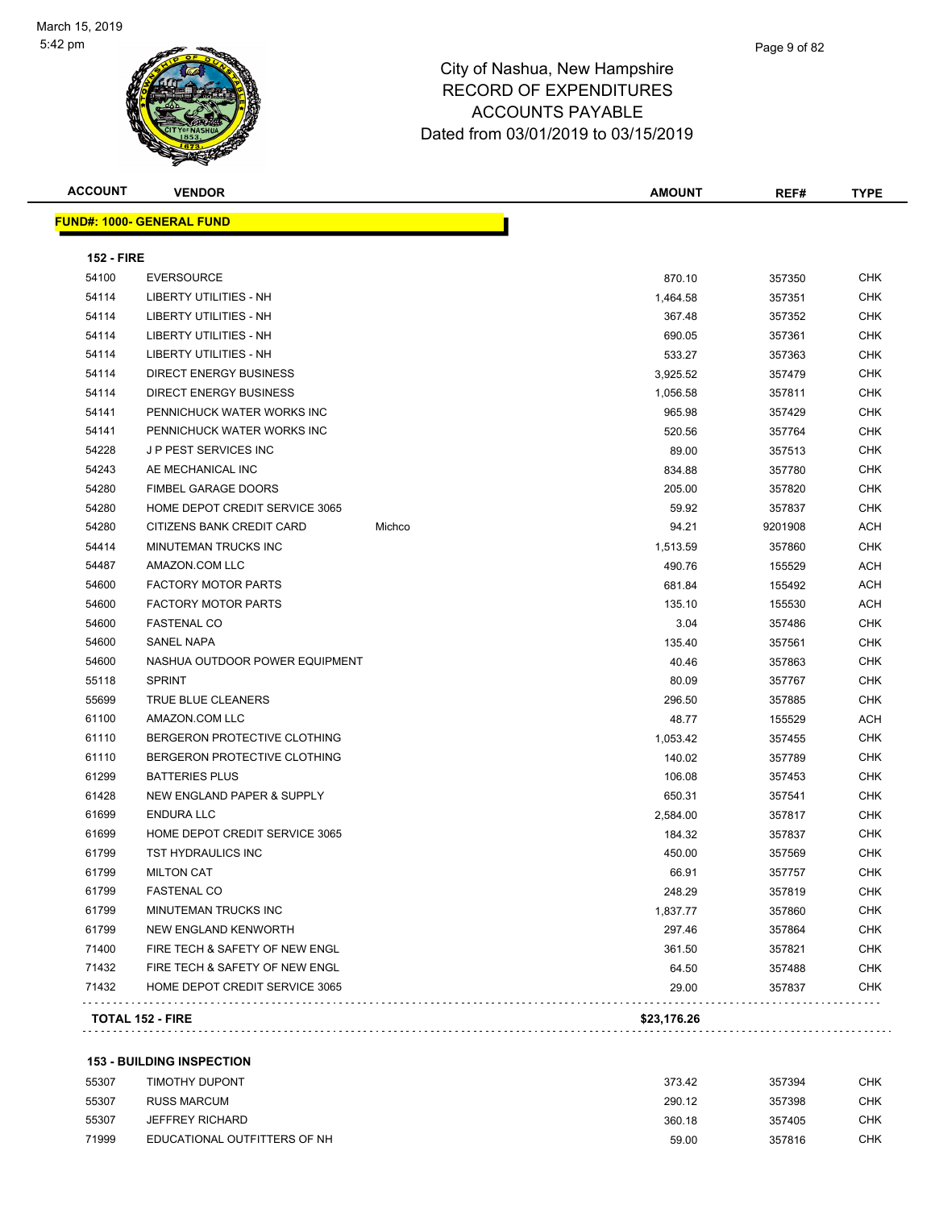

| <b>ACCOUNT</b>    | <b>VENDOR</b>                    |        | <b>AMOUNT</b> | REF#    | TYPE       |
|-------------------|----------------------------------|--------|---------------|---------|------------|
|                   | <b>FUND#: 1000- GENERAL FUND</b> |        |               |         |            |
| <b>152 - FIRE</b> |                                  |        |               |         |            |
| 54100             | <b>EVERSOURCE</b>                |        | 870.10        | 357350  | <b>CHK</b> |
| 54114             | LIBERTY UTILITIES - NH           |        | 1,464.58      | 357351  | <b>CHK</b> |
| 54114             | LIBERTY UTILITIES - NH           |        | 367.48        | 357352  | <b>CHK</b> |
| 54114             | <b>LIBERTY UTILITIES - NH</b>    |        | 690.05        | 357361  | <b>CHK</b> |
| 54114             | LIBERTY UTILITIES - NH           |        | 533.27        | 357363  | <b>CHK</b> |
| 54114             | <b>DIRECT ENERGY BUSINESS</b>    |        | 3,925.52      | 357479  | <b>CHK</b> |
| 54114             | DIRECT ENERGY BUSINESS           |        | 1,056.58      | 357811  | <b>CHK</b> |
| 54141             | PENNICHUCK WATER WORKS INC       |        | 965.98        | 357429  | <b>CHK</b> |
| 54141             | PENNICHUCK WATER WORKS INC       |        | 520.56        | 357764  | <b>CHK</b> |
| 54228             | J P PEST SERVICES INC            |        | 89.00         | 357513  | <b>CHK</b> |
| 54243             | AE MECHANICAL INC                |        | 834.88        | 357780  | <b>CHK</b> |
| 54280             | <b>FIMBEL GARAGE DOORS</b>       |        | 205.00        | 357820  | <b>CHK</b> |
| 54280             | HOME DEPOT CREDIT SERVICE 3065   |        | 59.92         | 357837  | <b>CHK</b> |
| 54280             | CITIZENS BANK CREDIT CARD        | Michco | 94.21         | 9201908 | <b>ACH</b> |
| 54414             | <b>MINUTEMAN TRUCKS INC</b>      |        | 1,513.59      | 357860  | <b>CHK</b> |
| 54487             | AMAZON.COM LLC                   |        | 490.76        | 155529  | <b>ACH</b> |
| 54600             | <b>FACTORY MOTOR PARTS</b>       |        | 681.84        | 155492  | ACH        |
| 54600             | <b>FACTORY MOTOR PARTS</b>       |        | 135.10        | 155530  | <b>ACH</b> |
| 54600             | <b>FASTENAL CO</b>               |        | 3.04          | 357486  | <b>CHK</b> |
| 54600             | <b>SANEL NAPA</b>                |        | 135.40        | 357561  | <b>CHK</b> |
| 54600             | NASHUA OUTDOOR POWER EQUIPMENT   |        | 40.46         | 357863  | <b>CHK</b> |
| 55118             | <b>SPRINT</b>                    |        | 80.09         | 357767  | <b>CHK</b> |
| 55699             | TRUE BLUE CLEANERS               |        | 296.50        | 357885  | <b>CHK</b> |
| 61100             | AMAZON.COM LLC                   |        | 48.77         | 155529  | <b>ACH</b> |
| 61110             | BERGERON PROTECTIVE CLOTHING     |        | 1,053.42      | 357455  | <b>CHK</b> |
| 61110             | BERGERON PROTECTIVE CLOTHING     |        | 140.02        | 357789  | <b>CHK</b> |
| 61299             | <b>BATTERIES PLUS</b>            |        | 106.08        | 357453  | <b>CHK</b> |
| 61428             | NEW ENGLAND PAPER & SUPPLY       |        | 650.31        | 357541  | <b>CHK</b> |
| 61699             | <b>ENDURA LLC</b>                |        | 2,584.00      | 357817  | <b>CHK</b> |
| 61699             | HOME DEPOT CREDIT SERVICE 3065   |        | 184.32        | 357837  | <b>CHK</b> |
| 61799             | <b>TST HYDRAULICS INC</b>        |        | 450.00        | 357569  | <b>CHK</b> |
| 61799             | <b>MILTON CAT</b>                |        | 66.91         | 357757  | <b>CHK</b> |
| 61799             | <b>FASTENAL CO</b>               |        | 248.29        | 357819  | <b>CHK</b> |
| 61799             | MINUTEMAN TRUCKS INC             |        | 1,837.77      | 357860  | <b>CHK</b> |
| 61799             | NEW ENGLAND KENWORTH             |        | 297.46        | 357864  | <b>CHK</b> |
| 71400             | FIRE TECH & SAFETY OF NEW ENGL   |        | 361.50        | 357821  | <b>CHK</b> |
| 71432             | FIRE TECH & SAFETY OF NEW ENGL   |        | 64.50         | 357488  | <b>CHK</b> |
| 71432             | HOME DEPOT CREDIT SERVICE 3065   |        | 29.00         | 357837  | <b>CHK</b> |
|                   |                                  |        |               |         |            |
|                   | <b>TOTAL 152 - FIRE</b>          |        | \$23,176.26   |         |            |

#### **153 - BUILDING INSPECTION**

| 55307 | TIMOTHY DUPONT               | 373.42 | 357394 | снк |
|-------|------------------------------|--------|--------|-----|
| 55307 | RUSS MARCUM                  | 290.12 | 357398 | СНК |
| 55307 | <b>JEFFREY RICHARD</b>       | 360.18 | 357405 | снк |
| 71999 | EDUCATIONAL OUTFITTERS OF NH | 59.00  | 357816 | снк |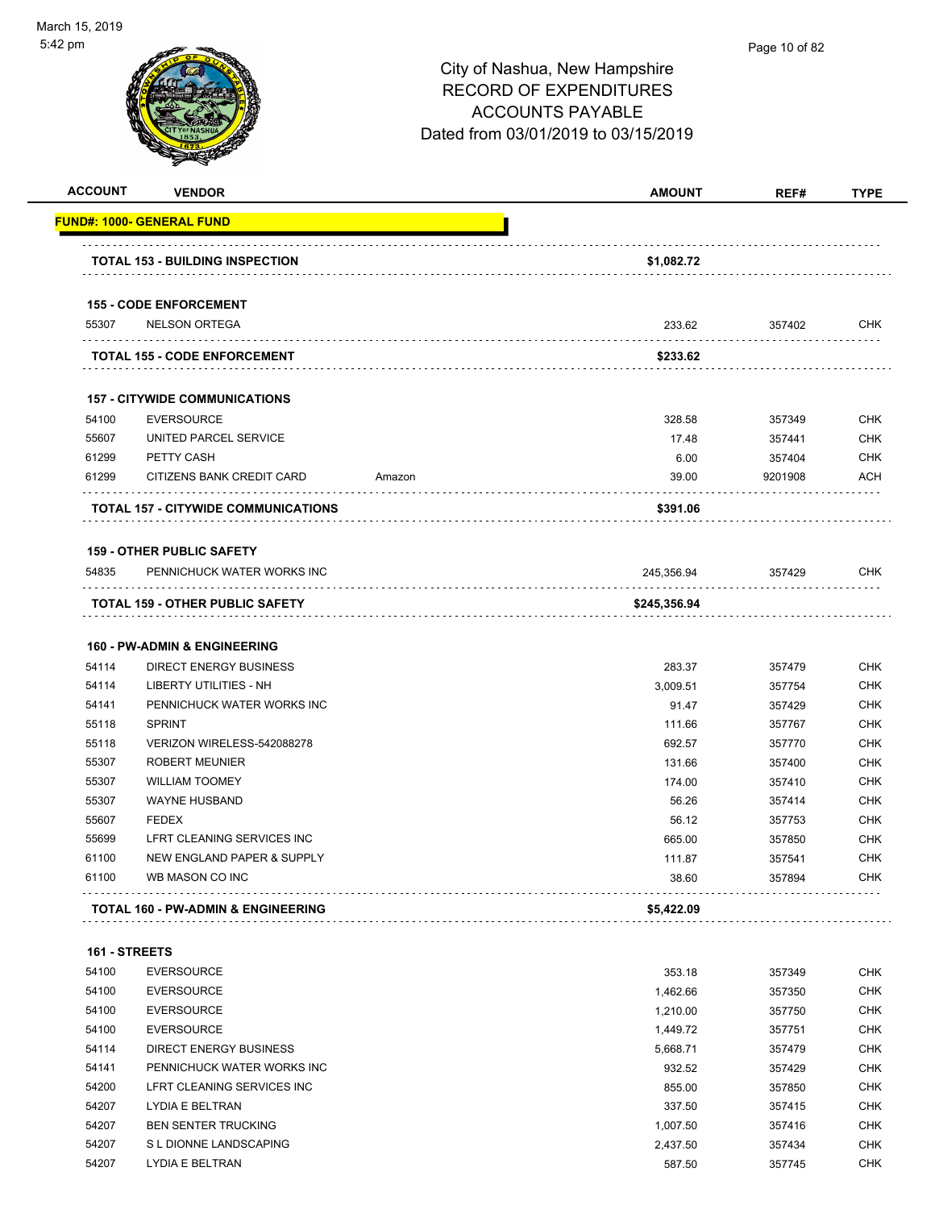| <b>ACCOUNT</b> | <b>VENDOR</b>                                         |        | <b>AMOUNT</b> | REF#    | <b>TYPE</b> |
|----------------|-------------------------------------------------------|--------|---------------|---------|-------------|
|                | FUND#: 1000- GENERAL FUND                             |        |               |         |             |
|                | <b>TOTAL 153 - BUILDING INSPECTION</b>                |        | \$1,082.72    |         |             |
|                |                                                       |        |               |         |             |
| 55307          | <b>155 - CODE ENFORCEMENT</b><br><b>NELSON ORTEGA</b> |        | 233.62        | 357402  | <b>CHK</b>  |
|                |                                                       |        |               |         |             |
|                | <b>TOTAL 155 - CODE ENFORCEMENT</b>                   |        | \$233.62      |         |             |
|                | <b>157 - CITYWIDE COMMUNICATIONS</b>                  |        |               |         |             |
| 54100          | <b>EVERSOURCE</b>                                     |        | 328.58        | 357349  | <b>CHK</b>  |
| 55607          | UNITED PARCEL SERVICE                                 |        | 17.48         | 357441  | <b>CHK</b>  |
| 61299          | PETTY CASH                                            |        | 6.00          | 357404  | <b>CHK</b>  |
| 61299          | CITIZENS BANK CREDIT CARD                             | Amazon | 39.00         | 9201908 | ACH         |
|                | TOTAL 157 - CITYWIDE COMMUNICATIONS                   |        | \$391.06      |         |             |
|                | <b>159 - OTHER PUBLIC SAFETY</b>                      |        |               |         |             |
| 54835          | PENNICHUCK WATER WORKS INC                            |        | 245.356.94    | 357429  | <b>CHK</b>  |
|                | <b>TOTAL 159 - OTHER PUBLIC SAFETY</b>                |        | \$245,356.94  |         |             |
|                |                                                       |        |               |         |             |
|                | <b>160 - PW-ADMIN &amp; ENGINEERING</b>               |        |               |         |             |
| 54114          | <b>DIRECT ENERGY BUSINESS</b>                         |        | 283.37        | 357479  | <b>CHK</b>  |
| 54114          | LIBERTY UTILITIES - NH                                |        | 3,009.51      | 357754  | <b>CHK</b>  |
| 54141          | PENNICHUCK WATER WORKS INC                            |        | 91.47         | 357429  | <b>CHK</b>  |
| 55118          | <b>SPRINT</b>                                         |        | 111.66        | 357767  | <b>CHK</b>  |
| 55118          | VERIZON WIRELESS-542088278                            |        | 692.57        | 357770  | <b>CHK</b>  |
| 55307          | <b>ROBERT MEUNIER</b>                                 |        | 131.66        | 357400  | <b>CHK</b>  |
| 55307          | <b>WILLIAM TOOMEY</b>                                 |        | 174.00        | 357410  | <b>CHK</b>  |
| 55307          | <b>WAYNE HUSBAND</b>                                  |        | 56.26         | 357414  | <b>CHK</b>  |
| 55607          | <b>FEDEX</b>                                          |        | 56.12         | 357753  | <b>CHK</b>  |
| 55699          | LFRT CLEANING SERVICES INC                            |        | 665.00        | 357850  | <b>CHK</b>  |
| 61100          | NEW ENGLAND PAPER & SUPPLY                            |        | 111.87        | 357541  | <b>CHK</b>  |
| 61100          | WB MASON CO INC                                       |        | 38.60         | 357894  | <b>CHK</b>  |
|                | TOTAL 160 - PW-ADMIN & ENGINEERING                    |        | \$5,422.09    |         |             |
| 161 - STREETS  |                                                       |        |               |         |             |
| 54100          | <b>EVERSOURCE</b>                                     |        | 353.18        | 357349  | <b>CHK</b>  |
| 54100          | <b>EVERSOURCE</b>                                     |        | 1,462.66      | 357350  | <b>CHK</b>  |
| 54100          | <b>EVERSOURCE</b>                                     |        | 1,210.00      | 357750  | <b>CHK</b>  |
| 54100          | <b>EVERSOURCE</b>                                     |        | 1,449.72      | 357751  | <b>CHK</b>  |
| 54114          | DIRECT ENERGY BUSINESS                                |        | 5,668.71      | 357479  | <b>CHK</b>  |
| 54141          | PENNICHUCK WATER WORKS INC                            |        | 932.52        | 357429  | <b>CHK</b>  |
| 54200          | LFRT CLEANING SERVICES INC                            |        | 855.00        | 357850  | <b>CHK</b>  |
| 54207          | LYDIA E BELTRAN                                       |        | 337.50        | 357415  | <b>CHK</b>  |
| 54207          | <b>BEN SENTER TRUCKING</b>                            |        | 1,007.50      | 357416  | <b>CHK</b>  |
| 54207          | S L DIONNE LANDSCAPING                                |        | 2,437.50      | 357434  | <b>CHK</b>  |
| 54207          | LYDIA E BELTRAN                                       |        | 587.50        | 357745  | <b>CHK</b>  |
|                |                                                       |        |               |         |             |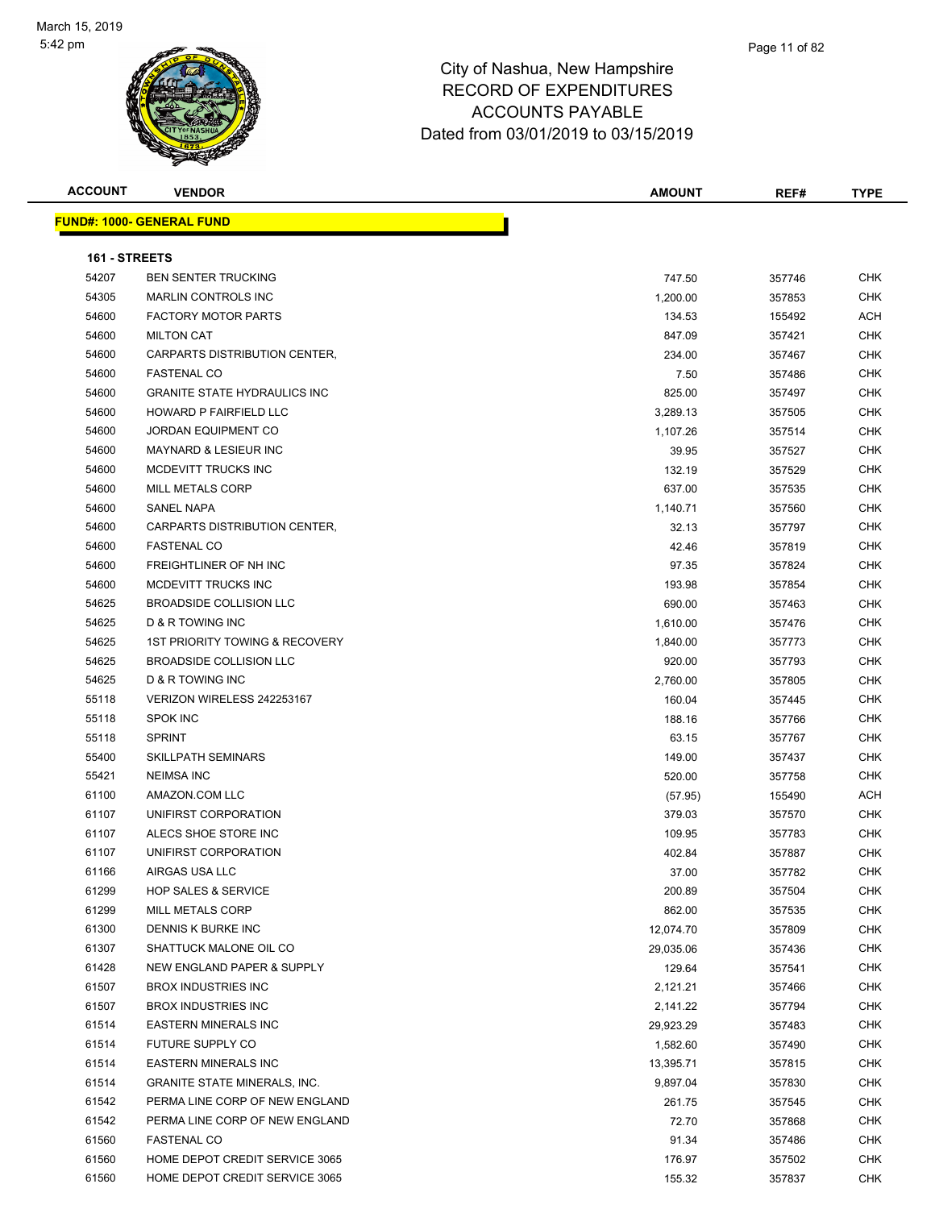| <b>ACCOUNT</b> | <b>VENDOR</b>                       | <b>AMOUNT</b> | REF#             | <b>TYPE</b> |
|----------------|-------------------------------------|---------------|------------------|-------------|
|                | <b>FUND#: 1000- GENERAL FUND</b>    |               |                  |             |
|                |                                     |               |                  |             |
| 161 - STREETS  |                                     |               |                  |             |
| 54207          | <b>BEN SENTER TRUCKING</b>          | 747.50        | 357746           | CHK         |
| 54305          | <b>MARLIN CONTROLS INC</b>          | 1,200.00      | 357853           | CHK         |
| 54600          | <b>FACTORY MOTOR PARTS</b>          | 134.53        | 155492           | ACH         |
| 54600          | <b>MILTON CAT</b>                   | 847.09        | 357421           | CHK         |
| 54600          | CARPARTS DISTRIBUTION CENTER,       | 234.00        | 357467           | <b>CHK</b>  |
| 54600          | <b>FASTENAL CO</b>                  | 7.50          | 357486           | <b>CHK</b>  |
| 54600          | <b>GRANITE STATE HYDRAULICS INC</b> | 825.00        | 357497           | CHK         |
| 54600          | HOWARD P FAIRFIELD LLC              | 3,289.13      | 357505           | <b>CHK</b>  |
| 54600          | <b>JORDAN EQUIPMENT CO</b>          | 1,107.26      | 357514           | CHK         |
| 54600          | <b>MAYNARD &amp; LESIEUR INC</b>    | 39.95         | 357527           | CHK         |
| 54600          | MCDEVITT TRUCKS INC                 | 132.19        | 357529           | CHK         |
| 54600          | <b>MILL METALS CORP</b>             | 637.00        | 357535           | CHK         |
| 54600          | SANEL NAPA                          | 1,140.71      | 357560           | CHK         |
| 54600          | CARPARTS DISTRIBUTION CENTER,       | 32.13         | 357797           | CHK         |
| 54600          | <b>FASTENAL CO</b>                  | 42.46         | 357819           | CHK         |
| 54600          | FREIGHTLINER OF NH INC              | 97.35         | 357824           | <b>CHK</b>  |
| 54600          | MCDEVITT TRUCKS INC                 | 193.98        | 357854           | <b>CHK</b>  |
| 54625          | <b>BROADSIDE COLLISION LLC</b>      | 690.00        | 357463           | CHK         |
| 54625          | <b>D &amp; R TOWING INC</b>         | 1,610.00      | 357476           | <b>CHK</b>  |
| 54625          | 1ST PRIORITY TOWING & RECOVERY      | 1,840.00      | 357773           | <b>CHK</b>  |
| 54625          | BROADSIDE COLLISION LLC             | 920.00        | 357793           | CHK         |
| 54625          | D & R TOWING INC                    | 2,760.00      | 357805           | <b>CHK</b>  |
| 55118          | VERIZON WIRELESS 242253167          | 160.04        | 357445           | CHK         |
| 55118          | <b>SPOK INC</b>                     | 188.16        | 357766           | CHK         |
| 55118          | <b>SPRINT</b>                       | 63.15         | 357767           | CHK         |
| 55400          | <b>SKILLPATH SEMINARS</b>           | 149.00        | 357437           | CHK         |
| 55421          | <b>NEIMSA INC</b>                   | 520.00        | 357758           | <b>CHK</b>  |
| 61100          | AMAZON.COM LLC                      | (57.95)       | 155490           | ACH         |
| 61107          | UNIFIRST CORPORATION                | 379.03        | 357570           | CHK         |
| 61107          | ALECS SHOE STORE INC                | 109.95        | 357783           | CHK         |
| 61107          | UNIFIRST CORPORATION                | 402.84        | 357887           | CHK         |
| 61166          | AIRGAS USA LLC                      | 37.00         | 357782           | CHK         |
| 61299          | <b>HOP SALES &amp; SERVICE</b>      | 200.89        | 357504           | <b>CHK</b>  |
| 61299          | MILL METALS CORP                    | 862.00        | 357535           | CHK         |
| 61300          | DENNIS K BURKE INC                  | 12,074.70     | 357809           | CHK         |
| 61307          | SHATTUCK MALONE OIL CO              | 29,035.06     | 357436           | <b>CHK</b>  |
| 61428          | NEW ENGLAND PAPER & SUPPLY          | 129.64        | 357541           | CHK         |
| 61507          | <b>BROX INDUSTRIES INC</b>          | 2,121.21      | 357466           | <b>CHK</b>  |
| 61507          | <b>BROX INDUSTRIES INC</b>          | 2,141.22      | 357794           | CHK         |
| 61514          | <b>EASTERN MINERALS INC</b>         | 29,923.29     | 357483           | CHK         |
| 61514          | FUTURE SUPPLY CO                    |               |                  | <b>CHK</b>  |
| 61514          | <b>EASTERN MINERALS INC</b>         | 1,582.60      | 357490<br>357815 | <b>CHK</b>  |
|                |                                     | 13,395.71     |                  |             |
| 61514          | <b>GRANITE STATE MINERALS, INC.</b> | 9,897.04      | 357830           | CHK         |
| 61542          | PERMA LINE CORP OF NEW ENGLAND      | 261.75        | 357545           | CHK         |
| 61542          | PERMA LINE CORP OF NEW ENGLAND      | 72.70         | 357868           | CHK         |
| 61560          | <b>FASTENAL CO</b>                  | 91.34         | 357486           | CHK         |
| 61560          | HOME DEPOT CREDIT SERVICE 3065      | 176.97        | 357502           | CHK         |
| 61560          | HOME DEPOT CREDIT SERVICE 3065      | 155.32        | 357837           | CHK         |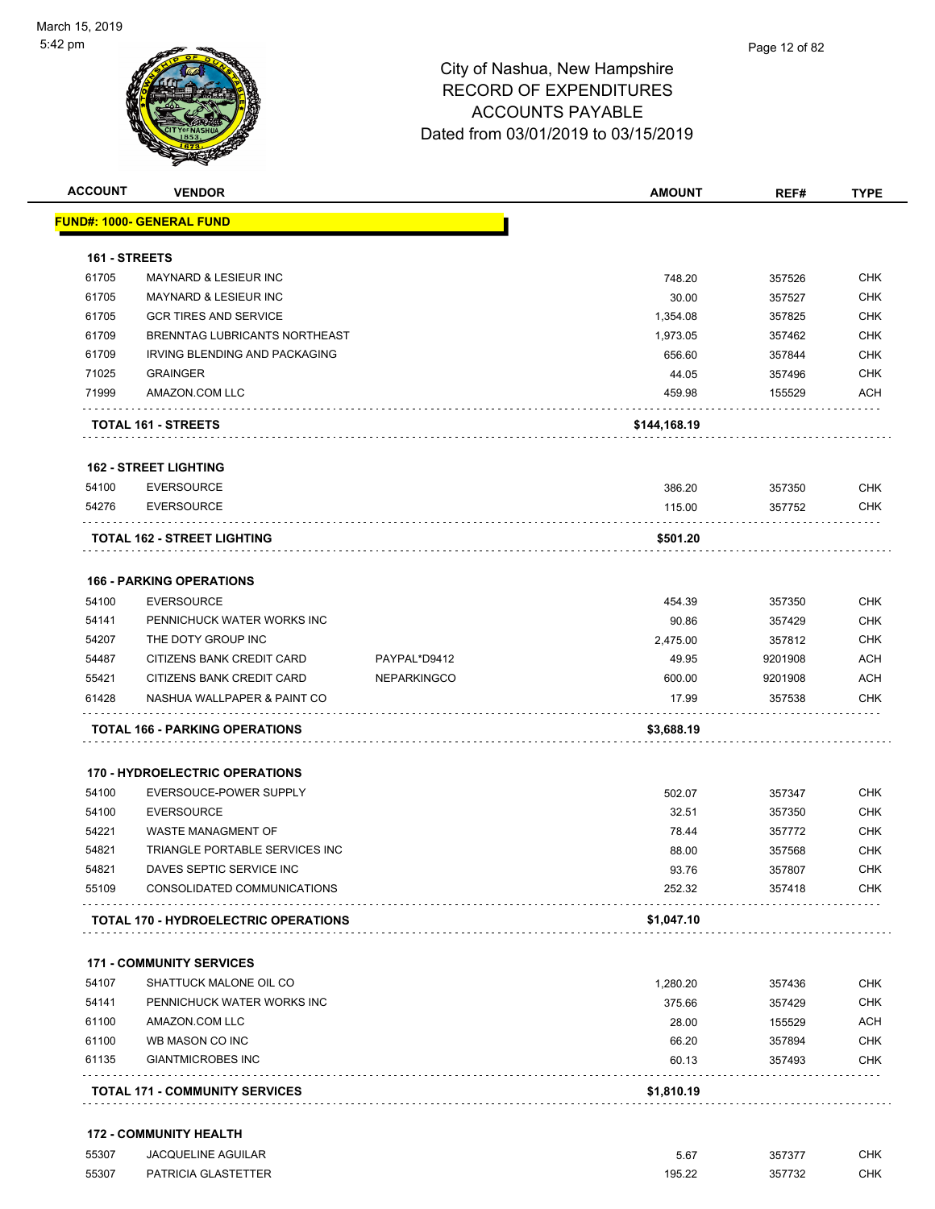

| <b>ACCOUNT</b> | <b>VENDOR</b>                                                 |                    | <b>AMOUNT</b> | REF#    | <b>TYPE</b>              |
|----------------|---------------------------------------------------------------|--------------------|---------------|---------|--------------------------|
|                | <b>FUND#: 1000- GENERAL FUND</b>                              |                    |               |         |                          |
|                |                                                               |                    |               |         |                          |
| 161 - STREETS  |                                                               |                    |               |         |                          |
| 61705          | <b>MAYNARD &amp; LESIEUR INC</b>                              |                    | 748.20        | 357526  | <b>CHK</b>               |
| 61705          | MAYNARD & LESIEUR INC                                         |                    | 30.00         | 357527  | <b>CHK</b>               |
| 61705          | <b>GCR TIRES AND SERVICE</b><br>BRENNTAG LUBRICANTS NORTHEAST |                    | 1,354.08      | 357825  | <b>CHK</b>               |
| 61709          |                                                               |                    | 1,973.05      | 357462  | <b>CHK</b>               |
| 61709          | IRVING BLENDING AND PACKAGING                                 |                    | 656.60        | 357844  | <b>CHK</b>               |
| 71025<br>71999 | <b>GRAINGER</b><br>AMAZON.COM LLC                             |                    | 44.05         | 357496  | <b>CHK</b><br><b>ACH</b> |
|                |                                                               |                    | 459.98        | 155529  |                          |
|                | <b>TOTAL 161 - STREETS</b>                                    |                    | \$144,168.19  |         |                          |
|                | <b>162 - STREET LIGHTING</b>                                  |                    |               |         |                          |
| 54100          | <b>EVERSOURCE</b>                                             |                    | 386.20        | 357350  | <b>CHK</b>               |
| 54276          | <b>EVERSOURCE</b>                                             |                    | 115.00        | 357752  | <b>CHK</b>               |
|                | <b>TOTAL 162 - STREET LIGHTING</b>                            |                    | \$501.20      |         |                          |
|                |                                                               |                    |               |         |                          |
| 54100          | <b>166 - PARKING OPERATIONS</b><br><b>EVERSOURCE</b>          |                    | 454.39        | 357350  | <b>CHK</b>               |
| 54141          | PENNICHUCK WATER WORKS INC                                    |                    | 90.86         | 357429  | <b>CHK</b>               |
| 54207          | THE DOTY GROUP INC                                            |                    | 2,475.00      | 357812  | <b>CHK</b>               |
| 54487          | CITIZENS BANK CREDIT CARD                                     | PAYPAL*D9412       | 49.95         | 9201908 | <b>ACH</b>               |
| 55421          | CITIZENS BANK CREDIT CARD                                     | <b>NEPARKINGCO</b> | 600.00        | 9201908 | <b>ACH</b>               |
| 61428          | NASHUA WALLPAPER & PAINT CO                                   |                    | 17.99         | 357538  | <b>CHK</b>               |
|                |                                                               |                    |               |         |                          |
|                | <b>TOTAL 166 - PARKING OPERATIONS</b>                         |                    | \$3,688.19    |         |                          |
|                | <b>170 - HYDROELECTRIC OPERATIONS</b>                         |                    |               |         |                          |
| 54100          | EVERSOUCE-POWER SUPPLY                                        |                    | 502.07        | 357347  | <b>CHK</b>               |
| 54100          | <b>EVERSOURCE</b>                                             |                    | 32.51         | 357350  | <b>CHK</b>               |
| 54221          | WASTE MANAGMENT OF                                            |                    | 78.44         | 357772  | <b>CHK</b>               |
| 54821          | TRIANGLE PORTABLE SERVICES INC                                |                    | 88.00         | 357568  | <b>CHK</b>               |
| 54821          | DAVES SEPTIC SERVICE INC                                      |                    | 93.76         | 357807  | <b>CHK</b>               |
| 55109          | CONSOLIDATED COMMUNICATIONS                                   |                    | 252.32        | 357418  | <b>CHK</b>               |
|                | <b>TOTAL 170 - HYDROELECTRIC OPERATIONS</b>                   |                    | \$1,047.10    |         |                          |
|                | <b>171 - COMMUNITY SERVICES</b>                               |                    |               |         |                          |
| 54107          | SHATTUCK MALONE OIL CO                                        |                    | 1,280.20      | 357436  | <b>CHK</b>               |
| 54141          | PENNICHUCK WATER WORKS INC                                    |                    | 375.66        | 357429  | <b>CHK</b>               |
| 61100          | AMAZON.COM LLC                                                |                    | 28.00         | 155529  | <b>ACH</b>               |
| 61100          | WB MASON CO INC                                               |                    | 66.20         | 357894  | <b>CHK</b>               |
| 61135          | <b>GIANTMICROBES INC</b>                                      |                    | 60.13         | 357493  | <b>CHK</b>               |
|                |                                                               |                    |               |         |                          |
|                | <b>TOTAL 171 - COMMUNITY SERVICES</b>                         |                    | \$1,810.19    |         |                          |

| 55307 | <b>JACQUELINE AGUILAR</b>  | 5.67   | 357377 | СНК |
|-------|----------------------------|--------|--------|-----|
| 55307 | <b>PATRICIA GLASTETTER</b> | 195.22 | 357732 | СНК |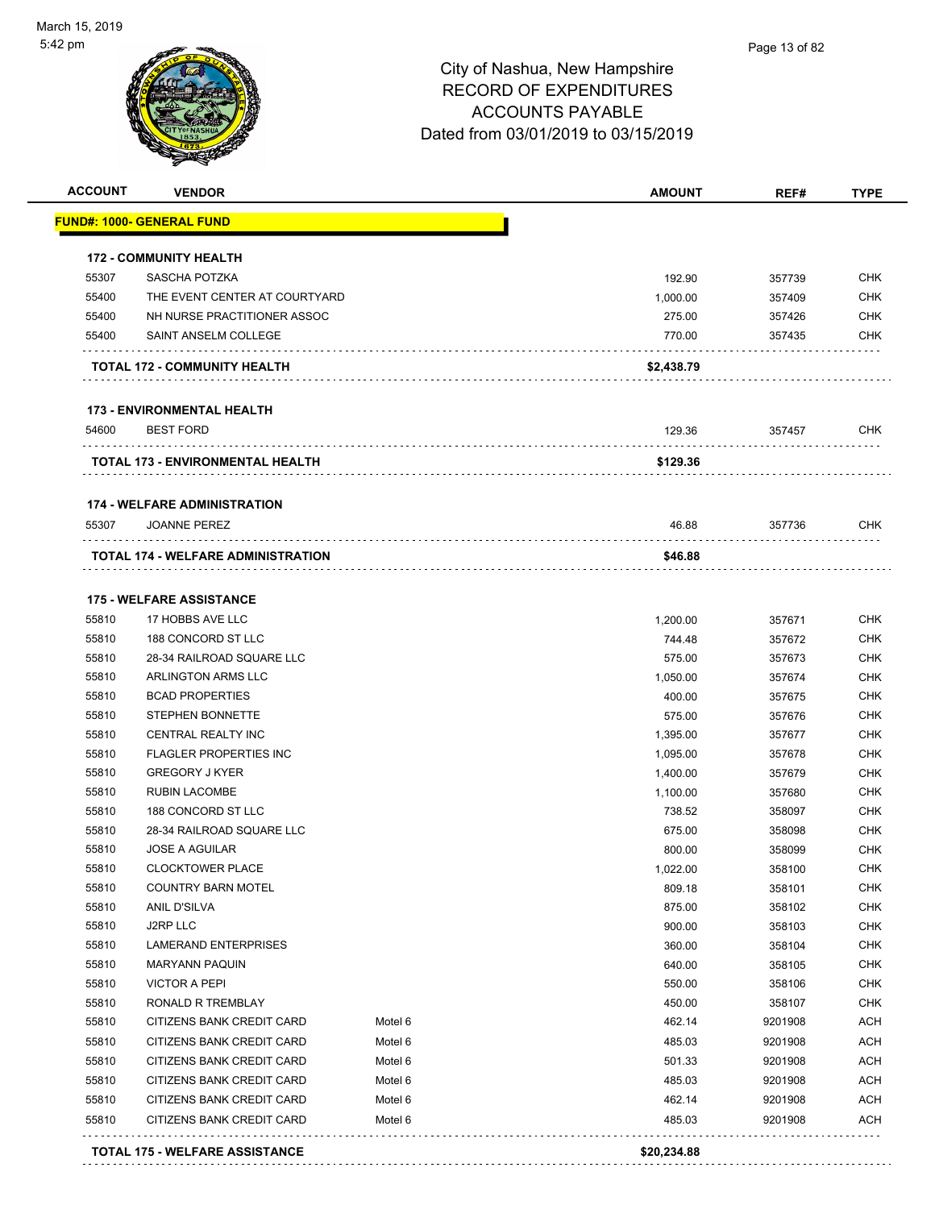

#### Page 13 of 82

| <b>ACCOUNT</b> | <b>VENDOR</b>                             |         | <b>AMOUNT</b> | REF#    | <b>TYPE</b> |
|----------------|-------------------------------------------|---------|---------------|---------|-------------|
|                | <b>FUND#: 1000- GENERAL FUND</b>          |         |               |         |             |
|                | <b>172 - COMMUNITY HEALTH</b>             |         |               |         |             |
| 55307          | SASCHA POTZKA                             |         | 192.90        | 357739  | <b>CHK</b>  |
| 55400          | THE EVENT CENTER AT COURTYARD             |         | 1,000.00      | 357409  | <b>CHK</b>  |
| 55400          | NH NURSE PRACTITIONER ASSOC               |         |               |         | <b>CHK</b>  |
| 55400          | <b>SAINT ANSELM COLLEGE</b>               |         | 275.00        | 357426  | <b>CHK</b>  |
|                |                                           |         | 770.00        | 357435  |             |
|                | TOTAL 172 - COMMUNITY HEALTH              |         | \$2,438.79    |         |             |
|                | <b>173 - ENVIRONMENTAL HEALTH</b>         |         |               |         |             |
| 54600          | <b>BEST FORD</b>                          |         | 129.36        | 357457  | <b>CHK</b>  |
|                | TOTAL 173 - ENVIRONMENTAL HEALTH          |         | \$129.36      |         |             |
|                | <b>174 - WELFARE ADMINISTRATION</b>       |         |               |         |             |
| 55307          | <b>JOANNE PEREZ</b>                       |         | 46.88         | 357736  | <b>CHK</b>  |
|                | <b>TOTAL 174 - WELFARE ADMINISTRATION</b> |         | \$46.88       |         |             |
|                |                                           |         |               |         |             |
|                | <b>175 - WELFARE ASSISTANCE</b>           |         |               |         |             |
| 55810          | 17 HOBBS AVE LLC                          |         | 1,200.00      | 357671  | <b>CHK</b>  |
| 55810          | 188 CONCORD ST LLC                        |         | 744.48        | 357672  | <b>CHK</b>  |
| 55810          | 28-34 RAILROAD SQUARE LLC                 |         | 575.00        | 357673  | <b>CHK</b>  |
| 55810          | ARLINGTON ARMS LLC                        |         | 1,050.00      | 357674  | <b>CHK</b>  |
| 55810          | <b>BCAD PROPERTIES</b>                    |         | 400.00        | 357675  | <b>CHK</b>  |
| 55810          | <b>STEPHEN BONNETTE</b>                   |         | 575.00        | 357676  | <b>CHK</b>  |
| 55810          | CENTRAL REALTY INC                        |         | 1,395.00      | 357677  | <b>CHK</b>  |
| 55810          | <b>FLAGLER PROPERTIES INC</b>             |         | 1,095.00      | 357678  | <b>CHK</b>  |
| 55810          | <b>GREGORY J KYER</b>                     |         | 1,400.00      | 357679  | <b>CHK</b>  |
| 55810          | <b>RUBIN LACOMBE</b>                      |         | 1,100.00      | 357680  | <b>CHK</b>  |
| 55810          | 188 CONCORD ST LLC                        |         | 738.52        | 358097  | <b>CHK</b>  |
| 55810          | 28-34 RAILROAD SQUARE LLC                 |         | 675.00        | 358098  | <b>CHK</b>  |
| 55810          | <b>JOSE A AGUILAR</b>                     |         | 800.00        | 358099  | <b>CHK</b>  |
| 55810          | <b>CLOCKTOWER PLACE</b>                   |         | 1,022.00      | 358100  | <b>CHK</b>  |
| 55810          | <b>COUNTRY BARN MOTEL</b>                 |         | 809.18        | 358101  | CHK         |
| 55810          | ANIL D'SILVA                              |         | 875.00        | 358102  | <b>CHK</b>  |
| 55810          | J2RP LLC                                  |         | 900.00        | 358103  | <b>CHK</b>  |
| 55810          | LAMERAND ENTERPRISES                      |         | 360.00        | 358104  | <b>CHK</b>  |
| 55810          | <b>MARYANN PAQUIN</b>                     |         | 640.00        | 358105  | <b>CHK</b>  |
| 55810          | <b>VICTOR A PEPI</b>                      |         | 550.00        | 358106  | <b>CHK</b>  |
| 55810          | RONALD R TREMBLAY                         |         | 450.00        | 358107  | <b>CHK</b>  |
|                |                                           |         |               |         |             |
| 55810          | CITIZENS BANK CREDIT CARD                 | Motel 6 | 462.14        | 9201908 | <b>ACH</b>  |
| 55810          | CITIZENS BANK CREDIT CARD                 | Motel 6 | 485.03        | 9201908 | <b>ACH</b>  |
| 55810          | CITIZENS BANK CREDIT CARD                 | Motel 6 | 501.33        | 9201908 | <b>ACH</b>  |
|                | CITIZENS BANK CREDIT CARD                 | Motel 6 | 485.03        | 9201908 | <b>ACH</b>  |
| 55810          |                                           |         | 462.14        | 9201908 | <b>ACH</b>  |
| 55810          | CITIZENS BANK CREDIT CARD                 | Motel 6 |               |         |             |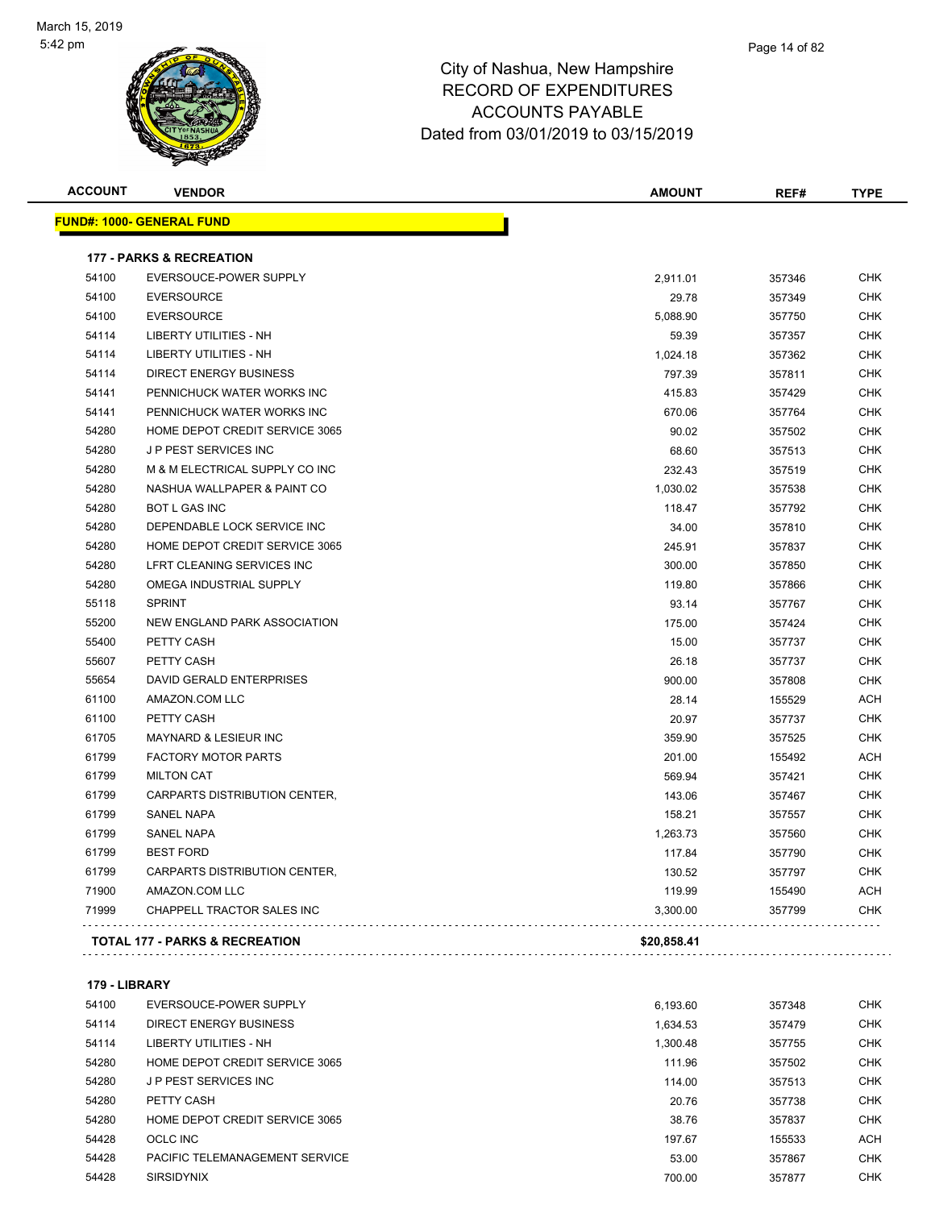

| <b>ACCOUNT</b> | <b>VENDOR</b>                             | <b>AMOUNT</b> | REF#   | <b>TYPE</b> |
|----------------|-------------------------------------------|---------------|--------|-------------|
|                | <b>FUND#: 1000- GENERAL FUND</b>          |               |        |             |
|                | <b>177 - PARKS &amp; RECREATION</b>       |               |        |             |
| 54100          | EVERSOUCE-POWER SUPPLY                    | 2,911.01      | 357346 | <b>CHK</b>  |
| 54100          | <b>EVERSOURCE</b>                         | 29.78         | 357349 | <b>CHK</b>  |
| 54100          | <b>EVERSOURCE</b>                         | 5,088.90      | 357750 | <b>CHK</b>  |
| 54114          | <b>LIBERTY UTILITIES - NH</b>             | 59.39         | 357357 | <b>CHK</b>  |
| 54114          | <b>LIBERTY UTILITIES - NH</b>             | 1,024.18      | 357362 | <b>CHK</b>  |
| 54114          | <b>DIRECT ENERGY BUSINESS</b>             | 797.39        | 357811 | <b>CHK</b>  |
| 54141          | PENNICHUCK WATER WORKS INC                | 415.83        | 357429 | <b>CHK</b>  |
| 54141          | PENNICHUCK WATER WORKS INC                | 670.06        | 357764 | <b>CHK</b>  |
| 54280          | HOME DEPOT CREDIT SERVICE 3065            | 90.02         | 357502 | <b>CHK</b>  |
| 54280          | J P PEST SERVICES INC                     | 68.60         | 357513 | <b>CHK</b>  |
| 54280          | M & M ELECTRICAL SUPPLY CO INC            | 232.43        | 357519 | <b>CHK</b>  |
| 54280          | NASHUA WALLPAPER & PAINT CO               | 1,030.02      | 357538 | <b>CHK</b>  |
| 54280          | <b>BOT L GAS INC</b>                      | 118.47        | 357792 | <b>CHK</b>  |
| 54280          | DEPENDABLE LOCK SERVICE INC               | 34.00         | 357810 | <b>CHK</b>  |
| 54280          | HOME DEPOT CREDIT SERVICE 3065            | 245.91        | 357837 | <b>CHK</b>  |
| 54280          | LFRT CLEANING SERVICES INC                | 300.00        | 357850 | <b>CHK</b>  |
| 54280          | OMEGA INDUSTRIAL SUPPLY                   | 119.80        | 357866 | <b>CHK</b>  |
| 55118          | <b>SPRINT</b>                             | 93.14         | 357767 | <b>CHK</b>  |
| 55200          | NEW ENGLAND PARK ASSOCIATION              | 175.00        | 357424 | <b>CHK</b>  |
| 55400          | PETTY CASH                                | 15.00         | 357737 | <b>CHK</b>  |
| 55607          | PETTY CASH                                | 26.18         | 357737 | <b>CHK</b>  |
| 55654          | DAVID GERALD ENTERPRISES                  | 900.00        | 357808 | <b>CHK</b>  |
| 61100          | AMAZON.COM LLC                            | 28.14         | 155529 | <b>ACH</b>  |
| 61100          | PETTY CASH                                | 20.97         | 357737 | <b>CHK</b>  |
| 61705          | <b>MAYNARD &amp; LESIEUR INC</b>          | 359.90        | 357525 | <b>CHK</b>  |
| 61799          | <b>FACTORY MOTOR PARTS</b>                | 201.00        | 155492 | <b>ACH</b>  |
| 61799          | <b>MILTON CAT</b>                         | 569.94        | 357421 | <b>CHK</b>  |
| 61799          | CARPARTS DISTRIBUTION CENTER,             | 143.06        | 357467 | <b>CHK</b>  |
| 61799          | <b>SANEL NAPA</b>                         | 158.21        | 357557 | <b>CHK</b>  |
| 61799          | <b>SANEL NAPA</b>                         | 1,263.73      | 357560 | <b>CHK</b>  |
| 61799          | <b>BEST FORD</b>                          | 117.84        | 357790 | <b>CHK</b>  |
| 61799          | CARPARTS DISTRIBUTION CENTER,             | 130.52        | 357797 | <b>CHK</b>  |
| 71900          | AMAZON.COM LLC                            | 119.99        | 155490 | <b>ACH</b>  |
| 71999          | <b>CHAPPELL TRACTOR SALES INC</b>         | 3,300.00      | 357799 | <b>CHK</b>  |
|                | <b>TOTAL 177 - PARKS &amp; RECREATION</b> | \$20,858.41   |        |             |
|                |                                           |               |        |             |

#### **179 - LIBRARY**

| 54100 | EVERSOUCE-POWER SUPPLY         | 6,193.60 | 357348 | <b>CHK</b> |
|-------|--------------------------------|----------|--------|------------|
| 54114 | DIRECT ENERGY BUSINESS         | 1.634.53 | 357479 | <b>CHK</b> |
| 54114 | LIBERTY UTILITIES - NH         | 1.300.48 | 357755 | <b>CHK</b> |
| 54280 | HOME DEPOT CREDIT SERVICE 3065 | 111.96   | 357502 | <b>CHK</b> |
| 54280 | <b>JP PEST SERVICES INC.</b>   | 114.00   | 357513 | <b>CHK</b> |
| 54280 | PETTY CASH                     | 20.76    | 357738 | <b>CHK</b> |
| 54280 | HOME DEPOT CREDIT SERVICE 3065 | 38.76    | 357837 | <b>CHK</b> |
| 54428 | OCLC INC                       | 197.67   | 155533 | <b>ACH</b> |
| 54428 | PACIFIC TELEMANAGEMENT SERVICE | 53.00    | 357867 | <b>CHK</b> |
| 54428 | <b>SIRSIDYNIX</b>              | 700.00   | 357877 | <b>CHK</b> |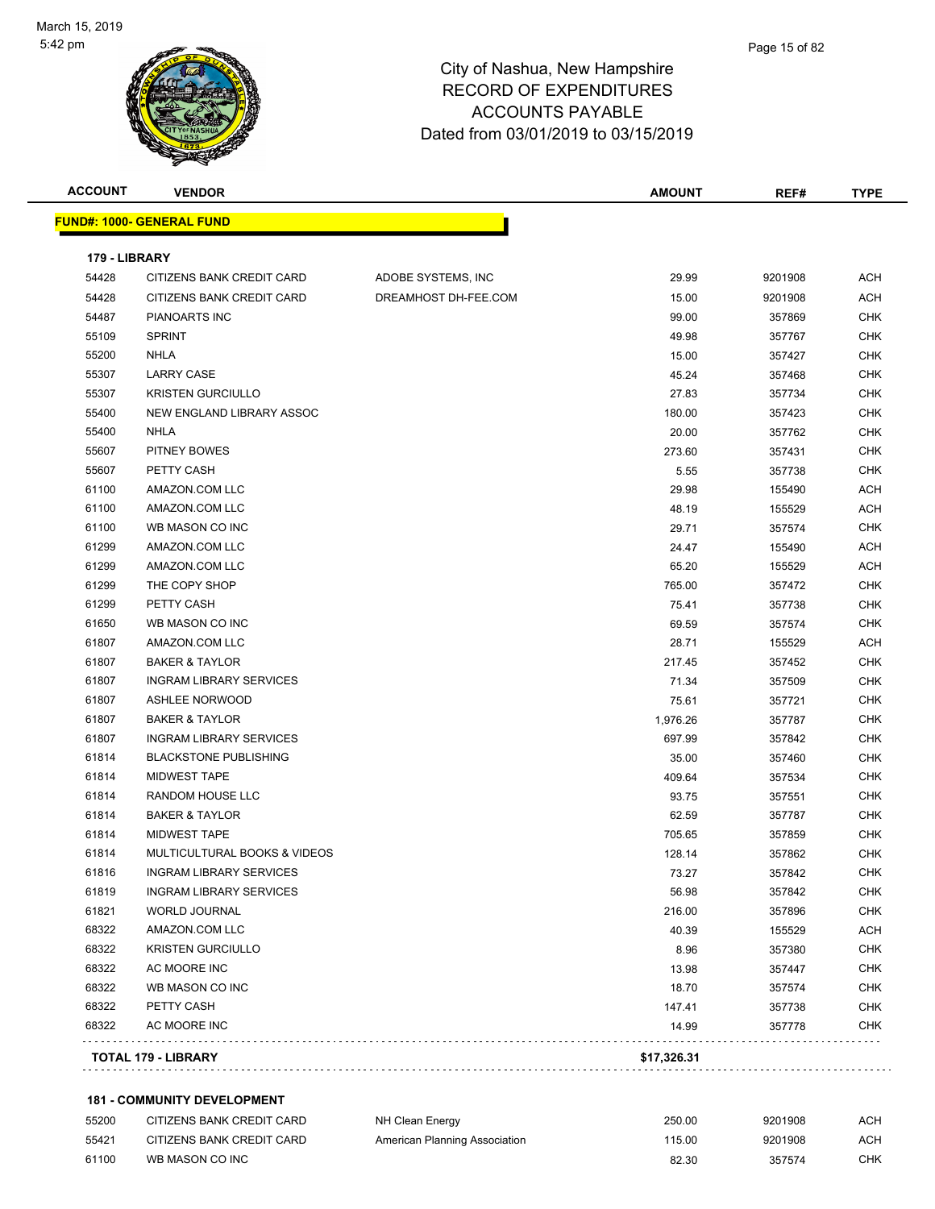

| <b>ACCOUNT</b> | <b>VENDOR</b>                    |                      | <b>AMOUNT</b> | REF#    | <b>TYPE</b> |
|----------------|----------------------------------|----------------------|---------------|---------|-------------|
|                | <b>FUND#: 1000- GENERAL FUND</b> |                      |               |         |             |
| 179 - LIBRARY  |                                  |                      |               |         |             |
| 54428          | CITIZENS BANK CREDIT CARD        | ADOBE SYSTEMS, INC   | 29.99         | 9201908 | <b>ACH</b>  |
| 54428          | CITIZENS BANK CREDIT CARD        | DREAMHOST DH-FEE.COM | 15.00         | 9201908 | ACH         |
| 54487          | PIANOARTS INC                    |                      | 99.00         | 357869  | <b>CHK</b>  |
| 55109          | <b>SPRINT</b>                    |                      | 49.98         | 357767  | <b>CHK</b>  |
| 55200          | <b>NHLA</b>                      |                      | 15.00         | 357427  | <b>CHK</b>  |
| 55307          | <b>LARRY CASE</b>                |                      | 45.24         | 357468  | <b>CHK</b>  |
| 55307          | <b>KRISTEN GURCIULLO</b>         |                      | 27.83         | 357734  | <b>CHK</b>  |
| 55400          | NEW ENGLAND LIBRARY ASSOC        |                      | 180.00        | 357423  | <b>CHK</b>  |
| 55400          | <b>NHLA</b>                      |                      | 20.00         | 357762  | <b>CHK</b>  |
| 55607          | PITNEY BOWES                     |                      | 273.60        | 357431  | <b>CHK</b>  |
| 55607          | PETTY CASH                       |                      | 5.55          | 357738  | <b>CHK</b>  |
| 61100          | AMAZON.COM LLC                   |                      | 29.98         | 155490  | ACH         |
| 61100          | AMAZON.COM LLC                   |                      | 48.19         | 155529  | ACH         |
| 61100          | WB MASON CO INC                  |                      | 29.71         | 357574  | <b>CHK</b>  |
| 61299          | AMAZON.COM LLC                   |                      | 24.47         | 155490  | ACH         |
| 61299          | AMAZON.COM LLC                   |                      | 65.20         | 155529  | ACH         |
| 61299          | THE COPY SHOP                    |                      | 765.00        | 357472  | <b>CHK</b>  |
| 61299          | PETTY CASH                       |                      | 75.41         | 357738  | <b>CHK</b>  |
| 61650          | WB MASON CO INC                  |                      | 69.59         | 357574  | CHK         |
| 61807          | AMAZON.COM LLC                   |                      | 28.71         | 155529  | ACH         |
| 61807          | <b>BAKER &amp; TAYLOR</b>        |                      | 217.45        | 357452  | <b>CHK</b>  |
| 61807          | <b>INGRAM LIBRARY SERVICES</b>   |                      | 71.34         | 357509  | CHK         |
| 61807          | <b>ASHLEE NORWOOD</b>            |                      | 75.61         | 357721  | <b>CHK</b>  |
| 61807          | <b>BAKER &amp; TAYLOR</b>        |                      | 1,976.26      | 357787  | <b>CHK</b>  |
| 61807          | <b>INGRAM LIBRARY SERVICES</b>   |                      | 697.99        | 357842  | <b>CHK</b>  |
| 61814          | <b>BLACKSTONE PUBLISHING</b>     |                      | 35.00         | 357460  | <b>CHK</b>  |
| 61814          | <b>MIDWEST TAPE</b>              |                      | 409.64        | 357534  | <b>CHK</b>  |
| 61814          | RANDOM HOUSE LLC                 |                      | 93.75         | 357551  | <b>CHK</b>  |
| 61814          | <b>BAKER &amp; TAYLOR</b>        |                      | 62.59         | 357787  | <b>CHK</b>  |
| 61814          | <b>MIDWEST TAPE</b>              |                      | 705.65        | 357859  | <b>CHK</b>  |
| 61814          | MULTICULTURAL BOOKS & VIDEOS     |                      | 128.14        | 357862  | <b>CHK</b>  |
| 61816          | INGRAM LIBRARY SERVICES          |                      | 73.27         | 357842  | <b>CHK</b>  |
| 61819          | <b>INGRAM LIBRARY SERVICES</b>   |                      | 56.98         | 357842  | CHK         |
| 61821          | <b>WORLD JOURNAL</b>             |                      | 216.00        | 357896  | CHK         |
| 68322          | AMAZON.COM LLC                   |                      | 40.39         | 155529  | ACH         |
| 68322          | <b>KRISTEN GURCIULLO</b>         |                      | 8.96          | 357380  | <b>CHK</b>  |
| 68322          | AC MOORE INC                     |                      | 13.98         | 357447  | <b>CHK</b>  |
| 68322          | WB MASON CO INC                  |                      | 18.70         | 357574  | <b>CHK</b>  |
| 68322          | PETTY CASH                       |                      | 147.41        | 357738  | <b>CHK</b>  |
| 68322          | AC MOORE INC                     |                      | 14.99         | 357778  | <b>CHK</b>  |
|                |                                  |                      |               |         |             |
|                | TOTAL 179 - LIBRARY              |                      | \$17,326.31   |         |             |

#### **181 - COMMUNITY DEVELOPMENT**

| 55200 | CITIZENS BANK CREDIT CARD | NH Clean Energy               | 250.00 | 9201908 | АСН |
|-------|---------------------------|-------------------------------|--------|---------|-----|
| 55421 | CITIZENS BANK CREDIT CARD | American Planning Association | 115.00 | 9201908 | АСН |
| 61100 | WB MASON CO INC           |                               | 82.30  | 357574  | СНК |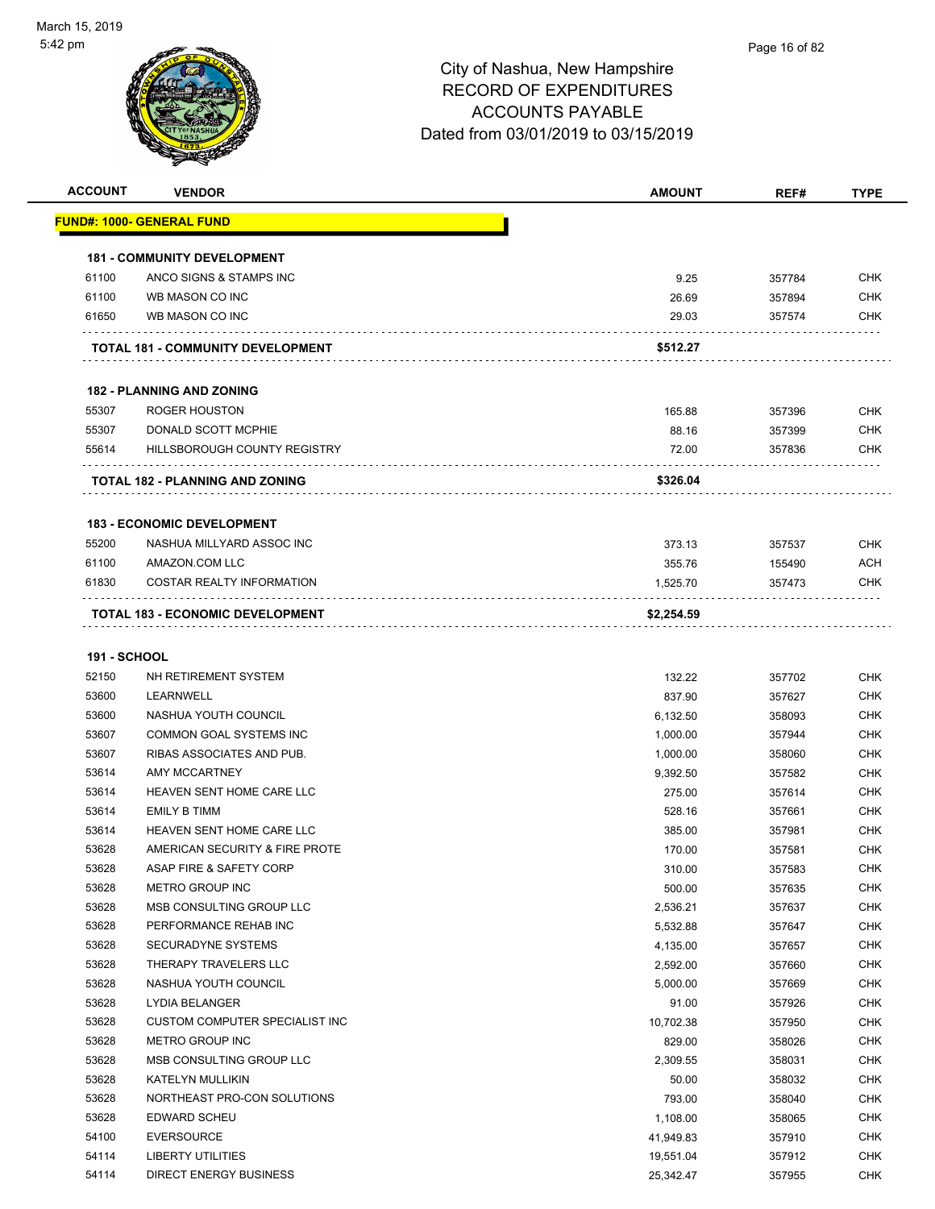

| <b>ACCOUNT</b>      | <b>VENDOR</b>                            | <b>AMOUNT</b> | REF#   | <b>TYPE</b> |
|---------------------|------------------------------------------|---------------|--------|-------------|
|                     | <u> FUND#: 1000- GENERAL FUND</u>        |               |        |             |
|                     | <b>181 - COMMUNITY DEVELOPMENT</b>       |               |        |             |
| 61100               | ANCO SIGNS & STAMPS INC                  | 9.25          | 357784 | <b>CHK</b>  |
| 61100               | WB MASON CO INC                          | 26.69         | 357894 | <b>CHK</b>  |
| 61650               | WB MASON CO INC                          | 29.03         | 357574 | CHK         |
|                     | <b>TOTAL 181 - COMMUNITY DEVELOPMENT</b> | \$512.27      |        |             |
|                     | <b>182 - PLANNING AND ZONING</b>         |               |        |             |
| 55307               | <b>ROGER HOUSTON</b>                     | 165.88        | 357396 | <b>CHK</b>  |
| 55307               | DONALD SCOTT MCPHIE                      | 88.16         | 357399 | <b>CHK</b>  |
| 55614               | HILLSBOROUGH COUNTY REGISTRY             | 72.00         | 357836 | <b>CHK</b>  |
|                     | <b>TOTAL 182 - PLANNING AND ZONING</b>   | \$326.04      |        |             |
|                     | <b>183 - ECONOMIC DEVELOPMENT</b>        |               |        |             |
| 55200               | NASHUA MILLYARD ASSOC INC                | 373.13        | 357537 | <b>CHK</b>  |
| 61100               | AMAZON.COM LLC                           | 355.76        | 155490 | <b>ACH</b>  |
| 61830               | COSTAR REALTY INFORMATION                | 1,525.70      | 357473 | CHK         |
|                     | <b>TOTAL 183 - ECONOMIC DEVELOPMENT</b>  | \$2,254.59    |        |             |
|                     |                                          |               |        |             |
| <b>191 - SCHOOL</b> |                                          |               |        |             |
| 52150               | NH RETIREMENT SYSTEM                     | 132.22        | 357702 | <b>CHK</b>  |
| 53600               | LEARNWELL                                | 837.90        | 357627 | CHK         |
| 53600               | NASHUA YOUTH COUNCIL                     | 6,132.50      | 358093 | <b>CHK</b>  |
| 53607               | <b>COMMON GOAL SYSTEMS INC</b>           | 1,000.00      | 357944 | <b>CHK</b>  |
| 53607               | RIBAS ASSOCIATES AND PUB.                | 1,000.00      | 358060 | <b>CHK</b>  |
| 53614               | AMY MCCARTNEY                            | 9,392.50      | 357582 | <b>CHK</b>  |
| 53614               | HEAVEN SENT HOME CARE LLC                | 275.00        | 357614 | CHK         |
| 53614               | <b>EMILY B TIMM</b>                      | 528.16        | 357661 | <b>CHK</b>  |
| 53614               | HEAVEN SENT HOME CARE LLC                | 385.00        | 357981 | <b>CHK</b>  |
| 53628               | AMERICAN SECURITY & FIRE PROTE           | 170.00        | 357581 | <b>CHK</b>  |
| 53628               | ASAP FIRE & SAFETY CORP                  | 310.00        | 357583 | CHK         |
| 53628               | METRO GROUP INC                          | 500.00        | 357635 | <b>CHK</b>  |
| 53628               | MSB CONSULTING GROUP LLC                 | 2,536.21      | 357637 | <b>CHK</b>  |
| 53628               | PERFORMANCE REHAB INC                    | 5,532.88      | 357647 | <b>CHK</b>  |
| 53628               | SECURADYNE SYSTEMS                       | 4,135.00      | 357657 | <b>CHK</b>  |
| 53628               | THERAPY TRAVELERS LLC                    | 2,592.00      | 357660 | <b>CHK</b>  |
| 53628               | NASHUA YOUTH COUNCIL                     | 5,000.00      | 357669 | <b>CHK</b>  |
| 53628               | LYDIA BELANGER                           | 91.00         | 357926 | <b>CHK</b>  |
| 53628               | CUSTOM COMPUTER SPECIALIST INC           | 10,702.38     | 357950 | <b>CHK</b>  |
| 53628               | <b>METRO GROUP INC</b>                   | 829.00        | 358026 | <b>CHK</b>  |
| 53628               | MSB CONSULTING GROUP LLC                 | 2,309.55      | 358031 | <b>CHK</b>  |
| 53628               | KATELYN MULLIKIN                         | 50.00         | 358032 | <b>CHK</b>  |
| 53628               | NORTHEAST PRO-CON SOLUTIONS              | 793.00        | 358040 | <b>CHK</b>  |
| 53628               | EDWARD SCHEU                             | 1,108.00      | 358065 | <b>CHK</b>  |
| 54100               | <b>EVERSOURCE</b>                        | 41,949.83     | 357910 | <b>CHK</b>  |
| 54114               | LIBERTY UTILITIES                        | 19,551.04     | 357912 | <b>CHK</b>  |
| 54114               | <b>DIRECT ENERGY BUSINESS</b>            | 25,342.47     | 357955 | <b>CHK</b>  |
|                     |                                          |               |        |             |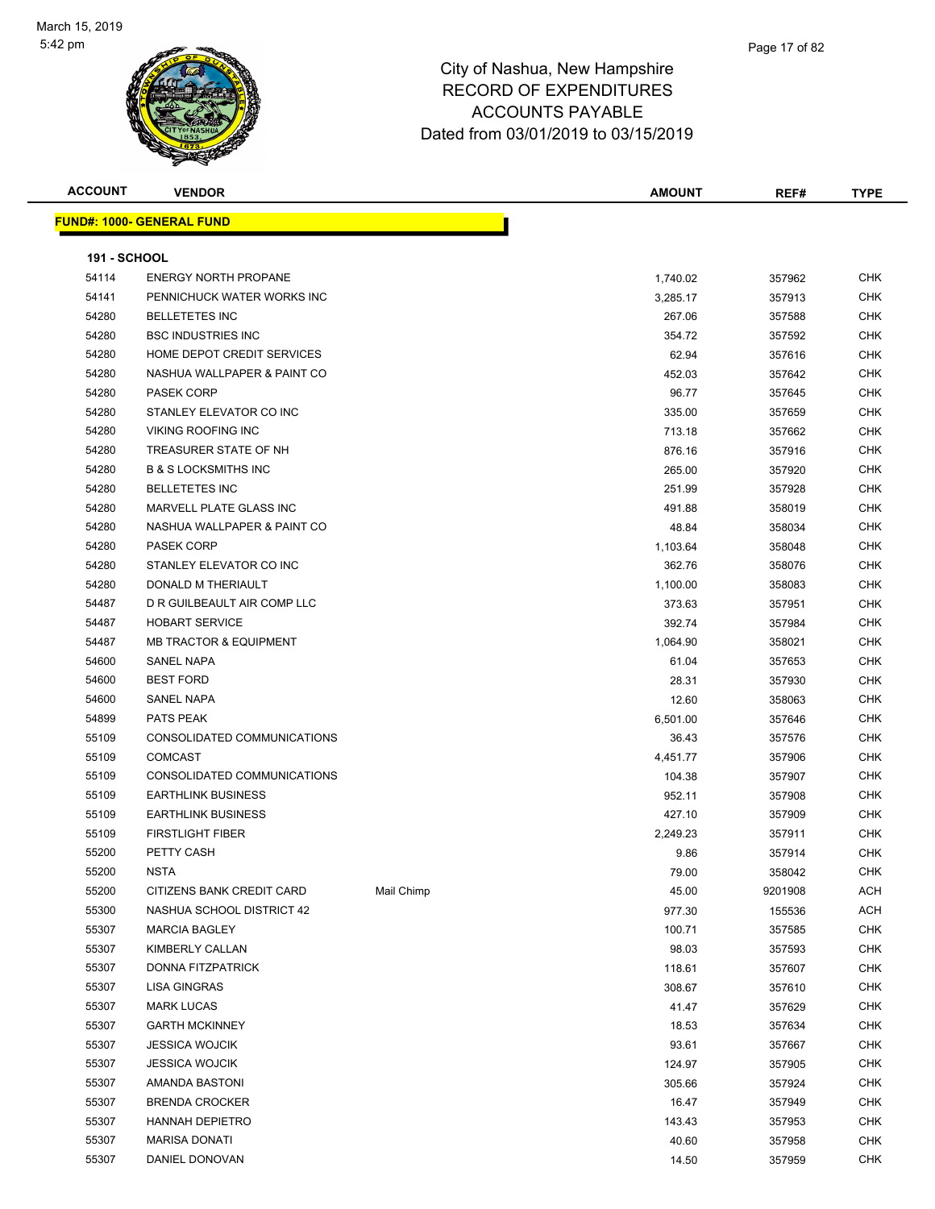

| <b>ACCOUNT</b>      | <b>VENDOR</b>                     |            | <b>AMOUNT</b> | REF#    | <b>TYPE</b> |
|---------------------|-----------------------------------|------------|---------------|---------|-------------|
|                     | <u> FUND#: 1000- GENERAL FUND</u> |            |               |         |             |
|                     |                                   |            |               |         |             |
| <b>191 - SCHOOL</b> |                                   |            |               |         |             |
| 54114               | <b>ENERGY NORTH PROPANE</b>       |            | 1,740.02      | 357962  | <b>CHK</b>  |
| 54141               | PENNICHUCK WATER WORKS INC        |            | 3,285.17      | 357913  | CHK         |
| 54280               | <b>BELLETETES INC</b>             |            | 267.06        | 357588  | CHK         |
| 54280               | <b>BSC INDUSTRIES INC</b>         |            | 354.72        | 357592  | <b>CHK</b>  |
| 54280               | HOME DEPOT CREDIT SERVICES        |            | 62.94         | 357616  | CHK         |
| 54280               | NASHUA WALLPAPER & PAINT CO       |            | 452.03        | 357642  | CHK         |
| 54280               | <b>PASEK CORP</b>                 |            | 96.77         | 357645  | CHK         |
| 54280               | STANLEY ELEVATOR CO INC           |            | 335.00        | 357659  | CHK         |
| 54280               | <b>VIKING ROOFING INC</b>         |            | 713.18        | 357662  | CHK         |
| 54280               | TREASURER STATE OF NH             |            | 876.16        | 357916  | CHK         |
| 54280               | <b>B &amp; S LOCKSMITHS INC</b>   |            | 265.00        | 357920  | <b>CHK</b>  |
| 54280               | <b>BELLETETES INC</b>             |            | 251.99        | 357928  | <b>CHK</b>  |
| 54280               | <b>MARVELL PLATE GLASS INC</b>    |            | 491.88        | 358019  | CHK         |
| 54280               | NASHUA WALLPAPER & PAINT CO       |            | 48.84         | 358034  | CHK         |
| 54280               | <b>PASEK CORP</b>                 |            | 1,103.64      | 358048  | CHK         |
| 54280               | STANLEY ELEVATOR CO INC           |            | 362.76        | 358076  | CHK         |
| 54280               | DONALD M THERIAULT                |            | 1,100.00      | 358083  | CHK         |
| 54487               | D R GUILBEAULT AIR COMP LLC       |            | 373.63        | 357951  | CHK         |
| 54487               | <b>HOBART SERVICE</b>             |            | 392.74        | 357984  | CHK         |
| 54487               | <b>MB TRACTOR &amp; EQUIPMENT</b> |            | 1,064.90      | 358021  | CHK         |
| 54600               | SANEL NAPA                        |            | 61.04         | 357653  | CHK         |
| 54600               | <b>BEST FORD</b>                  |            | 28.31         | 357930  | <b>CHK</b>  |
| 54600               | SANEL NAPA                        |            | 12.60         | 358063  | <b>CHK</b>  |
| 54899               | PATS PEAK                         |            | 6,501.00      | 357646  | CHK         |
| 55109               | CONSOLIDATED COMMUNICATIONS       |            | 36.43         | 357576  | <b>CHK</b>  |
| 55109               | <b>COMCAST</b>                    |            | 4,451.77      | 357906  | <b>CHK</b>  |
| 55109               | CONSOLIDATED COMMUNICATIONS       |            | 104.38        | 357907  | CHK         |
| 55109               | <b>EARTHLINK BUSINESS</b>         |            | 952.11        | 357908  | <b>CHK</b>  |
| 55109               | <b>EARTHLINK BUSINESS</b>         |            | 427.10        | 357909  | CHK         |
| 55109               | <b>FIRSTLIGHT FIBER</b>           |            | 2,249.23      | 357911  | CHK         |
| 55200               | PETTY CASH                        |            | 9.86          | 357914  | <b>CHK</b>  |
| 55200               | NSTA                              |            | 79.00         | 358042  | CHK         |
| 55200               | CITIZENS BANK CREDIT CARD         | Mail Chimp | 45.00         | 9201908 | ACH         |
| 55300               | NASHUA SCHOOL DISTRICT 42         |            | 977.30        | 155536  | ACH         |
| 55307               | <b>MARCIA BAGLEY</b>              |            | 100.71        | 357585  | <b>CHK</b>  |
| 55307               | KIMBERLY CALLAN                   |            | 98.03         | 357593  | <b>CHK</b>  |
| 55307               | DONNA FITZPATRICK                 |            | 118.61        | 357607  | <b>CHK</b>  |
| 55307               | <b>LISA GINGRAS</b>               |            | 308.67        | 357610  | <b>CHK</b>  |
| 55307               | <b>MARK LUCAS</b>                 |            | 41.47         | 357629  | <b>CHK</b>  |
| 55307               | <b>GARTH MCKINNEY</b>             |            | 18.53         | 357634  | CHK         |
| 55307               | <b>JESSICA WOJCIK</b>             |            | 93.61         | 357667  | <b>CHK</b>  |
| 55307               | <b>JESSICA WOJCIK</b>             |            | 124.97        | 357905  | <b>CHK</b>  |
| 55307               | AMANDA BASTONI                    |            | 305.66        | 357924  | CHK         |
| 55307               | <b>BRENDA CROCKER</b>             |            | 16.47         | 357949  | <b>CHK</b>  |
| 55307               | <b>HANNAH DEPIETRO</b>            |            | 143.43        | 357953  | CHK         |
| 55307               | <b>MARISA DONATI</b>              |            | 40.60         | 357958  | CHK         |
| 55307               | DANIEL DONOVAN                    |            | 14.50         | 357959  | <b>CHK</b>  |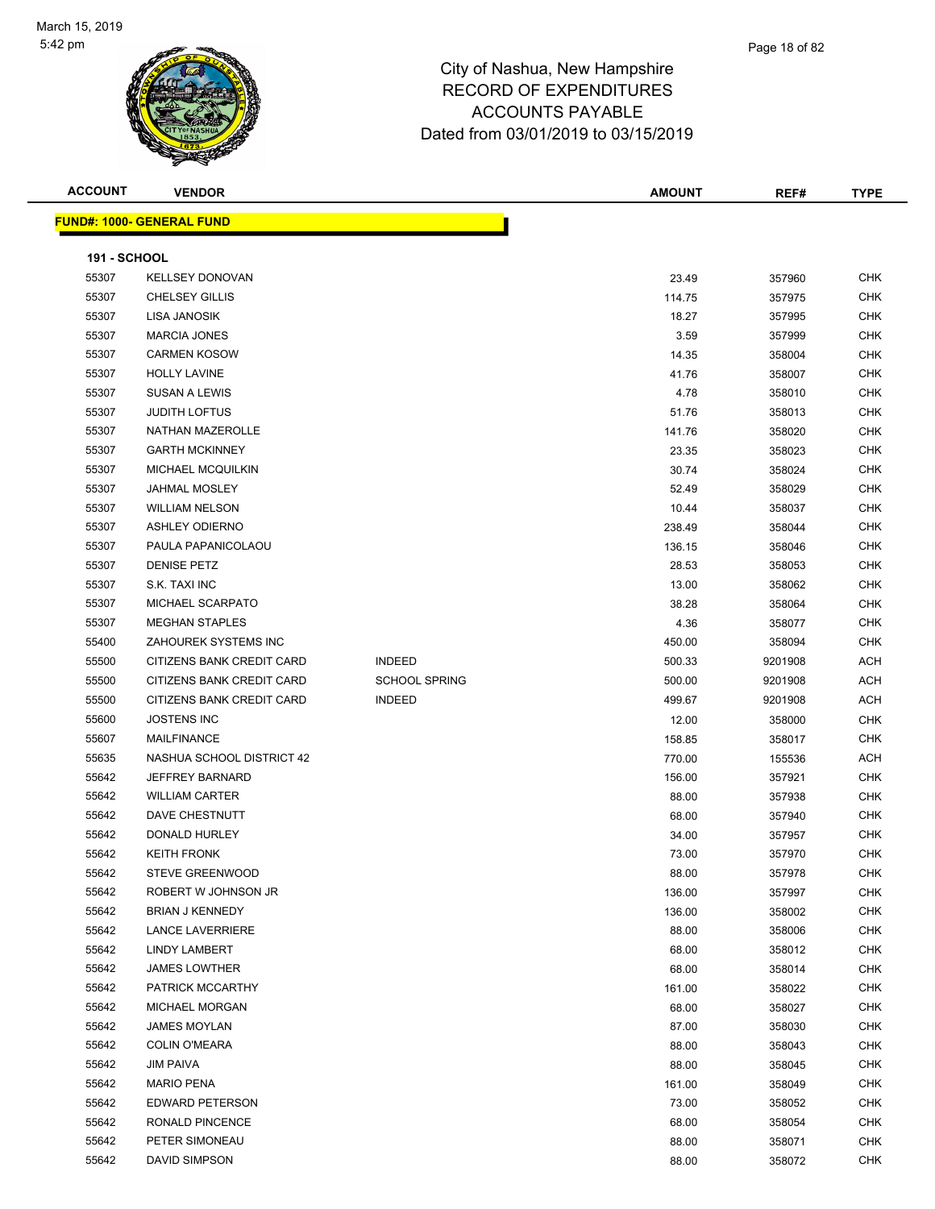

| <b>ACCOUNT</b>      | <b>VENDOR</b>                    |                      | <b>AMOUNT</b> | REF#    | <b>TYPE</b> |
|---------------------|----------------------------------|----------------------|---------------|---------|-------------|
|                     | <b>FUND#: 1000- GENERAL FUND</b> |                      |               |         |             |
|                     |                                  |                      |               |         |             |
| <b>191 - SCHOOL</b> |                                  |                      |               |         |             |
| 55307               | <b>KELLSEY DONOVAN</b>           |                      | 23.49         | 357960  | <b>CHK</b>  |
| 55307               | <b>CHELSEY GILLIS</b>            |                      | 114.75        | 357975  | <b>CHK</b>  |
| 55307               | LISA JANOSIK                     |                      | 18.27         | 357995  | CHK         |
| 55307               | <b>MARCIA JONES</b>              |                      | 3.59          | 357999  | <b>CHK</b>  |
| 55307               | <b>CARMEN KOSOW</b>              |                      | 14.35         | 358004  | <b>CHK</b>  |
| 55307               | <b>HOLLY LAVINE</b>              |                      | 41.76         | 358007  | CHK         |
| 55307               | <b>SUSAN A LEWIS</b>             |                      | 4.78          | 358010  | <b>CHK</b>  |
| 55307               | <b>JUDITH LOFTUS</b>             |                      | 51.76         | 358013  | CHK         |
| 55307               | NATHAN MAZEROLLE                 |                      | 141.76        | 358020  | CHK         |
| 55307               | <b>GARTH MCKINNEY</b>            |                      | 23.35         | 358023  | <b>CHK</b>  |
| 55307               | MICHAEL MCQUILKIN                |                      | 30.74         | 358024  | CHK         |
| 55307               | <b>JAHMAL MOSLEY</b>             |                      | 52.49         | 358029  | <b>CHK</b>  |
| 55307               | <b>WILLIAM NELSON</b>            |                      | 10.44         | 358037  | <b>CHK</b>  |
| 55307               | <b>ASHLEY ODIERNO</b>            |                      | 238.49        | 358044  | CHK         |
| 55307               | PAULA PAPANICOLAOU               |                      | 136.15        | 358046  | <b>CHK</b>  |
| 55307               | <b>DENISE PETZ</b>               |                      | 28.53         | 358053  | CHK         |
| 55307               | S.K. TAXI INC                    |                      | 13.00         | 358062  | CHK         |
| 55307               | MICHAEL SCARPATO                 |                      | 38.28         | 358064  | <b>CHK</b>  |
| 55307               | <b>MEGHAN STAPLES</b>            |                      | 4.36          | 358077  | CHK         |
| 55400               | ZAHOUREK SYSTEMS INC             |                      | 450.00        | 358094  | CHK         |
| 55500               | CITIZENS BANK CREDIT CARD        | <b>INDEED</b>        | 500.33        | 9201908 | ACH         |
| 55500               | CITIZENS BANK CREDIT CARD        | <b>SCHOOL SPRING</b> | 500.00        | 9201908 | ACH         |
| 55500               | CITIZENS BANK CREDIT CARD        | <b>INDEED</b>        | 499.67        | 9201908 | <b>ACH</b>  |
| 55600               | <b>JOSTENS INC</b>               |                      | 12.00         | 358000  | <b>CHK</b>  |
| 55607               | <b>MAILFINANCE</b>               |                      | 158.85        | 358017  | <b>CHK</b>  |
| 55635               | NASHUA SCHOOL DISTRICT 42        |                      | 770.00        | 155536  | ACH         |
| 55642               | <b>JEFFREY BARNARD</b>           |                      | 156.00        | 357921  | CHK         |
| 55642               | <b>WILLIAM CARTER</b>            |                      | 88.00         | 357938  | <b>CHK</b>  |
| 55642               | DAVE CHESTNUTT                   |                      | 68.00         | 357940  | CHK         |
| 55642               | DONALD HURLEY                    |                      | 34.00         | 357957  | CHK         |
| 55642               | <b>KEITH FRONK</b>               |                      | 73.00         | 357970  | <b>CHK</b>  |
| 55642               | STEVE GREENWOOD                  |                      | 88.00         | 357978  | СНК         |
| 55642               | ROBERT W JOHNSON JR              |                      | 136.00        | 357997  | <b>CHK</b>  |
| 55642               | <b>BRIAN J KENNEDY</b>           |                      | 136.00        | 358002  | <b>CHK</b>  |
| 55642               | <b>LANCE LAVERRIERE</b>          |                      | 88.00         | 358006  | <b>CHK</b>  |
| 55642               | LINDY LAMBERT                    |                      | 68.00         | 358012  | <b>CHK</b>  |
| 55642               | <b>JAMES LOWTHER</b>             |                      | 68.00         | 358014  | <b>CHK</b>  |
| 55642               | PATRICK MCCARTHY                 |                      | 161.00        | 358022  | <b>CHK</b>  |
| 55642               | MICHAEL MORGAN                   |                      | 68.00         | 358027  | CHK         |
| 55642               | <b>JAMES MOYLAN</b>              |                      | 87.00         | 358030  | CHK         |
| 55642               | <b>COLIN O'MEARA</b>             |                      | 88.00         | 358043  | CHK         |
| 55642               | <b>JIM PAIVA</b>                 |                      | 88.00         | 358045  | CHK         |
| 55642               | <b>MARIO PENA</b>                |                      | 161.00        | 358049  | CHK         |
| 55642               | EDWARD PETERSON                  |                      | 73.00         | 358052  | <b>CHK</b>  |
| 55642               | RONALD PINCENCE                  |                      | 68.00         | 358054  | CHK         |
| 55642               | PETER SIMONEAU                   |                      | 88.00         | 358071  | <b>CHK</b>  |
| 55642               | DAVID SIMPSON                    |                      | 88.00         | 358072  | <b>CHK</b>  |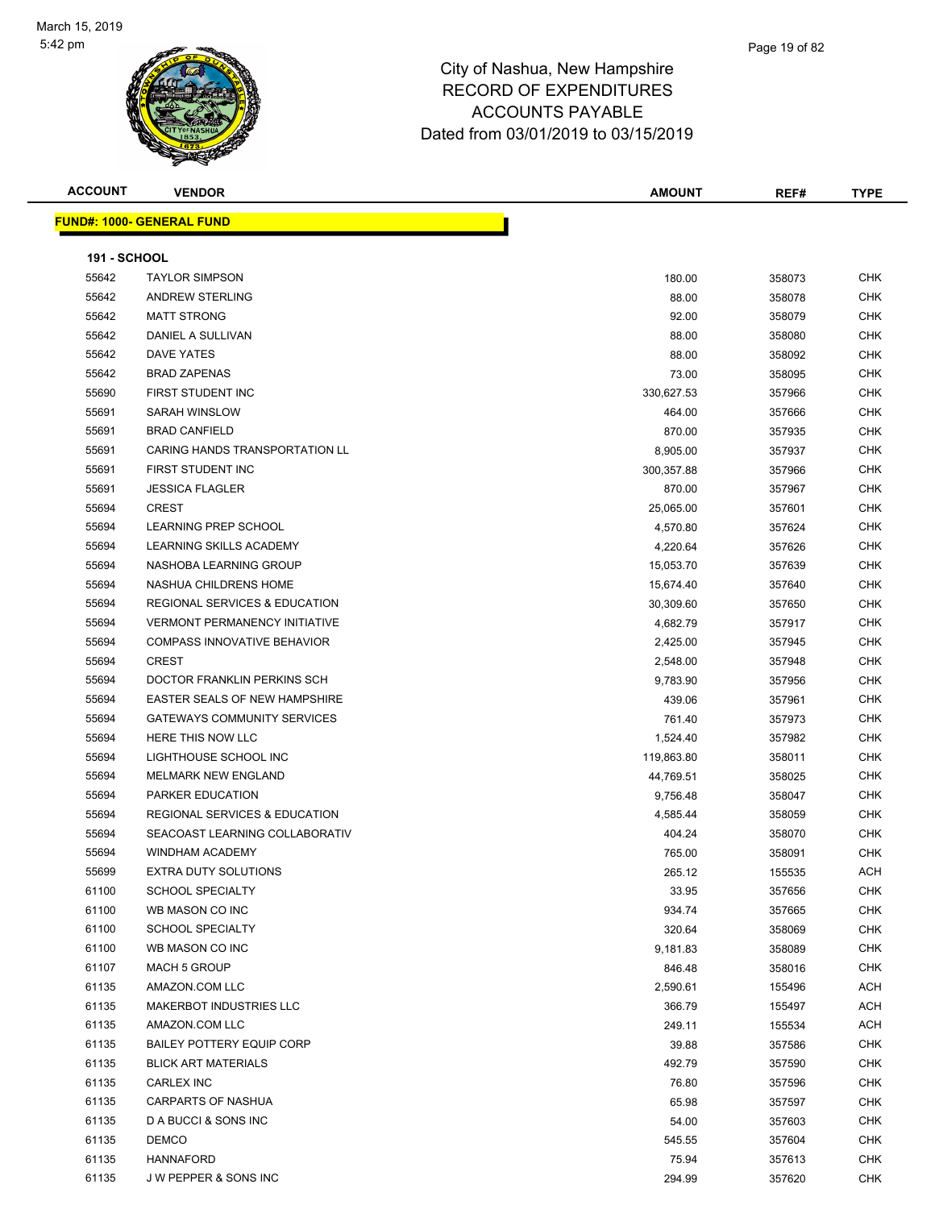

#### Page 19 of 82

#### City of Nashua, New Hampshire RECORD OF EXPENDITURES ACCOUNTS PAYABLE Dated from 03/01/2019 to 03/15/2019

**FUND#: 1000- GENERAL FUND**

| <b>ACCOUNT</b> | <b>VENDOR</b>       |  | <b>AMOUNT</b><br>__ | REF# | <b>TYPE</b> |
|----------------|---------------------|--|---------------------|------|-------------|
|                |                     |  |                     |      |             |
| JND#: 1000-    | <b>GENERAL FUND</b> |  |                     |      |             |

| <b>191 - SCHOOL</b> |                                          |            |        |            |
|---------------------|------------------------------------------|------------|--------|------------|
| 55642               | <b>TAYLOR SIMPSON</b>                    | 180.00     | 358073 | <b>CHK</b> |
| 55642               | <b>ANDREW STERLING</b>                   | 88.00      | 358078 | <b>CHK</b> |
| 55642               | <b>MATT STRONG</b>                       | 92.00      | 358079 | <b>CHK</b> |
| 55642               | DANIEL A SULLIVAN                        | 88.00      | 358080 | <b>CHK</b> |
| 55642               | DAVE YATES                               | 88.00      | 358092 | <b>CHK</b> |
| 55642               | <b>BRAD ZAPENAS</b>                      | 73.00      | 358095 | <b>CHK</b> |
| 55690               | FIRST STUDENT INC                        | 330,627.53 | 357966 | <b>CHK</b> |
| 55691               | <b>SARAH WINSLOW</b>                     | 464.00     | 357666 | <b>CHK</b> |
| 55691               | <b>BRAD CANFIELD</b>                     | 870.00     | 357935 | <b>CHK</b> |
| 55691               | CARING HANDS TRANSPORTATION LL           | 8,905.00   | 357937 | <b>CHK</b> |
| 55691               | FIRST STUDENT INC                        | 300,357.88 | 357966 | <b>CHK</b> |
| 55691               | <b>JESSICA FLAGLER</b>                   | 870.00     | 357967 | <b>CHK</b> |
| 55694               | <b>CREST</b>                             | 25,065.00  | 357601 | <b>CHK</b> |
| 55694               | LEARNING PREP SCHOOL                     | 4,570.80   | 357624 | <b>CHK</b> |
| 55694               | LEARNING SKILLS ACADEMY                  | 4,220.64   | 357626 | <b>CHK</b> |
| 55694               | NASHOBA LEARNING GROUP                   | 15,053.70  | 357639 | <b>CHK</b> |
| 55694               | NASHUA CHILDRENS HOME                    | 15,674.40  | 357640 | <b>CHK</b> |
| 55694               | <b>REGIONAL SERVICES &amp; EDUCATION</b> | 30,309.60  | 357650 | <b>CHK</b> |
| 55694               | <b>VERMONT PERMANENCY INITIATIVE</b>     | 4,682.79   | 357917 | <b>CHK</b> |
| 55694               | <b>COMPASS INNOVATIVE BEHAVIOR</b>       | 2,425.00   | 357945 | <b>CHK</b> |
| 55694               | <b>CREST</b>                             | 2,548.00   | 357948 | <b>CHK</b> |
| 55694               | DOCTOR FRANKLIN PERKINS SCH              | 9,783.90   | 357956 | <b>CHK</b> |
| 55694               | EASTER SEALS OF NEW HAMPSHIRE            | 439.06     | 357961 | <b>CHK</b> |
| 55694               | <b>GATEWAYS COMMUNITY SERVICES</b>       | 761.40     | 357973 | <b>CHK</b> |
| 55694               | HERE THIS NOW LLC                        | 1,524.40   | 357982 | <b>CHK</b> |
| 55694               | LIGHTHOUSE SCHOOL INC                    | 119,863.80 | 358011 | <b>CHK</b> |
| 55694               | <b>MELMARK NEW ENGLAND</b>               | 44,769.51  | 358025 | <b>CHK</b> |
| 55694               | PARKER EDUCATION                         | 9,756.48   | 358047 | <b>CHK</b> |
| 55694               | <b>REGIONAL SERVICES &amp; EDUCATION</b> | 4,585.44   | 358059 | <b>CHK</b> |
| 55694               | SEACOAST LEARNING COLLABORATIV           | 404.24     | 358070 | <b>CHK</b> |
| 55694               | WINDHAM ACADEMY                          | 765.00     | 358091 | <b>CHK</b> |
| 55699               | EXTRA DUTY SOLUTIONS                     | 265.12     | 155535 | ACH        |
| 61100               | <b>SCHOOL SPECIALTY</b>                  | 33.95      | 357656 | <b>CHK</b> |
| 61100               | WB MASON CO INC                          | 934.74     | 357665 | <b>CHK</b> |
| 61100               | SCHOOL SPECIALTY                         | 320.64     | 358069 | <b>CHK</b> |
| 61100               | WB MASON CO INC                          | 9,181.83   | 358089 | <b>CHK</b> |
| 61107               | <b>MACH 5 GROUP</b>                      | 846.48     | 358016 | <b>CHK</b> |
| 61135               | AMAZON.COM LLC                           | 2,590.61   | 155496 | <b>ACH</b> |
| 61135               | <b>MAKERBOT INDUSTRIES LLC</b>           | 366.79     | 155497 | <b>ACH</b> |
| 61135               | AMAZON.COM LLC                           | 249.11     | 155534 | <b>ACH</b> |
| 61135               | <b>BAILEY POTTERY EQUIP CORP</b>         | 39.88      | 357586 | <b>CHK</b> |
| 61135               | <b>BLICK ART MATERIALS</b>               | 492.79     | 357590 | <b>CHK</b> |
| 61135               | <b>CARLEX INC</b>                        | 76.80      | 357596 | <b>CHK</b> |
| 61135               | <b>CARPARTS OF NASHUA</b>                | 65.98      | 357597 | <b>CHK</b> |
| 61135               | D A BUCCI & SONS INC                     | 54.00      | 357603 | <b>CHK</b> |
| 61135               | <b>DEMCO</b>                             | 545.55     | 357604 | <b>CHK</b> |
| 61135               | <b>HANNAFORD</b>                         | 75.94      | 357613 | <b>CHK</b> |
| 61135               | J W PEPPER & SONS INC                    | 294.99     | 357620 | <b>CHK</b> |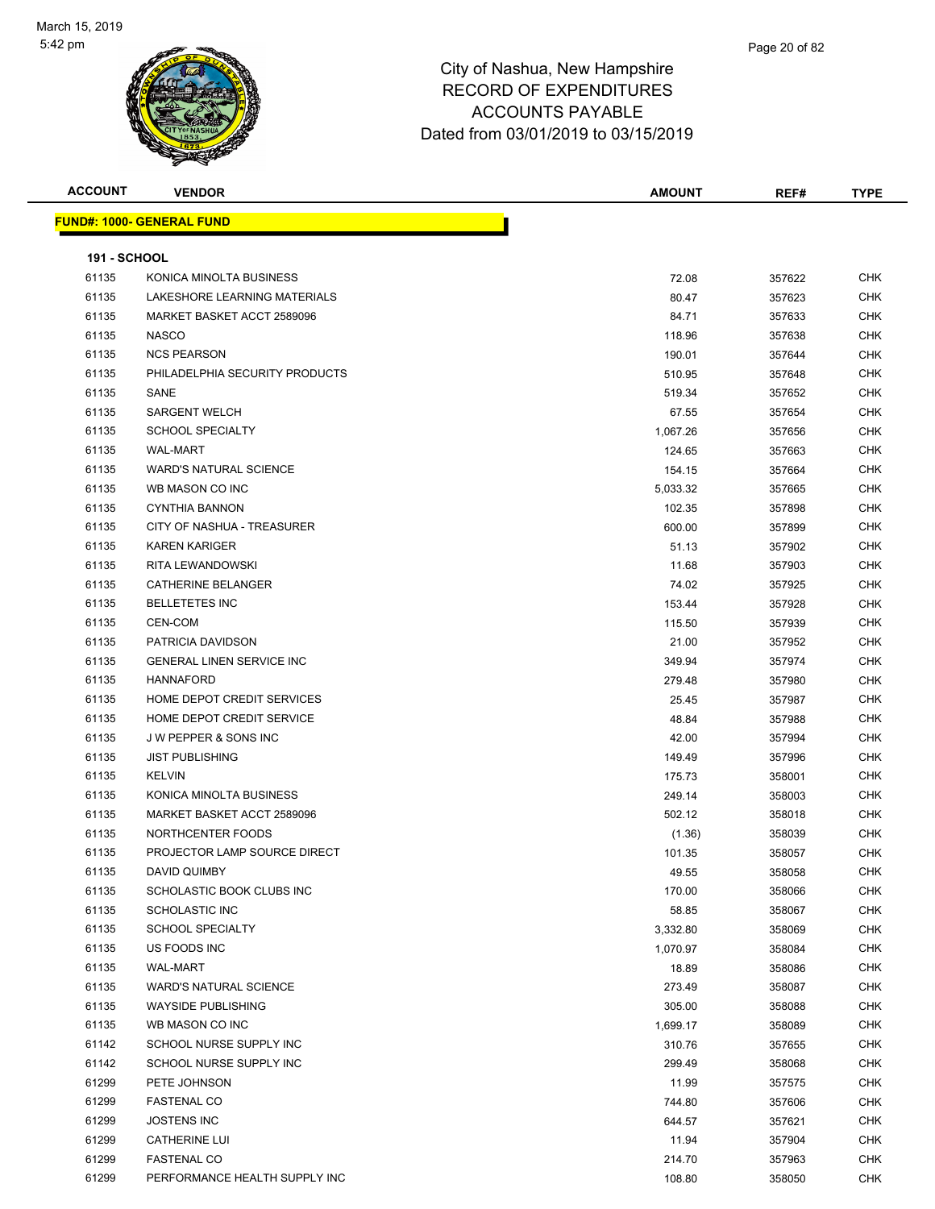

| <b>ACCOUNT</b>      | <b>VENDOR</b>                     | <b>AMOUNT</b> | REF#   | <b>TYPE</b> |
|---------------------|-----------------------------------|---------------|--------|-------------|
|                     | <u> FUND#: 1000- GENERAL FUND</u> |               |        |             |
|                     |                                   |               |        |             |
| <b>191 - SCHOOL</b> |                                   |               |        |             |
| 61135               | KONICA MINOLTA BUSINESS           | 72.08         | 357622 | <b>CHK</b>  |
| 61135               | LAKESHORE LEARNING MATERIALS      | 80.47         | 357623 | <b>CHK</b>  |
| 61135               | MARKET BASKET ACCT 2589096        | 84.71         | 357633 | <b>CHK</b>  |
| 61135               | <b>NASCO</b>                      | 118.96        | 357638 | <b>CHK</b>  |
| 61135               | <b>NCS PEARSON</b>                | 190.01        | 357644 | <b>CHK</b>  |
| 61135               | PHILADELPHIA SECURITY PRODUCTS    | 510.95        | 357648 | <b>CHK</b>  |
| 61135               | SANE                              | 519.34        | 357652 | <b>CHK</b>  |
| 61135               | <b>SARGENT WELCH</b>              | 67.55         | 357654 | <b>CHK</b>  |
| 61135               | <b>SCHOOL SPECIALTY</b>           | 1,067.26      | 357656 | CHK         |
| 61135               | <b>WAL-MART</b>                   | 124.65        | 357663 | <b>CHK</b>  |
| 61135               | <b>WARD'S NATURAL SCIENCE</b>     | 154.15        | 357664 | <b>CHK</b>  |
| 61135               | WB MASON CO INC                   | 5,033.32      | 357665 | <b>CHK</b>  |
| 61135               | <b>CYNTHIA BANNON</b>             | 102.35        | 357898 | <b>CHK</b>  |
| 61135               | CITY OF NASHUA - TREASURER        | 600.00        | 357899 | <b>CHK</b>  |
| 61135               | <b>KAREN KARIGER</b>              | 51.13         | 357902 | CHK         |
| 61135               | <b>RITA LEWANDOWSKI</b>           | 11.68         | 357903 | <b>CHK</b>  |
| 61135               | CATHERINE BELANGER                | 74.02         | 357925 | CHK         |
| 61135               | <b>BELLETETES INC</b>             | 153.44        | 357928 | <b>CHK</b>  |
| 61135               | CEN-COM                           | 115.50        | 357939 | <b>CHK</b>  |
| 61135               | PATRICIA DAVIDSON                 | 21.00         | 357952 | CHK         |
| 61135               | <b>GENERAL LINEN SERVICE INC</b>  | 349.94        | 357974 | <b>CHK</b>  |
| 61135               | <b>HANNAFORD</b>                  | 279.48        | 357980 | <b>CHK</b>  |
| 61135               | HOME DEPOT CREDIT SERVICES        | 25.45         | 357987 | <b>CHK</b>  |
| 61135               | HOME DEPOT CREDIT SERVICE         | 48.84         | 357988 | <b>CHK</b>  |
| 61135               | <b>JW PEPPER &amp; SONS INC</b>   | 42.00         | 357994 | <b>CHK</b>  |
| 61135               | <b>JIST PUBLISHING</b>            | 149.49        | 357996 | <b>CHK</b>  |
| 61135               | <b>KELVIN</b>                     | 175.73        | 358001 | <b>CHK</b>  |
| 61135               | KONICA MINOLTA BUSINESS           | 249.14        | 358003 | <b>CHK</b>  |
| 61135               | MARKET BASKET ACCT 2589096        | 502.12        | 358018 | <b>CHK</b>  |
| 61135               | NORTHCENTER FOODS                 | (1.36)        | 358039 | <b>CHK</b>  |
| 61135               | PROJECTOR LAMP SOURCE DIRECT      | 101.35        | 358057 | CHK         |
| 61135               | DAVID QUIMBY                      | 49.55         | 358058 | <b>CHK</b>  |
| 61135               | SCHOLASTIC BOOK CLUBS INC         | 170.00        | 358066 | <b>CHK</b>  |
| 61135               | <b>SCHOLASTIC INC</b>             | 58.85         | 358067 | <b>CHK</b>  |
| 61135               | <b>SCHOOL SPECIALTY</b>           | 3,332.80      | 358069 | <b>CHK</b>  |
| 61135               | US FOODS INC                      | 1,070.97      | 358084 | <b>CHK</b>  |
| 61135               | <b>WAL-MART</b>                   | 18.89         | 358086 | <b>CHK</b>  |
| 61135               | <b>WARD'S NATURAL SCIENCE</b>     | 273.49        | 358087 | <b>CHK</b>  |
| 61135               | <b>WAYSIDE PUBLISHING</b>         | 305.00        | 358088 | <b>CHK</b>  |
| 61135               | WB MASON CO INC                   | 1,699.17      | 358089 | <b>CHK</b>  |
| 61142               | SCHOOL NURSE SUPPLY INC           | 310.76        | 357655 | <b>CHK</b>  |
| 61142               | SCHOOL NURSE SUPPLY INC           | 299.49        | 358068 | <b>CHK</b>  |
| 61299               | PETE JOHNSON                      | 11.99         | 357575 | <b>CHK</b>  |
| 61299               | <b>FASTENAL CO</b>                | 744.80        | 357606 | <b>CHK</b>  |
| 61299               | <b>JOSTENS INC</b>                | 644.57        | 357621 | <b>CHK</b>  |
| 61299               | <b>CATHERINE LUI</b>              | 11.94         | 357904 | <b>CHK</b>  |
| 61299               | <b>FASTENAL CO</b>                | 214.70        | 357963 | <b>CHK</b>  |
| 61299               | PERFORMANCE HEALTH SUPPLY INC     | 108.80        | 358050 | <b>CHK</b>  |
|                     |                                   |               |        |             |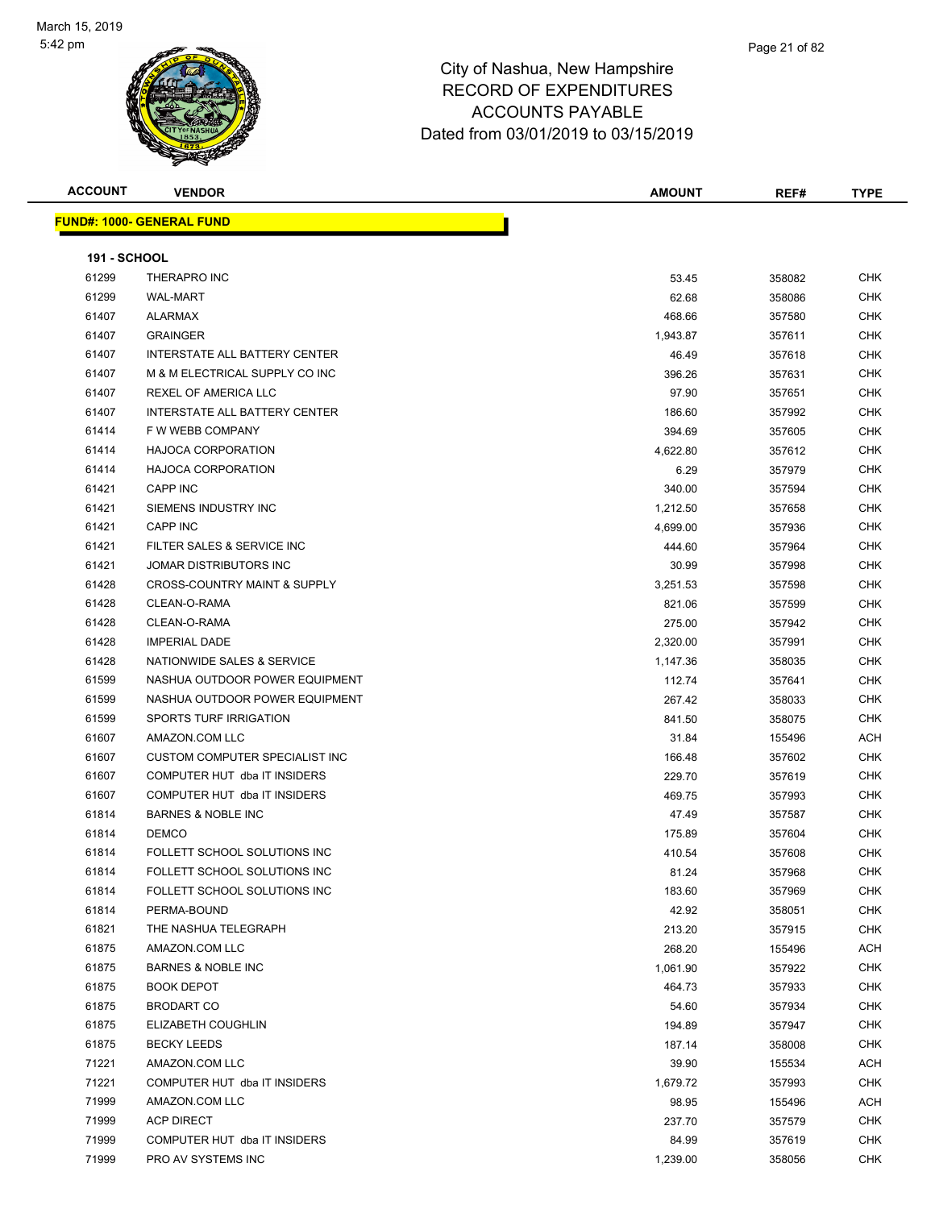

| <b>ACCOUNT</b>      | <b>VENDOR</b>                           | <b>AMOUNT</b> | REF#   | <b>TYPE</b> |
|---------------------|-----------------------------------------|---------------|--------|-------------|
|                     | <u> FUND#: 1000- GENERAL FUND</u>       |               |        |             |
|                     |                                         |               |        |             |
| <b>191 - SCHOOL</b> |                                         |               |        |             |
| 61299               | THERAPRO INC                            | 53.45         | 358082 | <b>CHK</b>  |
| 61299               | <b>WAL-MART</b>                         | 62.68         | 358086 | <b>CHK</b>  |
| 61407               | <b>ALARMAX</b>                          | 468.66        | 357580 | CHK         |
| 61407               | <b>GRAINGER</b>                         | 1,943.87      | 357611 | CHK         |
| 61407               | INTERSTATE ALL BATTERY CENTER           | 46.49         | 357618 | <b>CHK</b>  |
| 61407               | M & M ELECTRICAL SUPPLY CO INC          | 396.26        | 357631 | CHK         |
| 61407               | REXEL OF AMERICA LLC                    | 97.90         | 357651 | CHK         |
| 61407               | INTERSTATE ALL BATTERY CENTER           | 186.60        | 357992 | CHK         |
| 61414               | F W WEBB COMPANY                        | 394.69        | 357605 | <b>CHK</b>  |
| 61414               | <b>HAJOCA CORPORATION</b>               | 4,622.80      | 357612 | <b>CHK</b>  |
| 61414               | <b>HAJOCA CORPORATION</b>               | 6.29          | 357979 | <b>CHK</b>  |
| 61421               | <b>CAPP INC</b>                         | 340.00        | 357594 | <b>CHK</b>  |
| 61421               | SIEMENS INDUSTRY INC                    | 1,212.50      | 357658 | CHK         |
| 61421               | <b>CAPP INC</b>                         | 4,699.00      | 357936 | CHK         |
| 61421               | FILTER SALES & SERVICE INC              | 444.60        | 357964 | CHK         |
| 61421               | JOMAR DISTRIBUTORS INC                  | 30.99         | 357998 | CHK         |
| 61428               | <b>CROSS-COUNTRY MAINT &amp; SUPPLY</b> | 3,251.53      | 357598 | <b>CHK</b>  |
| 61428               | CLEAN-O-RAMA                            | 821.06        | 357599 | CHK         |
| 61428               | CLEAN-O-RAMA                            | 275.00        | 357942 | CHK         |
| 61428               | <b>IMPERIAL DADE</b>                    | 2,320.00      | 357991 | CHK         |
| 61428               | NATIONWIDE SALES & SERVICE              | 1,147.36      | 358035 | CHK         |
| 61599               | NASHUA OUTDOOR POWER EQUIPMENT          | 112.74        | 357641 | CHK         |
| 61599               | NASHUA OUTDOOR POWER EQUIPMENT          | 267.42        | 358033 | <b>CHK</b>  |
| 61599               | SPORTS TURF IRRIGATION                  | 841.50        | 358075 | CHK         |
| 61607               | AMAZON.COM LLC                          | 31.84         | 155496 | ACH         |
| 61607               | CUSTOM COMPUTER SPECIALIST INC          | 166.48        | 357602 | <b>CHK</b>  |
| 61607               | COMPUTER HUT dba IT INSIDERS            | 229.70        | 357619 | CHK         |
| 61607               | COMPUTER HUT dba IT INSIDERS            | 469.75        | 357993 | <b>CHK</b>  |
| 61814               | <b>BARNES &amp; NOBLE INC</b>           | 47.49         | 357587 | CHK         |
| 61814               | <b>DEMCO</b>                            | 175.89        | 357604 | CHK         |
| 61814               | FOLLETT SCHOOL SOLUTIONS INC            | 410.54        | 357608 | CHK         |
| 61814               | FOLLETT SCHOOL SOLUTIONS INC            | 81.24         | 357968 | <b>CHK</b>  |
| 61814               | FOLLETT SCHOOL SOLUTIONS INC            | 183.60        | 357969 | CHK         |
| 61814               | PERMA-BOUND                             | 42.92         | 358051 | CHK         |
| 61821               | THE NASHUA TELEGRAPH                    | 213.20        | 357915 | CHK         |
| 61875               | AMAZON.COM LLC                          | 268.20        | 155496 | ACH         |
| 61875               | <b>BARNES &amp; NOBLE INC</b>           | 1,061.90      | 357922 | CHK         |
| 61875               | <b>BOOK DEPOT</b>                       | 464.73        | 357933 | <b>CHK</b>  |
| 61875               | <b>BRODART CO</b>                       | 54.60         | 357934 | CHK         |
| 61875               | ELIZABETH COUGHLIN                      | 194.89        | 357947 | <b>CHK</b>  |
| 61875               | <b>BECKY LEEDS</b>                      | 187.14        | 358008 | CHK         |
| 71221               | AMAZON.COM LLC                          | 39.90         | 155534 | ACH         |
| 71221               | COMPUTER HUT dba IT INSIDERS            | 1,679.72      | 357993 | CHK         |
| 71999               | AMAZON.COM LLC                          | 98.95         | 155496 | ACH         |
| 71999               | <b>ACP DIRECT</b>                       | 237.70        | 357579 | CHK         |
| 71999               | COMPUTER HUT dba IT INSIDERS            | 84.99         | 357619 | <b>CHK</b>  |
| 71999               | PRO AV SYSTEMS INC                      | 1,239.00      | 358056 | <b>CHK</b>  |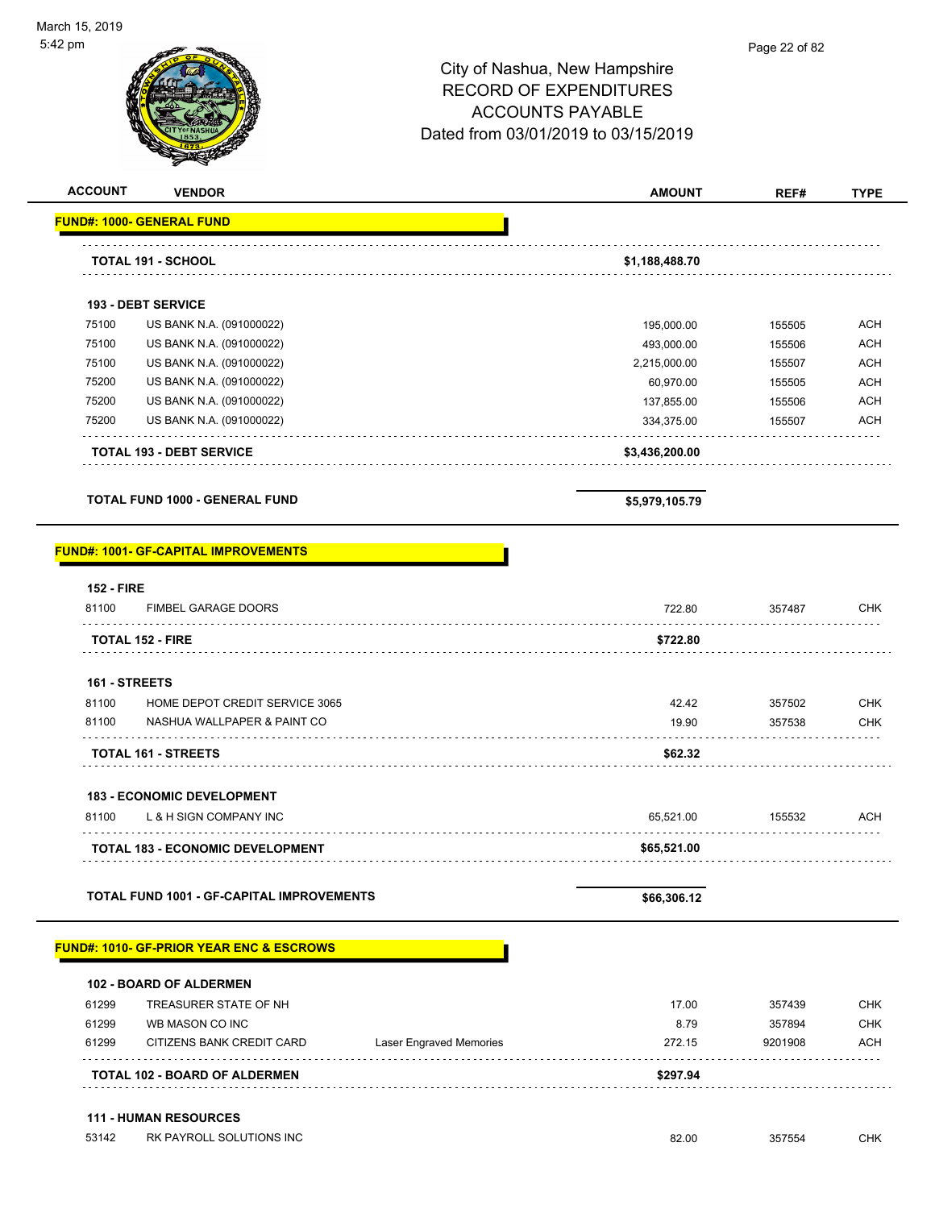| <b>ACCOUNT</b><br><b>VENDOR</b>                                        |                         | <b>AMOUNT</b>             | REF#             | <b>TYPE</b>              |
|------------------------------------------------------------------------|-------------------------|---------------------------|------------------|--------------------------|
| <b>FUND#: 1000- GENERAL FUND</b>                                       |                         |                           |                  |                          |
| <b>TOTAL 191 - SCHOOL</b>                                              |                         | \$1,188,488.70            |                  |                          |
| 193 - DEBT SERVICE                                                     |                         |                           |                  |                          |
|                                                                        |                         |                           |                  |                          |
| 75100<br>US BANK N.A. (091000022)<br>75100<br>US BANK N.A. (091000022) |                         | 195,000.00                | 155505<br>155506 | <b>ACH</b><br><b>ACH</b> |
| 75100<br>US BANK N.A. (091000022)                                      |                         | 493,000.00                | 155507           | <b>ACH</b>               |
| 75200<br>US BANK N.A. (091000022)                                      |                         | 2,215,000.00<br>60,970.00 | 155505           | <b>ACH</b>               |
| 75200<br>US BANK N.A. (091000022)                                      |                         | 137,855.00                | 155506           | <b>ACH</b>               |
| 75200<br>US BANK N.A. (091000022)                                      |                         | 334,375.00                | 155507           | <b>ACH</b>               |
|                                                                        |                         |                           |                  |                          |
| <b>TOTAL 193 - DEBT SERVICE</b>                                        |                         | \$3,436,200.00            |                  |                          |
| <b>TOTAL FUND 1000 - GENERAL FUND</b>                                  |                         | \$5,979,105.79            |                  |                          |
| <b>FUND#: 1001- GF-CAPITAL IMPROVEMENTS</b>                            |                         |                           |                  |                          |
| <b>152 - FIRE</b>                                                      |                         |                           |                  |                          |
| 81100<br>FIMBEL GARAGE DOORS                                           |                         | 722.80                    | 357487           | <b>CHK</b>               |
| <b>TOTAL 152 - FIRE</b>                                                |                         | \$722.80                  |                  |                          |
| 161 - STREETS                                                          |                         |                           |                  |                          |
| 81100<br>HOME DEPOT CREDIT SERVICE 3065                                |                         | 42.42                     | 357502           | <b>CHK</b>               |
| 81100<br>NASHUA WALLPAPER & PAINT CO                                   |                         | 19.90                     | 357538           | <b>CHK</b>               |
| TOTAL 161 - STREETS                                                    |                         | \$62.32                   |                  |                          |
|                                                                        |                         |                           |                  |                          |
| <b>183 - ECONOMIC DEVELOPMENT</b>                                      |                         |                           |                  |                          |
| 81100<br>L & H SIGN COMPANY INC                                        |                         | 65,521.00                 | 155532           | <b>ACH</b>               |
| TOTAL 183 - ECONOMIC DEVELOPMENT                                       |                         | \$65,521.00               |                  |                          |
|                                                                        |                         |                           |                  |                          |
| <b>TOTAL FUND 1001 - GF-CAPITAL IMPROVEMENTS</b>                       |                         | \$66,306.12               |                  |                          |
| <b>FUND#: 1010- GF-PRIOR YEAR ENC &amp; ESCROWS</b>                    |                         |                           |                  |                          |
|                                                                        |                         |                           |                  |                          |
| <b>102 - BOARD OF ALDERMEN</b>                                         |                         |                           |                  |                          |
| TREASURER STATE OF NH<br>61299                                         |                         | 17.00                     | 357439           | <b>CHK</b>               |
| 61299<br>WB MASON CO INC                                               |                         | 8.79                      | 357894           | <b>CHK</b>               |
| 61299<br>CITIZENS BANK CREDIT CARD                                     | Laser Engraved Memories | 272.15                    | 9201908          | <b>ACH</b>               |
| TOTAL 102 - BOARD OF ALDERMEN                                          |                         | \$297.94                  |                  |                          |
| <b>111 - HUMAN RESOURCES</b>                                           |                         |                           |                  |                          |
| 53142<br>RK PAYROLL SOLUTIONS INC                                      |                         | 82.00                     | 357554           | <b>CHK</b>               |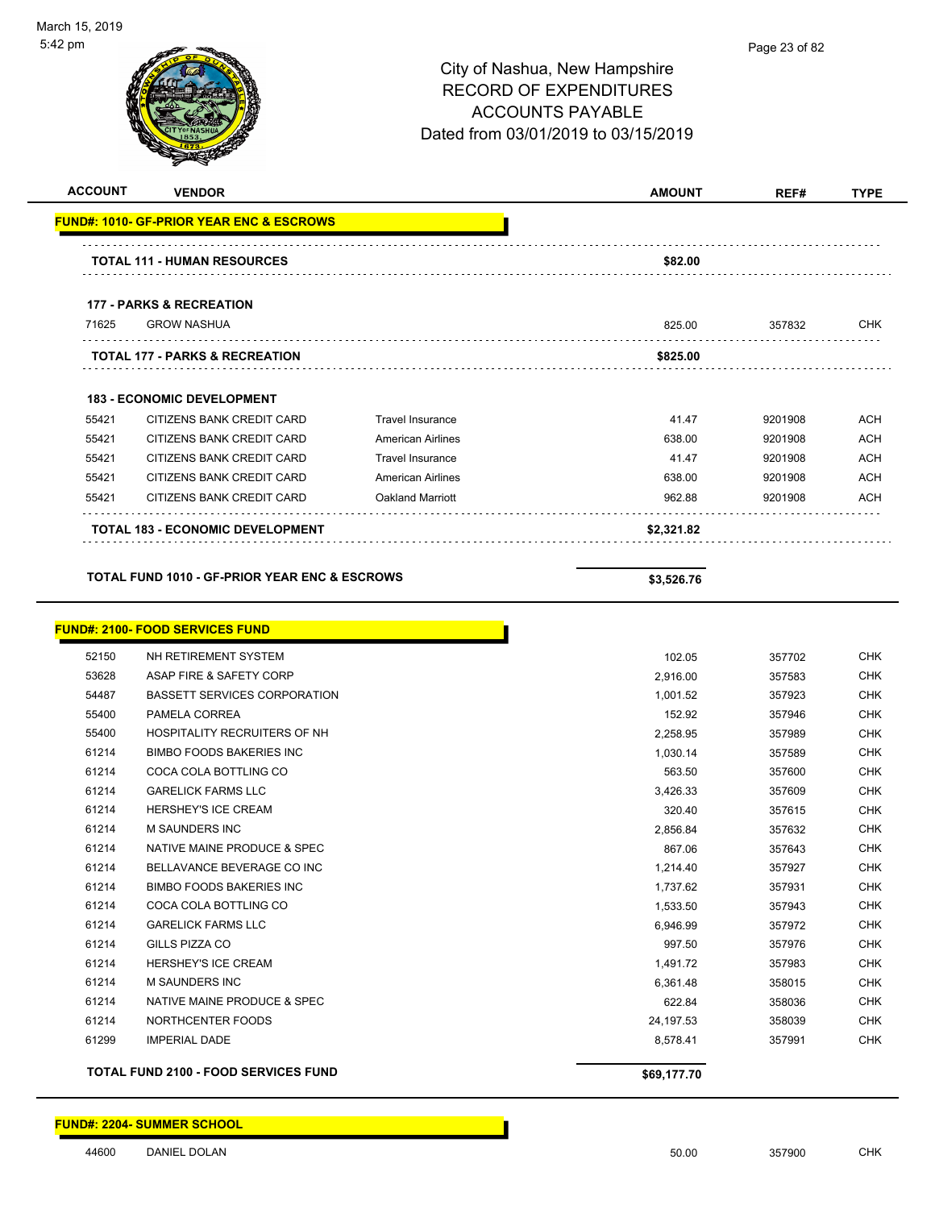| City of Nashua, New Hampshire       |
|-------------------------------------|
| RECORD OF EXPENDITURES              |
| ACCOUNTS PAYABLE                    |
| Dated from 03/01/2019 to 03/15/2019 |

| <b>ACCOUNT</b> | <b>VENDOR</b>                                            |                          | <b>AMOUNT</b> | REF#    | <b>TYPE</b> |
|----------------|----------------------------------------------------------|--------------------------|---------------|---------|-------------|
|                | <b>FUND#: 1010- GF-PRIOR YEAR ENC &amp; ESCROWS</b>      |                          |               |         |             |
|                | <b>TOTAL 111 - HUMAN RESOURCES</b>                       |                          | \$82.00       |         |             |
|                |                                                          |                          |               |         |             |
|                | <b>177 - PARKS &amp; RECREATION</b>                      |                          |               |         |             |
| 71625          | <b>GROW NASHUA</b>                                       |                          | 825.00        | 357832  | <b>CHK</b>  |
|                | <b>TOTAL 177 - PARKS &amp; RECREATION</b>                |                          | \$825.00      |         |             |
|                | <b>183 - ECONOMIC DEVELOPMENT</b>                        |                          |               |         |             |
| 55421          | CITIZENS BANK CREDIT CARD                                | <b>Travel Insurance</b>  | 41.47         | 9201908 | ACH         |
| 55421          | CITIZENS BANK CREDIT CARD                                | <b>American Airlines</b> | 638.00        | 9201908 | <b>ACH</b>  |
| 55421          | CITIZENS BANK CREDIT CARD                                | <b>Travel Insurance</b>  | 41.47         | 9201908 | <b>ACH</b>  |
| 55421          | CITIZENS BANK CREDIT CARD                                | <b>American Airlines</b> | 638.00        | 9201908 | <b>ACH</b>  |
| 55421          | CITIZENS BANK CREDIT CARD                                | Oakland Marriott         | 962.88        | 9201908 | ACH         |
|                | <b>TOTAL 183 - ECONOMIC DEVELOPMENT</b>                  |                          | \$2,321.82    |         |             |
|                |                                                          |                          |               |         |             |
|                | <b>TOTAL FUND 1010 - GF-PRIOR YEAR ENC &amp; ESCROWS</b> |                          | \$3,526.76    |         |             |
|                |                                                          |                          |               |         |             |
|                | <b>FUND#: 2100- FOOD SERVICES FUND</b>                   |                          |               |         |             |
| 52150          | NH RETIREMENT SYSTEM                                     |                          | 102.05        | 357702  | <b>CHK</b>  |
| 53628          | ASAP FIRE & SAFETY CORP                                  |                          | 2,916.00      | 357583  | <b>CHK</b>  |
| 54487          | BASSETT SERVICES CORPORATION                             |                          | 1,001.52      | 357923  | <b>CHK</b>  |
| 55400          | PAMELA CORREA                                            |                          | 152.92        | 357946  | <b>CHK</b>  |
| 55400          | HOSPITALITY RECRUITERS OF NH                             |                          | 2,258.95      | 357989  | <b>CHK</b>  |
| 61214          | <b>BIMBO FOODS BAKERIES INC</b>                          |                          | 1,030.14      | 357589  | <b>CHK</b>  |
| 61214          | COCA COLA BOTTLING CO                                    |                          | 563.50        | 357600  | <b>CHK</b>  |
| 61214          | <b>GARELICK FARMS LLC</b>                                |                          | 3,426.33      | 357609  | <b>CHK</b>  |
| 61214          | <b>HERSHEY'S ICE CREAM</b>                               |                          | 320.40        | 357615  | <b>CHK</b>  |
| 61214          | M SAUNDERS INC                                           |                          | 2,856.84      | 357632  | <b>CHK</b>  |
| 61214          | NATIVE MAINE PRODUCE & SPEC                              |                          | 867.06        | 357643  | <b>CHK</b>  |
| 61214          | BELLAVANCE BEVERAGE CO INC                               |                          | 1,214.40      | 357927  | CHK         |
| 61214          | <b>BIMBO FOODS BAKERIES INC</b>                          |                          | 1,737.62      | 357931  | <b>CHK</b>  |
| 61214          | COCA COLA BOTTLING CO                                    |                          | 1,533.50      | 357943  | <b>CHK</b>  |
| 61214          | <b>GARELICK FARMS LLC</b>                                |                          | 6,946.99      | 357972  | <b>CHK</b>  |
| 61214          | GILLS PIZZA CO                                           |                          | 997.50        | 357976  | <b>CHK</b>  |
| 61214          | HERSHEY'S ICE CREAM                                      |                          | 1,491.72      | 357983  | <b>CHK</b>  |
| 61214          | <b>M SAUNDERS INC</b>                                    |                          | 6,361.48      | 358015  | CHK         |
| 61214          | NATIVE MAINE PRODUCE & SPEC                              |                          | 622.84        | 358036  | <b>CHK</b>  |
| 61214          | NORTHCENTER FOODS                                        |                          | 24,197.53     | 358039  | <b>CHK</b>  |
| 61299          | <b>IMPERIAL DADE</b>                                     |                          | 8,578.41      | 357991  | <b>CHK</b>  |
|                | <b>TOTAL FUND 2100 - FOOD SERVICES FUND</b>              |                          | \$69,177.70   |         |             |

**FUND#: 2204- SUMMER SCHOOL**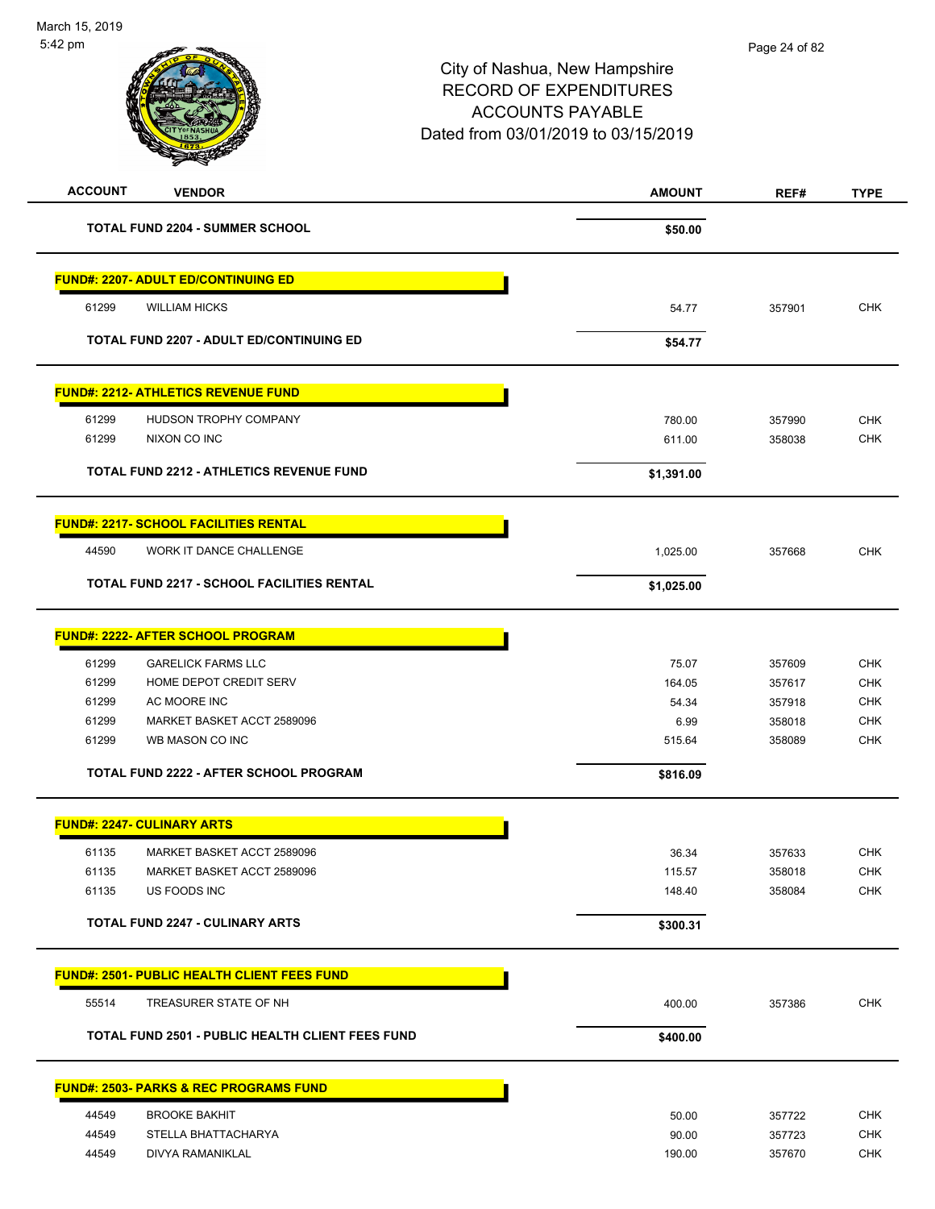| <b>ACCOUNT</b><br><b>VENDOR</b>                         | <b>AMOUNT</b> | REF#   | <b>TYPE</b> |
|---------------------------------------------------------|---------------|--------|-------------|
| <b>TOTAL FUND 2204 - SUMMER SCHOOL</b>                  | \$50.00       |        |             |
| <b>FUND#: 2207- ADULT ED/CONTINUING ED</b>              |               |        |             |
| 61299<br><b>WILLIAM HICKS</b>                           | 54.77         | 357901 | <b>CHK</b>  |
| <b>TOTAL FUND 2207 - ADULT ED/CONTINUING ED</b>         | \$54.77       |        |             |
| <b>FUND#: 2212- ATHLETICS REVENUE FUND</b>              |               |        |             |
| 61299<br>HUDSON TROPHY COMPANY                          | 780.00        | 357990 | <b>CHK</b>  |
| 61299<br>NIXON CO INC                                   | 611.00        | 358038 | <b>CHK</b>  |
| TOTAL FUND 2212 - ATHLETICS REVENUE FUND                | \$1,391.00    |        |             |
| <b>FUND#: 2217- SCHOOL FACILITIES RENTAL</b>            |               |        |             |
| WORK IT DANCE CHALLENGE<br>44590                        | 1,025.00      | 357668 | <b>CHK</b>  |
| <b>TOTAL FUND 2217 - SCHOOL FACILITIES RENTAL</b>       | \$1,025.00    |        |             |
| <b>FUND#: 2222- AFTER SCHOOL PROGRAM</b>                |               |        |             |
| 61299<br><b>GARELICK FARMS LLC</b>                      | 75.07         | 357609 | <b>CHK</b>  |
| 61299<br>HOME DEPOT CREDIT SERV                         | 164.05        | 357617 | <b>CHK</b>  |
| 61299<br>AC MOORE INC                                   | 54.34         | 357918 | <b>CHK</b>  |
| 61299<br>MARKET BASKET ACCT 2589096                     | 6.99          | 358018 | <b>CHK</b>  |
| 61299<br>WB MASON CO INC                                | 515.64        | 358089 | <b>CHK</b>  |
| TOTAL FUND 2222 - AFTER SCHOOL PROGRAM                  | \$816.09      |        |             |
| <b>FUND#: 2247- CULINARY ARTS</b>                       |               |        |             |
| 61135<br>MARKET BASKET ACCT 2589096                     | 36.34         | 357633 | <b>CHK</b>  |
| 61135<br>MARKET BASKET ACCT 2589096                     | 115.57        | 358018 | CHK         |
| 61135<br>US FOODS INC                                   | 148.40        | 358084 | <b>CHK</b>  |
| <b>TOTAL FUND 2247 - CULINARY ARTS</b>                  | \$300.31      |        |             |
| <b>FUND#: 2501- PUBLIC HEALTH CLIENT FEES FUND</b>      |               |        |             |
| 55514<br>TREASURER STATE OF NH                          | 400.00        | 357386 | <b>CHK</b>  |
| <b>TOTAL FUND 2501 - PUBLIC HEALTH CLIENT FEES FUND</b> | \$400.00      |        |             |
| <b>FUND#: 2503- PARKS &amp; REC PROGRAMS FUND</b>       |               |        |             |
| 44549<br><b>BROOKE BAKHIT</b>                           | 50.00         | 357722 | <b>CHK</b>  |
| 44549<br>STELLA BHATTACHARYA                            | 90.00         | 357723 | <b>CHK</b>  |
| 44549<br>DIVYA RAMANIKLAL                               | 190.00        | 357670 | <b>CHK</b>  |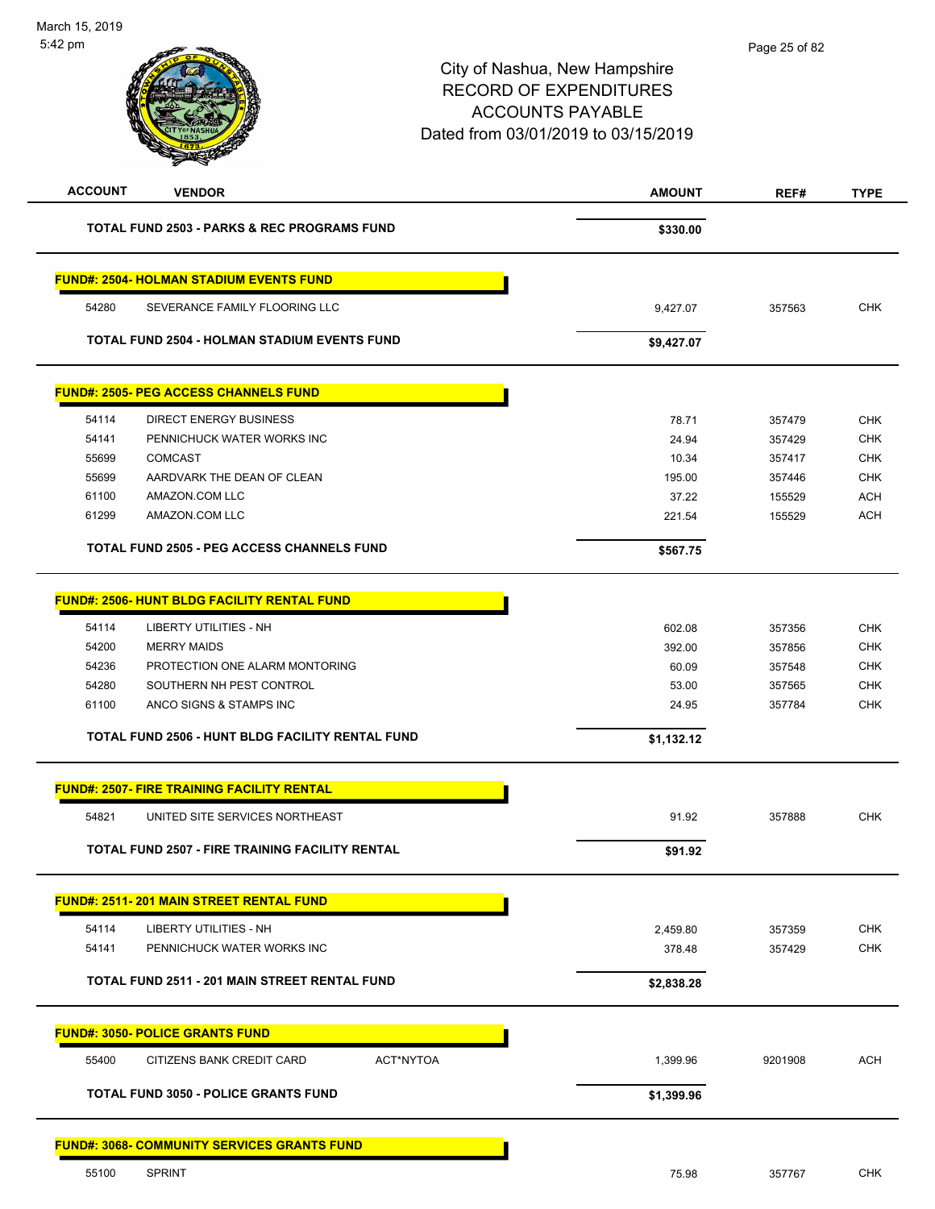| <b>ACCOUNT</b> | <b>VENDOR</b>                                           | <b>AMOUNT</b> | REF#    | <b>TYPE</b> |
|----------------|---------------------------------------------------------|---------------|---------|-------------|
|                | <b>TOTAL FUND 2503 - PARKS &amp; REC PROGRAMS FUND</b>  | \$330.00      |         |             |
|                | <b>FUND#: 2504- HOLMAN STADIUM EVENTS FUND</b>          |               |         |             |
| 54280          | SEVERANCE FAMILY FLOORING LLC                           | 9,427.07      | 357563  | <b>CHK</b>  |
|                | <b>TOTAL FUND 2504 - HOLMAN STADIUM EVENTS FUND</b>     | \$9,427.07    |         |             |
|                | <u> FUND#: 2505- PEG ACCESS CHANNELS FUND</u>           |               |         |             |
| 54114          | DIRECT ENERGY BUSINESS                                  | 78.71         | 357479  | <b>CHK</b>  |
| 54141          | PENNICHUCK WATER WORKS INC                              | 24.94         | 357429  | <b>CHK</b>  |
| 55699          | <b>COMCAST</b>                                          | 10.34         | 357417  | <b>CHK</b>  |
| 55699          | AARDVARK THE DEAN OF CLEAN                              | 195.00        | 357446  | <b>CHK</b>  |
| 61100          | AMAZON.COM LLC                                          | 37.22         | 155529  | <b>ACH</b>  |
| 61299          | AMAZON.COM LLC                                          | 221.54        | 155529  | <b>ACH</b>  |
|                | <b>TOTAL FUND 2505 - PEG ACCESS CHANNELS FUND</b>       | \$567.75      |         |             |
|                | <b>FUND#: 2506- HUNT BLDG FACILITY RENTAL FUND</b>      |               |         |             |
| 54114          | LIBERTY UTILITIES - NH                                  | 602.08        | 357356  | <b>CHK</b>  |
| 54200          | <b>MERRY MAIDS</b>                                      | 392.00        | 357856  | <b>CHK</b>  |
| 54236          | PROTECTION ONE ALARM MONTORING                          | 60.09         | 357548  | <b>CHK</b>  |
| 54280          | SOUTHERN NH PEST CONTROL                                | 53.00         | 357565  | <b>CHK</b>  |
| 61100          | ANCO SIGNS & STAMPS INC                                 | 24.95         | 357784  | <b>CHK</b>  |
|                | <b>TOTAL FUND 2506 - HUNT BLDG FACILITY RENTAL FUND</b> | \$1,132.12    |         |             |
|                | <b>FUND#: 2507- FIRE TRAINING FACILITY RENTAL</b>       |               |         |             |
| 54821          | UNITED SITE SERVICES NORTHEAST                          | 91.92         | 357888  | <b>CHK</b>  |
|                |                                                         |               |         |             |
|                | <b>TOTAL FUND 2507 - FIRE TRAINING FACILITY RENTAL</b>  | \$91.92       |         |             |
|                | <b>FUND#: 2511-201 MAIN STREET RENTAL FUND</b>          |               |         |             |
| 54114          | <b>LIBERTY UTILITIES - NH</b>                           | 2,459.80      | 357359  | <b>CHK</b>  |
| 54141          | PENNICHUCK WATER WORKS INC                              | 378.48        | 357429  | CHK         |
|                | <b>TOTAL FUND 2511 - 201 MAIN STREET RENTAL FUND</b>    | \$2,838.28    |         |             |
|                | <u> FUND#: 3050- POLICE GRANTS FUND</u>                 |               |         |             |
| 55400          | <b>ACT*NYTOA</b><br>CITIZENS BANK CREDIT CARD           | 1,399.96      | 9201908 | ACH         |
|                | <b>TOTAL FUND 3050 - POLICE GRANTS FUND</b>             | \$1,399.96    |         |             |
|                | <u> FUND#: 3068- COMMUNITY SERVICES GRANTS FUND</u>     |               |         |             |
|                |                                                         |               |         |             |
| 55100          | <b>SPRINT</b>                                           | 75.98         | 357767  | <b>CHK</b>  |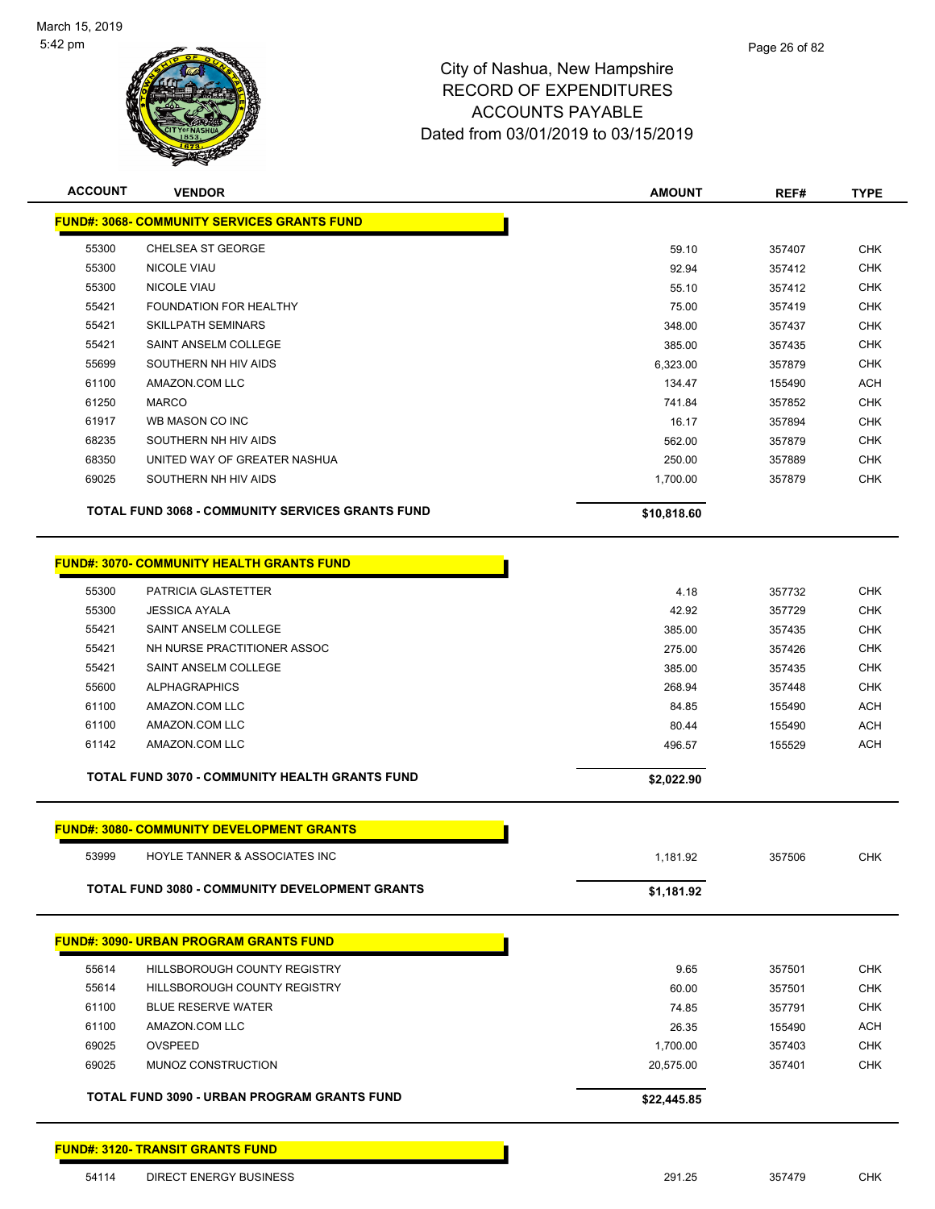

| <b>ACCOUNT</b> | <b>VENDOR</b>                                           | <b>AMOUNT</b>   | REF#             | <b>TYPE</b>              |
|----------------|---------------------------------------------------------|-----------------|------------------|--------------------------|
|                | <b>FUND#: 3068- COMMUNITY SERVICES GRANTS FUND</b>      |                 |                  |                          |
| 55300          | CHELSEA ST GEORGE                                       | 59.10           | 357407           | <b>CHK</b>               |
| 55300          | <b>NICOLE VIAU</b>                                      | 92.94           | 357412           | <b>CHK</b>               |
| 55300          | <b>NICOLE VIAU</b>                                      | 55.10           | 357412           | <b>CHK</b>               |
| 55421          | <b>FOUNDATION FOR HEALTHY</b>                           | 75.00           | 357419           | <b>CHK</b>               |
| 55421          | <b>SKILLPATH SEMINARS</b>                               | 348.00          | 357437           | <b>CHK</b>               |
| 55421          | SAINT ANSELM COLLEGE                                    | 385.00          | 357435           | <b>CHK</b>               |
| 55699          | SOUTHERN NH HIV AIDS                                    | 6,323.00        | 357879           | <b>CHK</b>               |
| 61100          | AMAZON.COM LLC                                          | 134.47          | 155490           | ACH                      |
| 61250          | <b>MARCO</b>                                            | 741.84          | 357852           | <b>CHK</b>               |
| 61917          | WB MASON CO INC                                         | 16.17           | 357894           | <b>CHK</b>               |
| 68235          | SOUTHERN NH HIV AIDS                                    | 562.00          | 357879           | <b>CHK</b>               |
| 68350          | UNITED WAY OF GREATER NASHUA                            | 250.00          | 357889           | <b>CHK</b>               |
| 69025          | SOUTHERN NH HIV AIDS                                    | 1,700.00        | 357879           | <b>CHK</b>               |
|                | <b>TOTAL FUND 3068 - COMMUNITY SERVICES GRANTS FUND</b> | \$10,818.60     |                  |                          |
|                | <b>FUND#: 3070- COMMUNITY HEALTH GRANTS FUND</b>        |                 |                  |                          |
|                |                                                         |                 |                  |                          |
| 55300          | PATRICIA GLASTETTER                                     | 4.18            | 357732           | <b>CHK</b>               |
| 55300          | <b>JESSICA AYALA</b>                                    | 42.92           | 357729           | <b>CHK</b>               |
| 55421          | SAINT ANSELM COLLEGE                                    | 385.00          | 357435           | <b>CHK</b>               |
| 55421          | NH NURSE PRACTITIONER ASSOC                             | 275.00          | 357426           | <b>CHK</b>               |
| 55421<br>55600 | SAINT ANSELM COLLEGE<br><b>ALPHAGRAPHICS</b>            | 385.00          | 357435           | <b>CHK</b><br><b>CHK</b> |
| 61100          | AMAZON.COM LLC                                          | 268.94<br>84.85 | 357448<br>155490 | ACH                      |
| 61100          | AMAZON.COM LLC                                          |                 |                  | <b>ACH</b>               |
| 61142          | AMAZON.COM LLC                                          | 80.44<br>496.57 | 155490<br>155529 | ACH                      |
|                |                                                         |                 |                  |                          |
|                | TOTAL FUND 3070 - COMMUNITY HEALTH GRANTS FUND          | \$2,022.90      |                  |                          |
|                | <b>FUND#: 3080- COMMUNITY DEVELOPMENT GRANTS</b>        |                 |                  |                          |
| 53999          | HOYLE TANNER & ASSOCIATES INC                           | 1,181.92        | 357506           | CHK                      |
|                | TOTAL FUND 3080 - COMMUNITY DEVELOPMENT GRANTS          | \$1,181.92      |                  |                          |
|                | <b>FUND#: 3090- URBAN PROGRAM GRANTS FUND</b>           |                 |                  |                          |
|                |                                                         |                 |                  |                          |
| 55614          | HILLSBOROUGH COUNTY REGISTRY                            | 9.65            | 357501           | <b>CHK</b>               |
| 55614          | HILLSBOROUGH COUNTY REGISTRY                            | 60.00           | 357501           | <b>CHK</b>               |
| 61100          | <b>BLUE RESERVE WATER</b>                               | 74.85           | 357791           | <b>CHK</b>               |
| 61100          | AMAZON.COM LLC<br><b>OVSPEED</b>                        | 26.35           | 155490           | ACH                      |
| 69025<br>69025 | MUNOZ CONSTRUCTION                                      | 1,700.00        | 357403           | <b>CHK</b><br><b>CHK</b> |
|                |                                                         | 20,575.00       | 357401           |                          |
|                | TOTAL FUND 3090 - URBAN PROGRAM GRANTS FUND             | \$22,445.85     |                  |                          |
|                |                                                         |                 |                  |                          |

#### **FUND#: 3120- TRANSIT GRANTS FUND**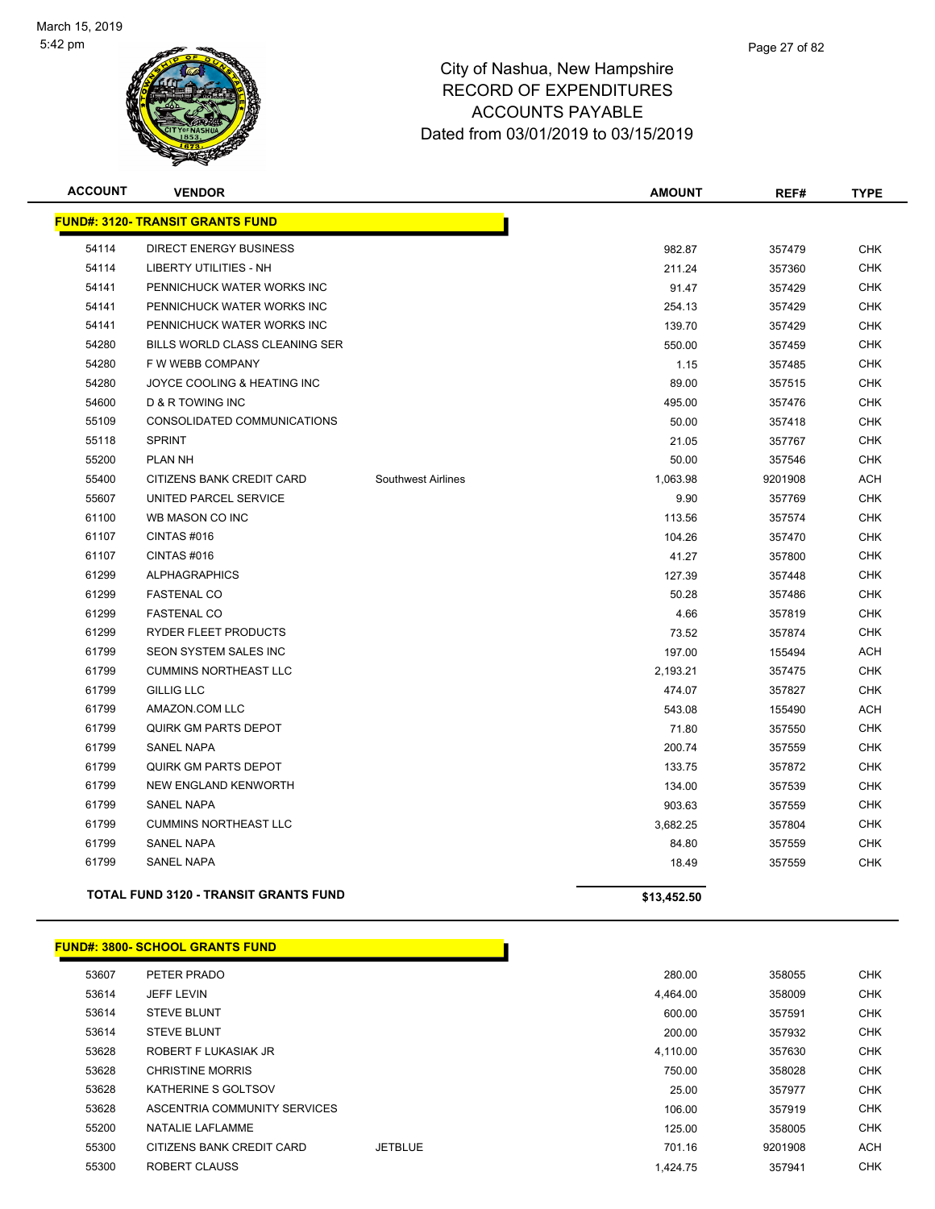

| <b>ACCOUNT</b> | <b>VENDOR</b>                                |                    | <b>AMOUNT</b> | REF#    | <b>TYPE</b> |
|----------------|----------------------------------------------|--------------------|---------------|---------|-------------|
|                | <b>FUND#: 3120- TRANSIT GRANTS FUND</b>      |                    |               |         |             |
| 54114          | <b>DIRECT ENERGY BUSINESS</b>                |                    | 982.87        | 357479  | <b>CHK</b>  |
| 54114          | LIBERTY UTILITIES - NH                       |                    | 211.24        | 357360  | <b>CHK</b>  |
| 54141          | PENNICHUCK WATER WORKS INC                   |                    | 91.47         | 357429  | <b>CHK</b>  |
| 54141          | PENNICHUCK WATER WORKS INC                   |                    | 254.13        | 357429  | <b>CHK</b>  |
| 54141          | PENNICHUCK WATER WORKS INC                   |                    | 139.70        | 357429  | <b>CHK</b>  |
| 54280          | BILLS WORLD CLASS CLEANING SER               |                    | 550.00        | 357459  | <b>CHK</b>  |
| 54280          | F W WEBB COMPANY                             |                    | 1.15          | 357485  | <b>CHK</b>  |
| 54280          | JOYCE COOLING & HEATING INC                  |                    | 89.00         | 357515  | <b>CHK</b>  |
| 54600          | D & R TOWING INC                             |                    | 495.00        | 357476  | <b>CHK</b>  |
| 55109          | CONSOLIDATED COMMUNICATIONS                  |                    | 50.00         | 357418  | <b>CHK</b>  |
| 55118          | <b>SPRINT</b>                                |                    | 21.05         | 357767  | <b>CHK</b>  |
| 55200          | <b>PLAN NH</b>                               |                    | 50.00         | 357546  | <b>CHK</b>  |
| 55400          | CITIZENS BANK CREDIT CARD                    | Southwest Airlines | 1,063.98      | 9201908 | <b>ACH</b>  |
| 55607          | UNITED PARCEL SERVICE                        |                    | 9.90          | 357769  | <b>CHK</b>  |
| 61100          | WB MASON CO INC                              |                    | 113.56        | 357574  | <b>CHK</b>  |
| 61107          | CINTAS #016                                  |                    | 104.26        | 357470  | <b>CHK</b>  |
| 61107          | CINTAS#016                                   |                    | 41.27         | 357800  | <b>CHK</b>  |
| 61299          | <b>ALPHAGRAPHICS</b>                         |                    | 127.39        | 357448  | <b>CHK</b>  |
| 61299          | <b>FASTENAL CO</b>                           |                    | 50.28         | 357486  | <b>CHK</b>  |
| 61299          | <b>FASTENAL CO</b>                           |                    | 4.66          | 357819  | <b>CHK</b>  |
| 61299          | RYDER FLEET PRODUCTS                         |                    | 73.52         | 357874  | <b>CHK</b>  |
| 61799          | SEON SYSTEM SALES INC                        |                    | 197.00        | 155494  | <b>ACH</b>  |
| 61799          | <b>CUMMINS NORTHEAST LLC</b>                 |                    | 2,193.21      | 357475  | <b>CHK</b>  |
| 61799          | <b>GILLIG LLC</b>                            |                    | 474.07        | 357827  | <b>CHK</b>  |
| 61799          | AMAZON.COM LLC                               |                    | 543.08        | 155490  | <b>ACH</b>  |
| 61799          | <b>QUIRK GM PARTS DEPOT</b>                  |                    | 71.80         | 357550  | <b>CHK</b>  |
| 61799          | <b>SANEL NAPA</b>                            |                    | 200.74        | 357559  | <b>CHK</b>  |
| 61799          | <b>QUIRK GM PARTS DEPOT</b>                  |                    | 133.75        | 357872  | <b>CHK</b>  |
| 61799          | NEW ENGLAND KENWORTH                         |                    | 134.00        | 357539  | <b>CHK</b>  |
| 61799          | <b>SANEL NAPA</b>                            |                    | 903.63        | 357559  | <b>CHK</b>  |
| 61799          | <b>CUMMINS NORTHEAST LLC</b>                 |                    | 3,682.25      | 357804  | <b>CHK</b>  |
| 61799          | <b>SANEL NAPA</b>                            |                    | 84.80         | 357559  | <b>CHK</b>  |
| 61799          | <b>SANEL NAPA</b>                            |                    | 18.49         | 357559  | <b>CHK</b>  |
|                | <b>TOTAL FUND 3120 - TRANSIT GRANTS FUND</b> |                    | \$13,452.50   |         |             |

#### **FUND#: 3800- SCHOOL GRANTS FUND**

| 53607 | PETER PRADO                  |                | 280.00   | 358055  | <b>CHK</b> |
|-------|------------------------------|----------------|----------|---------|------------|
| 53614 | <b>JEFF LEVIN</b>            |                | 4.464.00 | 358009  | <b>CHK</b> |
| 53614 | <b>STEVE BLUNT</b>           |                | 600.00   | 357591  | <b>CHK</b> |
| 53614 | <b>STEVE BLUNT</b>           |                | 200.00   | 357932  | <b>CHK</b> |
| 53628 | ROBERT F LUKASIAK JR         |                | 4,110.00 | 357630  | <b>CHK</b> |
| 53628 | <b>CHRISTINE MORRIS</b>      |                | 750.00   | 358028  | <b>CHK</b> |
| 53628 | KATHERINE S GOLTSOV          |                | 25.00    | 357977  | <b>CHK</b> |
| 53628 | ASCENTRIA COMMUNITY SERVICES |                | 106.00   | 357919  | <b>CHK</b> |
| 55200 | NATALIE LAFLAMME             |                | 125.00   | 358005  | <b>CHK</b> |
| 55300 | CITIZENS BANK CREDIT CARD    | <b>JETBLUE</b> | 701.16   | 9201908 | <b>ACH</b> |
| 55300 | ROBERT CLAUSS                |                | 1.424.75 | 357941  | <b>CHK</b> |
|       |                              |                |          |         |            |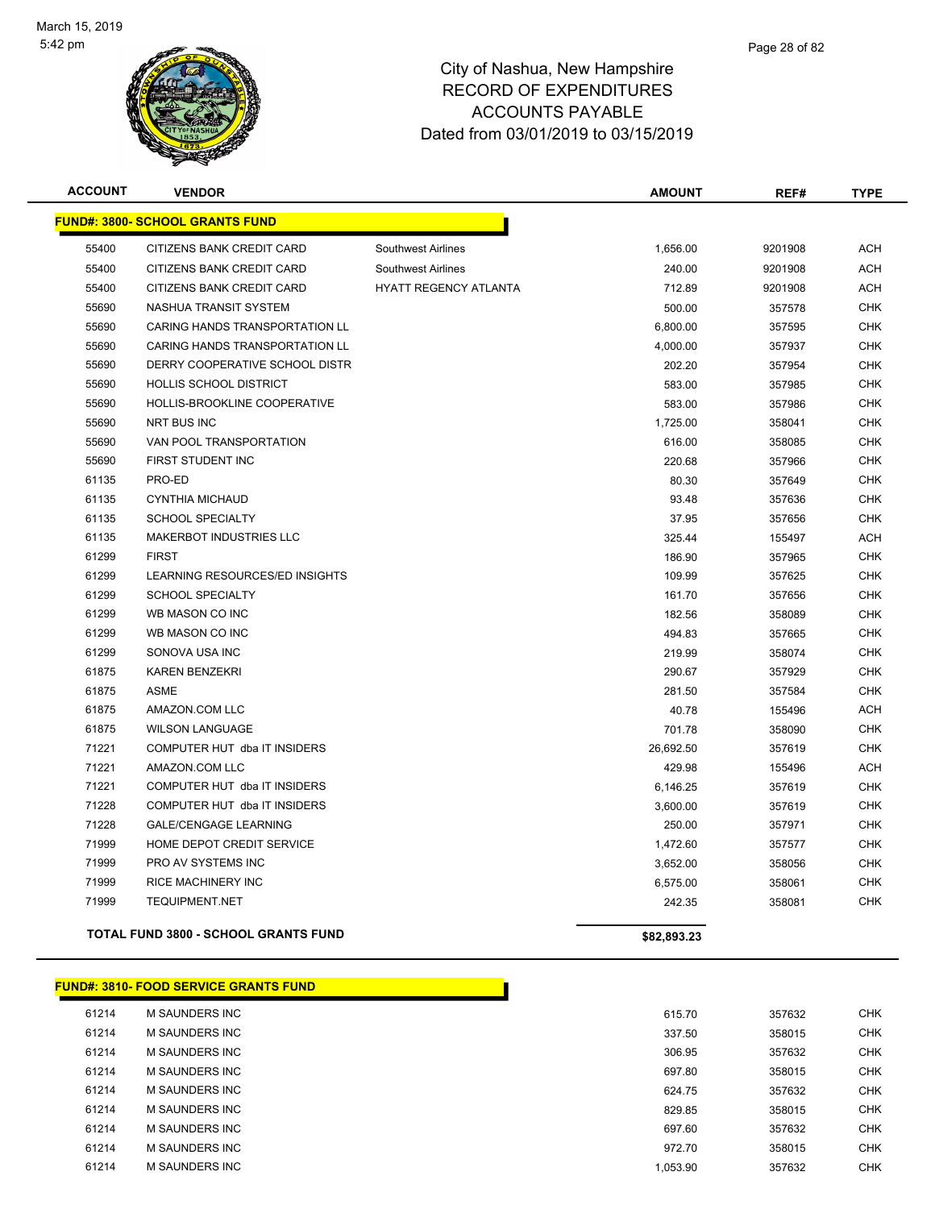

#### Page 28 of 82

### City of Nashua, New Hampshire RECORD OF EXPENDITURES ACCOUNTS PAYABLE Dated from 03/01/2019 to 03/15/2019

| <b>ACCOUNT</b> | <b>VENDOR</b>                               |                              | <b>AMOUNT</b> | REF#    | <b>TYPE</b> |
|----------------|---------------------------------------------|------------------------------|---------------|---------|-------------|
|                | <b>FUND#: 3800- SCHOOL GRANTS FUND</b>      |                              |               |         |             |
| 55400          | CITIZENS BANK CREDIT CARD                   | <b>Southwest Airlines</b>    | 1,656.00      | 9201908 | <b>ACH</b>  |
| 55400          | CITIZENS BANK CREDIT CARD                   | Southwest Airlines           | 240.00        | 9201908 | ACH         |
| 55400          | CITIZENS BANK CREDIT CARD                   | <b>HYATT REGENCY ATLANTA</b> | 712.89        | 9201908 | <b>ACH</b>  |
| 55690          | NASHUA TRANSIT SYSTEM                       |                              | 500.00        | 357578  | <b>CHK</b>  |
| 55690          | CARING HANDS TRANSPORTATION LL              |                              | 6,800.00      | 357595  | <b>CHK</b>  |
| 55690          | CARING HANDS TRANSPORTATION LL              |                              | 4,000.00      | 357937  | CHK         |
| 55690          | DERRY COOPERATIVE SCHOOL DISTR              |                              | 202.20        | 357954  | <b>CHK</b>  |
| 55690          | <b>HOLLIS SCHOOL DISTRICT</b>               |                              | 583.00        | 357985  | <b>CHK</b>  |
| 55690          | HOLLIS-BROOKLINE COOPERATIVE                |                              | 583.00        | 357986  | <b>CHK</b>  |
| 55690          | <b>NRT BUS INC</b>                          |                              | 1,725.00      | 358041  | <b>CHK</b>  |
| 55690          | VAN POOL TRANSPORTATION                     |                              | 616.00        | 358085  | <b>CHK</b>  |
| 55690          | FIRST STUDENT INC                           |                              | 220.68        | 357966  | <b>CHK</b>  |
| 61135          | PRO-ED                                      |                              | 80.30         | 357649  | <b>CHK</b>  |
| 61135          | CYNTHIA MICHAUD                             |                              | 93.48         | 357636  | <b>CHK</b>  |
| 61135          | <b>SCHOOL SPECIALTY</b>                     |                              | 37.95         | 357656  | <b>CHK</b>  |
| 61135          | <b>MAKERBOT INDUSTRIES LLC</b>              |                              | 325.44        | 155497  | <b>ACH</b>  |
| 61299          | <b>FIRST</b>                                |                              | 186.90        | 357965  | <b>CHK</b>  |
| 61299          | LEARNING RESOURCES/ED INSIGHTS              |                              | 109.99        | 357625  | <b>CHK</b>  |
| 61299          | <b>SCHOOL SPECIALTY</b>                     |                              | 161.70        | 357656  | <b>CHK</b>  |
| 61299          | WB MASON CO INC                             |                              | 182.56        | 358089  | <b>CHK</b>  |
| 61299          | WB MASON CO INC                             |                              | 494.83        | 357665  | <b>CHK</b>  |
| 61299          | SONOVA USA INC                              |                              | 219.99        | 358074  | <b>CHK</b>  |
| 61875          | <b>KAREN BENZEKRI</b>                       |                              | 290.67        | 357929  | <b>CHK</b>  |
| 61875          | ASME                                        |                              | 281.50        | 357584  | <b>CHK</b>  |
| 61875          | AMAZON.COM LLC                              |                              | 40.78         | 155496  | <b>ACH</b>  |
| 61875          | <b>WILSON LANGUAGE</b>                      |                              | 701.78        | 358090  | <b>CHK</b>  |
| 71221          | COMPUTER HUT dba IT INSIDERS                |                              | 26,692.50     | 357619  | <b>CHK</b>  |
| 71221          | AMAZON.COM LLC                              |                              | 429.98        | 155496  | <b>ACH</b>  |
| 71221          | COMPUTER HUT dba IT INSIDERS                |                              | 6,146.25      | 357619  | <b>CHK</b>  |
| 71228          | COMPUTER HUT dba IT INSIDERS                |                              | 3,600.00      | 357619  | <b>CHK</b>  |
| 71228          | <b>GALE/CENGAGE LEARNING</b>                |                              | 250.00        | 357971  | <b>CHK</b>  |
| 71999          | HOME DEPOT CREDIT SERVICE                   |                              | 1,472.60      | 357577  | <b>CHK</b>  |
| 71999          | PRO AV SYSTEMS INC                          |                              | 3,652.00      | 358056  | <b>CHK</b>  |
| 71999          | RICE MACHINERY INC                          |                              | 6,575.00      | 358061  | <b>CHK</b>  |
| 71999          | <b>TEQUIPMENT.NET</b>                       |                              | 242.35        | 358081  | <b>CHK</b>  |
|                | <b>TOTAL FUND 3800 - SCHOOL GRANTS FUND</b> |                              | \$82,893.23   |         |             |

## **FUND#: 3810- FOOD SERVICE GRANTS FUND**

| 61214 | M SAUNDERS INC        |  |
|-------|-----------------------|--|
| 61214 | <b>M SAUNDERS INC</b> |  |
| 61214 | M SAUNDERS INC        |  |
| 61214 | <b>M SAUNDERS INC</b> |  |
| 61214 | <b>M SAUNDERS INC</b> |  |
| 61214 | <b>M SAUNDERS INC</b> |  |
| 61214 | <b>M SAUNDERS INC</b> |  |
| 61214 | M SAUNDERS INC        |  |
| 61214 | <b>M SAUNDERS INC</b> |  |
|       |                       |  |

n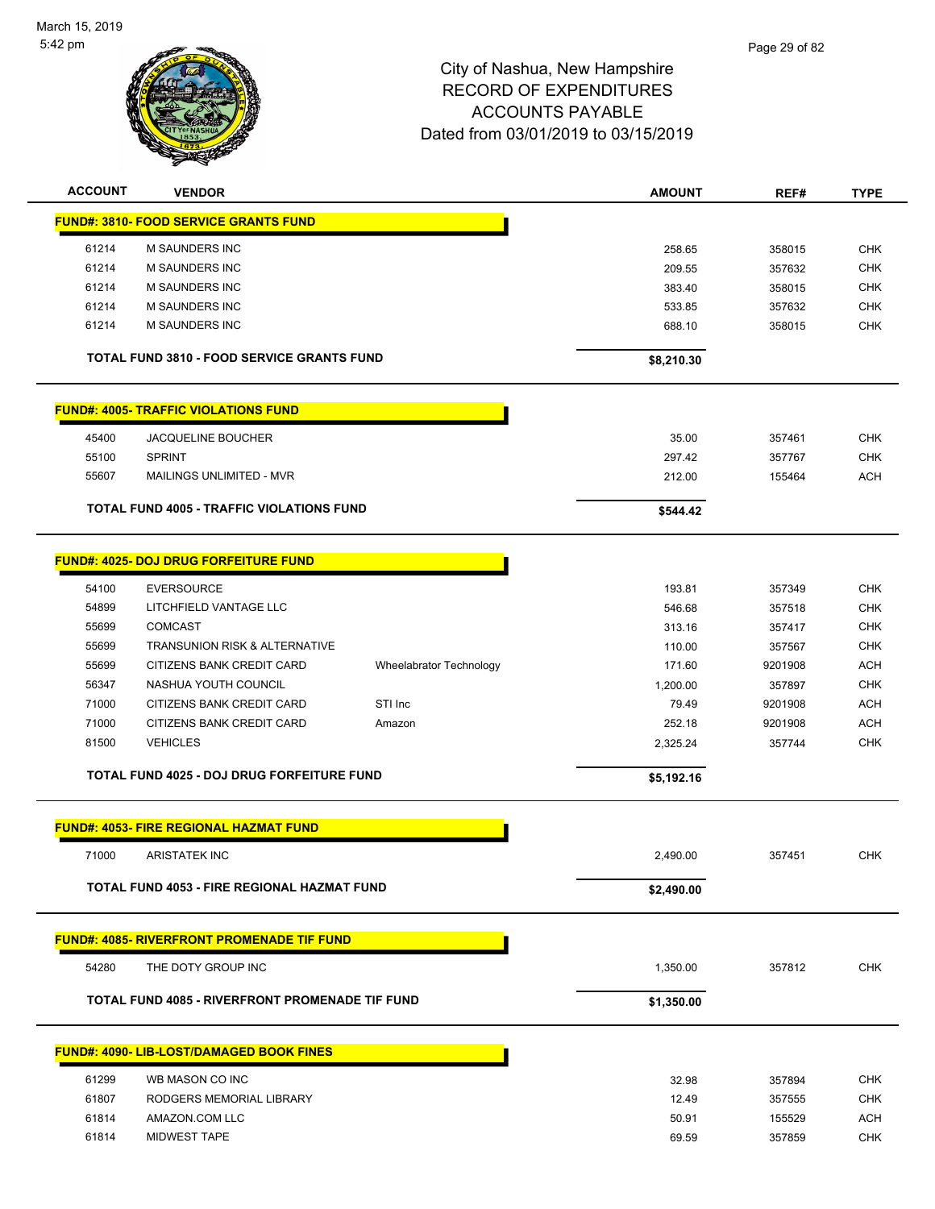

| <b>ACCOUNT</b> | <b>VENDOR</b>                                     |                         | <b>AMOUNT</b> | REF#    | <b>TYPE</b> |
|----------------|---------------------------------------------------|-------------------------|---------------|---------|-------------|
|                | <b>FUND#: 3810- FOOD SERVICE GRANTS FUND</b>      |                         |               |         |             |
| 61214          | M SAUNDERS INC                                    |                         | 258.65        | 358015  | <b>CHK</b>  |
| 61214          | <b>M SAUNDERS INC</b>                             |                         | 209.55        | 357632  | <b>CHK</b>  |
| 61214          | <b>M SAUNDERS INC</b>                             |                         | 383.40        | 358015  | <b>CHK</b>  |
| 61214          | <b>M SAUNDERS INC</b>                             |                         | 533.85        | 357632  | <b>CHK</b>  |
| 61214          | <b>M SAUNDERS INC</b>                             |                         | 688.10        | 358015  | <b>CHK</b>  |
|                |                                                   |                         |               |         |             |
|                | <b>TOTAL FUND 3810 - FOOD SERVICE GRANTS FUND</b> |                         | \$8,210.30    |         |             |
|                | <b>FUND#: 4005- TRAFFIC VIOLATIONS FUND</b>       |                         |               |         |             |
| 45400          | <b>JACQUELINE BOUCHER</b>                         |                         | 35.00         | 357461  | <b>CHK</b>  |
| 55100          | <b>SPRINT</b>                                     |                         | 297.42        | 357767  | <b>CHK</b>  |
| 55607          | MAILINGS UNLIMITED - MVR                          |                         | 212.00        | 155464  | <b>ACH</b>  |
|                | <b>TOTAL FUND 4005 - TRAFFIC VIOLATIONS FUND</b>  |                         | \$544.42      |         |             |
|                |                                                   |                         |               |         |             |
|                | <b>FUND#: 4025- DOJ DRUG FORFEITURE FUND</b>      |                         |               |         |             |
| 54100          | <b>EVERSOURCE</b>                                 |                         | 193.81        | 357349  | <b>CHK</b>  |
| 54899          | LITCHFIELD VANTAGE LLC                            |                         | 546.68        | 357518  | <b>CHK</b>  |
| 55699          | <b>COMCAST</b>                                    |                         | 313.16        | 357417  | <b>CHK</b>  |
| 55699          | TRANSUNION RISK & ALTERNATIVE                     |                         | 110.00        | 357567  | <b>CHK</b>  |
| 55699          | CITIZENS BANK CREDIT CARD                         | Wheelabrator Technology | 171.60        | 9201908 | <b>ACH</b>  |
| 56347          | NASHUA YOUTH COUNCIL                              |                         | 1,200.00      | 357897  | <b>CHK</b>  |
| 71000          | CITIZENS BANK CREDIT CARD                         | STI Inc                 | 79.49         | 9201908 | <b>ACH</b>  |
| 71000          | CITIZENS BANK CREDIT CARD                         | Amazon                  | 252.18        | 9201908 | <b>ACH</b>  |
| 81500          | <b>VEHICLES</b>                                   |                         | 2,325.24      | 357744  | <b>CHK</b>  |
|                | <b>TOTAL FUND 4025 - DOJ DRUG FORFEITURE FUND</b> |                         | \$5,192.16    |         |             |
|                |                                                   |                         |               |         |             |
|                | <b>FUND#: 4053- FIRE REGIONAL HAZMAT FUND</b>     |                         |               |         |             |
| 71000          | <b>ARISTATEK INC</b>                              |                         | 2,490.00      | 357451  | <b>CHK</b>  |
|                | TOTAL FUND 4053 - FIRE REGIONAL HAZMAT FUND       |                         | \$2,490.00    |         |             |
|                | <b>FUND#: 4085- RIVERFRONT PROMENADE TIF FUND</b> |                         |               |         |             |
| 54280          | THE DOTY GROUP INC                                |                         | 1,350.00      | 357812  | <b>CHK</b>  |
|                | TOTAL FUND 4085 - RIVERFRONT PROMENADE TIF FUND   |                         |               |         |             |
|                |                                                   |                         | \$1,350.00    |         |             |
|                | <b>FUND#: 4090- LIB-LOST/DAMAGED BOOK FINES</b>   |                         |               |         |             |
| 61299          | WB MASON CO INC                                   |                         | 32.98         | 357894  | <b>CHK</b>  |
| 61807          | RODGERS MEMORIAL LIBRARY                          |                         | 12.49         | 357555  | <b>CHK</b>  |
| 61814          | AMAZON.COM LLC                                    |                         | 50.91         | 155529  | <b>ACH</b>  |
| 61814          | <b>MIDWEST TAPE</b>                               |                         | 69.59         | 357859  | <b>CHK</b>  |
|                |                                                   |                         |               |         |             |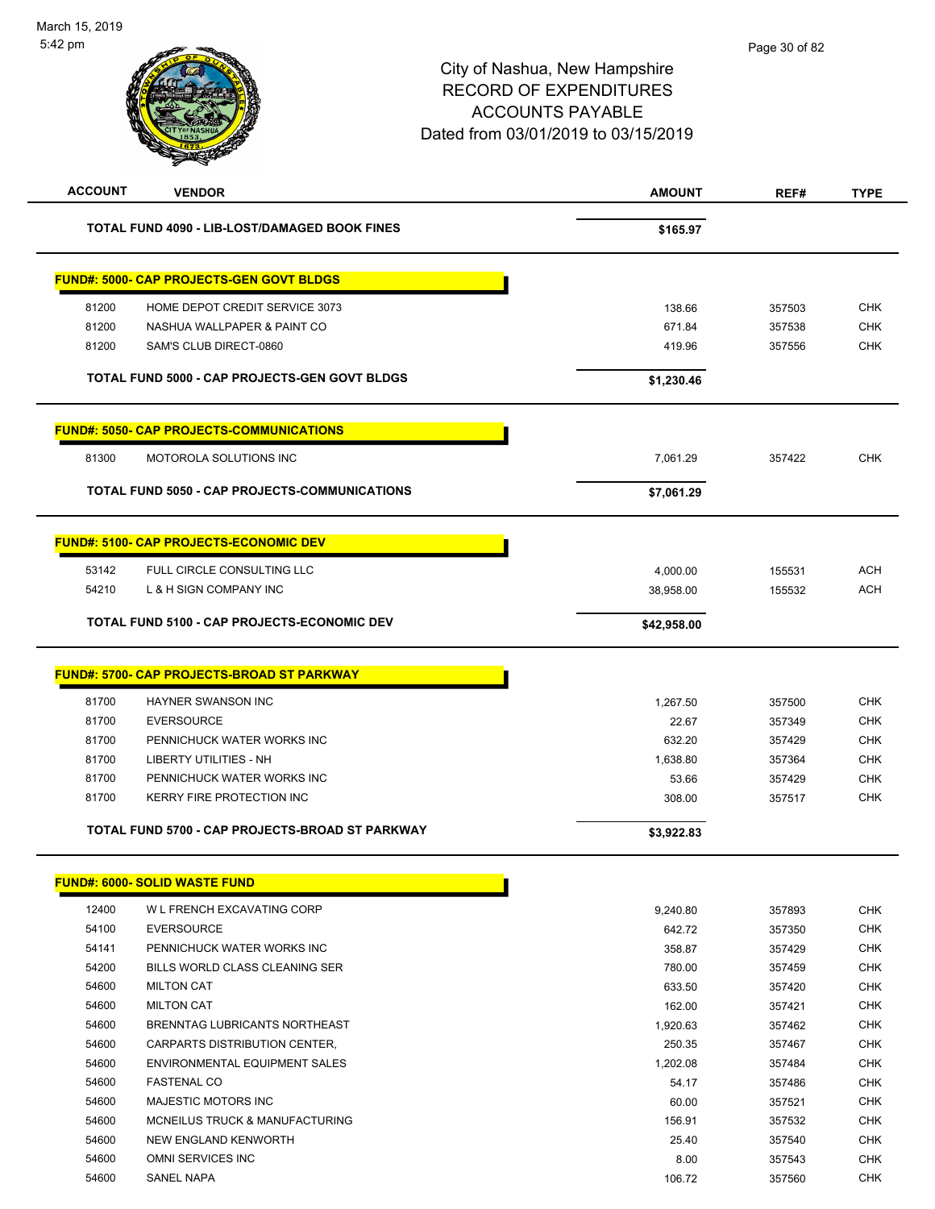| <b>ACCOUNT</b> | <b>VENDOR</b>                                        | <b>AMOUNT</b> | REF#   | <b>TYPE</b> |
|----------------|------------------------------------------------------|---------------|--------|-------------|
|                | TOTAL FUND 4090 - LIB-LOST/DAMAGED BOOK FINES        | \$165.97      |        |             |
|                | <b>FUND#: 5000- CAP PROJECTS-GEN GOVT BLDGS</b>      |               |        |             |
| 81200          | HOME DEPOT CREDIT SERVICE 3073                       | 138.66        | 357503 | <b>CHK</b>  |
| 81200          | NASHUA WALLPAPER & PAINT CO                          | 671.84        | 357538 | <b>CHK</b>  |
| 81200          | SAM'S CLUB DIRECT-0860                               | 419.96        | 357556 | <b>CHK</b>  |
|                | <b>TOTAL FUND 5000 - CAP PROJECTS-GEN GOVT BLDGS</b> | \$1,230.46    |        |             |
|                |                                                      |               |        |             |
|                | <b>FUND#: 5050- CAP PROJECTS-COMMUNICATIONS</b>      |               |        |             |
| 81300          | MOTOROLA SOLUTIONS INC                               | 7,061.29      | 357422 | <b>CHK</b>  |
|                | TOTAL FUND 5050 - CAP PROJECTS-COMMUNICATIONS        | \$7,061.29    |        |             |
|                | <b>FUND#: 5100- CAP PROJECTS-ECONOMIC DEV</b>        |               |        |             |
| 53142          | FULL CIRCLE CONSULTING LLC                           | 4,000.00      | 155531 | <b>ACH</b>  |
| 54210          | L & H SIGN COMPANY INC                               | 38,958.00     | 155532 | <b>ACH</b>  |
|                | <b>TOTAL FUND 5100 - CAP PROJECTS-ECONOMIC DEV</b>   | \$42,958.00   |        |             |
|                |                                                      |               |        |             |
|                | <b>FUND#: 5700- CAP PROJECTS-BROAD ST PARKWAY</b>    |               |        |             |
| 81700          | HAYNER SWANSON INC                                   | 1,267.50      | 357500 | <b>CHK</b>  |
| 81700          | <b>EVERSOURCE</b>                                    | 22.67         | 357349 | <b>CHK</b>  |
| 81700          | PENNICHUCK WATER WORKS INC                           | 632.20        | 357429 | <b>CHK</b>  |
| 81700          | <b>LIBERTY UTILITIES - NH</b>                        | 1,638.80      | 357364 | <b>CHK</b>  |
| 81700          | PENNICHUCK WATER WORKS INC                           | 53.66         | 357429 | <b>CHK</b>  |
| 81700          | <b>KERRY FIRE PROTECTION INC</b>                     | 308.00        | 357517 | <b>CHK</b>  |
|                | TOTAL FUND 5700 - CAP PROJECTS-BROAD ST PARKWAY      | \$3,922.83    |        |             |
|                | <b>FUND#: 6000- SOLID WASTE FUND</b>                 |               |        |             |
| 12400          | W L FRENCH EXCAVATING CORP                           | 9,240.80      | 357893 | <b>CHK</b>  |
| 54100          | <b>EVERSOURCE</b>                                    | 642.72        | 357350 | <b>CHK</b>  |
| 54141          | PENNICHUCK WATER WORKS INC                           | 358.87        | 357429 | <b>CHK</b>  |
| 54200          | BILLS WORLD CLASS CLEANING SER                       | 780.00        | 357459 | <b>CHK</b>  |
| 54600          | <b>MILTON CAT</b>                                    | 633.50        | 357420 | <b>CHK</b>  |
| 54600          | <b>MILTON CAT</b>                                    | 162.00        | 357421 | <b>CHK</b>  |
| 54600          | BRENNTAG LUBRICANTS NORTHEAST                        | 1,920.63      | 357462 | <b>CHK</b>  |
| 54600          | CARPARTS DISTRIBUTION CENTER,                        | 250.35        | 357467 | <b>CHK</b>  |
| 54600          | ENVIRONMENTAL EQUIPMENT SALES                        | 1,202.08      | 357484 | <b>CHK</b>  |
| 54600          | <b>FASTENAL CO</b>                                   | 54.17         | 357486 | <b>CHK</b>  |
| 54600          | MAJESTIC MOTORS INC                                  | 60.00         | 357521 | <b>CHK</b>  |
| 54600          | MCNEILUS TRUCK & MANUFACTURING                       | 156.91        | 357532 | <b>CHK</b>  |
| 54600          | NEW ENGLAND KENWORTH                                 | 25.40         | 357540 | <b>CHK</b>  |
| 54600          | OMNI SERVICES INC                                    | 8.00          | 357543 | <b>CHK</b>  |
| 54600          | SANEL NAPA                                           | 106.72        | 357560 | <b>CHK</b>  |
|                |                                                      |               |        |             |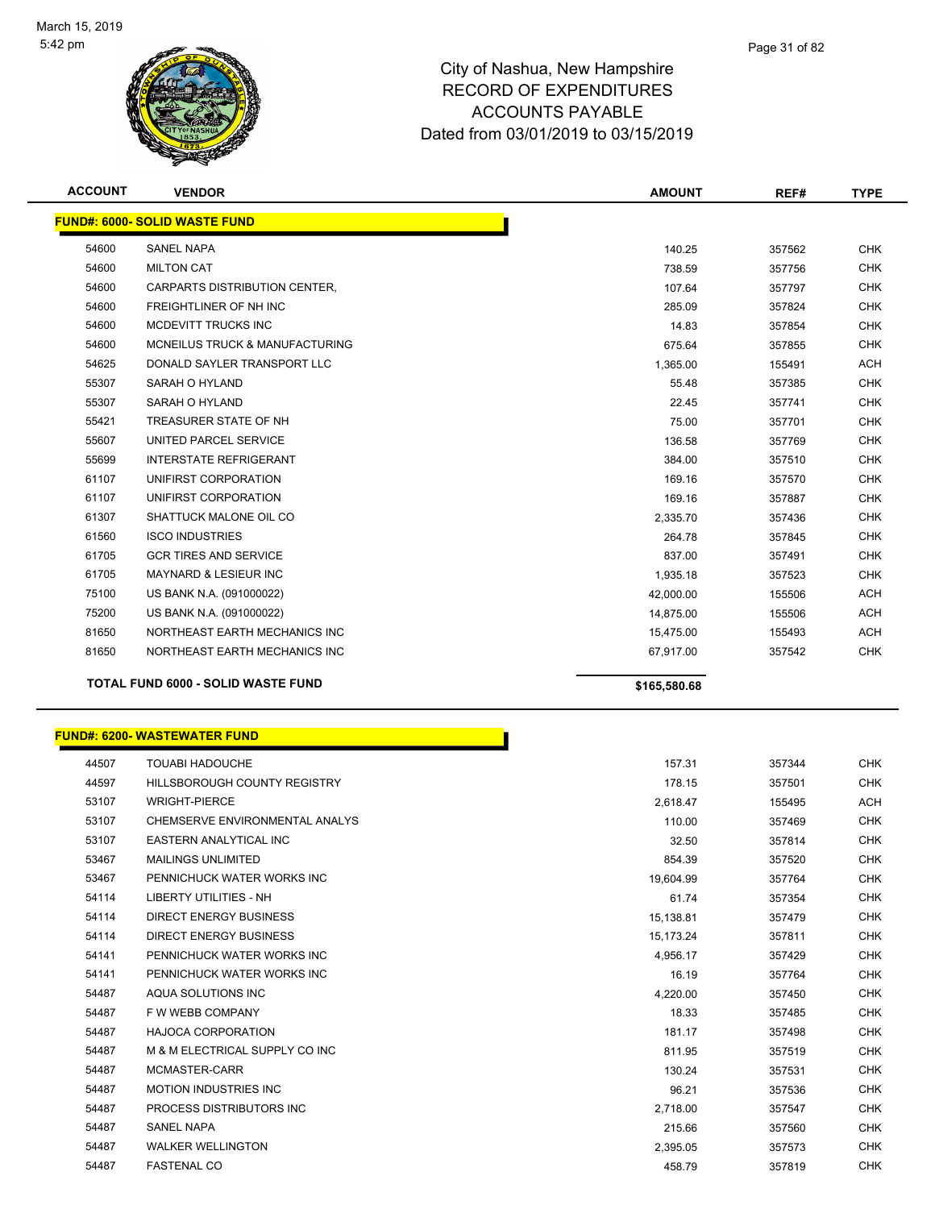

| <b>ACCOUNT</b> | <b>VENDOR</b>                             | <b>AMOUNT</b> | REF#   | <b>TYPE</b> |
|----------------|-------------------------------------------|---------------|--------|-------------|
|                | <b>FUND#: 6000- SOLID WASTE FUND</b>      |               |        |             |
| 54600          | <b>SANEL NAPA</b>                         | 140.25        | 357562 | <b>CHK</b>  |
| 54600          | <b>MILTON CAT</b>                         | 738.59        | 357756 | <b>CHK</b>  |
| 54600          | CARPARTS DISTRIBUTION CENTER,             | 107.64        | 357797 | <b>CHK</b>  |
| 54600          | FREIGHTLINER OF NH INC                    | 285.09        | 357824 | <b>CHK</b>  |
| 54600          | MCDEVITT TRUCKS INC                       | 14.83         | 357854 | <b>CHK</b>  |
| 54600          | MCNEILUS TRUCK & MANUFACTURING            | 675.64        | 357855 | <b>CHK</b>  |
| 54625          | DONALD SAYLER TRANSPORT LLC               | 1,365.00      | 155491 | <b>ACH</b>  |
| 55307          | <b>SARAH O HYLAND</b>                     | 55.48         | 357385 | <b>CHK</b>  |
| 55307          | SARAH O HYLAND                            | 22.45         | 357741 | <b>CHK</b>  |
| 55421          | TREASURER STATE OF NH                     | 75.00         | 357701 | <b>CHK</b>  |
| 55607          | UNITED PARCEL SERVICE                     | 136.58        | 357769 | <b>CHK</b>  |
| 55699          | <b>INTERSTATE REFRIGERANT</b>             | 384.00        | 357510 | <b>CHK</b>  |
| 61107          | UNIFIRST CORPORATION                      | 169.16        | 357570 | <b>CHK</b>  |
| 61107          | UNIFIRST CORPORATION                      | 169.16        | 357887 | <b>CHK</b>  |
| 61307          | SHATTUCK MALONE OIL CO                    | 2,335.70      | 357436 | <b>CHK</b>  |
| 61560          | <b>ISCO INDUSTRIES</b>                    | 264.78        | 357845 | <b>CHK</b>  |
| 61705          | <b>GCR TIRES AND SERVICE</b>              | 837.00        | 357491 | <b>CHK</b>  |
| 61705          | MAYNARD & LESIEUR INC                     | 1,935.18      | 357523 | <b>CHK</b>  |
| 75100          | US BANK N.A. (091000022)                  | 42,000.00     | 155506 | <b>ACH</b>  |
| 75200          | US BANK N.A. (091000022)                  | 14,875.00     | 155506 | <b>ACH</b>  |
| 81650          | NORTHEAST EARTH MECHANICS INC             | 15,475.00     | 155493 | <b>ACH</b>  |
| 81650          | NORTHEAST EARTH MECHANICS INC             | 67,917.00     | 357542 | <b>CHK</b>  |
|                | <b>TOTAL FUND 6000 - SOLID WASTE FUND</b> | \$165,580.68  |        |             |
|                | <b>FUND#: 6200- WASTEWATER FUND</b>       |               |        |             |

#### er and the state of the state of the state of the state of the state of the state of the state of the state of the state of the state of the state of the state of the state of the state of the state of the state of the sta And the set of the set of the set of the set of the set of the set of the set of the set of the set of the set of the set of the set of the set of the set of the set of the set of the set of the set of the set of the set o WRIGHT-PIERCE 2,618.47 155495 ACH CHEMSERVE ENVIRONMENTAL ANALYS 110.00 357469 CHK 53107 EASTERN ANALYTICAL INC **EASTERN ANALYTICAL INC Analyzis CHK** CHK MAILINGS UNLIMITED 854.39 357520 CHK 53467 PENNICHUCK WATER WORKS INC NEWSLEY AND RELEASED A SUMMON RELEASED A SUMMON RELEASED A SUMMON RELEASED A SUMMON RELEASED A SUMMON RELEASED A SUMMON RELEASED A SUMMON RELEASED A SUMMON RELEASED A SUMMON RELEASED A SUMM LIBERTY UTILITIES - NH 61.74 357354 CHK DIRECT ENERGY BUSINESS 15,138.81 357479 CHK DIRECT ENERGY BUSINESS 15,173.24 357811 CHK PENNICHUCK WATER WORKS INC 4,956.17 357429 CHK 54141 PENNICHUCK WATER WORKS INC **16.19** 357764 CHK AQUA SOLUTIONS INC 4,220.00 357450 CHK F W WEBB COMPANY 18.33 357485 CHK HAJOCA CORPORATION 181.17 357498 CHK 54487 M & M ELECTRICAL SUPPLY CO INC **Example 20 Set of Contract Contract Contract Contract Contract Contract C**  MCMASTER-CARR 130.24 357531 CHK MOTION INDUSTRIES INC 96.21 357536 CHK PROCESS DISTRIBUTORS INC 2,718.00 357547 CHK SANEL NAPA 215.66 357560 CHK WALKER WELLINGTON 2,395.05 357573 CHK FASTENAL CO 458.79 357819 CHK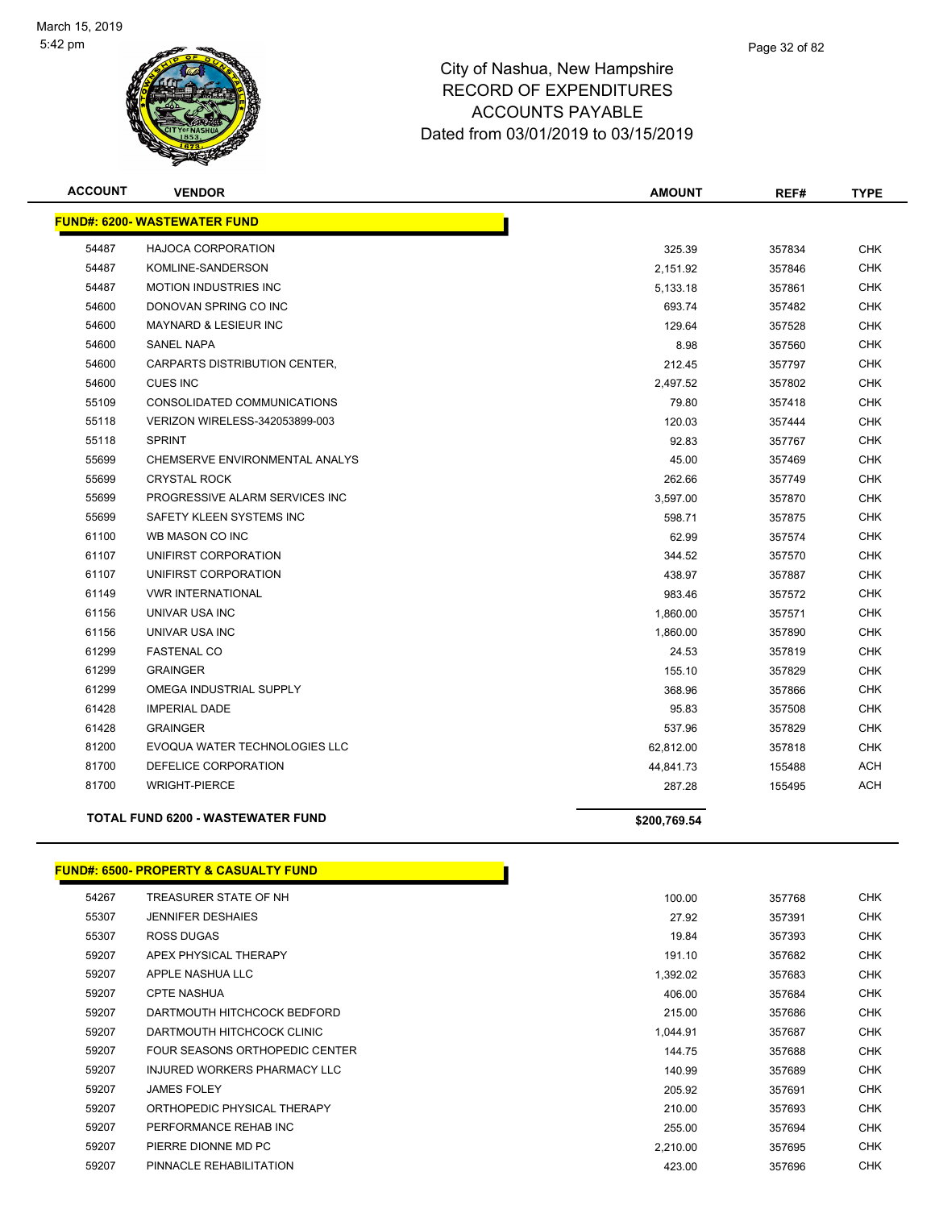

| <b>ACCOUNT</b> | <b>VENDOR</b>                            | <b>AMOUNT</b> | REF#   | <b>TYPE</b> |
|----------------|------------------------------------------|---------------|--------|-------------|
|                | <b>FUND#: 6200- WASTEWATER FUND</b>      |               |        |             |
| 54487          | <b>HAJOCA CORPORATION</b>                | 325.39        | 357834 | <b>CHK</b>  |
| 54487          | KOMLINE-SANDERSON                        | 2,151.92      | 357846 | <b>CHK</b>  |
| 54487          | <b>MOTION INDUSTRIES INC</b>             | 5,133.18      | 357861 | <b>CHK</b>  |
| 54600          | DONOVAN SPRING CO INC                    | 693.74        | 357482 | <b>CHK</b>  |
| 54600          | <b>MAYNARD &amp; LESIEUR INC</b>         | 129.64        | 357528 | <b>CHK</b>  |
| 54600          | <b>SANEL NAPA</b>                        | 8.98          | 357560 | <b>CHK</b>  |
| 54600          | CARPARTS DISTRIBUTION CENTER,            | 212.45        | 357797 | <b>CHK</b>  |
| 54600          | <b>CUES INC</b>                          | 2,497.52      | 357802 | <b>CHK</b>  |
| 55109          | CONSOLIDATED COMMUNICATIONS              | 79.80         | 357418 | <b>CHK</b>  |
| 55118          | VERIZON WIRELESS-342053899-003           | 120.03        | 357444 | <b>CHK</b>  |
| 55118          | <b>SPRINT</b>                            | 92.83         | 357767 | <b>CHK</b>  |
| 55699          | CHEMSERVE ENVIRONMENTAL ANALYS           | 45.00         | 357469 | <b>CHK</b>  |
| 55699          | <b>CRYSTAL ROCK</b>                      | 262.66        | 357749 | <b>CHK</b>  |
| 55699          | PROGRESSIVE ALARM SERVICES INC           | 3,597.00      | 357870 | <b>CHK</b>  |
| 55699          | SAFETY KLEEN SYSTEMS INC                 | 598.71        | 357875 | <b>CHK</b>  |
| 61100          | WB MASON CO INC                          | 62.99         | 357574 | <b>CHK</b>  |
| 61107          | UNIFIRST CORPORATION                     | 344.52        | 357570 | <b>CHK</b>  |
| 61107          | UNIFIRST CORPORATION                     | 438.97        | 357887 | <b>CHK</b>  |
| 61149          | <b>VWR INTERNATIONAL</b>                 | 983.46        | 357572 | <b>CHK</b>  |
| 61156          | UNIVAR USA INC                           | 1,860.00      | 357571 | <b>CHK</b>  |
| 61156          | UNIVAR USA INC                           | 1,860.00      | 357890 | <b>CHK</b>  |
| 61299          | <b>FASTENAL CO</b>                       | 24.53         | 357819 | <b>CHK</b>  |
| 61299          | <b>GRAINGER</b>                          | 155.10        | 357829 | <b>CHK</b>  |
| 61299          | OMEGA INDUSTRIAL SUPPLY                  | 368.96        | 357866 | <b>CHK</b>  |
| 61428          | <b>IMPERIAL DADE</b>                     | 95.83         | 357508 | <b>CHK</b>  |
| 61428          | <b>GRAINGER</b>                          | 537.96        | 357829 | <b>CHK</b>  |
| 81200          | EVOQUA WATER TECHNOLOGIES LLC            | 62,812.00     | 357818 | <b>CHK</b>  |
| 81700          | DEFELICE CORPORATION                     | 44,841.73     | 155488 | <b>ACH</b>  |
| 81700          | <b>WRIGHT-PIERCE</b>                     | 287.28        | 155495 | <b>ACH</b>  |
|                | <b>TOTAL FUND 6200 - WASTEWATER FUND</b> | \$200,769.54  |        |             |

## **FUND#: 6500- PROPERTY & CASUALTY FUND**

| 54267 | TREASURER STATE OF NH          | 100.00   | 357768 | <b>CHK</b> |
|-------|--------------------------------|----------|--------|------------|
| 55307 | <b>JENNIFER DESHAIES</b>       | 27.92    | 357391 | <b>CHK</b> |
| 55307 | ROSS DUGAS                     | 19.84    | 357393 | <b>CHK</b> |
| 59207 | APEX PHYSICAL THERAPY          | 191.10   | 357682 | <b>CHK</b> |
| 59207 | APPLE NASHUA LLC               | 1,392.02 | 357683 | <b>CHK</b> |
| 59207 | <b>CPTE NASHUA</b>             | 406.00   | 357684 | <b>CHK</b> |
| 59207 | DARTMOUTH HITCHCOCK BEDFORD    | 215.00   | 357686 | <b>CHK</b> |
| 59207 | DARTMOUTH HITCHCOCK CLINIC     | 1,044.91 | 357687 | <b>CHK</b> |
| 59207 | FOUR SEASONS ORTHOPEDIC CENTER | 144.75   | 357688 | <b>CHK</b> |
| 59207 | INJURED WORKERS PHARMACY LLC   | 140.99   | 357689 | <b>CHK</b> |
| 59207 | <b>JAMES FOLEY</b>             | 205.92   | 357691 | <b>CHK</b> |
| 59207 | ORTHOPEDIC PHYSICAL THERAPY    | 210.00   | 357693 | <b>CHK</b> |
| 59207 | PERFORMANCE REHAB INC          | 255.00   | 357694 | <b>CHK</b> |
| 59207 | PIERRE DIONNE MD PC            | 2.210.00 | 357695 | <b>CHK</b> |
| 59207 | PINNACLE REHABILITATION        | 423.00   | 357696 | <b>CHK</b> |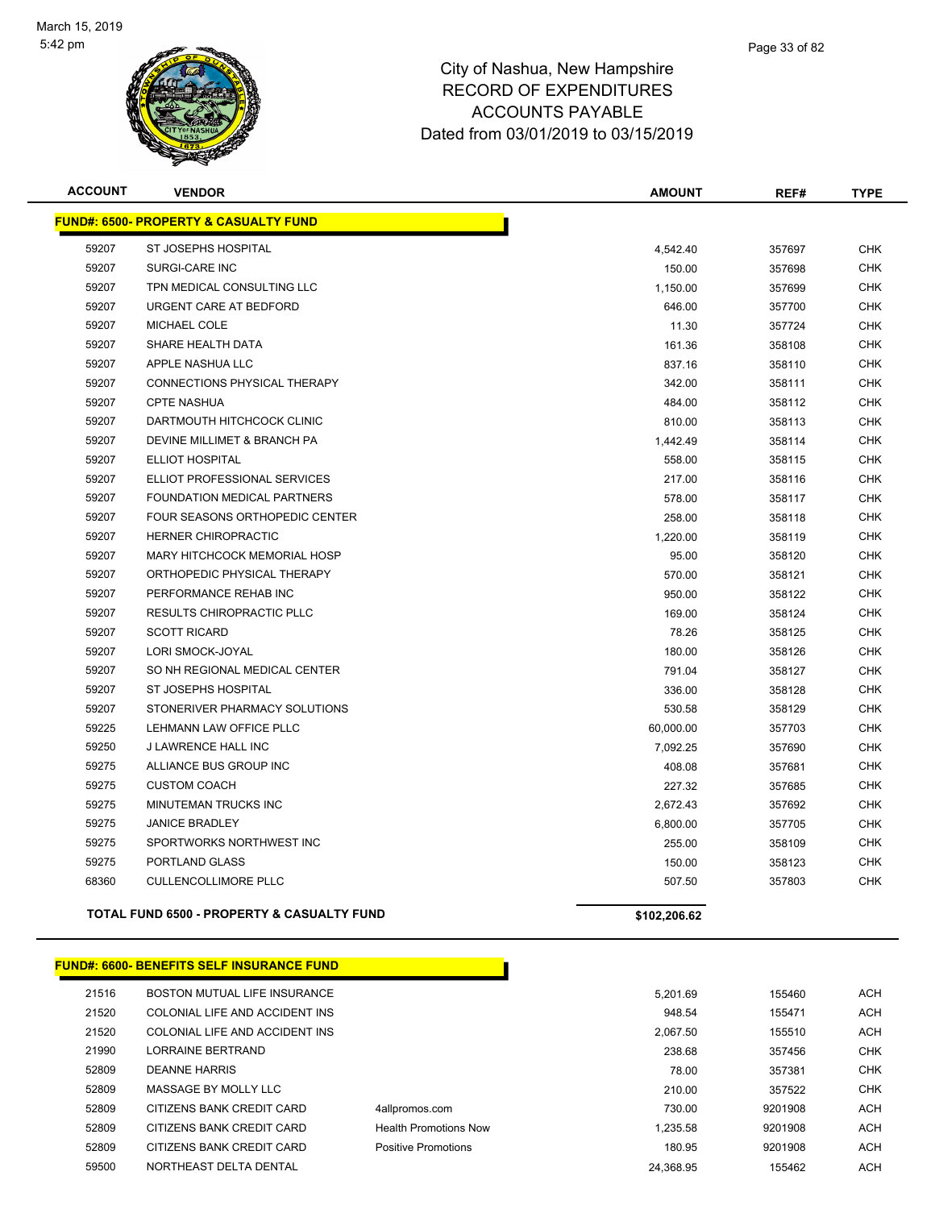

| <b>ACCOUNT</b> | <b>VENDOR</b>                                         | <b>AMOUNT</b> | REF#   | <b>TYPE</b> |
|----------------|-------------------------------------------------------|---------------|--------|-------------|
|                | <b>FUND#: 6500- PROPERTY &amp; CASUALTY FUND</b>      |               |        |             |
| 59207          | ST JOSEPHS HOSPITAL                                   | 4,542.40      | 357697 | <b>CHK</b>  |
| 59207          | SURGI-CARE INC                                        | 150.00        | 357698 | <b>CHK</b>  |
| 59207          | TPN MEDICAL CONSULTING LLC                            | 1,150.00      | 357699 | <b>CHK</b>  |
| 59207          | URGENT CARE AT BEDFORD                                | 646.00        | 357700 | <b>CHK</b>  |
| 59207          | <b>MICHAEL COLE</b>                                   | 11.30         | 357724 | <b>CHK</b>  |
| 59207          | SHARE HEALTH DATA                                     | 161.36        | 358108 | <b>CHK</b>  |
| 59207          | APPLE NASHUA LLC                                      | 837.16        | 358110 | <b>CHK</b>  |
| 59207          | CONNECTIONS PHYSICAL THERAPY                          | 342.00        | 358111 | <b>CHK</b>  |
| 59207          | <b>CPTE NASHUA</b>                                    | 484.00        | 358112 | <b>CHK</b>  |
| 59207          | DARTMOUTH HITCHCOCK CLINIC                            | 810.00        | 358113 | <b>CHK</b>  |
| 59207          | <b>DEVINE MILLIMET &amp; BRANCH PA</b>                | 1,442.49      | 358114 | <b>CHK</b>  |
| 59207          | <b>ELLIOT HOSPITAL</b>                                | 558.00        | 358115 | <b>CHK</b>  |
| 59207          | ELLIOT PROFESSIONAL SERVICES                          | 217.00        | 358116 | <b>CHK</b>  |
| 59207          | FOUNDATION MEDICAL PARTNERS                           | 578.00        | 358117 | <b>CHK</b>  |
| 59207          | <b>FOUR SEASONS ORTHOPEDIC CENTER</b>                 | 258.00        | 358118 | <b>CHK</b>  |
| 59207          | <b>HERNER CHIROPRACTIC</b>                            | 1,220.00      | 358119 | <b>CHK</b>  |
| 59207          | <b>MARY HITCHCOCK MEMORIAL HOSP</b>                   | 95.00         | 358120 | <b>CHK</b>  |
| 59207          | ORTHOPEDIC PHYSICAL THERAPY                           | 570.00        | 358121 | <b>CHK</b>  |
| 59207          | PERFORMANCE REHAB INC                                 | 950.00        | 358122 | <b>CHK</b>  |
| 59207          | RESULTS CHIROPRACTIC PLLC                             | 169.00        | 358124 | <b>CHK</b>  |
| 59207          | <b>SCOTT RICARD</b>                                   | 78.26         | 358125 | <b>CHK</b>  |
| 59207          | LORI SMOCK-JOYAL                                      | 180.00        | 358126 | <b>CHK</b>  |
| 59207          | SO NH REGIONAL MEDICAL CENTER                         | 791.04        | 358127 | <b>CHK</b>  |
| 59207          | ST JOSEPHS HOSPITAL                                   | 336.00        | 358128 | <b>CHK</b>  |
| 59207          | STONERIVER PHARMACY SOLUTIONS                         | 530.58        | 358129 | <b>CHK</b>  |
| 59225          | LEHMANN LAW OFFICE PLLC                               | 60,000.00     | 357703 | <b>CHK</b>  |
| 59250          | <b>J LAWRENCE HALL INC</b>                            | 7,092.25      | 357690 | <b>CHK</b>  |
| 59275          | ALLIANCE BUS GROUP INC                                | 408.08        | 357681 | <b>CHK</b>  |
| 59275          | <b>CUSTOM COACH</b>                                   | 227.32        | 357685 | <b>CHK</b>  |
| 59275          | MINUTEMAN TRUCKS INC                                  | 2,672.43      | 357692 | <b>CHK</b>  |
| 59275          | <b>JANICE BRADLEY</b>                                 | 6,800.00      | 357705 | <b>CHK</b>  |
| 59275          | SPORTWORKS NORTHWEST INC                              | 255.00        | 358109 | <b>CHK</b>  |
| 59275          | PORTLAND GLASS                                        | 150.00        | 358123 | <b>CHK</b>  |
| 68360          | <b>CULLENCOLLIMORE PLLC</b>                           | 507.50        | 357803 | <b>CHK</b>  |
|                | <b>TOTAL FUND 6500 - PROPERTY &amp; CASUALTY FUND</b> | \$102,206.62  |        |             |
|                | <u> FUND#: 6600- BENEFITS SELF INSURANCE FUND</u>     |               |        |             |

|       | <b>FUND#: 6600- BENEFITS SELF INSURANCE FUND</b> |                              |           |         |
|-------|--------------------------------------------------|------------------------------|-----------|---------|
| 21516 | BOSTON MUTUAL LIFE INSURANCE                     |                              | 5.201.69  | 155460  |
| 21520 | COLONIAL LIFE AND ACCIDENT INS                   |                              | 948.54    | 155471  |
| 21520 | COLONIAL LIFE AND ACCIDENT INS                   |                              | 2.067.50  | 155510  |
| 21990 | LORRAINE BERTRAND                                |                              | 238.68    | 357456  |
| 52809 | DEANNE HARRIS                                    |                              | 78.00     | 357381  |
| 52809 | MASSAGE BY MOLLY LLC                             |                              | 210.00    | 357522  |
| 52809 | CITIZENS BANK CREDIT CARD                        | 4allpromos.com               | 730.00    | 9201908 |
| 52809 | CITIZENS BANK CREDIT CARD                        | <b>Health Promotions Now</b> | 1.235.58  | 9201908 |
| 52809 | CITIZENS BANK CREDIT CARD                        | Positive Promotions          | 180.95    | 9201908 |
| 59500 | NORTHEAST DELTA DENTAL                           |                              | 24.368.95 | 155462  |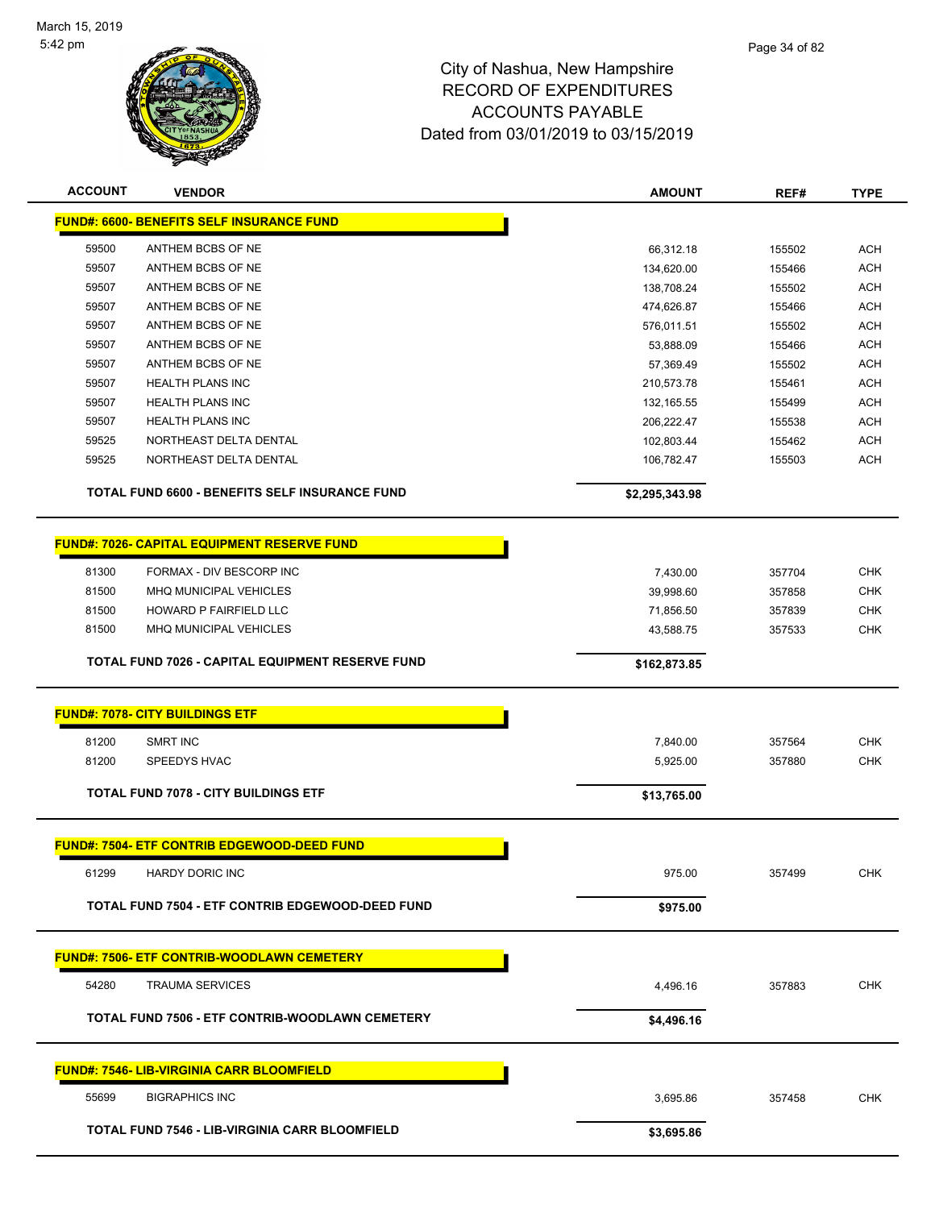

| <b>ACCOUNT</b> | <b>VENDOR</b>                                         | <b>AMOUNT</b>  | REF#   | <b>TYPE</b> |
|----------------|-------------------------------------------------------|----------------|--------|-------------|
|                | <b>FUND#: 6600- BENEFITS SELF INSURANCE FUND</b>      |                |        |             |
| 59500          | ANTHEM BCBS OF NE                                     | 66,312.18      | 155502 | <b>ACH</b>  |
| 59507          | ANTHEM BCBS OF NE                                     | 134,620.00     | 155466 | <b>ACH</b>  |
| 59507          | ANTHEM BCBS OF NE                                     | 138,708.24     | 155502 | <b>ACH</b>  |
| 59507          | ANTHEM BCBS OF NE                                     | 474,626.87     | 155466 | <b>ACH</b>  |
| 59507          | ANTHEM BCBS OF NE                                     | 576,011.51     | 155502 | <b>ACH</b>  |
| 59507          | ANTHEM BCBS OF NE                                     | 53,888.09      | 155466 | <b>ACH</b>  |
| 59507          | ANTHEM BCBS OF NE                                     | 57,369.49      | 155502 | <b>ACH</b>  |
| 59507          | <b>HEALTH PLANS INC</b>                               | 210,573.78     | 155461 | <b>ACH</b>  |
| 59507          | <b>HEALTH PLANS INC</b>                               | 132,165.55     | 155499 | <b>ACH</b>  |
| 59507          | <b>HEALTH PLANS INC</b>                               | 206,222.47     | 155538 | <b>ACH</b>  |
| 59525          | NORTHEAST DELTA DENTAL                                | 102,803.44     | 155462 | <b>ACH</b>  |
| 59525          | NORTHEAST DELTA DENTAL                                | 106,782.47     | 155503 | <b>ACH</b>  |
|                | TOTAL FUND 6600 - BENEFITS SELF INSURANCE FUND        | \$2,295,343.98 |        |             |
|                | <b>FUND#: 7026- CAPITAL EQUIPMENT RESERVE FUND</b>    |                |        |             |
| 81300          | FORMAX - DIV BESCORP INC                              | 7,430.00       | 357704 | <b>CHK</b>  |
| 81500          | MHQ MUNICIPAL VEHICLES                                | 39,998.60      | 357858 | <b>CHK</b>  |
| 81500          | HOWARD P FAIRFIELD LLC                                | 71,856.50      | 357839 | <b>CHK</b>  |
| 81500          | MHQ MUNICIPAL VEHICLES                                | 43,588.75      | 357533 | <b>CHK</b>  |
|                |                                                       |                |        |             |
|                | TOTAL FUND 7026 - CAPITAL EQUIPMENT RESERVE FUND      | \$162,873.85   |        |             |
|                | <b>FUND#: 7078- CITY BUILDINGS ETF</b>                |                |        |             |
| 81200          | <b>SMRT INC</b>                                       | 7,840.00       | 357564 | <b>CHK</b>  |
| 81200          | SPEEDYS HVAC                                          | 5,925.00       | 357880 | <b>CHK</b>  |
|                | <b>TOTAL FUND 7078 - CITY BUILDINGS ETF</b>           |                |        |             |
|                |                                                       | \$13,765.00    |        |             |
|                | <b>FUND#: 7504- ETF CONTRIB EDGEWOOD-DEED FUND</b>    |                |        |             |
| 61299          | HARDY DORIC INC                                       | 975.00         | 357499 | <b>CHK</b>  |
|                | TOTAL FUND 7504 - ETF CONTRIB EDGEWOOD-DEED FUND      | \$975.00       |        |             |
|                | <u> FUND#: 7506- ETF CONTRIB-WOODLAWN CEMETERY</u>    |                |        |             |
| 54280          | <b>TRAUMA SERVICES</b>                                | 4,496.16       | 357883 | <b>CHK</b>  |
|                | TOTAL FUND 7506 - ETF CONTRIB-WOODLAWN CEMETERY       | \$4,496.16     |        |             |
|                | <b>FUND#: 7546- LIB-VIRGINIA CARR BLOOMFIELD</b>      |                |        |             |
| 55699          | <b>BIGRAPHICS INC</b>                                 | 3,695.86       | 357458 | <b>CHK</b>  |
|                | <b>TOTAL FUND 7546 - LIB-VIRGINIA CARR BLOOMFIELD</b> | \$3,695.86     |        |             |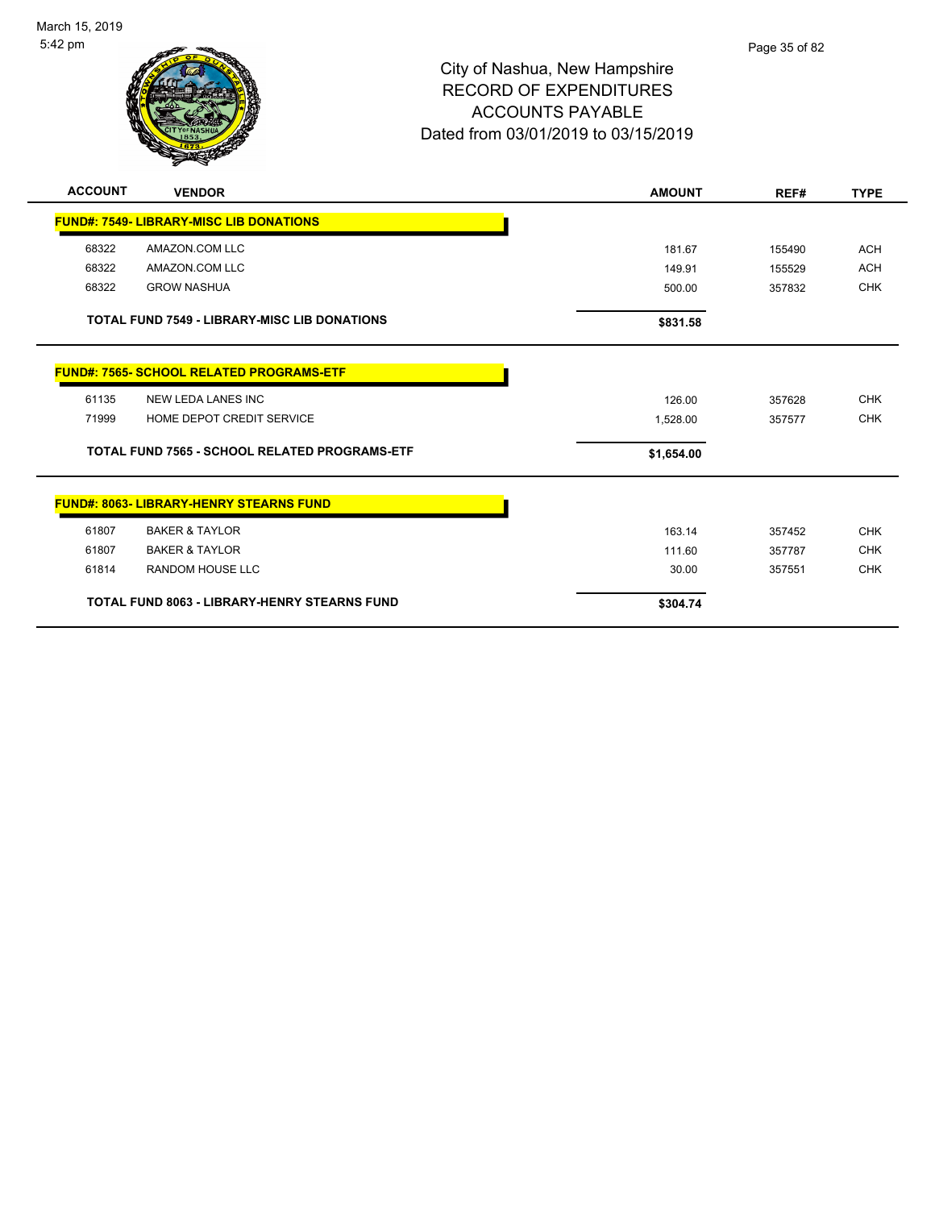

| <b>ACCOUNT</b> | <b>VENDOR</b>                                       | <b>AMOUNT</b> | REF#   | <b>TYPE</b> |
|----------------|-----------------------------------------------------|---------------|--------|-------------|
|                | <b>FUND#: 7549- LIBRARY-MISC LIB DONATIONS</b>      |               |        |             |
| 68322          | AMAZON.COM LLC                                      | 181.67        | 155490 | <b>ACH</b>  |
| 68322          | AMAZON.COM LLC                                      | 149.91        | 155529 | <b>ACH</b>  |
| 68322          | <b>GROW NASHUA</b>                                  | 500.00        | 357832 | <b>CHK</b>  |
|                | <b>TOTAL FUND 7549 - LIBRARY-MISC LIB DONATIONS</b> | \$831.58      |        |             |
|                | <b>FUND#: 7565- SCHOOL RELATED PROGRAMS-ETF</b>     |               |        |             |
| 61135          | NEW LEDA LANES INC                                  | 126.00        | 357628 | <b>CHK</b>  |
| 71999          | HOME DEPOT CREDIT SERVICE                           | 1,528.00      | 357577 | <b>CHK</b>  |
|                | TOTAL FUND 7565 - SCHOOL RELATED PROGRAMS-ETF       | \$1,654.00    |        |             |
|                | <b>FUND#: 8063- LIBRARY-HENRY STEARNS FUND</b>      |               |        |             |
| 61807          | <b>BAKER &amp; TAYLOR</b>                           | 163.14        | 357452 | <b>CHK</b>  |
| 61807          | <b>BAKER &amp; TAYLOR</b>                           | 111.60        | 357787 | <b>CHK</b>  |
| 61814          | <b>RANDOM HOUSE LLC</b>                             | 30.00         | 357551 | <b>CHK</b>  |
|                | <b>TOTAL FUND 8063 - LIBRARY-HENRY STEARNS FUND</b> | \$304.74      |        |             |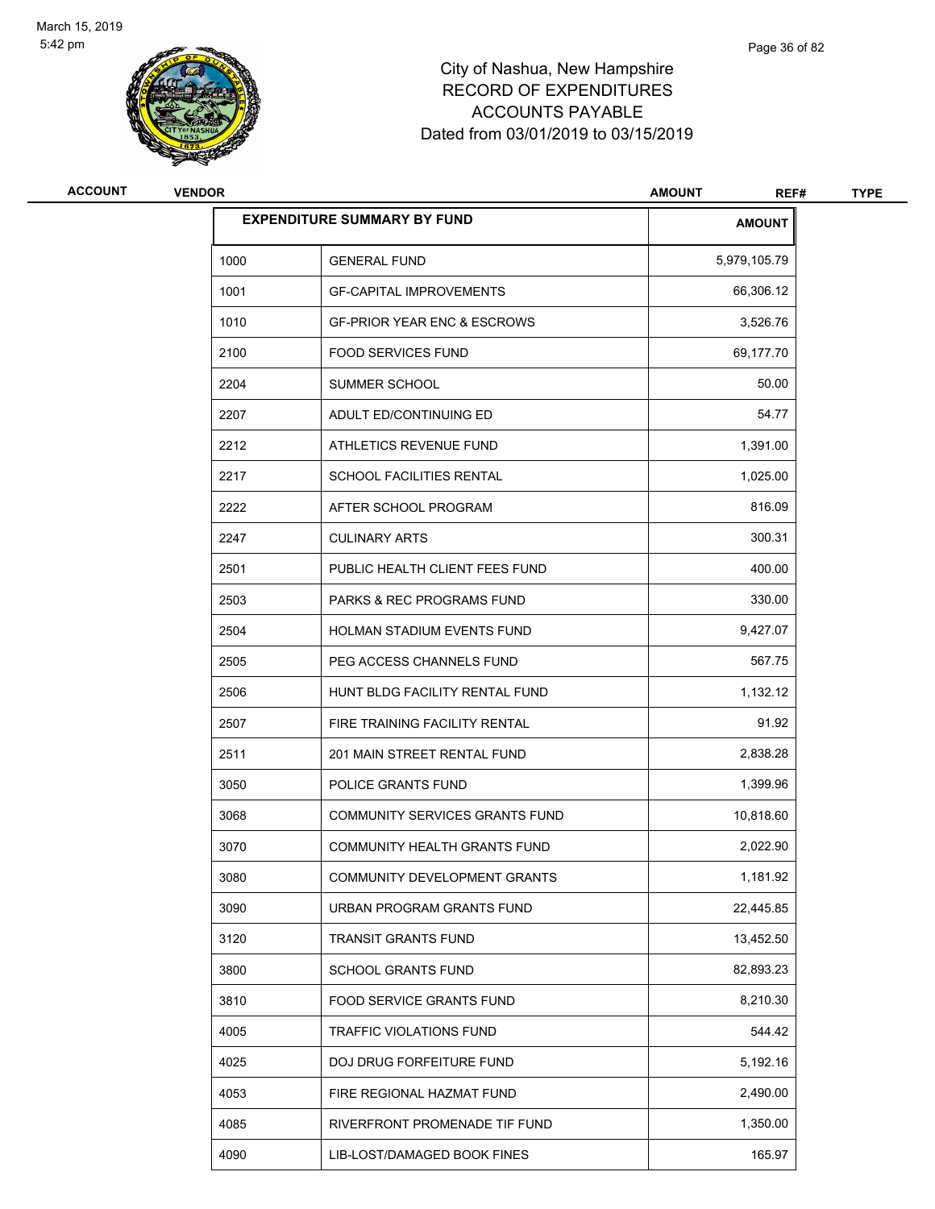

| ACCOUNT | <b>VENDOR</b> |                                        | <b>AMOUNT</b><br>REF# | <b>TYPE</b> |
|---------|---------------|----------------------------------------|-----------------------|-------------|
|         |               | <b>EXPENDITURE SUMMARY BY FUND</b>     | <b>AMOUNT</b>         |             |
|         | 1000          | <b>GENERAL FUND</b>                    | 5,979,105.79          |             |
|         | 1001          | <b>GF-CAPITAL IMPROVEMENTS</b>         | 66,306.12             |             |
|         | 1010          | <b>GF-PRIOR YEAR ENC &amp; ESCROWS</b> | 3,526.76              |             |
|         | 2100          | <b>FOOD SERVICES FUND</b>              | 69,177.70             |             |
|         | 2204          | SUMMER SCHOOL                          | 50.00                 |             |
|         | 2207          | ADULT ED/CONTINUING ED                 | 54.77                 |             |
|         | 2212          | ATHLETICS REVENUE FUND                 | 1,391.00              |             |
|         | 2217          | SCHOOL FACILITIES RENTAL               | 1,025.00              |             |
|         | 2222          | AFTER SCHOOL PROGRAM                   | 816.09                |             |
|         | 2247          | <b>CULINARY ARTS</b>                   | 300.31                |             |
|         | 2501          | PUBLIC HEALTH CLIENT FEES FUND         | 400.00                |             |
|         | 2503          | PARKS & REC PROGRAMS FUND              | 330.00                |             |
|         | 2504          | <b>HOLMAN STADIUM EVENTS FUND</b>      | 9,427.07              |             |
|         | 2505          | PEG ACCESS CHANNELS FUND               | 567.75                |             |
|         | 2506          | HUNT BLDG FACILITY RENTAL FUND         | 1,132.12              |             |
|         | 2507          | FIRE TRAINING FACILITY RENTAL          | 91.92                 |             |
|         | 2511          | 201 MAIN STREET RENTAL FUND            | 2,838.28              |             |
|         | 3050          | POLICE GRANTS FUND                     | 1,399.96              |             |
|         | 3068          | COMMUNITY SERVICES GRANTS FUND         | 10,818.60             |             |
|         | 3070          | COMMUNITY HEALTH GRANTS FUND           | 2,022.90              |             |
|         | 3080          | COMMUNITY DEVELOPMENT GRANTS           | 1,181.92              |             |
|         | 3090          | URBAN PROGRAM GRANTS FUND              | 22,445.85             |             |
|         | 3120          | <b>TRANSIT GRANTS FUND</b>             | 13,452.50             |             |
|         | 3800          | SCHOOL GRANTS FUND                     | 82,893.23             |             |
|         | 3810          | FOOD SERVICE GRANTS FUND               | 8,210.30              |             |
|         | 4005          | <b>TRAFFIC VIOLATIONS FUND</b>         | 544.42                |             |
|         | 4025          | DOJ DRUG FORFEITURE FUND               | 5,192.16              |             |
|         | 4053          | FIRE REGIONAL HAZMAT FUND              | 2,490.00              |             |
|         | 4085          | RIVERFRONT PROMENADE TIF FUND          | 1,350.00              |             |
|         | 4090          | LIB-LOST/DAMAGED BOOK FINES            | 165.97                |             |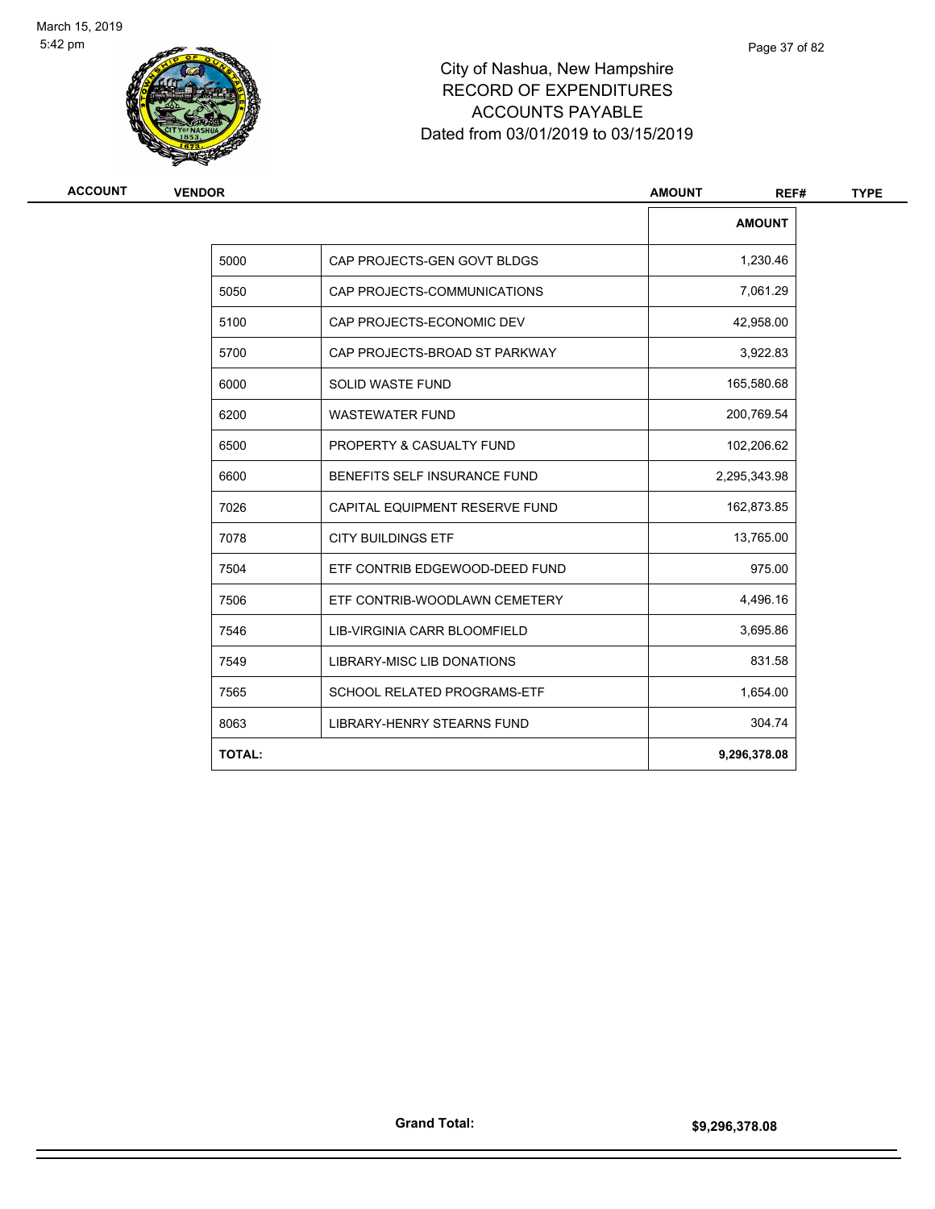

# City of Nashua, New Hampshire RECORD OF EXPENDITURES ACCOUNTS PAYABLE Dated from 03/01/2019 to 03/15/2019

| ACCOUNT | <b>VENDOR</b> |                                   | <b>AMOUNT</b><br>REF# |
|---------|---------------|-----------------------------------|-----------------------|
|         |               |                                   | <b>AMOUNT</b>         |
|         | 5000          | CAP PROJECTS-GEN GOVT BLDGS       | 1,230.46              |
|         | 5050          | CAP PROJECTS-COMMUNICATIONS       | 7,061.29              |
|         | 5100          | CAP PROJECTS-ECONOMIC DEV         | 42,958.00             |
|         | 5700          | CAP PROJECTS-BROAD ST PARKWAY     | 3,922.83              |
|         | 6000          | <b>SOLID WASTE FUND</b>           | 165,580.68            |
|         | 6200          | <b>WASTEWATER FUND</b>            | 200,769.54            |
|         | 6500          | PROPERTY & CASUALTY FUND          | 102,206.62            |
|         | 6600          | BENEFITS SELF INSURANCE FUND      | 2,295,343.98          |
|         | 7026          | CAPITAL EQUIPMENT RESERVE FUND    | 162,873.85            |
|         | 7078          | <b>CITY BUILDINGS ETF</b>         | 13,765.00             |
|         | 7504          | ETF CONTRIB EDGEWOOD-DEED FUND    | 975.00                |
|         | 7506          | ETF CONTRIB-WOODLAWN CEMETERY     | 4,496.16              |
|         | 7546          | LIB-VIRGINIA CARR BLOOMFIELD      | 3,695.86              |
|         | 7549          | <b>LIBRARY-MISC LIB DONATIONS</b> | 831.58                |
|         | 7565          | SCHOOL RELATED PROGRAMS-ETF       | 1,654.00              |
|         | 8063          | <b>LIBRARY-HENRY STEARNS FUND</b> | 304.74                |
|         | <b>TOTAL:</b> |                                   | 9,296,378.08          |
|         |               |                                   |                       |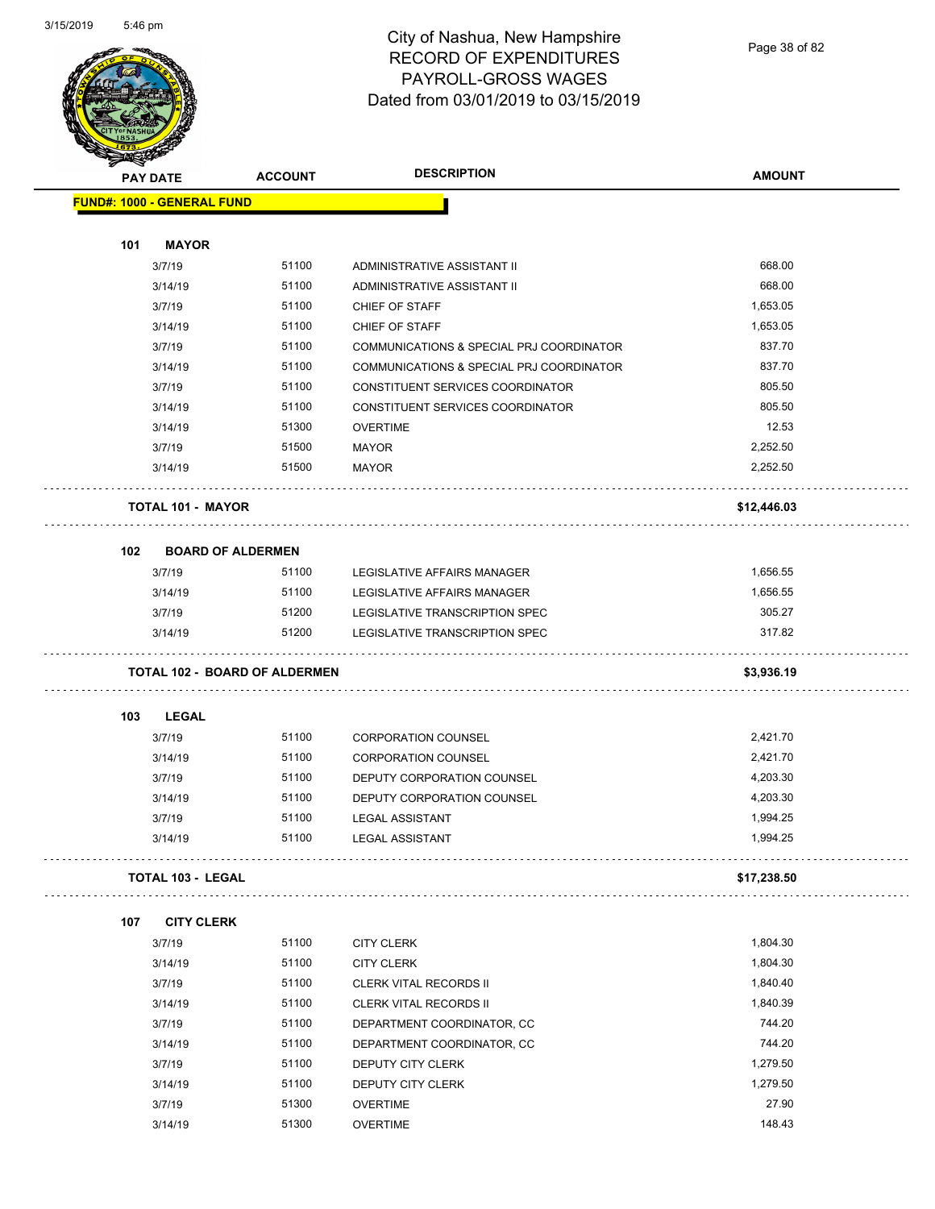

Page 38 of 82

| <b>STARBAND</b> |                                      |                |                                          |               |
|-----------------|--------------------------------------|----------------|------------------------------------------|---------------|
|                 | <b>PAY DATE</b>                      | <b>ACCOUNT</b> | <b>DESCRIPTION</b>                       | <b>AMOUNT</b> |
|                 | <b>FUND#: 1000 - GENERAL FUND</b>    |                |                                          |               |
|                 |                                      |                |                                          |               |
| 101             | <b>MAYOR</b>                         |                |                                          |               |
|                 | 3/7/19                               | 51100          | ADMINISTRATIVE ASSISTANT II              | 668.00        |
|                 | 3/14/19                              | 51100          | ADMINISTRATIVE ASSISTANT II              | 668.00        |
|                 | 3/7/19                               | 51100          | CHIEF OF STAFF                           | 1,653.05      |
|                 | 3/14/19                              | 51100          | CHIEF OF STAFF                           | 1,653.05      |
|                 | 3/7/19                               | 51100          | COMMUNICATIONS & SPECIAL PRJ COORDINATOR | 837.70        |
|                 | 3/14/19                              | 51100          | COMMUNICATIONS & SPECIAL PRJ COORDINATOR | 837.70        |
|                 | 3/7/19                               | 51100          | CONSTITUENT SERVICES COORDINATOR         | 805.50        |
|                 | 3/14/19                              | 51100          | CONSTITUENT SERVICES COORDINATOR         | 805.50        |
|                 | 3/14/19                              | 51300          | <b>OVERTIME</b>                          | 12.53         |
|                 | 3/7/19                               | 51500          | <b>MAYOR</b>                             | 2,252.50      |
|                 | 3/14/19                              | 51500          | <b>MAYOR</b>                             | 2,252.50      |
|                 | <b>TOTAL 101 - MAYOR</b>             |                |                                          | \$12,446.03   |
| 102             | <b>BOARD OF ALDERMEN</b>             |                |                                          |               |
|                 | 3/7/19                               | 51100          | <b>LEGISLATIVE AFFAIRS MANAGER</b>       | 1,656.55      |
|                 | 3/14/19                              | 51100          | LEGISLATIVE AFFAIRS MANAGER              | 1,656.55      |
|                 | 3/7/19                               | 51200          | LEGISLATIVE TRANSCRIPTION SPEC           | 305.27        |
|                 | 3/14/19                              | 51200          | LEGISLATIVE TRANSCRIPTION SPEC           | 317.82        |
|                 | <b>TOTAL 102 - BOARD OF ALDERMEN</b> |                |                                          | \$3,936.19    |
| 103             | <b>LEGAL</b>                         |                |                                          |               |
|                 | 3/7/19                               | 51100          | <b>CORPORATION COUNSEL</b>               | 2,421.70      |
|                 | 3/14/19                              | 51100          | <b>CORPORATION COUNSEL</b>               | 2,421.70      |
|                 | 3/7/19                               | 51100          | DEPUTY CORPORATION COUNSEL               | 4,203.30      |
|                 | 3/14/19                              | 51100          | DEPUTY CORPORATION COUNSEL               | 4,203.30      |
|                 | 3/7/19                               | 51100          | <b>LEGAL ASSISTANT</b>                   | 1,994.25      |
|                 | 3/14/19                              | 51100          | LEGAL ASSISTANT                          | 1,994.25      |
|                 | <b>TOTAL 103 - LEGAL</b>             |                |                                          | \$17,238.50   |
| 107             | <b>CITY CLERK</b>                    |                |                                          |               |
|                 | 3/7/19                               | 51100          | <b>CITY CLERK</b>                        | 1,804.30      |
|                 | 3/14/19                              | 51100          | <b>CITY CLERK</b>                        | 1,804.30      |
|                 | 3/7/19                               | 51100          | <b>CLERK VITAL RECORDS II</b>            | 1,840.40      |
|                 | 3/14/19                              | 51100          | <b>CLERK VITAL RECORDS II</b>            | 1,840.39      |
|                 | 3/7/19                               | 51100          | DEPARTMENT COORDINATOR, CC               | 744.20        |
|                 | 3/14/19                              | 51100          | DEPARTMENT COORDINATOR, CC               | 744.20        |
|                 | 3/7/19                               | 51100          | DEPUTY CITY CLERK                        | 1,279.50      |
|                 | 3/14/19                              | 51100          | DEPUTY CITY CLERK                        | 1,279.50      |
|                 | 3/7/19                               | 51300          | <b>OVERTIME</b>                          | 27.90         |
|                 | 3/14/19                              | 51300          | <b>OVERTIME</b>                          | 148.43        |
|                 |                                      |                |                                          |               |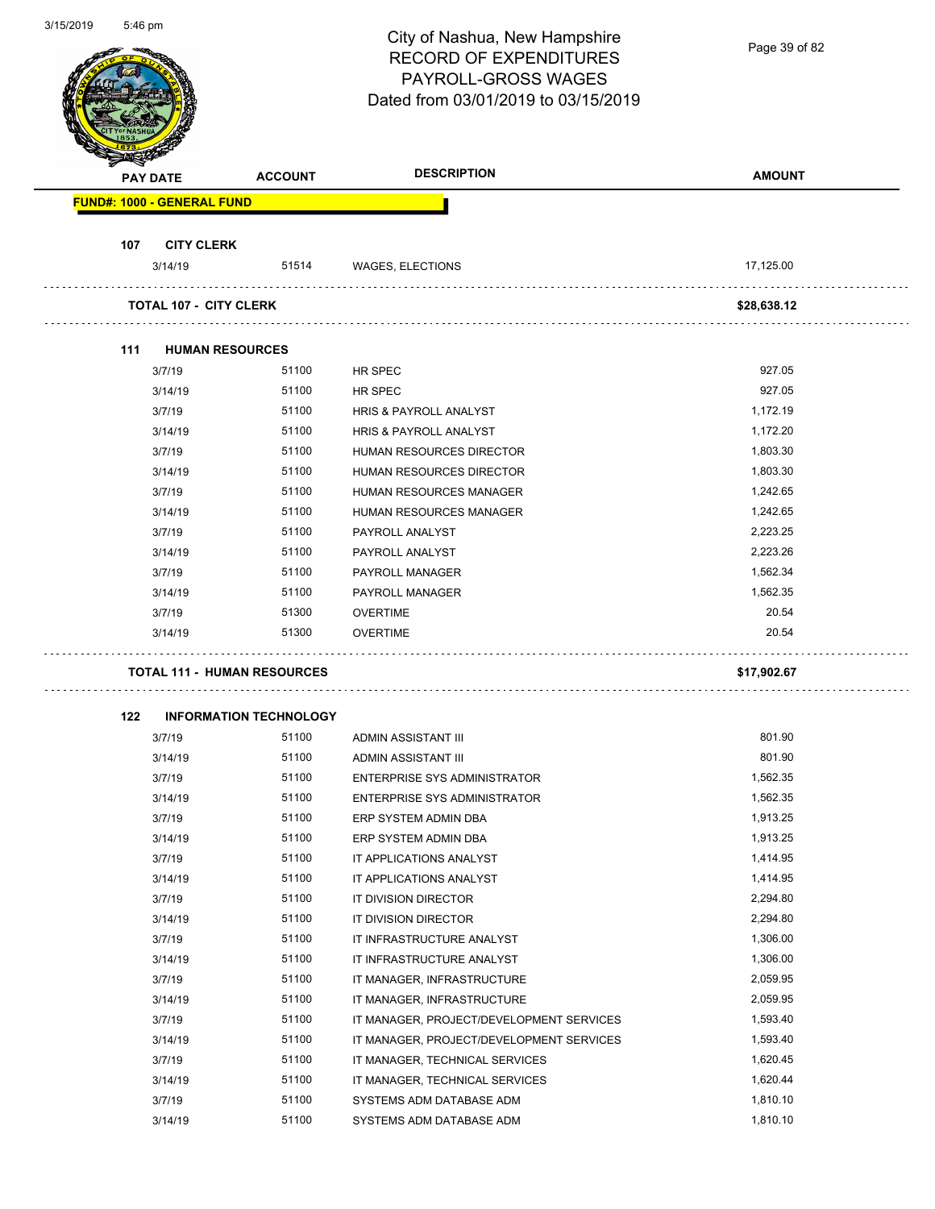|     |                                    |                               | City of Nashua, New Hampshire            | Page 39 of 82 |
|-----|------------------------------------|-------------------------------|------------------------------------------|---------------|
|     |                                    |                               | <b>RECORD OF EXPENDITURES</b>            |               |
|     |                                    |                               | PAYROLL-GROSS WAGES                      |               |
|     |                                    |                               | Dated from 03/01/2019 to 03/15/2019      |               |
|     |                                    |                               |                                          |               |
|     |                                    |                               |                                          |               |
|     | <b>PAY DATE</b>                    | <b>ACCOUNT</b>                | <b>DESCRIPTION</b>                       | <b>AMOUNT</b> |
|     | <b>FUND#: 1000 - GENERAL FUND</b>  |                               |                                          |               |
|     |                                    |                               |                                          |               |
| 107 | <b>CITY CLERK</b>                  |                               |                                          |               |
|     | 3/14/19                            | 51514                         | WAGES, ELECTIONS                         | 17,125.00     |
|     |                                    |                               |                                          |               |
|     | <b>TOTAL 107 - CITY CLERK</b>      |                               |                                          | \$28,638.12   |
|     |                                    |                               |                                          |               |
| 111 | <b>HUMAN RESOURCES</b>             |                               |                                          |               |
|     | 3/7/19                             | 51100                         | HR SPEC                                  | 927.05        |
|     | 3/14/19                            | 51100                         | HR SPEC                                  | 927.05        |
|     | 3/7/19                             | 51100                         | HRIS & PAYROLL ANALYST                   | 1,172.19      |
|     | 3/14/19                            | 51100                         | HRIS & PAYROLL ANALYST                   | 1,172.20      |
|     | 3/7/19                             | 51100                         | HUMAN RESOURCES DIRECTOR                 | 1,803.30      |
|     | 3/14/19                            | 51100                         | HUMAN RESOURCES DIRECTOR                 | 1,803.30      |
|     | 3/7/19                             | 51100                         | HUMAN RESOURCES MANAGER                  | 1,242.65      |
|     | 3/14/19                            | 51100                         | HUMAN RESOURCES MANAGER                  | 1,242.65      |
|     | 3/7/19                             | 51100                         | PAYROLL ANALYST                          | 2,223.25      |
|     | 3/14/19                            | 51100                         | PAYROLL ANALYST                          | 2,223.26      |
|     | 3/7/19                             | 51100                         | PAYROLL MANAGER                          | 1,562.34      |
|     | 3/14/19                            | 51100                         | PAYROLL MANAGER                          | 1,562.35      |
|     | 3/7/19                             | 51300                         | <b>OVERTIME</b>                          | 20.54         |
|     | 3/14/19                            | 51300                         | <b>OVERTIME</b>                          | 20.54         |
|     | <b>TOTAL 111 - HUMAN RESOURCES</b> |                               |                                          | \$17,902.67   |
|     |                                    |                               |                                          |               |
| 122 |                                    | <b>INFORMATION TECHNOLOGY</b> |                                          |               |
|     | 3/7/19                             | 51100                         | ADMIN ASSISTANT III                      | 801.90        |
|     | 3/14/19                            | 51100                         | ADMIN ASSISTANT III                      | 801.90        |
|     | 3/7/19                             | 51100                         | <b>ENTERPRISE SYS ADMINISTRATOR</b>      | 1,562.35      |
|     | 3/14/19                            | 51100                         | ENTERPRISE SYS ADMINISTRATOR             | 1,562.35      |
|     | 3/7/19                             | 51100                         | ERP SYSTEM ADMIN DBA                     | 1,913.25      |
|     | 3/14/19                            | 51100                         | ERP SYSTEM ADMIN DBA                     | 1,913.25      |
|     | 3/7/19                             | 51100                         | IT APPLICATIONS ANALYST                  | 1,414.95      |
|     | 3/14/19                            | 51100                         | IT APPLICATIONS ANALYST                  | 1,414.95      |
|     | 3/7/19                             | 51100                         | IT DIVISION DIRECTOR                     | 2,294.80      |
|     | 3/14/19                            | 51100                         | IT DIVISION DIRECTOR                     | 2,294.80      |
|     | 3/7/19                             | 51100                         | IT INFRASTRUCTURE ANALYST                | 1,306.00      |
|     | 3/14/19                            | 51100                         | IT INFRASTRUCTURE ANALYST                | 1,306.00      |
|     | 3/7/19                             | 51100                         | IT MANAGER, INFRASTRUCTURE               | 2,059.95      |
|     | 3/14/19                            | 51100                         | IT MANAGER, INFRASTRUCTURE               | 2,059.95      |
|     | 3/7/19                             | 51100                         | IT MANAGER, PROJECT/DEVELOPMENT SERVICES | 1,593.40      |
|     | 3/14/19                            | 51100                         | IT MANAGER, PROJECT/DEVELOPMENT SERVICES | 1,593.40      |
|     | 3/7/19                             | 51100                         | IT MANAGER, TECHNICAL SERVICES           | 1,620.45      |
|     | 3/14/19                            | 51100                         | IT MANAGER, TECHNICAL SERVICES           | 1,620.44      |
|     | 3/7/19                             | 51100                         | SYSTEMS ADM DATABASE ADM                 | 1,810.10      |
|     | 3/14/19                            | 51100                         | SYSTEMS ADM DATABASE ADM                 | 1,810.10      |
|     |                                    |                               |                                          |               |

3/15/2019 5:46 pm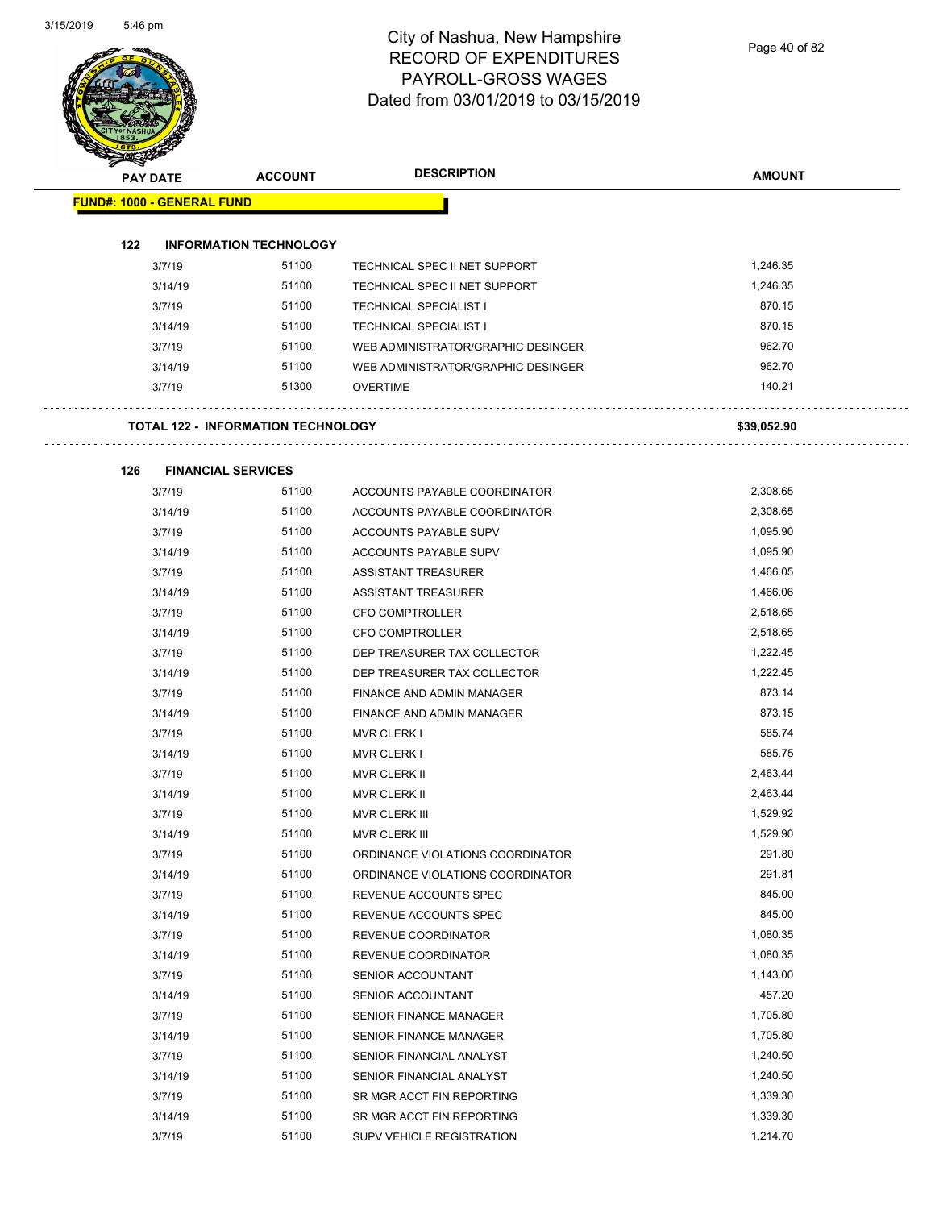Page 40 of 82

Ц,

.,

| <b>PAY DATE</b>                   | <b>ACCOUNT</b>                            | <b>DESCRIPTION</b>                 | <b>AMOUNT</b> |
|-----------------------------------|-------------------------------------------|------------------------------------|---------------|
| <b>FUND#: 1000 - GENERAL FUND</b> |                                           |                                    |               |
|                                   |                                           |                                    |               |
| 122                               | <b>INFORMATION TECHNOLOGY</b>             |                                    |               |
| 3/7/19                            | 51100                                     | TECHNICAL SPEC II NET SUPPORT      | 1,246.35      |
| 3/14/19                           | 51100                                     | TECHNICAL SPEC II NET SUPPORT      | 1,246.35      |
| 3/7/19                            | 51100                                     | <b>TECHNICAL SPECIALIST I</b>      | 870.15        |
| 3/14/19                           | 51100                                     | <b>TECHNICAL SPECIALIST I</b>      | 870.15        |
| 3/7/19                            | 51100                                     | WEB ADMINISTRATOR/GRAPHIC DESINGER | 962.70        |
| 3/14/19                           | 51100                                     | WEB ADMINISTRATOR/GRAPHIC DESINGER | 962.70        |
| 3/7/19                            | 51300                                     | <b>OVERTIME</b>                    | 140.21        |
|                                   | <b>TOTAL 122 - INFORMATION TECHNOLOGY</b> |                                    | \$39,052.90   |
| 126                               | <b>FINANCIAL SERVICES</b>                 |                                    |               |
| 3/7/19                            | 51100                                     | ACCOUNTS PAYABLE COORDINATOR       | 2,308.65      |
| 3/14/19                           | 51100                                     | ACCOUNTS PAYABLE COORDINATOR       | 2,308.65      |
| 3/7/19                            | 51100                                     | ACCOUNTS PAYABLE SUPV              | 1,095.90      |
| 3/14/19                           | 51100                                     | ACCOUNTS PAYABLE SUPV              | 1,095.90      |
| 3/7/19                            | 51100                                     | ASSISTANT TREASURER                | 1,466.05      |
| 3/14/19                           | 51100                                     | ASSISTANT TREASURER                | 1,466.06      |
| 3/7/19                            | 51100                                     | <b>CFO COMPTROLLER</b>             | 2,518.65      |
| 3/14/19                           | 51100                                     | <b>CFO COMPTROLLER</b>             | 2,518.65      |
| 3/7/19                            | 51100                                     | DEP TREASURER TAX COLLECTOR        | 1,222.45      |
| 3/14/19                           | 51100                                     | DEP TREASURER TAX COLLECTOR        | 1,222.45      |
| 3/7/19                            | 51100                                     | FINANCE AND ADMIN MANAGER          | 873.14        |
| 3/14/19                           | 51100                                     | FINANCE AND ADMIN MANAGER          | 873.15        |
| 3/7/19                            | 51100                                     | <b>MVR CLERK I</b>                 | 585.74        |
| 3/14/19                           | 51100                                     | MVR CLERK I                        | 585.75        |
| 3/7/19                            | 51100                                     | <b>MVR CLERK II</b>                | 2,463.44      |
| 3/14/19                           | 51100                                     | <b>MVR CLERK II</b>                | 2,463.44      |
| 3/7/19                            | 51100                                     | MVR CLERK III                      | 1,529.92      |
| 3/14/19                           | 51100                                     | MVR CLERK III                      | 1,529.90      |
| 3/7/19                            | 51100                                     | ORDINANCE VIOLATIONS COORDINATOR   | 291.80        |
| 3/14/19                           | 51100                                     | ORDINANCE VIOLATIONS COORDINATOR   | 291.81        |
| 3/7/19                            | 51100                                     | REVENUE ACCOUNTS SPEC              | 845.00        |
| 3/14/19                           | 51100                                     | REVENUE ACCOUNTS SPEC              | 845.00        |
| 3/7/19                            | 51100                                     | REVENUE COORDINATOR                | 1,080.35      |
| 3/14/19                           | 51100                                     | REVENUE COORDINATOR                | 1,080.35      |
| 3/7/19                            | 51100                                     | SENIOR ACCOUNTANT                  | 1,143.00      |
| 3/14/19                           | 51100                                     | SENIOR ACCOUNTANT                  | 457.20        |
| 3/7/19                            | 51100                                     | SENIOR FINANCE MANAGER             | 1,705.80      |
| 3/14/19                           | 51100                                     | SENIOR FINANCE MANAGER             | 1,705.80      |
| 3/7/19                            | 51100                                     | SENIOR FINANCIAL ANALYST           | 1,240.50      |
| 3/14/19                           | 51100                                     | SENIOR FINANCIAL ANALYST           | 1,240.50      |
| 3/7/19                            | 51100                                     | SR MGR ACCT FIN REPORTING          | 1,339.30      |
| 3/14/19                           | 51100                                     | SR MGR ACCT FIN REPORTING          | 1,339.30      |
| 3/7/19                            | 51100                                     | <b>SUPV VEHICLE REGISTRATION</b>   | 1,214.70      |
|                                   |                                           |                                    |               |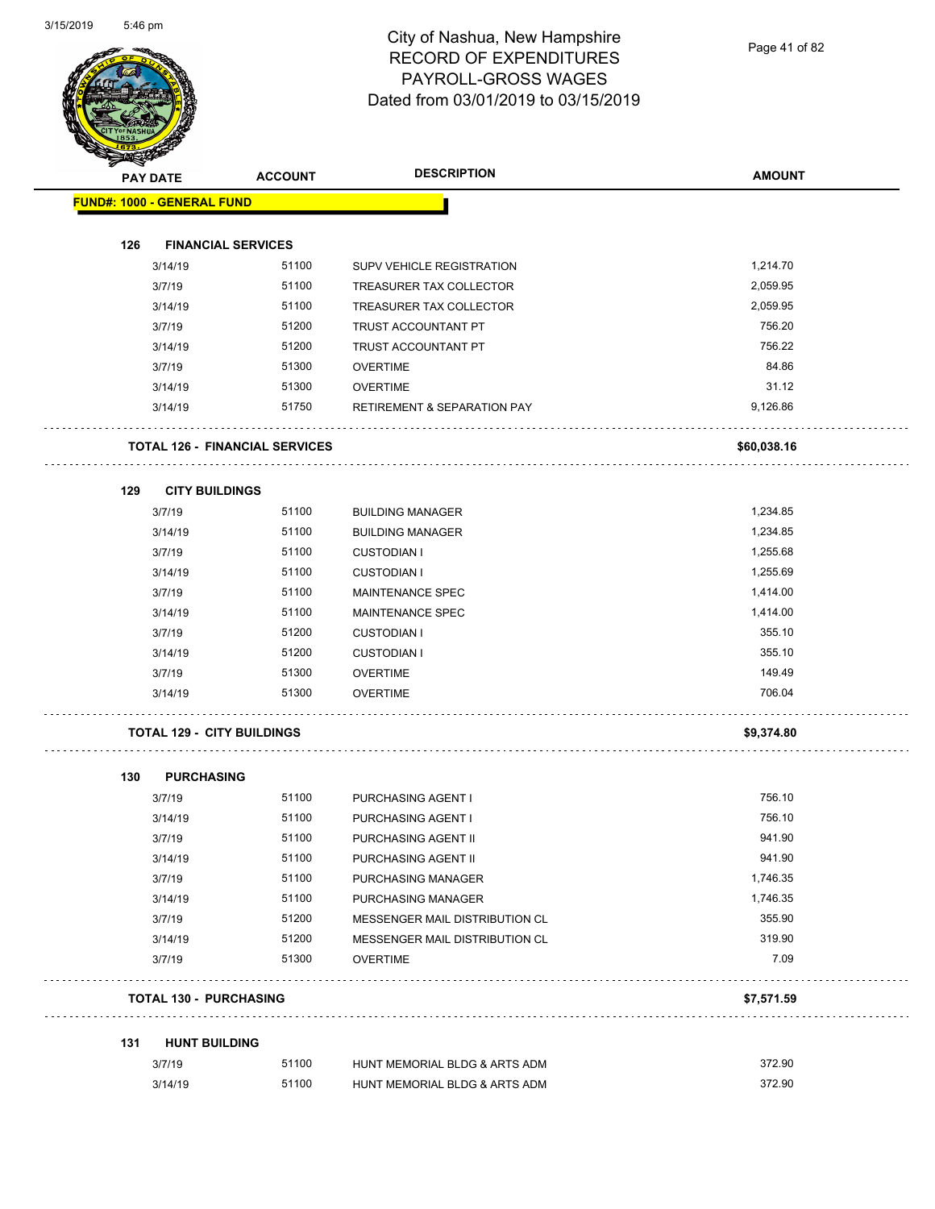

Page 41 of 82

|                                   | <b>PAY DATE</b>               | <b>ACCOUNT</b>                        | <b>DESCRIPTION</b>                     | <b>AMOUNT</b> |
|-----------------------------------|-------------------------------|---------------------------------------|----------------------------------------|---------------|
| <b>FUND#: 1000 - GENERAL FUND</b> |                               |                                       |                                        |               |
|                                   |                               |                                       |                                        |               |
| 126                               |                               | <b>FINANCIAL SERVICES</b>             |                                        |               |
|                                   | 3/14/19                       | 51100                                 | SUPV VEHICLE REGISTRATION              | 1,214.70      |
|                                   | 3/7/19                        | 51100                                 | TREASURER TAX COLLECTOR                | 2,059.95      |
|                                   | 3/14/19                       | 51100                                 | TREASURER TAX COLLECTOR                | 2,059.95      |
|                                   | 3/7/19                        | 51200                                 | TRUST ACCOUNTANT PT                    | 756.20        |
|                                   | 3/14/19                       | 51200                                 | TRUST ACCOUNTANT PT                    | 756.22        |
|                                   | 3/7/19                        | 51300                                 | <b>OVERTIME</b>                        | 84.86         |
|                                   | 3/14/19                       | 51300                                 | <b>OVERTIME</b>                        | 31.12         |
|                                   | 3/14/19                       | 51750                                 | <b>RETIREMENT &amp; SEPARATION PAY</b> | 9,126.86      |
|                                   |                               | <b>TOTAL 126 - FINANCIAL SERVICES</b> |                                        | \$60,038.16   |
| 129                               |                               | <b>CITY BUILDINGS</b>                 |                                        |               |
|                                   | 3/7/19                        | 51100                                 | <b>BUILDING MANAGER</b>                | 1,234.85      |
|                                   | 3/14/19                       | 51100                                 | <b>BUILDING MANAGER</b>                | 1,234.85      |
|                                   | 3/7/19                        | 51100                                 | <b>CUSTODIAN I</b>                     | 1,255.68      |
|                                   | 3/14/19                       | 51100                                 | <b>CUSTODIAN I</b>                     | 1,255.69      |
|                                   | 3/7/19                        | 51100                                 | MAINTENANCE SPEC                       | 1,414.00      |
|                                   | 3/14/19                       | 51100                                 | MAINTENANCE SPEC                       | 1,414.00      |
|                                   | 3/7/19                        | 51200                                 | <b>CUSTODIAN I</b>                     | 355.10        |
|                                   | 3/14/19                       | 51200                                 | <b>CUSTODIAN I</b>                     | 355.10        |
|                                   | 3/7/19                        | 51300                                 | <b>OVERTIME</b>                        | 149.49        |
|                                   | 3/14/19                       | 51300                                 | <b>OVERTIME</b>                        | 706.04        |
|                                   |                               | <b>TOTAL 129 - CITY BUILDINGS</b>     |                                        | \$9,374.80    |
| 130                               |                               | <b>PURCHASING</b>                     |                                        |               |
|                                   | 3/7/19                        | 51100                                 | PURCHASING AGENT I                     | 756.10        |
|                                   | 3/14/19                       | 51100                                 | PURCHASING AGENT I                     | 756.10        |
|                                   | 3/7/19                        | 51100                                 | PURCHASING AGENT II                    | 941.90        |
|                                   | 3/14/19                       | 51100                                 | PURCHASING AGENT II                    | 941.90        |
|                                   | 3/7/19                        | 51100                                 | PURCHASING MANAGER                     | 1,746.35      |
|                                   | 3/14/19                       | 51100                                 | PURCHASING MANAGER                     | 1,746.35      |
|                                   | 3/7/19                        | 51200                                 | MESSENGER MAIL DISTRIBUTION CL         | 355.90        |
|                                   | 3/14/19                       | 51200                                 | MESSENGER MAIL DISTRIBUTION CL         | 319.90        |
|                                   | 3/7/19                        | 51300                                 | <b>OVERTIME</b>                        | 7.09          |
|                                   |                               |                                       |                                        | \$7,571.59    |
|                                   | <b>TOTAL 130 - PURCHASING</b> |                                       |                                        |               |
| 131                               |                               | <b>HUNT BUILDING</b>                  |                                        |               |
|                                   | 3/7/19                        | 51100                                 | HUNT MEMORIAL BLDG & ARTS ADM          | 372.90        |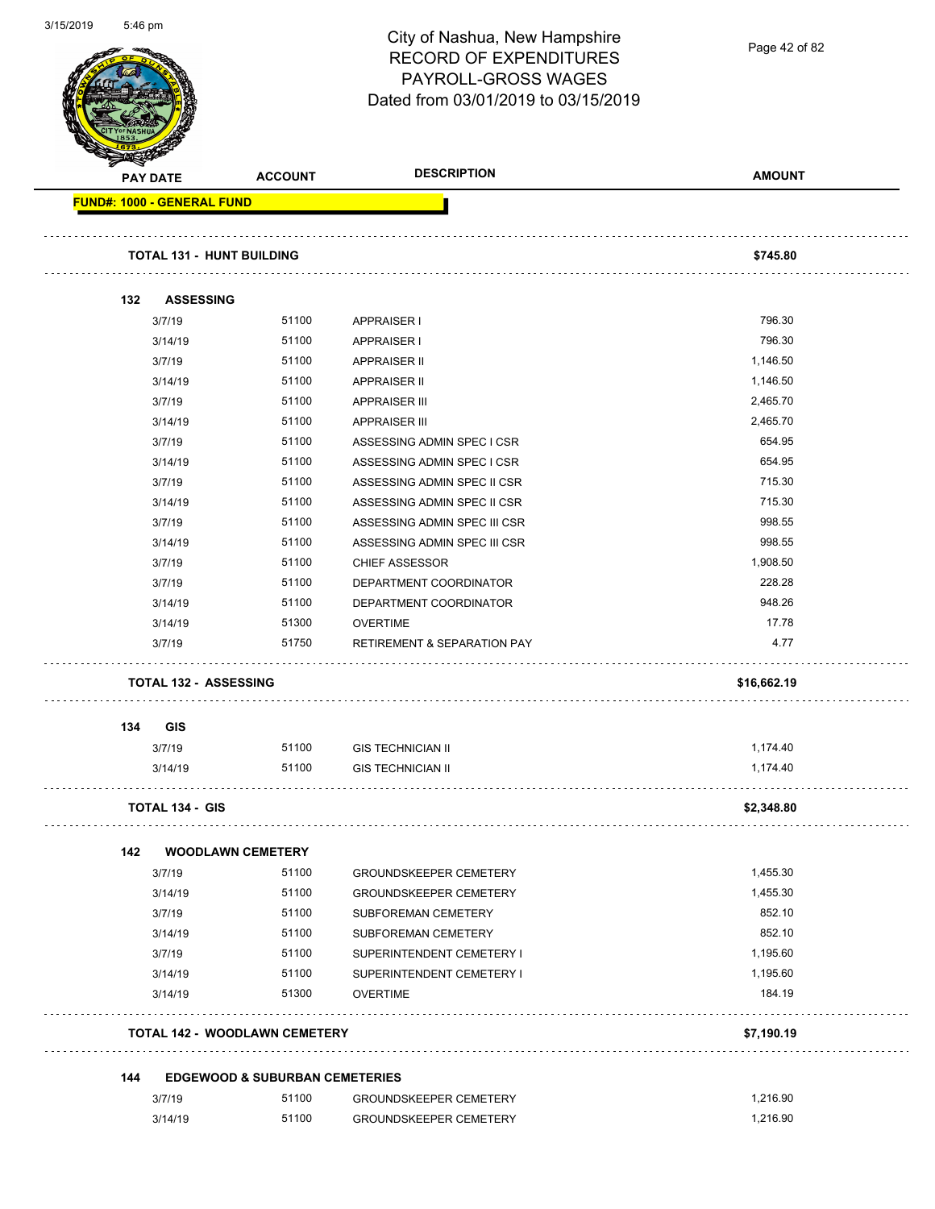

Page 42 of 82

|     | <b>PAY DATE</b>                           | <b>ACCOUNT</b>                       | <b>DESCRIPTION</b>                     | <b>AMOUNT</b> |
|-----|-------------------------------------------|--------------------------------------|----------------------------------------|---------------|
|     | FUND#: 1000 - GENERAL FUND                |                                      |                                        |               |
|     | <b>TOTAL 131 - HUNT BUILDING</b>          |                                      |                                        | \$745.80      |
| 132 | <b>ASSESSING</b>                          |                                      |                                        |               |
|     | 3/7/19                                    | 51100                                | APPRAISER I                            | 796.30        |
|     | 3/14/19                                   | 51100                                | <b>APPRAISER I</b>                     | 796.30        |
|     | 3/7/19                                    | 51100                                | <b>APPRAISER II</b>                    | 1,146.50      |
|     | 3/14/19                                   | 51100                                | APPRAISER II                           | 1,146.50      |
|     | 3/7/19                                    | 51100                                | <b>APPRAISER III</b>                   | 2,465.70      |
|     | 3/14/19                                   | 51100                                | <b>APPRAISER III</b>                   | 2,465.70      |
|     | 3/7/19                                    | 51100                                | ASSESSING ADMIN SPEC I CSR             | 654.95        |
|     | 3/14/19                                   | 51100                                | ASSESSING ADMIN SPEC I CSR             | 654.95        |
|     | 3/7/19                                    | 51100                                | ASSESSING ADMIN SPEC II CSR            | 715.30        |
|     | 3/14/19                                   | 51100                                | ASSESSING ADMIN SPEC II CSR            | 715.30        |
|     | 3/7/19                                    | 51100                                | ASSESSING ADMIN SPEC III CSR           | 998.55        |
|     | 3/14/19                                   | 51100                                | ASSESSING ADMIN SPEC III CSR           | 998.55        |
|     | 3/7/19                                    | 51100                                | <b>CHIEF ASSESSOR</b>                  | 1,908.50      |
|     | 3/7/19                                    | 51100                                | DEPARTMENT COORDINATOR                 | 228.28        |
|     | 3/14/19                                   | 51100                                | DEPARTMENT COORDINATOR                 | 948.26        |
|     | 3/14/19                                   | 51300                                | <b>OVERTIME</b>                        | 17.78         |
|     | 3/7/19                                    | 51750                                | <b>RETIREMENT &amp; SEPARATION PAY</b> | 4.77          |
|     | <b>TOTAL 132 - ASSESSING</b>              |                                      |                                        | \$16,662.19   |
| 134 | GIS                                       |                                      |                                        |               |
|     | 3/7/19                                    | 51100                                | <b>GIS TECHNICIAN II</b>               | 1,174.40      |
|     | 3/14/19                                   | 51100                                | <b>GIS TECHNICIAN II</b>               | 1,174.40      |
|     | <b>TOTAL 134 - GIS</b>                    |                                      |                                        | \$2,348.80    |
| 142 |                                           | <b>WOODLAWN CEMETERY</b>             |                                        |               |
|     | 3/7/19                                    | 51100                                | <b>GROUNDSKEEPER CEMETERY</b>          | 1,455.30      |
|     | 3/14/19                                   | 51100                                | <b>GROUNDSKEEPER CEMETERY</b>          | 1,455.30      |
|     | 3/7/19                                    | 51100                                | SUBFOREMAN CEMETERY                    | 852.10        |
|     | 3/14/19                                   | 51100                                | SUBFOREMAN CEMETERY                    | 852.10        |
|     | 3/7/19                                    | 51100                                | SUPERINTENDENT CEMETERY I              | 1,195.60      |
|     | 3/14/19                                   | 51100                                | SUPERINTENDENT CEMETERY I              | 1,195.60      |
|     | 3/14/19                                   | 51300                                | <b>OVERTIME</b>                        | 184.19        |
|     |                                           | <b>TOTAL 142 - WOODLAWN CEMETERY</b> |                                        | \$7,190.19    |
|     |                                           |                                      |                                        |               |
| 144 | <b>EDGEWOOD &amp; SUBURBAN CEMETERIES</b> |                                      |                                        |               |
|     | 3/7/19                                    | 51100                                | <b>GROUNDSKEEPER CEMETERY</b>          | 1,216.90      |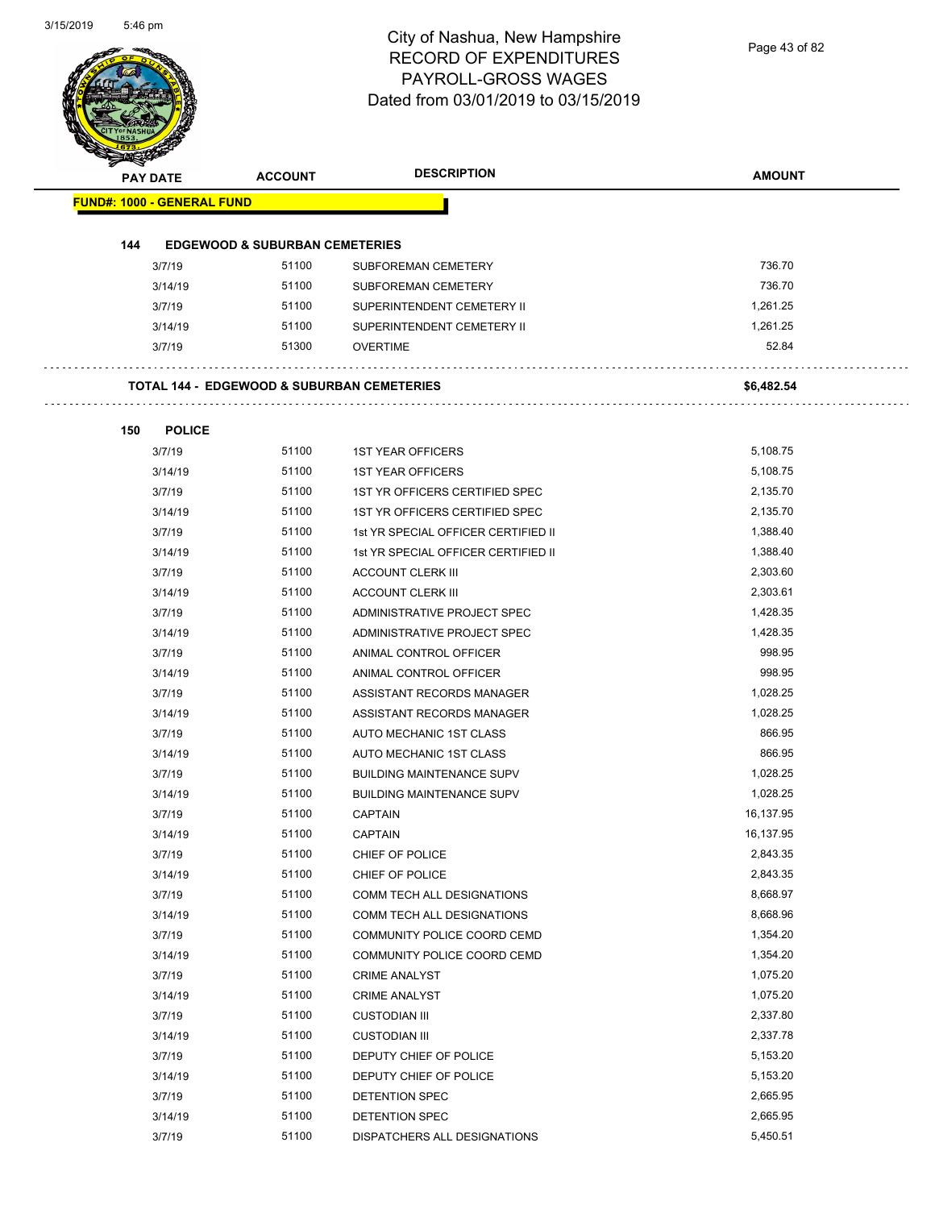Page 43 of 82

| <b>PAY DATE</b>                   | <b>ACCOUNT</b>                                        | <b>DESCRIPTION</b>                                               | <b>AMOUNT</b>        |
|-----------------------------------|-------------------------------------------------------|------------------------------------------------------------------|----------------------|
| <b>FUND#: 1000 - GENERAL FUND</b> |                                                       |                                                                  |                      |
| 144                               | <b>EDGEWOOD &amp; SUBURBAN CEMETERIES</b>             |                                                                  |                      |
| 3/7/19                            | 51100                                                 | SUBFOREMAN CEMETERY                                              | 736.70               |
| 3/14/19                           | 51100                                                 | <b>SUBFOREMAN CEMETERY</b>                                       | 736.70               |
| 3/7/19                            | 51100                                                 | SUPERINTENDENT CEMETERY II                                       | 1,261.25             |
| 3/14/19                           | 51100                                                 | SUPERINTENDENT CEMETERY II                                       | 1,261.25             |
| 3/7/19                            | 51300                                                 | <b>OVERTIME</b>                                                  | 52.84                |
|                                   | <b>TOTAL 144 - EDGEWOOD &amp; SUBURBAN CEMETERIES</b> |                                                                  | \$6,482.54           |
|                                   |                                                       |                                                                  |                      |
| <b>POLICE</b><br>150<br>3/7/19    | 51100                                                 | <b>1ST YEAR OFFICERS</b>                                         | 5,108.75             |
| 3/14/19                           | 51100                                                 | <b>1ST YEAR OFFICERS</b>                                         | 5,108.75             |
| 3/7/19                            | 51100                                                 |                                                                  | 2,135.70             |
| 3/14/19                           | 51100                                                 | 1ST YR OFFICERS CERTIFIED SPEC<br>1ST YR OFFICERS CERTIFIED SPEC | 2,135.70             |
|                                   | 51100                                                 |                                                                  |                      |
| 3/7/19                            | 51100                                                 | 1st YR SPECIAL OFFICER CERTIFIED II                              | 1,388.40<br>1,388.40 |
| 3/14/19                           |                                                       | 1st YR SPECIAL OFFICER CERTIFIED II                              |                      |
| 3/7/19                            | 51100                                                 | <b>ACCOUNT CLERK III</b>                                         | 2,303.60             |
| 3/14/19                           | 51100                                                 | <b>ACCOUNT CLERK III</b>                                         | 2,303.61             |
| 3/7/19                            | 51100                                                 | ADMINISTRATIVE PROJECT SPEC                                      | 1,428.35             |
| 3/14/19                           | 51100                                                 | ADMINISTRATIVE PROJECT SPEC                                      | 1,428.35             |
| 3/7/19                            | 51100                                                 | ANIMAL CONTROL OFFICER                                           | 998.95               |
| 3/14/19                           | 51100                                                 | ANIMAL CONTROL OFFICER                                           | 998.95               |
| 3/7/19                            | 51100                                                 | ASSISTANT RECORDS MANAGER                                        | 1,028.25             |
| 3/14/19                           | 51100                                                 | ASSISTANT RECORDS MANAGER                                        | 1,028.25             |
| 3/7/19                            | 51100                                                 | AUTO MECHANIC 1ST CLASS                                          | 866.95               |
| 3/14/19                           | 51100                                                 | AUTO MECHANIC 1ST CLASS                                          | 866.95               |
| 3/7/19                            | 51100                                                 | <b>BUILDING MAINTENANCE SUPV</b>                                 | 1,028.25             |
| 3/14/19                           | 51100                                                 | <b>BUILDING MAINTENANCE SUPV</b>                                 | 1,028.25             |
| 3/7/19                            | 51100                                                 | CAPTAIN                                                          | 16,137.95            |
| 3/14/19                           | 51100                                                 | <b>CAPTAIN</b>                                                   | 16,137.95            |
| 3/7/19                            | 51100                                                 | CHIEF OF POLICE                                                  | 2,843.35             |
| 3/14/19                           | 51100                                                 | CHIEF OF POLICE                                                  | 2,843.35             |
| 3/7/19                            | 51100                                                 | COMM TECH ALL DESIGNATIONS                                       | 8,668.97             |
| 3/14/19                           | 51100                                                 | COMM TECH ALL DESIGNATIONS                                       | 8,668.96             |
| 3/7/19                            | 51100                                                 | COMMUNITY POLICE COORD CEMD                                      | 1,354.20             |
| 3/14/19                           | 51100                                                 | COMMUNITY POLICE COORD CEMD                                      | 1,354.20             |
| 3/7/19                            | 51100                                                 | <b>CRIME ANALYST</b>                                             | 1,075.20             |
| 3/14/19                           | 51100                                                 | <b>CRIME ANALYST</b>                                             | 1,075.20             |
| 3/7/19                            | 51100                                                 | <b>CUSTODIAN III</b>                                             | 2,337.80             |
| 3/14/19                           | 51100                                                 | <b>CUSTODIAN III</b>                                             | 2,337.78             |
| 3/7/19                            | 51100                                                 | DEPUTY CHIEF OF POLICE                                           | 5,153.20             |
| 3/14/19                           | 51100                                                 | DEPUTY CHIEF OF POLICE                                           | 5,153.20             |
| 3/7/19                            | 51100                                                 | DETENTION SPEC                                                   | 2,665.95             |
| 3/14/19                           | 51100                                                 | DETENTION SPEC                                                   | 2,665.95             |
| 3/7/19                            | 51100                                                 | DISPATCHERS ALL DESIGNATIONS                                     | 5,450.51             |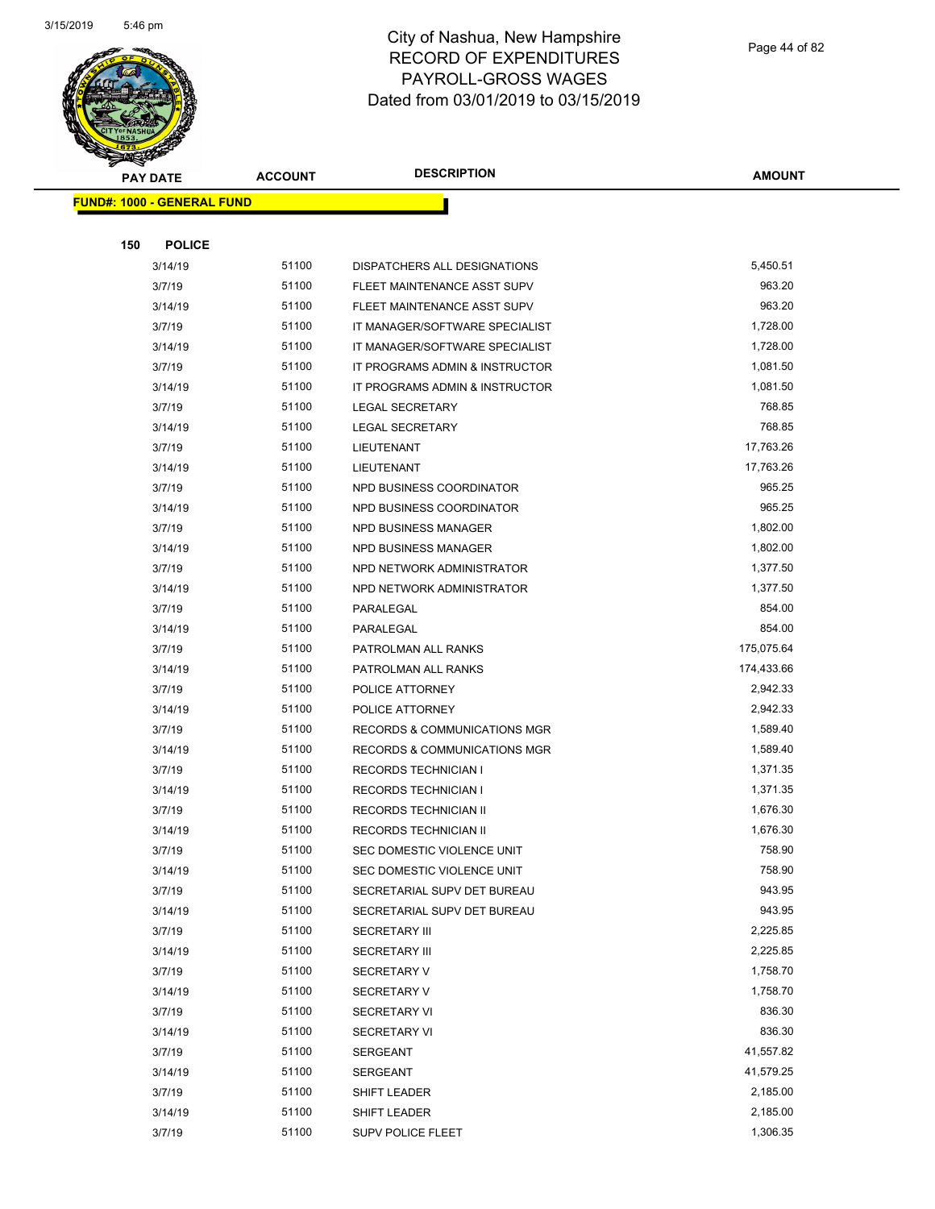

Page 44 of 82

|     | <b>PAY DATE</b>                   | <b>ACCOUNT</b> | <b>DESCRIPTION</b>             | <b>AMOUNT</b> |
|-----|-----------------------------------|----------------|--------------------------------|---------------|
|     | <b>FUND#: 1000 - GENERAL FUND</b> |                |                                |               |
|     |                                   |                |                                |               |
| 150 | <b>POLICE</b>                     |                |                                |               |
|     | 3/14/19                           | 51100          | DISPATCHERS ALL DESIGNATIONS   | 5,450.51      |
|     | 3/7/19                            | 51100          | FLEET MAINTENANCE ASST SUPV    | 963.20        |
|     | 3/14/19                           | 51100          | FLEET MAINTENANCE ASST SUPV    | 963.20        |
|     | 3/7/19                            | 51100          | IT MANAGER/SOFTWARE SPECIALIST | 1,728.00      |
|     | 3/14/19                           | 51100          | IT MANAGER/SOFTWARE SPECIALIST | 1,728.00      |
|     | 3/7/19                            | 51100          | IT PROGRAMS ADMIN & INSTRUCTOR | 1,081.50      |
|     | 3/14/19                           | 51100          | IT PROGRAMS ADMIN & INSTRUCTOR | 1,081.50      |
|     | 3/7/19                            | 51100          | LEGAL SECRETARY                | 768.85        |
|     | 3/14/19                           | 51100          | LEGAL SECRETARY                | 768.85        |
|     | 3/7/19                            | 51100          | LIEUTENANT                     | 17,763.26     |
|     | 3/14/19                           | 51100          | LIEUTENANT                     | 17,763.26     |
|     | 3/7/19                            | 51100          | NPD BUSINESS COORDINATOR       | 965.25        |
|     | 3/14/19                           | 51100          | NPD BUSINESS COORDINATOR       | 965.25        |
|     | 3/7/19                            | 51100          | NPD BUSINESS MANAGER           | 1,802.00      |
|     | 3/14/19                           | 51100          | NPD BUSINESS MANAGER           | 1,802.00      |
|     | 3/7/19                            | 51100          | NPD NETWORK ADMINISTRATOR      | 1,377.50      |
|     | 3/14/19                           | 51100          | NPD NETWORK ADMINISTRATOR      | 1,377.50      |
|     | 3/7/19                            | 51100          | PARALEGAL                      | 854.00        |
|     | 3/14/19                           | 51100          | PARALEGAL                      | 854.00        |
|     | 3/7/19                            | 51100          | PATROLMAN ALL RANKS            | 175,075.64    |
|     | 3/14/19                           | 51100          | PATROLMAN ALL RANKS            | 174,433.66    |
|     | 3/7/19                            | 51100          | POLICE ATTORNEY                | 2,942.33      |
|     | 3/14/19                           | 51100          | POLICE ATTORNEY                | 2,942.33      |
|     | 3/7/19                            | 51100          | RECORDS & COMMUNICATIONS MGR   | 1,589.40      |
|     | 3/14/19                           | 51100          | RECORDS & COMMUNICATIONS MGR   | 1,589.40      |
|     | 3/7/19                            | 51100          | <b>RECORDS TECHNICIAN I</b>    | 1,371.35      |
|     | 3/14/19                           | 51100          | <b>RECORDS TECHNICIAN I</b>    | 1,371.35      |
|     | 3/7/19                            | 51100          | RECORDS TECHNICIAN II          | 1,676.30      |
|     | 3/14/19                           | 51100          | RECORDS TECHNICIAN II          | 1,676.30      |
|     | 3/7/19                            | 51100          | SEC DOMESTIC VIOLENCE UNIT     | 758.90        |
|     | 3/14/19                           | 51100          | SEC DOMESTIC VIOLENCE UNIT     | 758.90        |
|     | 3/7/19                            | 51100          | SECRETARIAL SUPV DET BUREAU    | 943.95        |
|     | 3/14/19                           | 51100          | SECRETARIAL SUPV DET BUREAU    | 943.95        |
|     | 3/7/19                            | 51100          | <b>SECRETARY III</b>           | 2,225.85      |
|     | 3/14/19                           | 51100          | <b>SECRETARY III</b>           | 2,225.85      |
|     | 3/7/19                            | 51100          | <b>SECRETARY V</b>             | 1,758.70      |
|     | 3/14/19                           | 51100          | <b>SECRETARY V</b>             | 1,758.70      |
|     | 3/7/19                            | 51100          | <b>SECRETARY VI</b>            | 836.30        |
|     | 3/14/19                           | 51100          | <b>SECRETARY VI</b>            | 836.30        |
|     | 3/7/19                            | 51100          | <b>SERGEANT</b>                | 41,557.82     |
|     | 3/14/19                           | 51100          | SERGEANT                       | 41,579.25     |
|     | 3/7/19                            | 51100          | SHIFT LEADER                   | 2,185.00      |
|     | 3/14/19                           | 51100          | SHIFT LEADER                   | 2,185.00      |
|     | 3/7/19                            | 51100          | <b>SUPV POLICE FLEET</b>       | 1,306.35      |
|     |                                   |                |                                |               |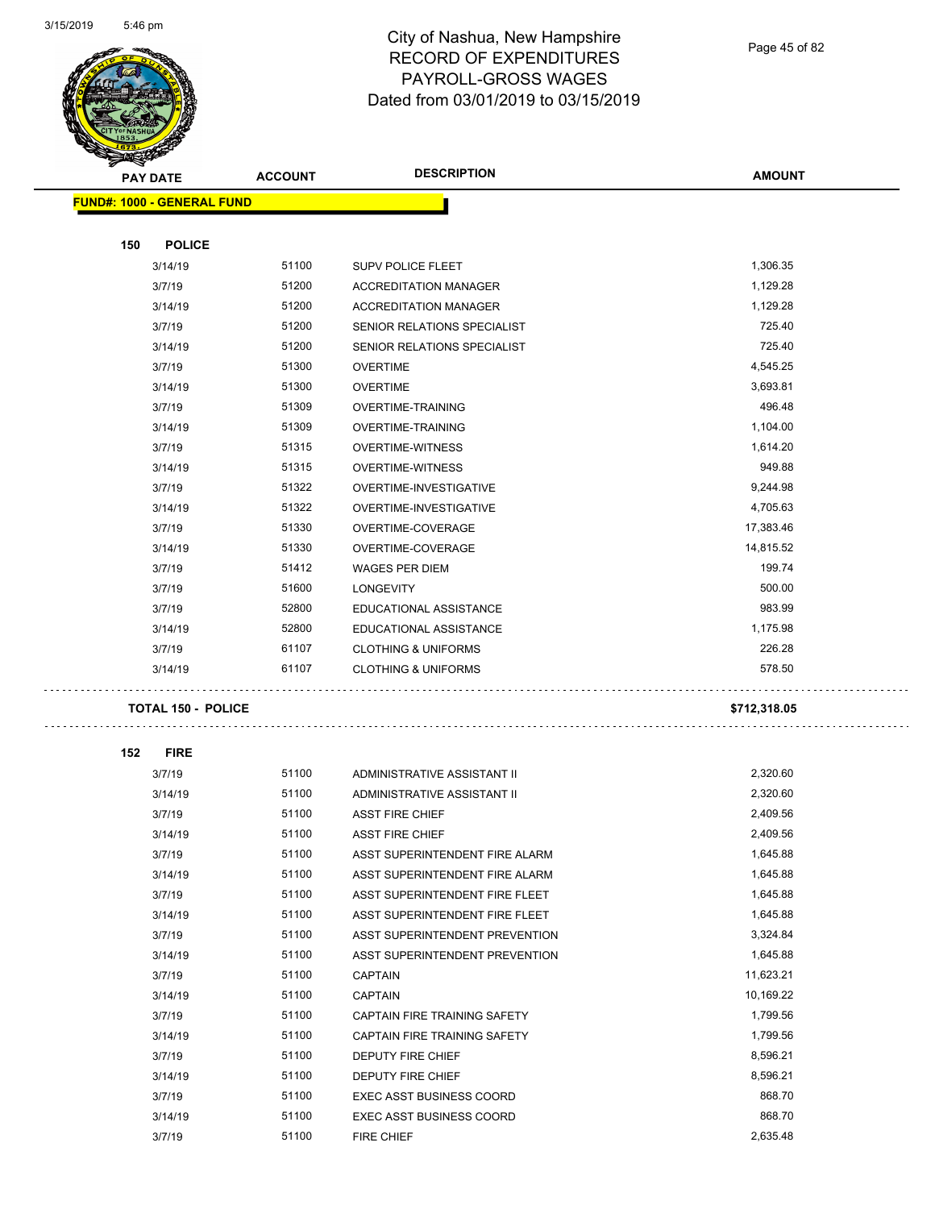

Page 45 of 82

| <b>PAY DATE</b>                   | <b>ACCOUNT</b> | <b>DESCRIPTION</b>              | <b>AMOUNT</b> |
|-----------------------------------|----------------|---------------------------------|---------------|
| <b>FUND#: 1000 - GENERAL FUND</b> |                |                                 |               |
|                                   |                |                                 |               |
| 150<br><b>POLICE</b>              |                |                                 |               |
| 3/14/19                           | 51100          | SUPV POLICE FLEET               | 1,306.35      |
| 3/7/19                            | 51200          | <b>ACCREDITATION MANAGER</b>    | 1,129.28      |
| 3/14/19                           | 51200          | <b>ACCREDITATION MANAGER</b>    | 1,129.28      |
| 3/7/19                            | 51200          | SENIOR RELATIONS SPECIALIST     | 725.40        |
| 3/14/19                           | 51200          | SENIOR RELATIONS SPECIALIST     | 725.40        |
| 3/7/19                            | 51300          | <b>OVERTIME</b>                 | 4,545.25      |
| 3/14/19                           | 51300          | <b>OVERTIME</b>                 | 3,693.81      |
| 3/7/19                            | 51309          | OVERTIME-TRAINING               | 496.48        |
| 3/14/19                           | 51309          | OVERTIME-TRAINING               | 1,104.00      |
| 3/7/19                            | 51315          | <b>OVERTIME-WITNESS</b>         | 1,614.20      |
| 3/14/19                           | 51315          | <b>OVERTIME-WITNESS</b>         | 949.88        |
| 3/7/19                            | 51322          | OVERTIME-INVESTIGATIVE          | 9,244.98      |
| 3/14/19                           | 51322          | OVERTIME-INVESTIGATIVE          | 4,705.63      |
| 3/7/19                            | 51330          | OVERTIME-COVERAGE               | 17,383.46     |
| 3/14/19                           | 51330          | OVERTIME-COVERAGE               | 14,815.52     |
| 3/7/19                            | 51412          | <b>WAGES PER DIEM</b>           | 199.74        |
| 3/7/19                            | 51600          | <b>LONGEVITY</b>                | 500.00        |
| 3/7/19                            | 52800          | EDUCATIONAL ASSISTANCE          | 983.99        |
| 3/14/19                           | 52800          | EDUCATIONAL ASSISTANCE          | 1,175.98      |
| 3/7/19                            | 61107          | <b>CLOTHING &amp; UNIFORMS</b>  | 226.28        |
| 3/14/19                           | 61107          | <b>CLOTHING &amp; UNIFORMS</b>  | 578.50        |
| <b>TOTAL 150 - POLICE</b>         |                |                                 | \$712,318.05  |
| 152<br><b>FIRE</b>                |                |                                 |               |
| 3/7/19                            | 51100          | ADMINISTRATIVE ASSISTANT II     | 2,320.60      |
| 3/14/19                           | 51100          | ADMINISTRATIVE ASSISTANT II     | 2,320.60      |
| 3/7/19                            | 51100          | <b>ASST FIRE CHIEF</b>          | 2,409.56      |
| 3/14/19                           | 51100          | <b>ASST FIRE CHIEF</b>          | 2,409.56      |
| 3/7/19                            | 51100          | ASST SUPERINTENDENT FIRE ALARM  | 1,645.88      |
| 3/14/19                           | 51100          | ASST SUPERINTENDENT FIRE ALARM  | 1,645.88      |
| 3/7/19                            | 51100          | ASST SUPERINTENDENT FIRE FLEET  | 1,645.88      |
| 3/14/19                           | 51100          | ASST SUPERINTENDENT FIRE FLEET  | 1,645.88      |
| 3/7/19                            | 51100          | ASST SUPERINTENDENT PREVENTION  | 3,324.84      |
| 3/14/19                           | 51100          | ASST SUPERINTENDENT PREVENTION  | 1,645.88      |
| 3/7/19                            | 51100          | <b>CAPTAIN</b>                  | 11,623.21     |
| 3/14/19                           | 51100          | <b>CAPTAIN</b>                  | 10,169.22     |
| 3/7/19                            | 51100          | CAPTAIN FIRE TRAINING SAFETY    | 1,799.56      |
| 3/14/19                           | 51100          | CAPTAIN FIRE TRAINING SAFETY    | 1,799.56      |
| 3/7/19                            | 51100          | DEPUTY FIRE CHIEF               | 8,596.21      |
| 3/14/19                           | 51100          | DEPUTY FIRE CHIEF               | 8,596.21      |
| 3/7/19                            | 51100          | <b>EXEC ASST BUSINESS COORD</b> | 868.70        |
| 3/14/19                           | 51100          | EXEC ASST BUSINESS COORD        | 868.70        |
| 3/7/19                            | 51100          | FIRE CHIEF                      | 2,635.48      |
|                                   |                |                                 |               |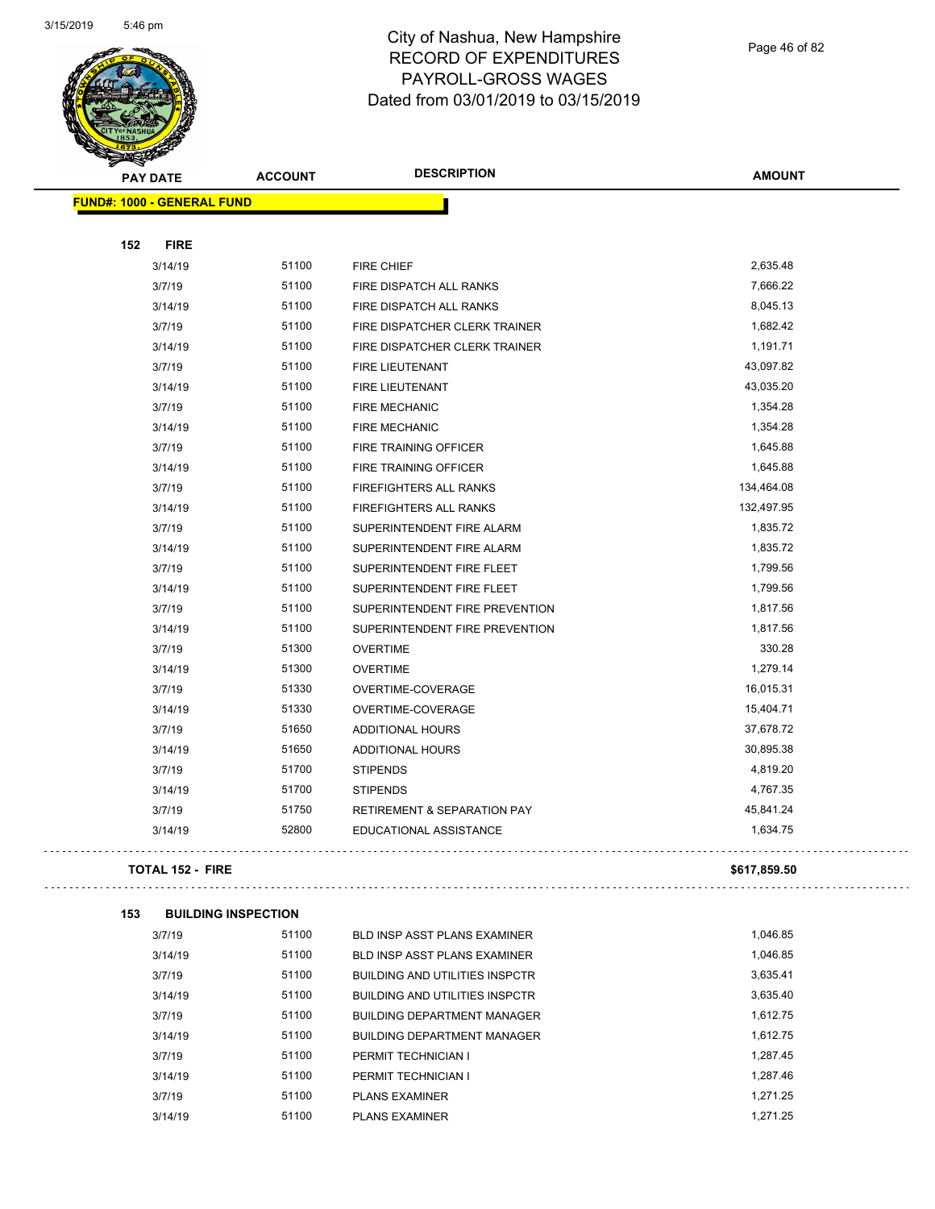

Page 46 of 82

. . .

 $\bar{\mathbb{Z}}$  is a

|     | <b>PAY DATE</b>                   | <b>ACCOUNT</b> | <b>DESCRIPTION</b>                     | <b>AMOUNT</b> |
|-----|-----------------------------------|----------------|----------------------------------------|---------------|
|     | <b>FUND#: 1000 - GENERAL FUND</b> |                |                                        |               |
|     |                                   |                |                                        |               |
| 152 | <b>FIRE</b>                       |                |                                        |               |
|     | 3/14/19                           | 51100          | FIRE CHIEF                             | 2,635.48      |
|     | 3/7/19                            | 51100          | FIRE DISPATCH ALL RANKS                | 7,666.22      |
|     | 3/14/19                           | 51100          | FIRE DISPATCH ALL RANKS                | 8,045.13      |
|     | 3/7/19                            | 51100          | FIRE DISPATCHER CLERK TRAINER          | 1,682.42      |
|     | 3/14/19                           | 51100          | FIRE DISPATCHER CLERK TRAINER          | 1,191.71      |
|     | 3/7/19                            | 51100          | FIRE LIEUTENANT                        | 43,097.82     |
|     | 3/14/19                           | 51100          | FIRE LIEUTENANT                        | 43,035.20     |
|     | 3/7/19                            | 51100          | <b>FIRE MECHANIC</b>                   | 1,354.28      |
|     | 3/14/19                           | 51100          | FIRE MECHANIC                          | 1,354.28      |
|     | 3/7/19                            | 51100          | FIRE TRAINING OFFICER                  | 1,645.88      |
|     | 3/14/19                           | 51100          | FIRE TRAINING OFFICER                  | 1,645.88      |
|     | 3/7/19                            | 51100          | FIREFIGHTERS ALL RANKS                 | 134,464.08    |
|     | 3/14/19                           | 51100          | FIREFIGHTERS ALL RANKS                 | 132,497.95    |
|     | 3/7/19                            | 51100          | SUPERINTENDENT FIRE ALARM              | 1,835.72      |
|     | 3/14/19                           | 51100          | SUPERINTENDENT FIRE ALARM              | 1,835.72      |
|     | 3/7/19                            | 51100          | SUPERINTENDENT FIRE FLEET              | 1,799.56      |
|     | 3/14/19                           | 51100          | SUPERINTENDENT FIRE FLEET              | 1,799.56      |
|     | 3/7/19                            | 51100          | SUPERINTENDENT FIRE PREVENTION         | 1,817.56      |
|     | 3/14/19                           | 51100          | SUPERINTENDENT FIRE PREVENTION         | 1,817.56      |
|     | 3/7/19                            | 51300          | <b>OVERTIME</b>                        | 330.28        |
|     | 3/14/19                           | 51300          | <b>OVERTIME</b>                        | 1,279.14      |
|     | 3/7/19                            | 51330          | OVERTIME-COVERAGE                      | 16,015.31     |
|     | 3/14/19                           | 51330          | OVERTIME-COVERAGE                      | 15,404.71     |
|     | 3/7/19                            | 51650          | <b>ADDITIONAL HOURS</b>                | 37,678.72     |
|     | 3/14/19                           | 51650          | <b>ADDITIONAL HOURS</b>                | 30,895.38     |
|     | 3/7/19                            | 51700          | <b>STIPENDS</b>                        | 4,819.20      |
|     | 3/14/19                           | 51700          | <b>STIPENDS</b>                        | 4,767.35      |
|     | 3/7/19                            | 51750          | <b>RETIREMENT &amp; SEPARATION PAY</b> | 45,841.24     |
|     | 3/14/19                           | 52800          | EDUCATIONAL ASSISTANCE                 | 1,634.75      |
|     | <b>TOTAL 152 - FIRE</b>           |                |                                        | \$617,859.50  |
| 153 | <b>BUILDING INSPECTION</b>        |                |                                        |               |
|     | 3/7/19                            | 51100          | BLD INSP ASST PLANS EXAMINER           | 1,046.85      |
|     | 3/14/19                           | 51100          | BLD INSP ASST PLANS EXAMINER           | 1,046.85      |
|     | 3/7/19                            | 51100          | <b>BUILDING AND UTILITIES INSPCTR</b>  | 3,635.41      |
|     | 3/14/19                           | 51100          | <b>BUILDING AND UTILITIES INSPCTR</b>  | 3,635.40      |
|     | 3/7/19                            | 51100          | <b>BUILDING DEPARTMENT MANAGER</b>     | 1,612.75      |
|     | 3/14/19                           | 51100          | <b>BUILDING DEPARTMENT MANAGER</b>     | 1,612.75      |
|     | 3/7/19                            | 51100          | PERMIT TECHNICIAN I                    | 1,287.45      |
|     | 3/14/19                           | 51100          | PERMIT TECHNICIAN I                    | 1,287.46      |
|     | 3/7/19                            | 51100          | <b>PLANS EXAMINER</b>                  | 1,271.25      |
|     | 3/14/19                           | 51100          | <b>PLANS EXAMINER</b>                  | 1,271.25      |
|     |                                   |                |                                        |               |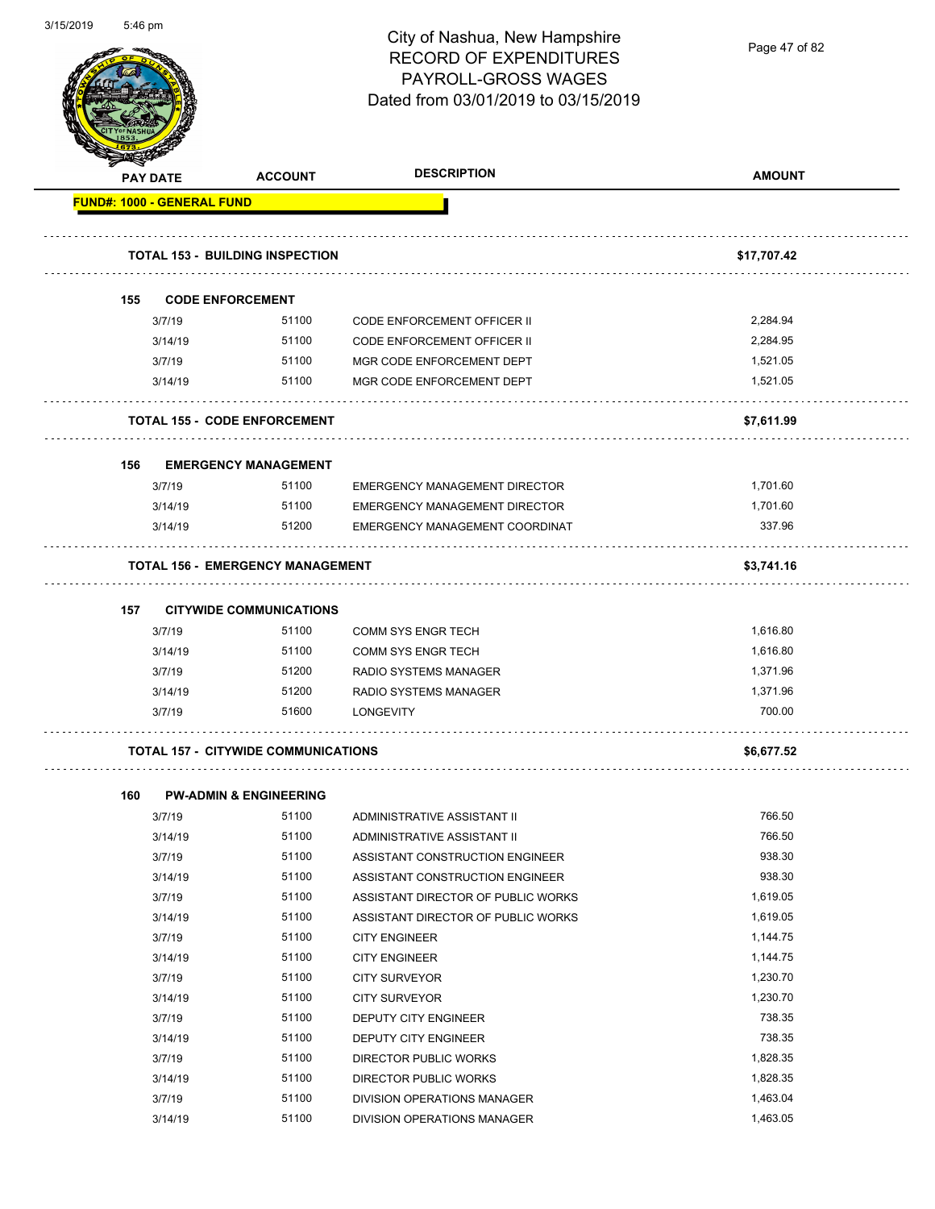

**AMOUNT PAY DATE ACCOUNT DESCRIPTION**

|     |                         | <b>TOTAL 153 - BUILDING INSPECTION</b>     |                                      | \$17,707.42 |
|-----|-------------------------|--------------------------------------------|--------------------------------------|-------------|
| 155 | <b>CODE ENFORCEMENT</b> |                                            |                                      |             |
|     | 3/7/19                  | 51100                                      | CODE ENFORCEMENT OFFICER II          | 2,284.94    |
|     | 3/14/19                 | 51100                                      | CODE ENFORCEMENT OFFICER II          | 2,284.95    |
|     | 3/7/19                  | 51100                                      | MGR CODE ENFORCEMENT DEPT            | 1,521.05    |
|     | 3/14/19                 | 51100                                      | MGR CODE ENFORCEMENT DEPT            | 1,521.05    |
|     |                         | <b>TOTAL 155 - CODE ENFORCEMENT</b>        |                                      | \$7,611.99  |
| 156 |                         | <b>EMERGENCY MANAGEMENT</b>                |                                      |             |
|     | 3/7/19                  | 51100                                      | <b>EMERGENCY MANAGEMENT DIRECTOR</b> | 1,701.60    |
|     | 3/14/19                 | 51100                                      | <b>EMERGENCY MANAGEMENT DIRECTOR</b> | 1,701.60    |
|     | 3/14/19                 | 51200                                      | EMERGENCY MANAGEMENT COORDINAT       | 337.96      |
|     |                         | <b>TOTAL 156 - EMERGENCY MANAGEMENT</b>    |                                      | \$3,741.16  |
| 157 |                         | <b>CITYWIDE COMMUNICATIONS</b>             |                                      |             |
|     | 3/7/19                  | 51100                                      | <b>COMM SYS ENGR TECH</b>            | 1,616.80    |
|     | 3/14/19                 | 51100                                      | <b>COMM SYS ENGR TECH</b>            | 1,616.80    |
|     | 3/7/19                  | 51200                                      | RADIO SYSTEMS MANAGER                | 1,371.96    |
|     | 3/14/19                 | 51200                                      | <b>RADIO SYSTEMS MANAGER</b>         | 1,371.96    |
|     | 3/7/19                  | 51600                                      | <b>LONGEVITY</b>                     | 700.00      |
|     |                         | <b>TOTAL 157 - CITYWIDE COMMUNICATIONS</b> |                                      | \$6,677.52  |
| 160 |                         | <b>PW-ADMIN &amp; ENGINEERING</b>          |                                      |             |
|     | 3/7/19                  | 51100                                      | ADMINISTRATIVE ASSISTANT II          | 766.50      |
|     | 3/14/19                 | 51100                                      | ADMINISTRATIVE ASSISTANT II          | 766.50      |
|     | 3/7/19                  | 51100                                      | ASSISTANT CONSTRUCTION ENGINEER      | 938.30      |

| טו דו ש |       |                                    |          |
|---------|-------|------------------------------------|----------|
| 3/7/19  | 51100 | ASSISTANT CONSTRUCTION ENGINEER    | 938.30   |
| 3/14/19 | 51100 | ASSISTANT CONSTRUCTION ENGINEER    | 938.30   |
| 3/7/19  | 51100 | ASSISTANT DIRECTOR OF PUBLIC WORKS | 1,619.05 |
| 3/14/19 | 51100 | ASSISTANT DIRECTOR OF PUBLIC WORKS | 1,619.05 |
| 3/7/19  | 51100 | <b>CITY ENGINEER</b>               | 1.144.75 |
| 3/14/19 | 51100 | <b>CITY ENGINEER</b>               | 1,144.75 |
| 3/7/19  | 51100 | CITY SURVEYOR                      | 1,230.70 |
| 3/14/19 | 51100 | CITY SURVEYOR                      | 1,230.70 |
| 3/7/19  | 51100 | <b>DEPUTY CITY ENGINEER</b>        | 738.35   |
| 3/14/19 | 51100 | <b>DEPUTY CITY ENGINEER</b>        | 738.35   |
| 3/7/19  | 51100 | DIRECTOR PUBLIC WORKS              | 1,828.35 |
| 3/14/19 | 51100 | DIRECTOR PUBLIC WORKS              | 1,828.35 |
| 3/7/19  | 51100 | DIVISION OPERATIONS MANAGER        | 1,463.04 |
| 3/14/19 | 51100 | DIVISION OPERATIONS MANAGER        | 1,463.05 |

Page 47 of 82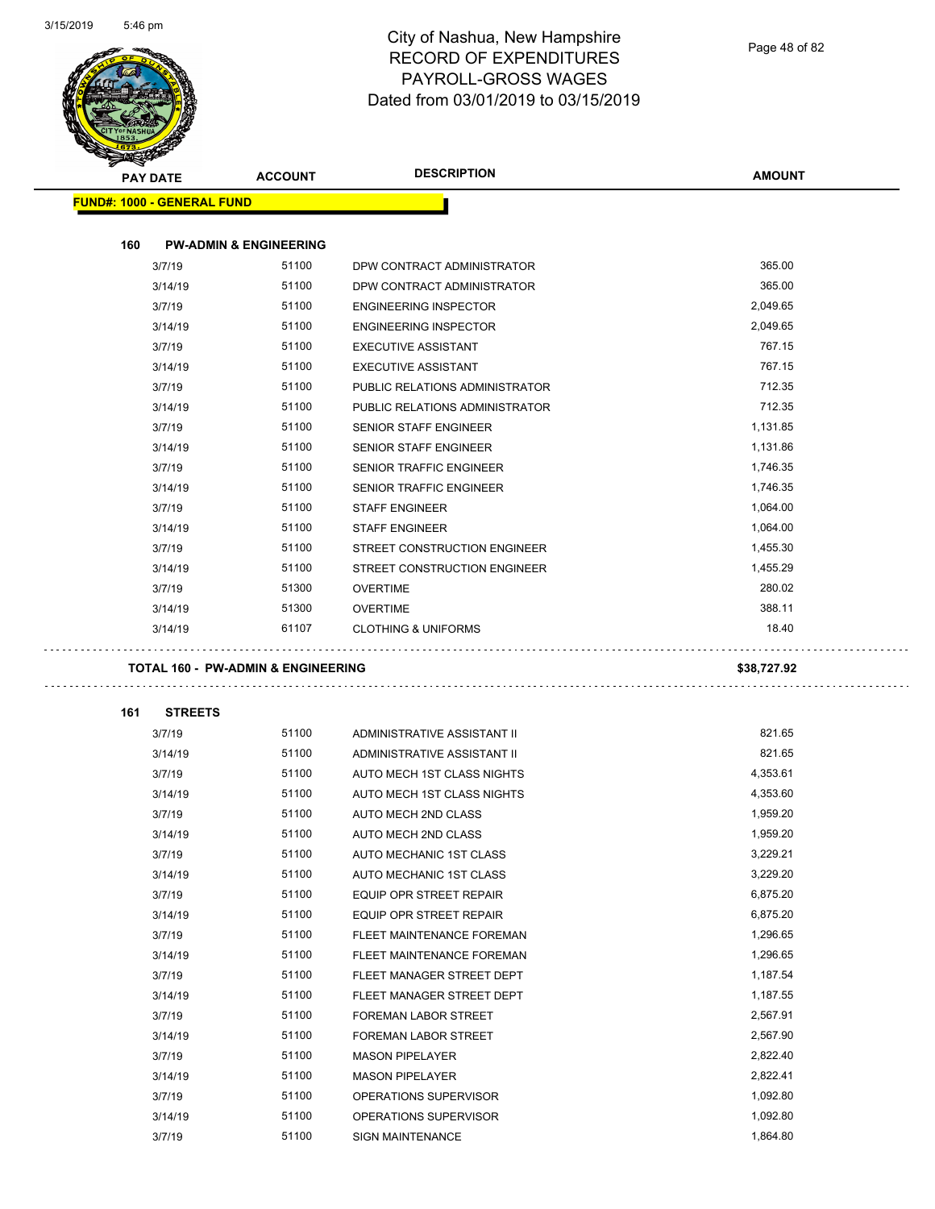

|     | PAY DATE                          | <b>ACCOUNT</b>                                | <b>DESCRIPTION</b>                             | <b>AMOUNT</b>        |
|-----|-----------------------------------|-----------------------------------------------|------------------------------------------------|----------------------|
|     | <b>FUND#: 1000 - GENERAL FUND</b> |                                               |                                                |                      |
|     |                                   |                                               |                                                |                      |
| 160 | 3/7/19                            | <b>PW-ADMIN &amp; ENGINEERING</b><br>51100    |                                                | 365.00               |
|     |                                   |                                               | DPW CONTRACT ADMINISTRATOR                     | 365.00               |
|     | 3/14/19                           | 51100                                         | DPW CONTRACT ADMINISTRATOR                     |                      |
|     | 3/7/19                            | 51100                                         | <b>ENGINEERING INSPECTOR</b>                   | 2,049.65             |
|     | 3/14/19                           | 51100                                         | <b>ENGINEERING INSPECTOR</b>                   | 2,049.65             |
|     | 3/7/19                            | 51100                                         | <b>EXECUTIVE ASSISTANT</b>                     | 767.15               |
|     | 3/14/19                           | 51100                                         | <b>EXECUTIVE ASSISTANT</b>                     | 767.15               |
|     | 3/7/19                            | 51100                                         | PUBLIC RELATIONS ADMINISTRATOR                 | 712.35               |
|     | 3/14/19                           | 51100                                         | PUBLIC RELATIONS ADMINISTRATOR                 | 712.35               |
|     | 3/7/19                            | 51100                                         | <b>SENIOR STAFF ENGINEER</b>                   | 1,131.85             |
|     | 3/14/19                           | 51100                                         | <b>SENIOR STAFF ENGINEER</b>                   | 1,131.86             |
|     | 3/7/19                            | 51100                                         | <b>SENIOR TRAFFIC ENGINEER</b>                 | 1,746.35             |
|     | 3/14/19                           | 51100                                         | <b>SENIOR TRAFFIC ENGINEER</b>                 | 1,746.35             |
|     | 3/7/19                            | 51100                                         | <b>STAFF ENGINEER</b>                          | 1,064.00             |
|     | 3/14/19                           | 51100                                         | <b>STAFF ENGINEER</b>                          | 1,064.00             |
|     | 3/7/19                            | 51100                                         | STREET CONSTRUCTION ENGINEER                   | 1,455.30             |
|     | 3/14/19                           | 51100                                         | STREET CONSTRUCTION ENGINEER                   | 1,455.29             |
|     | 3/7/19                            | 51300                                         | <b>OVERTIME</b>                                | 280.02               |
|     | 3/14/19                           | 51300                                         | <b>OVERTIME</b>                                | 388.11               |
|     | 3/14/19                           | 61107                                         | <b>CLOTHING &amp; UNIFORMS</b>                 | 18.40                |
|     |                                   |                                               |                                                |                      |
|     |                                   |                                               |                                                |                      |
|     |                                   | <b>TOTAL 160 - PW-ADMIN &amp; ENGINEERING</b> |                                                | \$38,727.92          |
| 161 | <b>STREETS</b>                    |                                               |                                                |                      |
|     | 3/7/19                            | 51100                                         | ADMINISTRATIVE ASSISTANT II                    | 821.65               |
|     | 3/14/19                           | 51100                                         | ADMINISTRATIVE ASSISTANT II                    | 821.65               |
|     | 3/7/19                            | 51100                                         | AUTO MECH 1ST CLASS NIGHTS                     | 4,353.61             |
|     | 3/14/19                           | 51100                                         | AUTO MECH 1ST CLASS NIGHTS                     | 4,353.60             |
|     | 3/7/19                            | 51100                                         | AUTO MECH 2ND CLASS                            | 1,959.20             |
|     | 3/14/19                           | 51100                                         | AUTO MECH 2ND CLASS                            | 1,959.20             |
|     | 3/7/19                            | 51100                                         | AUTO MECHANIC 1ST CLASS                        | 3,229.21             |
|     | 3/14/19                           | 51100                                         | AUTO MECHANIC 1ST CLASS                        | 3,229.20             |
|     | 3/7/19                            | 51100                                         | EQUIP OPR STREET REPAIR                        | 6,875.20             |
|     | 3/14/19                           | 51100                                         | EQUIP OPR STREET REPAIR                        | 6,875.20             |
|     | 3/7/19                            | 51100                                         | FLEET MAINTENANCE FOREMAN                      | 1,296.65             |
|     | 3/14/19                           | 51100                                         | FLEET MAINTENANCE FOREMAN                      | 1,296.65             |
|     | 3/7/19                            | 51100                                         | FLEET MANAGER STREET DEPT                      | 1,187.54             |
|     | 3/14/19                           | 51100                                         | FLEET MANAGER STREET DEPT                      | 1,187.55             |
|     | 3/7/19                            | 51100                                         | FOREMAN LABOR STREET                           | 2,567.91             |
|     | 3/14/19                           | 51100                                         | FOREMAN LABOR STREET                           | 2,567.90             |
|     |                                   |                                               |                                                |                      |
|     | 3/7/19                            | 51100                                         | <b>MASON PIPELAYER</b>                         | 2,822.40             |
|     | 3/14/19                           | 51100                                         | <b>MASON PIPELAYER</b>                         | 2,822.41             |
|     | 3/7/19<br>3/14/19                 | 51100<br>51100                                | OPERATIONS SUPERVISOR<br>OPERATIONS SUPERVISOR | 1,092.80<br>1,092.80 |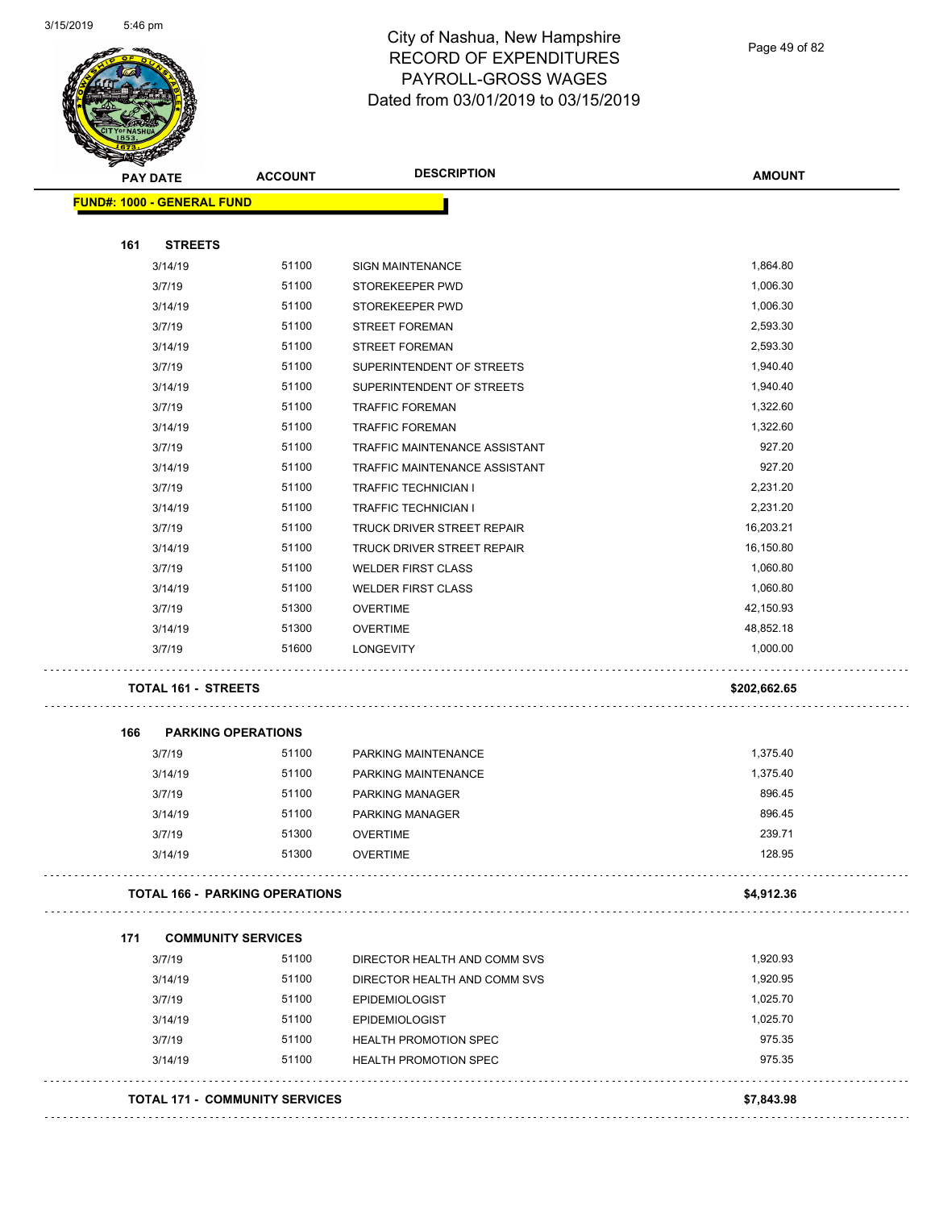

Page 49 of 82

|     | <b>PAY DATE</b>                       | <b>ACCOUNT</b> | <b>DESCRIPTION</b>                 | <b>AMOUNT</b>    |
|-----|---------------------------------------|----------------|------------------------------------|------------------|
|     | <b>FUND#: 1000 - GENERAL FUND</b>     |                |                                    |                  |
|     |                                       |                |                                    |                  |
| 161 | <b>STREETS</b>                        |                |                                    |                  |
|     | 3/14/19                               | 51100          | <b>SIGN MAINTENANCE</b>            | 1,864.80         |
|     | 3/7/19                                | 51100          | STOREKEEPER PWD                    | 1,006.30         |
|     | 3/14/19                               | 51100          | STOREKEEPER PWD                    | 1,006.30         |
|     | 3/7/19                                | 51100          | <b>STREET FOREMAN</b>              | 2,593.30         |
|     | 3/14/19                               | 51100          | <b>STREET FOREMAN</b>              | 2,593.30         |
|     | 3/7/19                                | 51100          | SUPERINTENDENT OF STREETS          | 1,940.40         |
|     | 3/14/19                               | 51100          | SUPERINTENDENT OF STREETS          | 1,940.40         |
|     | 3/7/19                                | 51100          | <b>TRAFFIC FOREMAN</b>             | 1,322.60         |
|     | 3/14/19                               | 51100          | <b>TRAFFIC FOREMAN</b>             | 1,322.60         |
|     | 3/7/19                                | 51100          | TRAFFIC MAINTENANCE ASSISTANT      | 927.20           |
|     | 3/14/19                               | 51100          | TRAFFIC MAINTENANCE ASSISTANT      | 927.20           |
|     | 3/7/19                                | 51100          | <b>TRAFFIC TECHNICIAN I</b>        | 2,231.20         |
|     | 3/14/19                               | 51100          | <b>TRAFFIC TECHNICIAN I</b>        | 2,231.20         |
|     | 3/7/19                                | 51100          | TRUCK DRIVER STREET REPAIR         | 16,203.21        |
|     | 3/14/19                               | 51100          | TRUCK DRIVER STREET REPAIR         | 16,150.80        |
|     | 3/7/19                                | 51100          | <b>WELDER FIRST CLASS</b>          | 1,060.80         |
|     | 3/14/19                               | 51100          | <b>WELDER FIRST CLASS</b>          | 1,060.80         |
|     | 3/7/19                                | 51300          | <b>OVERTIME</b>                    | 42,150.93        |
|     | 3/14/19                               | 51300          | <b>OVERTIME</b>                    | 48,852.18        |
|     | 3/7/19                                | 51600          | <b>LONGEVITY</b>                   | 1,000.00         |
|     | <b>TOTAL 161 - STREETS</b>            |                |                                    | \$202,662.65     |
| 166 | <b>PARKING OPERATIONS</b>             |                |                                    |                  |
|     | 3/7/19                                | 51100          | PARKING MAINTENANCE                | 1,375.40         |
|     | 3/14/19                               | 51100          | PARKING MAINTENANCE                | 1,375.40         |
|     | 3/7/19                                | 51100          | <b>PARKING MANAGER</b>             | 896.45           |
|     |                                       |                |                                    |                  |
|     | 3/14/19                               | 51100          | PARKING MANAGER                    | 896.45           |
|     | 3/7/19<br>3/14/19                     | 51300<br>51300 | <b>OVERTIME</b><br><b>OVERTIME</b> | 239.71<br>128.95 |
|     |                                       |                |                                    |                  |
|     | <b>TOTAL 166 - PARKING OPERATIONS</b> |                |                                    | \$4,912.36       |
| 171 | <b>COMMUNITY SERVICES</b>             |                |                                    |                  |
|     | 3/7/19                                | 51100          | DIRECTOR HEALTH AND COMM SVS       | 1,920.93         |
|     | 3/14/19                               | 51100          | DIRECTOR HEALTH AND COMM SVS       | 1,920.95         |
|     | 3/7/19                                | 51100          | <b>EPIDEMIOLOGIST</b>              | 1,025.70         |
|     | 3/14/19                               | 51100          | <b>EPIDEMIOLOGIST</b>              | 1,025.70         |
|     | 3/7/19                                | 51100          | <b>HEALTH PROMOTION SPEC</b>       | 975.35           |
|     | 3/14/19                               | 51100          | <b>HEALTH PROMOTION SPEC</b>       | 975.35           |
|     | <b>TOTAL 171 - COMMUNITY SERVICES</b> |                |                                    | \$7,843.98       |
|     |                                       |                |                                    |                  |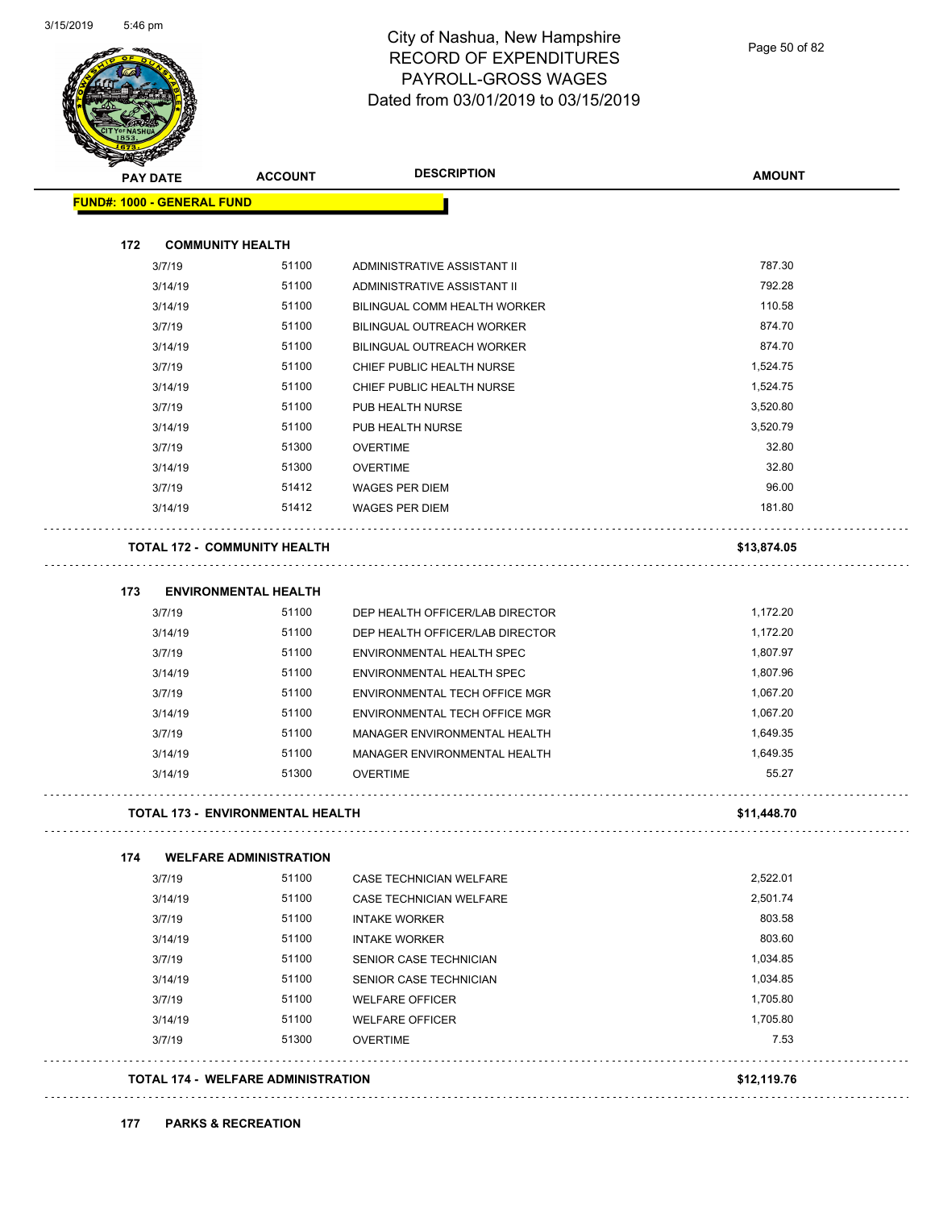

| <b>PAY DATE</b>                   | <b>ACCOUNT</b>                          | <b>DESCRIPTION</b>              | <b>AMOUNT</b> |
|-----------------------------------|-----------------------------------------|---------------------------------|---------------|
| <b>FUND#: 1000 - GENERAL FUND</b> |                                         |                                 |               |
|                                   |                                         |                                 |               |
| 172                               | <b>COMMUNITY HEALTH</b>                 |                                 |               |
| 3/7/19                            | 51100                                   | ADMINISTRATIVE ASSISTANT II     | 787.30        |
| 3/14/19                           | 51100                                   | ADMINISTRATIVE ASSISTANT II     | 792.28        |
| 3/14/19                           | 51100                                   | BILINGUAL COMM HEALTH WORKER    | 110.58        |
| 3/7/19                            | 51100                                   | BILINGUAL OUTREACH WORKER       | 874.70        |
| 3/14/19                           | 51100                                   | BILINGUAL OUTREACH WORKER       | 874.70        |
| 3/7/19                            | 51100                                   | CHIEF PUBLIC HEALTH NURSE       | 1,524.75      |
| 3/14/19                           | 51100                                   | CHIEF PUBLIC HEALTH NURSE       | 1,524.75      |
| 3/7/19                            | 51100                                   | PUB HEALTH NURSE                | 3,520.80      |
| 3/14/19                           | 51100                                   | PUB HEALTH NURSE                | 3,520.79      |
| 3/7/19                            | 51300                                   | <b>OVERTIME</b>                 | 32.80         |
| 3/14/19                           | 51300                                   | <b>OVERTIME</b>                 | 32.80         |
| 3/7/19                            | 51412                                   | <b>WAGES PER DIEM</b>           | 96.00         |
| 3/14/19                           | 51412                                   | <b>WAGES PER DIEM</b>           | 181.80        |
|                                   | <b>TOTAL 172 - COMMUNITY HEALTH</b>     |                                 | \$13,874.05   |
| 173                               | <b>ENVIRONMENTAL HEALTH</b>             |                                 |               |
| 3/7/19                            | 51100                                   | DEP HEALTH OFFICER/LAB DIRECTOR | 1,172.20      |
| 3/14/19                           | 51100                                   | DEP HEALTH OFFICER/LAB DIRECTOR | 1,172.20      |
| 3/7/19                            | 51100                                   | ENVIRONMENTAL HEALTH SPEC       | 1,807.97      |
| 3/14/19                           | 51100                                   | ENVIRONMENTAL HEALTH SPEC       | 1,807.96      |
| 3/7/19                            | 51100                                   | ENVIRONMENTAL TECH OFFICE MGR   | 1,067.20      |
| 3/14/19                           | 51100                                   | ENVIRONMENTAL TECH OFFICE MGR   | 1,067.20      |
| 3/7/19                            | 51100                                   | MANAGER ENVIRONMENTAL HEALTH    | 1,649.35      |
| 3/14/19                           | 51100                                   | MANAGER ENVIRONMENTAL HEALTH    | 1,649.35      |
| 3/14/19                           | 51300                                   | <b>OVERTIME</b>                 | 55.27         |
|                                   |                                         |                                 |               |
|                                   | <b>TOTAL 173 - ENVIRONMENTAL HEALTH</b> |                                 | \$11,448.70   |
| 174                               | <b>WELFARE ADMINISTRATION</b>           |                                 |               |
| 3/7/19                            | 51100                                   | <b>CASE TECHNICIAN WELFARE</b>  | 2,522.01      |
| 3/14/19                           | 51100                                   | <b>CASE TECHNICIAN WELFARE</b>  | 2,501.74      |
| 3/7/19                            | 51100                                   | <b>INTAKE WORKER</b>            | 803.58        |
| 3/14/19                           | 51100                                   | <b>INTAKE WORKER</b>            | 803.60        |
| 3/7/19                            | 51100                                   | SENIOR CASE TECHNICIAN          | 1,034.85      |
| 3/14/19                           | 51100                                   | SENIOR CASE TECHNICIAN          | 1,034.85      |
| 3/7/19                            | 51100                                   | <b>WELFARE OFFICER</b>          | 1,705.80      |
| 3/14/19                           | 51100                                   | <b>WELFARE OFFICER</b>          | 1,705.80      |
| 3/7/19                            | 51300                                   | <b>OVERTIME</b>                 | 7.53          |
|                                   |                                         |                                 |               |

#### **177 PARKS & RECREATION**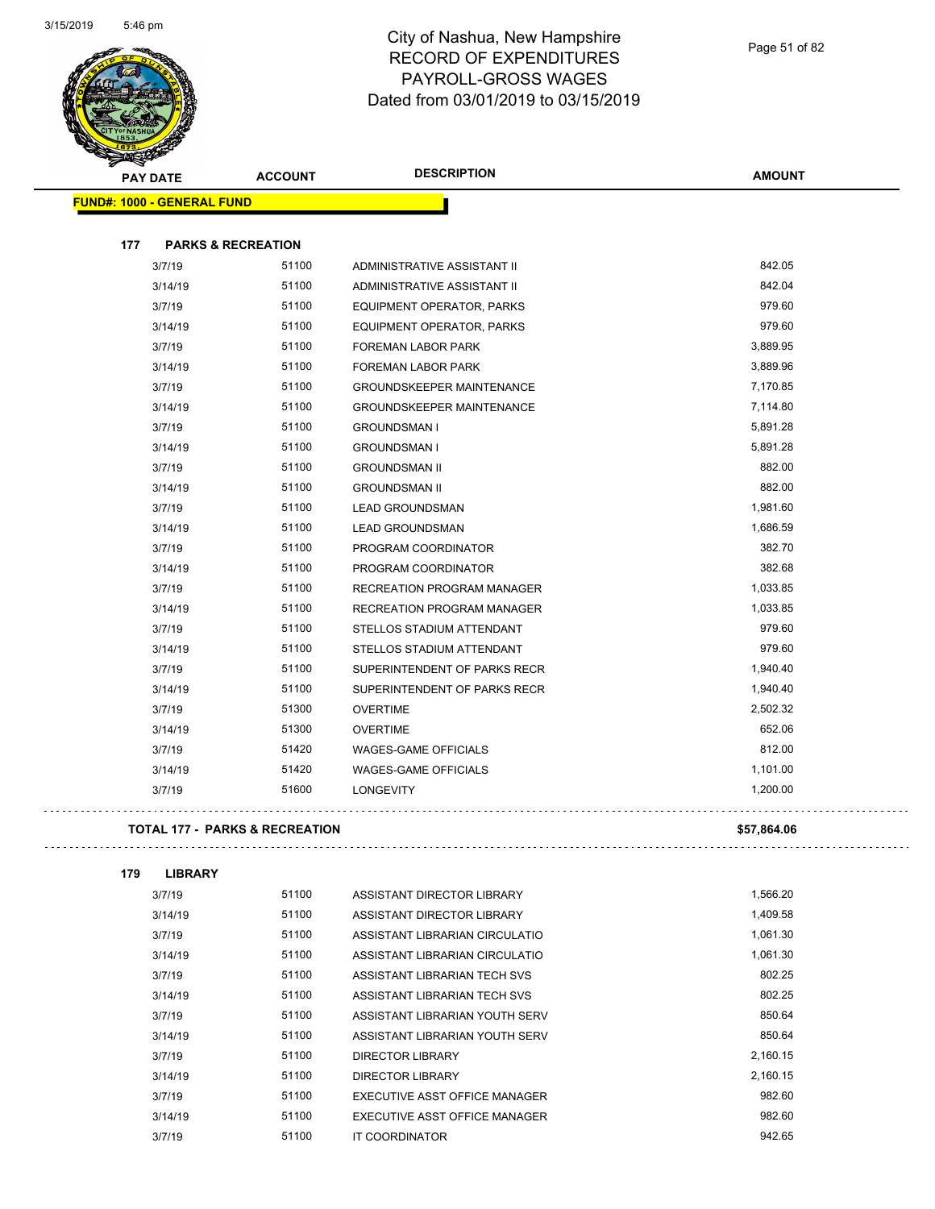

| <b>Antara</b><br><b>PAY DATE</b>          | <b>ACCOUNT</b>                | <b>DESCRIPTION</b>               | <b>AMOUNT</b> |
|-------------------------------------------|-------------------------------|----------------------------------|---------------|
| <b>FUND#: 1000 - GENERAL FUND</b>         |                               |                                  |               |
|                                           |                               |                                  |               |
| 177                                       | <b>PARKS &amp; RECREATION</b> |                                  |               |
| 3/7/19                                    | 51100                         | ADMINISTRATIVE ASSISTANT II      | 842.05        |
| 3/14/19                                   | 51100                         | ADMINISTRATIVE ASSISTANT II      | 842.04        |
| 3/7/19                                    | 51100                         | EQUIPMENT OPERATOR, PARKS        | 979.60        |
| 3/14/19                                   | 51100                         | EQUIPMENT OPERATOR, PARKS        | 979.60        |
| 3/7/19                                    | 51100                         | FOREMAN LABOR PARK               | 3,889.95      |
| 3/14/19                                   | 51100                         | FOREMAN LABOR PARK               | 3,889.96      |
| 3/7/19                                    | 51100                         | <b>GROUNDSKEEPER MAINTENANCE</b> | 7,170.85      |
| 3/14/19                                   | 51100                         | <b>GROUNDSKEEPER MAINTENANCE</b> | 7,114.80      |
| 3/7/19                                    | 51100                         | <b>GROUNDSMAN I</b>              | 5,891.28      |
| 3/14/19                                   | 51100                         | <b>GROUNDSMAN I</b>              | 5,891.28      |
| 3/7/19                                    | 51100                         | <b>GROUNDSMAN II</b>             | 882.00        |
| 3/14/19                                   | 51100                         | <b>GROUNDSMAN II</b>             | 882.00        |
| 3/7/19                                    | 51100                         | <b>LEAD GROUNDSMAN</b>           | 1,981.60      |
| 3/14/19                                   | 51100                         | <b>LEAD GROUNDSMAN</b>           | 1,686.59      |
| 3/7/19                                    | 51100                         | PROGRAM COORDINATOR              | 382.70        |
| 3/14/19                                   | 51100                         | PROGRAM COORDINATOR              | 382.68        |
| 3/7/19                                    | 51100                         | RECREATION PROGRAM MANAGER       | 1,033.85      |
| 3/14/19                                   | 51100                         | RECREATION PROGRAM MANAGER       | 1,033.85      |
| 3/7/19                                    | 51100                         | STELLOS STADIUM ATTENDANT        | 979.60        |
| 3/14/19                                   | 51100                         | STELLOS STADIUM ATTENDANT        | 979.60        |
| 3/7/19                                    | 51100                         | SUPERINTENDENT OF PARKS RECR     | 1,940.40      |
| 3/14/19                                   | 51100                         | SUPERINTENDENT OF PARKS RECR     | 1,940.40      |
| 3/7/19                                    | 51300                         | <b>OVERTIME</b>                  | 2,502.32      |
| 3/14/19                                   | 51300                         | <b>OVERTIME</b>                  | 652.06        |
| 3/7/19                                    | 51420                         | <b>WAGES-GAME OFFICIALS</b>      | 812.00        |
| 3/14/19                                   | 51420                         | <b>WAGES-GAME OFFICIALS</b>      | 1,101.00      |
| 3/7/19                                    | 51600                         | <b>LONGEVITY</b>                 | 1,200.00      |
| <b>TOTAL 177 - PARKS &amp; RECREATION</b> |                               |                                  | \$57,864.06   |

| \$57,864.0 |
|------------|
|            |

| 179 | <b>LIBRARY</b> |       |                                |          |
|-----|----------------|-------|--------------------------------|----------|
|     | 3/7/19         | 51100 | ASSISTANT DIRECTOR LIBRARY     | 1,566.20 |
|     | 3/14/19        | 51100 | ASSISTANT DIRECTOR LIBRARY     | 1,409.58 |
|     | 3/7/19         | 51100 | ASSISTANT LIBRARIAN CIRCULATIO | 1,061.30 |
|     | 3/14/19        | 51100 | ASSISTANT LIBRARIAN CIRCULATIO | 1,061.30 |
|     | 3/7/19         | 51100 | ASSISTANT LIBRARIAN TECH SVS   | 802.25   |
|     | 3/14/19        | 51100 | ASSISTANT LIBRARIAN TECH SVS   | 802.25   |
|     | 3/7/19         | 51100 | ASSISTANT LIBRARIAN YOUTH SERV | 850.64   |
|     | 3/14/19        | 51100 | ASSISTANT LIBRARIAN YOUTH SERV | 850.64   |
|     | 3/7/19         | 51100 | <b>DIRECTOR LIBRARY</b>        | 2,160.15 |
|     | 3/14/19        | 51100 | DIRECTOR LIBRARY               | 2,160.15 |
|     | 3/7/19         | 51100 | EXECUTIVE ASST OFFICE MANAGER  | 982.60   |
|     | 3/14/19        | 51100 | EXECUTIVE ASST OFFICE MANAGER  | 982.60   |
|     | 3/7/19         | 51100 | IT COORDINATOR                 | 942.65   |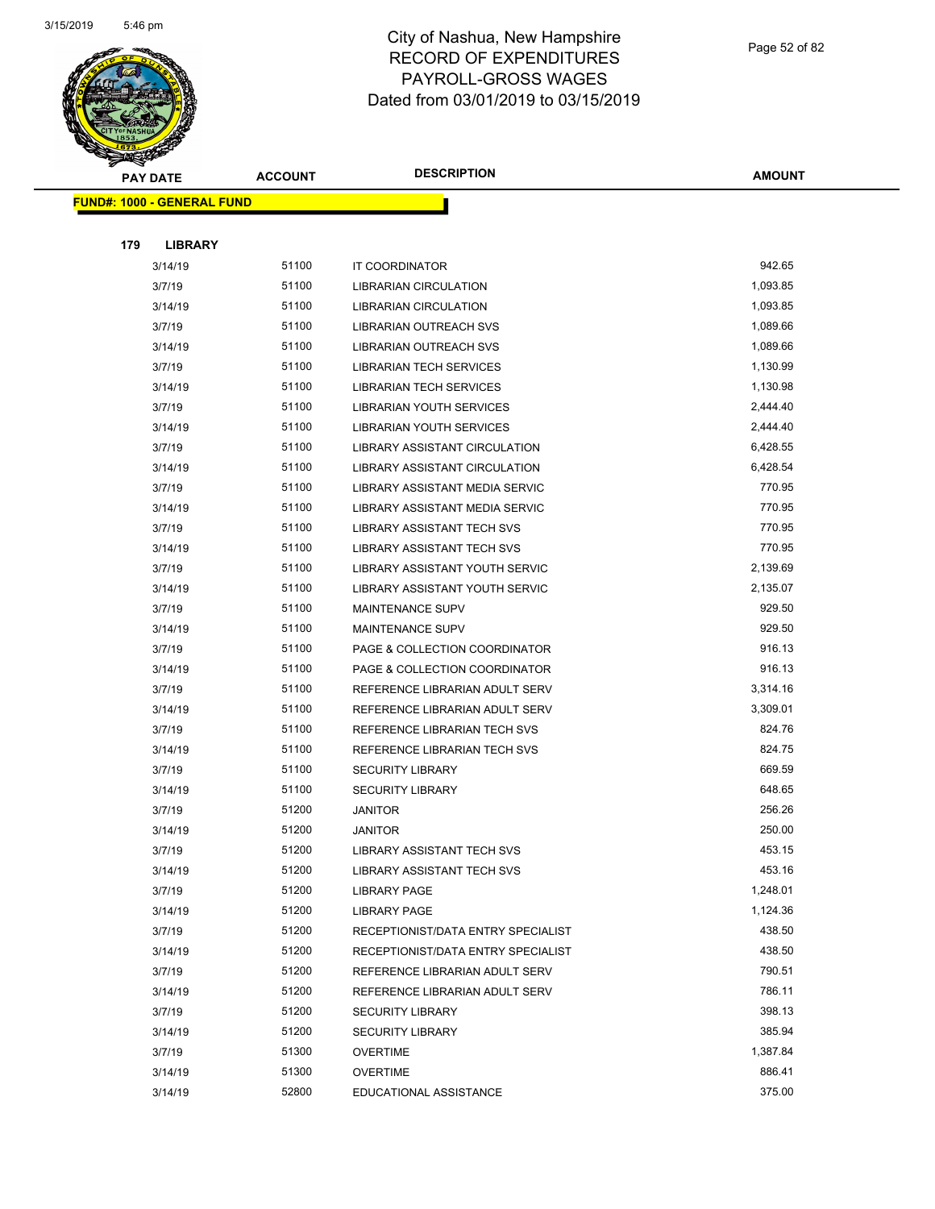

|     | <b>PAY DATE</b> |                                   | <b>ACCOUNT</b> | <b>DESCRIPTION</b>                   | <b>AMOUNT</b> |
|-----|-----------------|-----------------------------------|----------------|--------------------------------------|---------------|
|     |                 | <b>FUND#: 1000 - GENERAL FUND</b> |                |                                      |               |
|     |                 |                                   |                |                                      |               |
| 179 |                 | <b>LIBRARY</b>                    |                |                                      |               |
|     |                 | 3/14/19                           | 51100          | IT COORDINATOR                       | 942.65        |
|     |                 | 3/7/19                            | 51100          | <b>LIBRARIAN CIRCULATION</b>         | 1,093.85      |
|     |                 | 3/14/19                           | 51100          | <b>LIBRARIAN CIRCULATION</b>         | 1,093.85      |
|     |                 | 3/7/19                            | 51100          | <b>LIBRARIAN OUTREACH SVS</b>        | 1,089.66      |
|     |                 | 3/14/19                           | 51100          | <b>LIBRARIAN OUTREACH SVS</b>        | 1,089.66      |
|     |                 | 3/7/19                            | 51100          | <b>LIBRARIAN TECH SERVICES</b>       | 1,130.99      |
|     |                 | 3/14/19                           | 51100          | <b>LIBRARIAN TECH SERVICES</b>       | 1,130.98      |
|     |                 | 3/7/19                            | 51100          | LIBRARIAN YOUTH SERVICES             | 2,444.40      |
|     |                 | 3/14/19                           | 51100          | LIBRARIAN YOUTH SERVICES             | 2,444.40      |
|     |                 | 3/7/19                            | 51100          | LIBRARY ASSISTANT CIRCULATION        | 6,428.55      |
|     |                 | 3/14/19                           | 51100          | <b>LIBRARY ASSISTANT CIRCULATION</b> | 6,428.54      |
|     |                 | 3/7/19                            | 51100          | LIBRARY ASSISTANT MEDIA SERVIC       | 770.95        |
|     |                 | 3/14/19                           | 51100          | LIBRARY ASSISTANT MEDIA SERVIC       | 770.95        |
|     |                 | 3/7/19                            | 51100          | <b>LIBRARY ASSISTANT TECH SVS</b>    | 770.95        |
|     |                 | 3/14/19                           | 51100          | <b>LIBRARY ASSISTANT TECH SVS</b>    | 770.95        |
|     |                 | 3/7/19                            | 51100          | LIBRARY ASSISTANT YOUTH SERVIC       | 2,139.69      |
|     |                 | 3/14/19                           | 51100          | LIBRARY ASSISTANT YOUTH SERVIC       | 2,135.07      |
|     |                 | 3/7/19                            | 51100          | <b>MAINTENANCE SUPV</b>              | 929.50        |
|     |                 | 3/14/19                           | 51100          | <b>MAINTENANCE SUPV</b>              | 929.50        |
|     |                 | 3/7/19                            | 51100          | PAGE & COLLECTION COORDINATOR        | 916.13        |
|     |                 | 3/14/19                           | 51100          | PAGE & COLLECTION COORDINATOR        | 916.13        |
|     |                 | 3/7/19                            | 51100          | REFERENCE LIBRARIAN ADULT SERV       | 3,314.16      |
|     |                 | 3/14/19                           | 51100          | REFERENCE LIBRARIAN ADULT SERV       | 3,309.01      |
|     |                 | 3/7/19                            | 51100          | REFERENCE LIBRARIAN TECH SVS         | 824.76        |
|     |                 | 3/14/19                           | 51100          | REFERENCE LIBRARIAN TECH SVS         | 824.75        |
|     |                 | 3/7/19                            | 51100          | <b>SECURITY LIBRARY</b>              | 669.59        |
|     |                 | 3/14/19                           | 51100          | <b>SECURITY LIBRARY</b>              | 648.65        |
|     |                 | 3/7/19                            | 51200          | <b>JANITOR</b>                       | 256.26        |
|     |                 | 3/14/19                           | 51200          | <b>JANITOR</b>                       | 250.00        |
|     |                 | 3/7/19                            | 51200          | LIBRARY ASSISTANT TECH SVS           | 453.15        |
|     |                 | 3/14/19                           | 51200          | <b>LIBRARY ASSISTANT TECH SVS</b>    | 453.16        |
|     |                 | 3/7/19                            | 51200          | LIBRARY PAGE                         | 1,248.01      |
|     |                 | 3/14/19                           | 51200          | <b>LIBRARY PAGE</b>                  | 1,124.36      |
|     |                 | 3/7/19                            | 51200          | RECEPTIONIST/DATA ENTRY SPECIALIST   | 438.50        |
|     |                 | 3/14/19                           | 51200          | RECEPTIONIST/DATA ENTRY SPECIALIST   | 438.50        |
|     |                 | 3/7/19                            | 51200          | REFERENCE LIBRARIAN ADULT SERV       | 790.51        |
|     |                 | 3/14/19                           | 51200          | REFERENCE LIBRARIAN ADULT SERV       | 786.11        |
|     |                 | 3/7/19                            | 51200          | <b>SECURITY LIBRARY</b>              | 398.13        |
|     |                 | 3/14/19                           | 51200          | <b>SECURITY LIBRARY</b>              | 385.94        |
|     |                 | 3/7/19                            | 51300          | <b>OVERTIME</b>                      | 1,387.84      |
|     |                 | 3/14/19                           | 51300          | <b>OVERTIME</b>                      | 886.41        |
|     |                 | 3/14/19                           | 52800          | EDUCATIONAL ASSISTANCE               | 375.00        |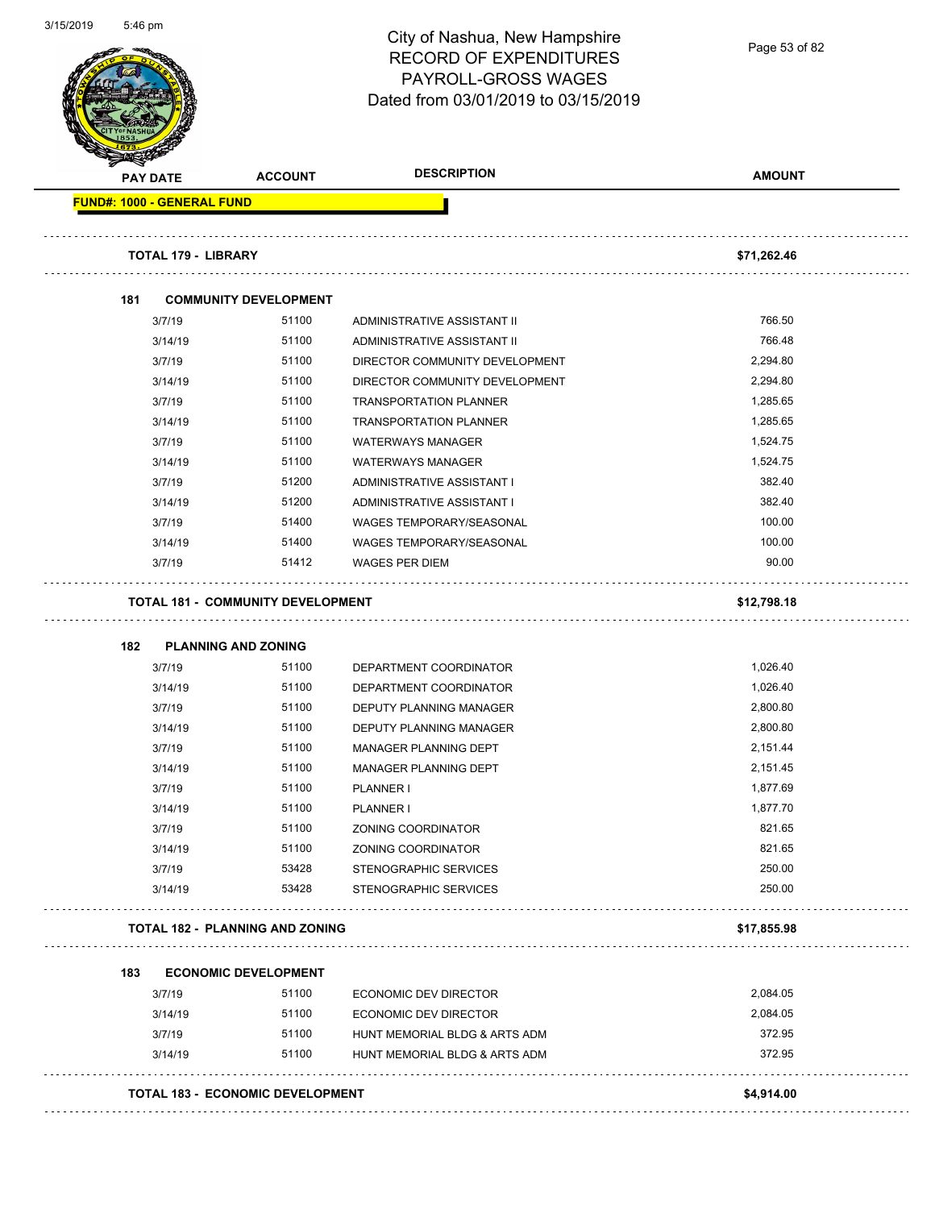|                                   |                                          | City of Nashua, New Hampshire<br><b>RECORD OF EXPENDITURES</b><br>PAYROLL-GROSS WAGES<br>Dated from 03/01/2019 to 03/15/2019 | Page 53 of 82 |
|-----------------------------------|------------------------------------------|------------------------------------------------------------------------------------------------------------------------------|---------------|
| <b>PAY DATE</b>                   | <b>ACCOUNT</b>                           | <b>DESCRIPTION</b>                                                                                                           | <b>AMOUNT</b> |
| <b>FUND#: 1000 - GENERAL FUND</b> |                                          |                                                                                                                              |               |
| <b>TOTAL 179 - LIBRARY</b>        |                                          |                                                                                                                              | \$71,262.46   |
| 181                               | <b>COMMUNITY DEVELOPMENT</b>             |                                                                                                                              |               |
| 3/7/19                            | 51100                                    | ADMINISTRATIVE ASSISTANT II                                                                                                  | 766.50        |
| 3/14/19                           | 51100                                    | ADMINISTRATIVE ASSISTANT II                                                                                                  | 766.48        |
| 3/7/19                            | 51100                                    | DIRECTOR COMMUNITY DEVELOPMENT                                                                                               | 2,294.80      |
| 3/14/19                           | 51100                                    | DIRECTOR COMMUNITY DEVELOPMENT                                                                                               | 2,294.80      |
| 3/7/19                            | 51100                                    | <b>TRANSPORTATION PLANNER</b>                                                                                                | 1,285.65      |
| 3/14/19                           | 51100                                    | <b>TRANSPORTATION PLANNER</b>                                                                                                | 1,285.65      |
| 3/7/19                            | 51100                                    | <b>WATERWAYS MANAGER</b>                                                                                                     | 1,524.75      |
| 3/14/19                           | 51100                                    | <b>WATERWAYS MANAGER</b>                                                                                                     | 1,524.75      |
| 3/7/19                            | 51200                                    | ADMINISTRATIVE ASSISTANT I                                                                                                   | 382.40        |
| 3/14/19                           | 51200                                    | ADMINISTRATIVE ASSISTANT I                                                                                                   | 382.40        |
| 3/7/19                            | 51400                                    | WAGES TEMPORARY/SEASONAL                                                                                                     | 100.00        |
| 3/14/19                           | 51400                                    | WAGES TEMPORARY/SEASONAL                                                                                                     | 100.00        |
| 3/7/19                            | 51412                                    | <b>WAGES PER DIEM</b>                                                                                                        | 90.00         |
|                                   | <b>TOTAL 181 - COMMUNITY DEVELOPMENT</b> |                                                                                                                              | \$12,798.18   |
|                                   |                                          |                                                                                                                              |               |
| 182                               | <b>PLANNING AND ZONING</b>               |                                                                                                                              |               |
| 3/7/19                            | 51100                                    | DEPARTMENT COORDINATOR                                                                                                       | 1,026.40      |
| 3/14/19                           | 51100                                    | DEPARTMENT COORDINATOR                                                                                                       | 1,026.40      |
| 3/7/19                            | 51100                                    | DEPUTY PLANNING MANAGER                                                                                                      | 2,800.80      |
| 3/14/19                           | 51100                                    | DEPUTY PLANNING MANAGER                                                                                                      | 2,800.80      |
| 3/7/19                            | 51100                                    | MANAGER PLANNING DEPT                                                                                                        | 2,151.44      |
| 3/14/19                           | 51100                                    | MANAGER PLANNING DEPT                                                                                                        | 2,151.45      |
| 3/7/19                            | 51100                                    | <b>PLANNER I</b>                                                                                                             | 1,877.69      |
| 3/14/19                           | 51100                                    | PLANNER I                                                                                                                    | 1,877.70      |
| 3/7/19                            | 51100                                    | ZONING COORDINATOR                                                                                                           | 821.65        |
| 3/14/19                           | 51100                                    | ZONING COORDINATOR                                                                                                           | 821.65        |
| 3/7/19                            | 53428                                    | STENOGRAPHIC SERVICES                                                                                                        | 250.00        |
| 3/14/19                           | 53428                                    | STENOGRAPHIC SERVICES                                                                                                        | 250.00        |
|                                   | <b>TOTAL 182 - PLANNING AND ZONING</b>   |                                                                                                                              | \$17,855.98   |
| 183                               |                                          |                                                                                                                              |               |
| 3/7/19                            | <b>ECONOMIC DEVELOPMENT</b><br>51100     |                                                                                                                              | 2,084.05      |
|                                   | 51100                                    | ECONOMIC DEV DIRECTOR                                                                                                        | 2,084.05      |
| 3/14/19<br>3/7/19                 | 51100                                    | ECONOMIC DEV DIRECTOR<br>HUNT MEMORIAL BLDG & ARTS ADM                                                                       | 372.95        |
| 3/14/19                           | 51100                                    | HUNT MEMORIAL BLDG & ARTS ADM                                                                                                | 372.95        |

3/15/2019 5:46 pm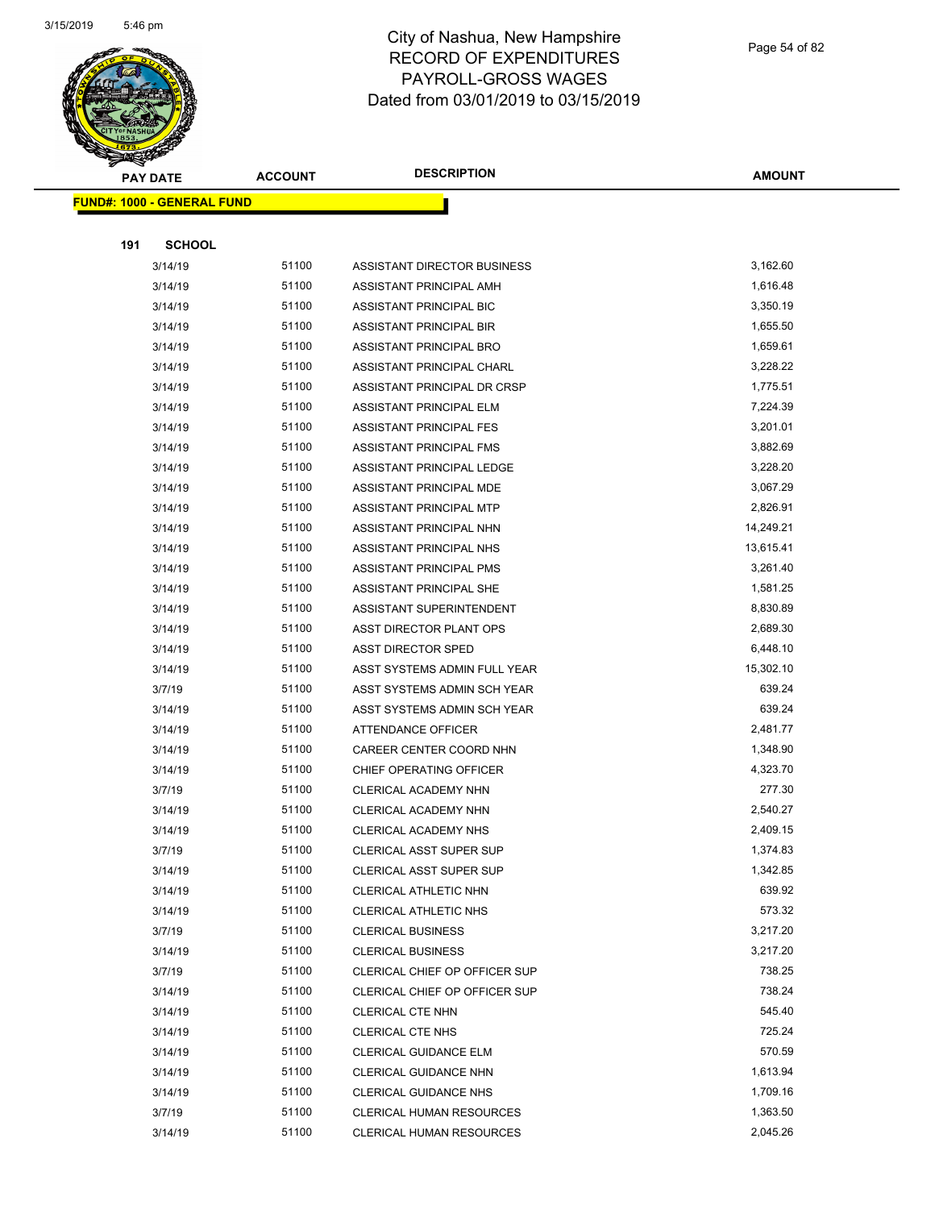

Page 54 of 82

| <b>PAY DATE</b>                   | <b>ACCOUNT</b> | <b>DESCRIPTION</b>             | <b>AMOUNT</b> |
|-----------------------------------|----------------|--------------------------------|---------------|
| <b>FUND#: 1000 - GENERAL FUND</b> |                |                                |               |
|                                   |                |                                |               |
| <b>SCHOOL</b><br>191              |                |                                |               |
| 3/14/19                           | 51100          | ASSISTANT DIRECTOR BUSINESS    | 3,162.60      |
| 3/14/19                           | 51100          | ASSISTANT PRINCIPAL AMH        | 1,616.48      |
| 3/14/19                           | 51100          | ASSISTANT PRINCIPAL BIC        | 3,350.19      |
| 3/14/19                           | 51100          | ASSISTANT PRINCIPAL BIR        | 1,655.50      |
| 3/14/19                           | 51100          | ASSISTANT PRINCIPAL BRO        | 1,659.61      |
| 3/14/19                           | 51100          | ASSISTANT PRINCIPAL CHARL      | 3,228.22      |
| 3/14/19                           | 51100          | ASSISTANT PRINCIPAL DR CRSP    | 1,775.51      |
| 3/14/19                           | 51100          | ASSISTANT PRINCIPAL ELM        | 7,224.39      |
| 3/14/19                           | 51100          | ASSISTANT PRINCIPAL FES        | 3,201.01      |
| 3/14/19                           | 51100          | ASSISTANT PRINCIPAL FMS        | 3,882.69      |
| 3/14/19                           | 51100          | ASSISTANT PRINCIPAL LEDGE      | 3,228.20      |
| 3/14/19                           | 51100          | ASSISTANT PRINCIPAL MDE        | 3,067.29      |
| 3/14/19                           | 51100          | ASSISTANT PRINCIPAL MTP        | 2,826.91      |
| 3/14/19                           | 51100          | ASSISTANT PRINCIPAL NHN        | 14,249.21     |
| 3/14/19                           | 51100          | ASSISTANT PRINCIPAL NHS        | 13,615.41     |
| 3/14/19                           | 51100          | ASSISTANT PRINCIPAL PMS        | 3,261.40      |
| 3/14/19                           | 51100          | ASSISTANT PRINCIPAL SHE        | 1,581.25      |
| 3/14/19                           | 51100          | ASSISTANT SUPERINTENDENT       | 8,830.89      |
| 3/14/19                           | 51100          | ASST DIRECTOR PLANT OPS        | 2,689.30      |
| 3/14/19                           | 51100          | ASST DIRECTOR SPED             | 6,448.10      |
| 3/14/19                           | 51100          | ASST SYSTEMS ADMIN FULL YEAR   | 15,302.10     |
| 3/7/19                            | 51100          | ASST SYSTEMS ADMIN SCH YEAR    | 639.24        |
| 3/14/19                           | 51100          | ASST SYSTEMS ADMIN SCH YEAR    | 639.24        |
| 3/14/19                           | 51100          | ATTENDANCE OFFICER             | 2,481.77      |
| 3/14/19                           | 51100          | CAREER CENTER COORD NHN        | 1,348.90      |
| 3/14/19                           | 51100          | CHIEF OPERATING OFFICER        | 4,323.70      |
| 3/7/19                            | 51100          | CLERICAL ACADEMY NHN           | 277.30        |
| 3/14/19                           | 51100          | CLERICAL ACADEMY NHN           | 2,540.27      |
| 3/14/19                           | 51100          | CLERICAL ACADEMY NHS           | 2,409.15      |
| 3/7/19                            | 51100          | <b>CLERICAL ASST SUPER SUP</b> | 1,374.83      |
| 3/14/19                           | 51100          | CLERICAL ASST SUPER SUP        | 1,342.85      |
| 3/14/19                           | 51100          | CLERICAL ATHLETIC NHN          | 639.92        |
| 3/14/19                           | 51100          | <b>CLERICAL ATHLETIC NHS</b>   | 573.32        |
| 3/7/19                            | 51100          | <b>CLERICAL BUSINESS</b>       | 3,217.20      |
| 3/14/19                           | 51100          | <b>CLERICAL BUSINESS</b>       | 3,217.20      |
| 3/7/19                            | 51100          | CLERICAL CHIEF OP OFFICER SUP  | 738.25        |
| 3/14/19                           | 51100          | CLERICAL CHIEF OP OFFICER SUP  | 738.24        |
| 3/14/19                           | 51100          | CLERICAL CTE NHN               | 545.40        |
| 3/14/19                           | 51100          | <b>CLERICAL CTE NHS</b>        | 725.24        |
| 3/14/19                           | 51100          | <b>CLERICAL GUIDANCE ELM</b>   | 570.59        |
| 3/14/19                           | 51100          | CLERICAL GUIDANCE NHN          | 1,613.94      |
| 3/14/19                           | 51100          | <b>CLERICAL GUIDANCE NHS</b>   | 1,709.16      |
| 3/7/19                            | 51100          | CLERICAL HUMAN RESOURCES       | 1,363.50      |
| 3/14/19                           | 51100          | CLERICAL HUMAN RESOURCES       | 2,045.26      |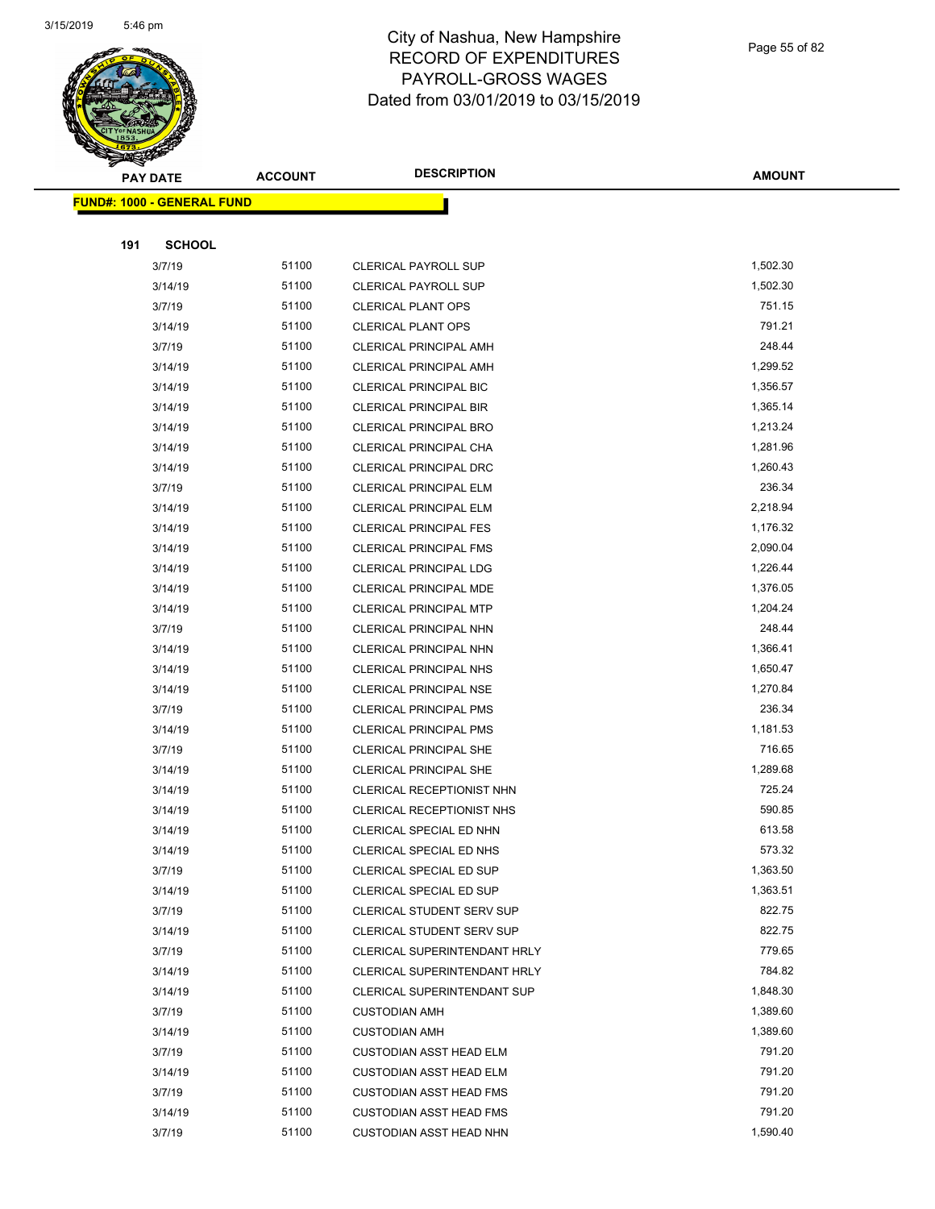

Page 55 of 82

|     | <b>PAY DATE</b>                   | <b>ACCOUNT</b> | <b>DESCRIPTION</b>                                               | <b>AMOUNT</b>    |
|-----|-----------------------------------|----------------|------------------------------------------------------------------|------------------|
|     | <b>FUND#: 1000 - GENERAL FUND</b> |                |                                                                  |                  |
|     |                                   |                |                                                                  |                  |
| 191 | <b>SCHOOL</b>                     |                |                                                                  |                  |
|     | 3/7/19                            | 51100          | <b>CLERICAL PAYROLL SUP</b>                                      | 1,502.30         |
|     | 3/14/19                           | 51100          | <b>CLERICAL PAYROLL SUP</b>                                      | 1,502.30         |
|     | 3/7/19                            | 51100          | <b>CLERICAL PLANT OPS</b>                                        | 751.15           |
|     | 3/14/19                           | 51100          | <b>CLERICAL PLANT OPS</b>                                        | 791.21           |
|     | 3/7/19                            | 51100          | <b>CLERICAL PRINCIPAL AMH</b>                                    | 248.44           |
|     | 3/14/19                           | 51100          | <b>CLERICAL PRINCIPAL AMH</b>                                    | 1,299.52         |
|     | 3/14/19                           | 51100          | <b>CLERICAL PRINCIPAL BIC</b>                                    | 1,356.57         |
|     | 3/14/19                           | 51100          | <b>CLERICAL PRINCIPAL BIR</b>                                    | 1,365.14         |
|     | 3/14/19                           | 51100          | <b>CLERICAL PRINCIPAL BRO</b>                                    | 1,213.24         |
|     | 3/14/19                           | 51100          | CLERICAL PRINCIPAL CHA                                           | 1,281.96         |
|     | 3/14/19                           | 51100          | <b>CLERICAL PRINCIPAL DRC</b>                                    | 1,260.43         |
|     | 3/7/19                            | 51100          | CLERICAL PRINCIPAL ELM                                           | 236.34           |
|     | 3/14/19                           | 51100          | <b>CLERICAL PRINCIPAL ELM</b>                                    | 2,218.94         |
|     | 3/14/19                           | 51100          | <b>CLERICAL PRINCIPAL FES</b>                                    | 1,176.32         |
|     | 3/14/19                           | 51100          | <b>CLERICAL PRINCIPAL FMS</b>                                    | 2,090.04         |
|     | 3/14/19                           | 51100          | <b>CLERICAL PRINCIPAL LDG</b>                                    | 1,226.44         |
|     | 3/14/19                           | 51100          | <b>CLERICAL PRINCIPAL MDE</b>                                    | 1,376.05         |
|     | 3/14/19                           | 51100          | <b>CLERICAL PRINCIPAL MTP</b>                                    | 1,204.24         |
|     | 3/7/19                            | 51100          | CLERICAL PRINCIPAL NHN                                           | 248.44           |
|     | 3/14/19                           | 51100          | CLERICAL PRINCIPAL NHN                                           | 1,366.41         |
|     | 3/14/19                           | 51100          | <b>CLERICAL PRINCIPAL NHS</b>                                    | 1,650.47         |
|     | 3/14/19                           | 51100          | CLERICAL PRINCIPAL NSE                                           | 1,270.84         |
|     | 3/7/19                            | 51100          | <b>CLERICAL PRINCIPAL PMS</b>                                    | 236.34           |
|     | 3/14/19                           | 51100          | <b>CLERICAL PRINCIPAL PMS</b>                                    | 1,181.53         |
|     | 3/7/19                            | 51100          | <b>CLERICAL PRINCIPAL SHE</b>                                    | 716.65           |
|     | 3/14/19                           | 51100          | <b>CLERICAL PRINCIPAL SHE</b>                                    | 1,289.68         |
|     | 3/14/19                           | 51100          | CLERICAL RECEPTIONIST NHN                                        | 725.24           |
|     | 3/14/19                           | 51100          | CLERICAL RECEPTIONIST NHS                                        | 590.85           |
|     | 3/14/19                           | 51100          | CLERICAL SPECIAL ED NHN                                          | 613.58           |
|     | 3/14/19                           | 51100          | CLERICAL SPECIAL ED NHS                                          | 573.32           |
|     | 3/7/19                            | 51100          | CLERICAL SPECIAL ED SUP                                          | 1,363.50         |
|     | 3/14/19                           | 51100          | <b>CLERICAL SPECIAL ED SUP</b>                                   | 1,363.51         |
|     | 3/7/19                            | 51100          | <b>CLERICAL STUDENT SERV SUP</b>                                 | 822.75           |
|     | 3/14/19                           | 51100          | CLERICAL STUDENT SERV SUP                                        | 822.75           |
|     | 3/7/19                            | 51100          | CLERICAL SUPERINTENDANT HRLY                                     | 779.65           |
|     | 3/14/19                           | 51100          | CLERICAL SUPERINTENDANT HRLY                                     | 784.82           |
|     | 3/14/19                           | 51100          | <b>CLERICAL SUPERINTENDANT SUP</b>                               | 1,848.30         |
|     | 3/7/19                            | 51100          | <b>CUSTODIAN AMH</b>                                             | 1,389.60         |
|     | 3/14/19                           | 51100          | <b>CUSTODIAN AMH</b>                                             | 1,389.60         |
|     | 3/7/19                            | 51100<br>51100 | <b>CUSTODIAN ASST HEAD ELM</b>                                   | 791.20<br>791.20 |
|     | 3/14/19<br>3/7/19                 | 51100          | <b>CUSTODIAN ASST HEAD ELM</b><br><b>CUSTODIAN ASST HEAD FMS</b> | 791.20           |
|     | 3/14/19                           | 51100          | <b>CUSTODIAN ASST HEAD FMS</b>                                   | 791.20           |
|     | 3/7/19                            | 51100          | <b>CUSTODIAN ASST HEAD NHN</b>                                   | 1,590.40         |
|     |                                   |                |                                                                  |                  |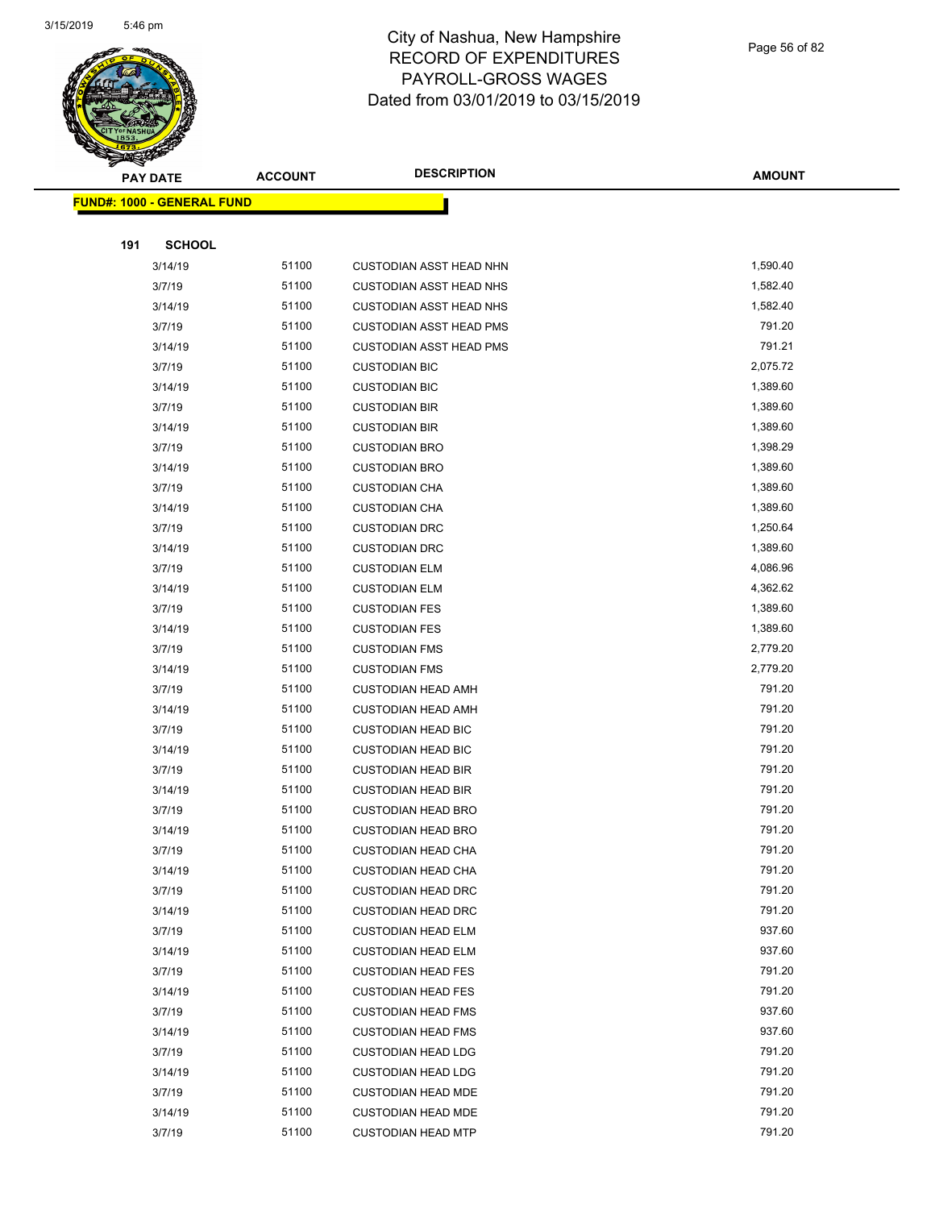

Page 56 of 82

|     | <b>PAY DATE</b>                    | <b>ACCOUNT</b> | <b>DESCRIPTION</b>                                     | <b>AMOUNT</b>    |
|-----|------------------------------------|----------------|--------------------------------------------------------|------------------|
|     | <u> FUND#: 1000 - GENERAL FUND</u> |                |                                                        |                  |
|     |                                    |                |                                                        |                  |
| 191 | <b>SCHOOL</b>                      |                |                                                        |                  |
|     | 3/14/19                            | 51100          | <b>CUSTODIAN ASST HEAD NHN</b>                         | 1,590.40         |
|     | 3/7/19                             | 51100          | <b>CUSTODIAN ASST HEAD NHS</b>                         | 1,582.40         |
|     | 3/14/19                            | 51100          | <b>CUSTODIAN ASST HEAD NHS</b>                         | 1,582.40         |
|     | 3/7/19                             | 51100          | <b>CUSTODIAN ASST HEAD PMS</b>                         | 791.20           |
|     | 3/14/19                            | 51100          | CUSTODIAN ASST HEAD PMS                                | 791.21           |
|     | 3/7/19                             | 51100          | <b>CUSTODIAN BIC</b>                                   | 2,075.72         |
|     | 3/14/19                            | 51100          | <b>CUSTODIAN BIC</b>                                   | 1,389.60         |
|     | 3/7/19                             | 51100          | <b>CUSTODIAN BIR</b>                                   | 1,389.60         |
|     | 3/14/19                            | 51100          | <b>CUSTODIAN BIR</b>                                   | 1,389.60         |
|     | 3/7/19                             | 51100          | <b>CUSTODIAN BRO</b>                                   | 1,398.29         |
|     | 3/14/19                            | 51100          | <b>CUSTODIAN BRO</b>                                   | 1,389.60         |
|     | 3/7/19                             | 51100          | <b>CUSTODIAN CHA</b>                                   | 1,389.60         |
|     | 3/14/19                            | 51100          | <b>CUSTODIAN CHA</b>                                   | 1,389.60         |
|     | 3/7/19                             | 51100          | <b>CUSTODIAN DRC</b>                                   | 1,250.64         |
|     | 3/14/19                            | 51100          | <b>CUSTODIAN DRC</b>                                   | 1,389.60         |
|     | 3/7/19                             | 51100          | <b>CUSTODIAN ELM</b>                                   | 4,086.96         |
|     | 3/14/19                            | 51100          | <b>CUSTODIAN ELM</b>                                   | 4,362.62         |
|     | 3/7/19                             | 51100          | <b>CUSTODIAN FES</b>                                   | 1,389.60         |
|     | 3/14/19                            | 51100          | <b>CUSTODIAN FES</b>                                   | 1,389.60         |
|     | 3/7/19                             | 51100          | <b>CUSTODIAN FMS</b>                                   | 2,779.20         |
|     | 3/14/19                            | 51100          | <b>CUSTODIAN FMS</b>                                   | 2,779.20         |
|     | 3/7/19                             | 51100          | <b>CUSTODIAN HEAD AMH</b>                              | 791.20           |
|     | 3/14/19                            | 51100          | <b>CUSTODIAN HEAD AMH</b>                              | 791.20           |
|     | 3/7/19                             | 51100          | <b>CUSTODIAN HEAD BIC</b>                              | 791.20           |
|     | 3/14/19                            | 51100          | <b>CUSTODIAN HEAD BIC</b>                              | 791.20           |
|     | 3/7/19                             | 51100          | <b>CUSTODIAN HEAD BIR</b>                              | 791.20           |
|     | 3/14/19                            | 51100          | <b>CUSTODIAN HEAD BIR</b>                              | 791.20           |
|     | 3/7/19                             | 51100          | <b>CUSTODIAN HEAD BRO</b>                              | 791.20           |
|     | 3/14/19                            | 51100          | <b>CUSTODIAN HEAD BRO</b>                              | 791.20           |
|     | 3/7/19                             | 51100          | <b>CUSTODIAN HEAD CHA</b>                              | 791.20           |
|     | 3/14/19                            | 51100          | <b>CUSTODIAN HEAD CHA</b>                              | 791.20           |
|     | 3/7/19                             | 51100          | <b>CUSTODIAN HEAD DRC</b>                              | 791.20           |
|     | 3/14/19                            | 51100          | <b>CUSTODIAN HEAD DRC</b>                              | 791.20           |
|     | 3/7/19                             | 51100          | <b>CUSTODIAN HEAD ELM</b>                              | 937.60           |
|     | 3/14/19                            | 51100          | <b>CUSTODIAN HEAD ELM</b>                              | 937.60           |
|     | 3/7/19                             | 51100          | <b>CUSTODIAN HEAD FES</b>                              | 791.20<br>791.20 |
|     | 3/14/19                            | 51100          | <b>CUSTODIAN HEAD FES</b>                              |                  |
|     | 3/7/19                             | 51100<br>51100 | <b>CUSTODIAN HEAD FMS</b>                              | 937.60<br>937.60 |
|     | 3/14/19                            | 51100          | <b>CUSTODIAN HEAD FMS</b>                              | 791.20           |
|     | 3/7/19                             | 51100          | <b>CUSTODIAN HEAD LDG</b>                              | 791.20           |
|     | 3/14/19                            | 51100          | <b>CUSTODIAN HEAD LDG</b>                              | 791.20           |
|     | 3/7/19<br>3/14/19                  | 51100          | <b>CUSTODIAN HEAD MDE</b>                              | 791.20           |
|     | 3/7/19                             | 51100          | <b>CUSTODIAN HEAD MDE</b><br><b>CUSTODIAN HEAD MTP</b> | 791.20           |
|     |                                    |                |                                                        |                  |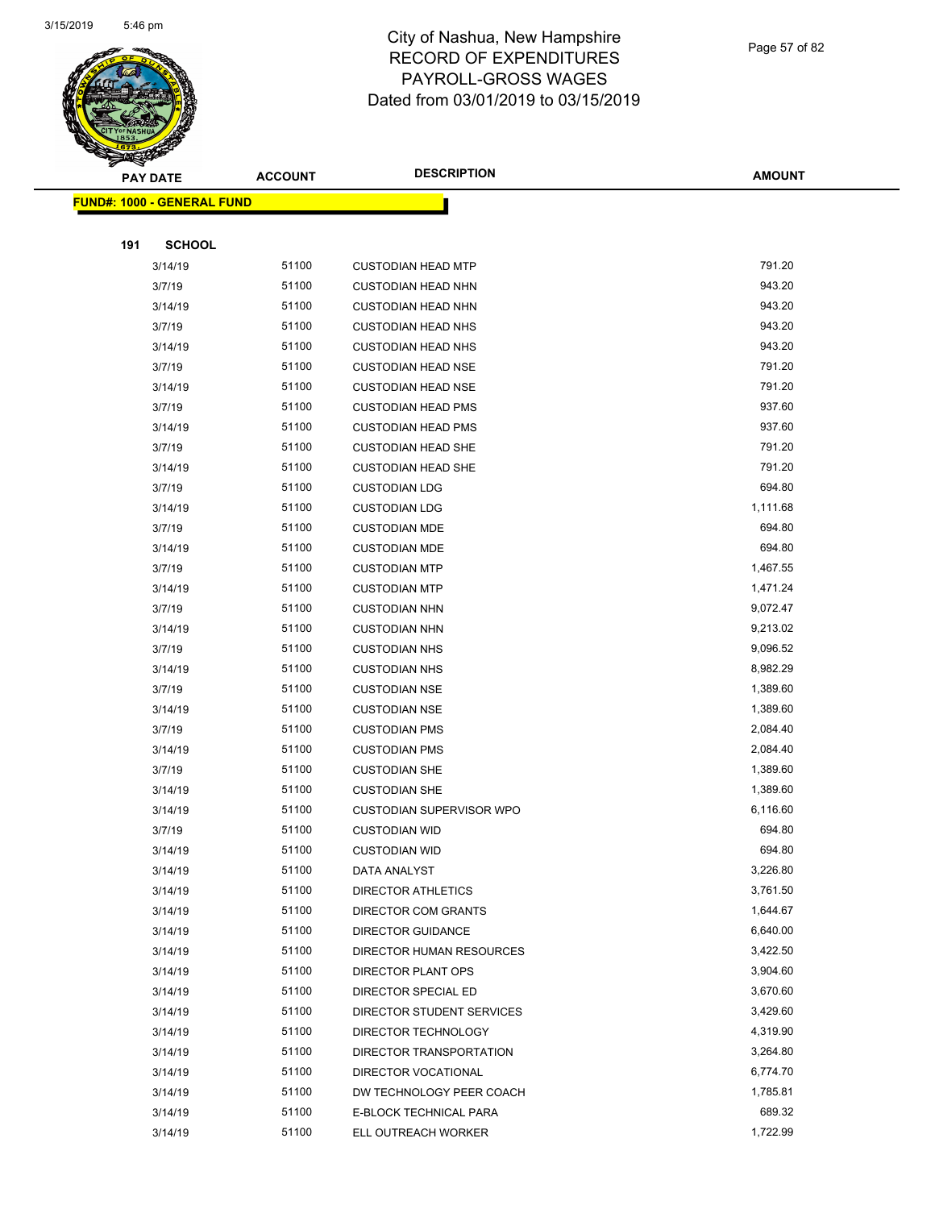

Page 57 of 82

|     | <b>PAY DATE</b>                   | <b>ACCOUNT</b> | <b>DESCRIPTION</b>                               | <b>AMOUNT</b>        |
|-----|-----------------------------------|----------------|--------------------------------------------------|----------------------|
|     | <b>FUND#: 1000 - GENERAL FUND</b> |                |                                                  |                      |
|     |                                   |                |                                                  |                      |
| 191 | <b>SCHOOL</b>                     |                |                                                  |                      |
|     | 3/14/19                           | 51100          | <b>CUSTODIAN HEAD MTP</b>                        | 791.20               |
|     | 3/7/19                            | 51100          | <b>CUSTODIAN HEAD NHN</b>                        | 943.20               |
|     | 3/14/19                           | 51100          | <b>CUSTODIAN HEAD NHN</b>                        | 943.20               |
|     | 3/7/19                            | 51100          | <b>CUSTODIAN HEAD NHS</b>                        | 943.20               |
|     | 3/14/19                           | 51100          | <b>CUSTODIAN HEAD NHS</b>                        | 943.20               |
|     | 3/7/19                            | 51100          | <b>CUSTODIAN HEAD NSE</b>                        | 791.20               |
|     | 3/14/19                           | 51100          | <b>CUSTODIAN HEAD NSE</b>                        | 791.20               |
|     | 3/7/19                            | 51100          | <b>CUSTODIAN HEAD PMS</b>                        | 937.60               |
|     | 3/14/19                           | 51100          | <b>CUSTODIAN HEAD PMS</b>                        | 937.60               |
|     | 3/7/19                            | 51100          | <b>CUSTODIAN HEAD SHE</b>                        | 791.20               |
|     | 3/14/19                           | 51100          | <b>CUSTODIAN HEAD SHE</b>                        | 791.20               |
|     | 3/7/19                            | 51100          | <b>CUSTODIAN LDG</b>                             | 694.80               |
|     | 3/14/19                           | 51100          | <b>CUSTODIAN LDG</b>                             | 1,111.68             |
|     | 3/7/19                            | 51100          | <b>CUSTODIAN MDE</b>                             | 694.80               |
|     | 3/14/19                           | 51100          | <b>CUSTODIAN MDE</b>                             | 694.80               |
|     | 3/7/19                            | 51100          | <b>CUSTODIAN MTP</b>                             | 1,467.55             |
|     | 3/14/19                           | 51100          | <b>CUSTODIAN MTP</b>                             | 1,471.24             |
|     | 3/7/19                            | 51100          | <b>CUSTODIAN NHN</b>                             | 9,072.47             |
|     | 3/14/19                           | 51100          | <b>CUSTODIAN NHN</b>                             | 9,213.02             |
|     | 3/7/19                            | 51100          | <b>CUSTODIAN NHS</b>                             | 9,096.52             |
|     | 3/14/19                           | 51100          | <b>CUSTODIAN NHS</b>                             | 8,982.29             |
|     | 3/7/19                            | 51100          | <b>CUSTODIAN NSE</b>                             | 1,389.60             |
|     | 3/14/19                           | 51100          | <b>CUSTODIAN NSE</b>                             | 1,389.60             |
|     | 3/7/19                            | 51100          | <b>CUSTODIAN PMS</b>                             | 2,084.40             |
|     | 3/14/19                           | 51100          | <b>CUSTODIAN PMS</b>                             | 2,084.40             |
|     | 3/7/19                            | 51100          | <b>CUSTODIAN SHE</b>                             | 1,389.60             |
|     | 3/14/19                           | 51100          | <b>CUSTODIAN SHE</b>                             | 1,389.60             |
|     | 3/14/19                           | 51100          | CUSTODIAN SUPERVISOR WPO                         | 6,116.60             |
|     | 3/7/19                            | 51100          | <b>CUSTODIAN WID</b>                             | 694.80               |
|     | 3/14/19                           | 51100          | <b>CUSTODIAN WID</b>                             | 694.80               |
|     | 3/14/19                           | 51100          | DATA ANALYST                                     | 3,226.80             |
|     | 3/14/19                           | 51100          | DIRECTOR ATHLETICS                               | 3,761.50             |
|     | 3/14/19                           | 51100          | DIRECTOR COM GRANTS                              | 1,644.67             |
|     | 3/14/19                           | 51100          | <b>DIRECTOR GUIDANCE</b>                         | 6,640.00             |
|     | 3/14/19                           | 51100          | DIRECTOR HUMAN RESOURCES                         | 3,422.50             |
|     | 3/14/19                           | 51100<br>51100 | DIRECTOR PLANT OPS                               | 3,904.60<br>3,670.60 |
|     | 3/14/19                           |                | DIRECTOR SPECIAL ED                              | 3,429.60             |
|     | 3/14/19<br>3/14/19                | 51100<br>51100 | DIRECTOR STUDENT SERVICES<br>DIRECTOR TECHNOLOGY | 4,319.90             |
|     |                                   | 51100          | DIRECTOR TRANSPORTATION                          | 3,264.80             |
|     | 3/14/19<br>3/14/19                | 51100          | DIRECTOR VOCATIONAL                              | 6,774.70             |
|     | 3/14/19                           | 51100          | DW TECHNOLOGY PEER COACH                         | 1,785.81             |
|     | 3/14/19                           | 51100          | E-BLOCK TECHNICAL PARA                           | 689.32               |
|     | 3/14/19                           | 51100          | ELL OUTREACH WORKER                              | 1,722.99             |
|     |                                   |                |                                                  |                      |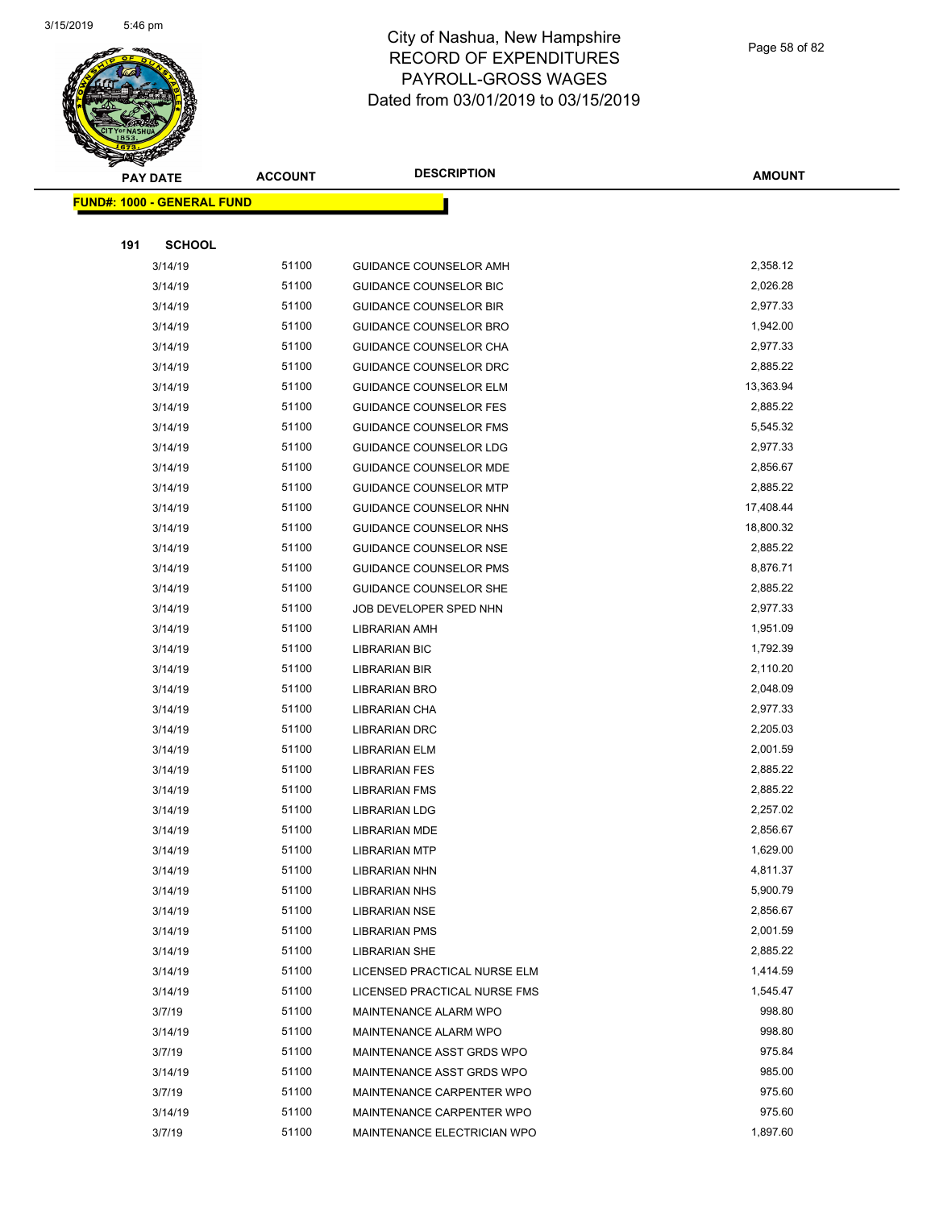

Page 58 of 82

|     | <b>PAY DATE</b>                   | <b>ACCOUNT</b> | <b>DESCRIPTION</b>            | <b>AMOUNT</b> |
|-----|-----------------------------------|----------------|-------------------------------|---------------|
|     | <b>FUND#: 1000 - GENERAL FUND</b> |                |                               |               |
|     |                                   |                |                               |               |
| 191 | <b>SCHOOL</b>                     |                |                               |               |
|     | 3/14/19                           | 51100          | GUIDANCE COUNSELOR AMH        | 2,358.12      |
|     | 3/14/19                           | 51100          | <b>GUIDANCE COUNSELOR BIC</b> | 2,026.28      |
|     | 3/14/19                           | 51100          | <b>GUIDANCE COUNSELOR BIR</b> | 2,977.33      |
|     | 3/14/19                           | 51100          | <b>GUIDANCE COUNSELOR BRO</b> | 1,942.00      |
|     | 3/14/19                           | 51100          | GUIDANCE COUNSELOR CHA        | 2,977.33      |
|     | 3/14/19                           | 51100          | <b>GUIDANCE COUNSELOR DRC</b> | 2,885.22      |
|     | 3/14/19                           | 51100          | <b>GUIDANCE COUNSELOR ELM</b> | 13,363.94     |
|     | 3/14/19                           | 51100          | GUIDANCE COUNSELOR FES        | 2,885.22      |
|     | 3/14/19                           | 51100          | <b>GUIDANCE COUNSELOR FMS</b> | 5,545.32      |
|     | 3/14/19                           | 51100          | GUIDANCE COUNSELOR LDG        | 2,977.33      |
|     | 3/14/19                           | 51100          | <b>GUIDANCE COUNSELOR MDE</b> | 2,856.67      |
|     | 3/14/19                           | 51100          | <b>GUIDANCE COUNSELOR MTP</b> | 2,885.22      |
|     | 3/14/19                           | 51100          | GUIDANCE COUNSELOR NHN        | 17,408.44     |
|     | 3/14/19                           | 51100          | GUIDANCE COUNSELOR NHS        | 18,800.32     |
|     | 3/14/19                           | 51100          | GUIDANCE COUNSELOR NSE        | 2,885.22      |
|     | 3/14/19                           | 51100          | <b>GUIDANCE COUNSELOR PMS</b> | 8,876.71      |
|     | 3/14/19                           | 51100          | <b>GUIDANCE COUNSELOR SHE</b> | 2,885.22      |
|     | 3/14/19                           | 51100          | JOB DEVELOPER SPED NHN        | 2,977.33      |
|     | 3/14/19                           | 51100          | <b>LIBRARIAN AMH</b>          | 1,951.09      |
|     | 3/14/19                           | 51100          | <b>LIBRARIAN BIC</b>          | 1,792.39      |
|     | 3/14/19                           | 51100          | <b>LIBRARIAN BIR</b>          | 2,110.20      |
|     | 3/14/19                           | 51100          | LIBRARIAN BRO                 | 2,048.09      |
|     | 3/14/19                           | 51100          | LIBRARIAN CHA                 | 2,977.33      |
|     | 3/14/19                           | 51100          | <b>LIBRARIAN DRC</b>          | 2,205.03      |
|     | 3/14/19                           | 51100          | <b>LIBRARIAN ELM</b>          | 2,001.59      |
|     | 3/14/19                           | 51100          | <b>LIBRARIAN FES</b>          | 2,885.22      |
|     | 3/14/19                           | 51100          | <b>LIBRARIAN FMS</b>          | 2,885.22      |
|     | 3/14/19                           | 51100          | <b>LIBRARIAN LDG</b>          | 2,257.02      |
|     | 3/14/19                           | 51100          | <b>LIBRARIAN MDE</b>          | 2,856.67      |
|     | 3/14/19                           | 51100          | <b>LIBRARIAN MTP</b>          | 1,629.00      |
|     | 3/14/19                           | 51100          | LIBRARIAN NHN                 | 4,811.37      |
|     | 3/14/19                           | 51100          | LIBRARIAN NHS                 | 5,900.79      |
|     | 3/14/19                           | 51100          | <b>LIBRARIAN NSE</b>          | 2,856.67      |
|     | 3/14/19                           | 51100          | <b>LIBRARIAN PMS</b>          | 2,001.59      |
|     | 3/14/19                           | 51100          | <b>LIBRARIAN SHE</b>          | 2,885.22      |
|     | 3/14/19                           | 51100          | LICENSED PRACTICAL NURSE ELM  | 1,414.59      |
|     | 3/14/19                           | 51100          | LICENSED PRACTICAL NURSE FMS  | 1,545.47      |
|     | 3/7/19                            | 51100          | MAINTENANCE ALARM WPO         | 998.80        |
|     | 3/14/19                           | 51100          | MAINTENANCE ALARM WPO         | 998.80        |
|     | 3/7/19                            | 51100          | MAINTENANCE ASST GRDS WPO     | 975.84        |
|     | 3/14/19                           | 51100          | MAINTENANCE ASST GRDS WPO     | 985.00        |
|     | 3/7/19                            | 51100          | MAINTENANCE CARPENTER WPO     | 975.60        |
|     | 3/14/19                           | 51100          | MAINTENANCE CARPENTER WPO     | 975.60        |
|     | 3/7/19                            | 51100          | MAINTENANCE ELECTRICIAN WPO   | 1,897.60      |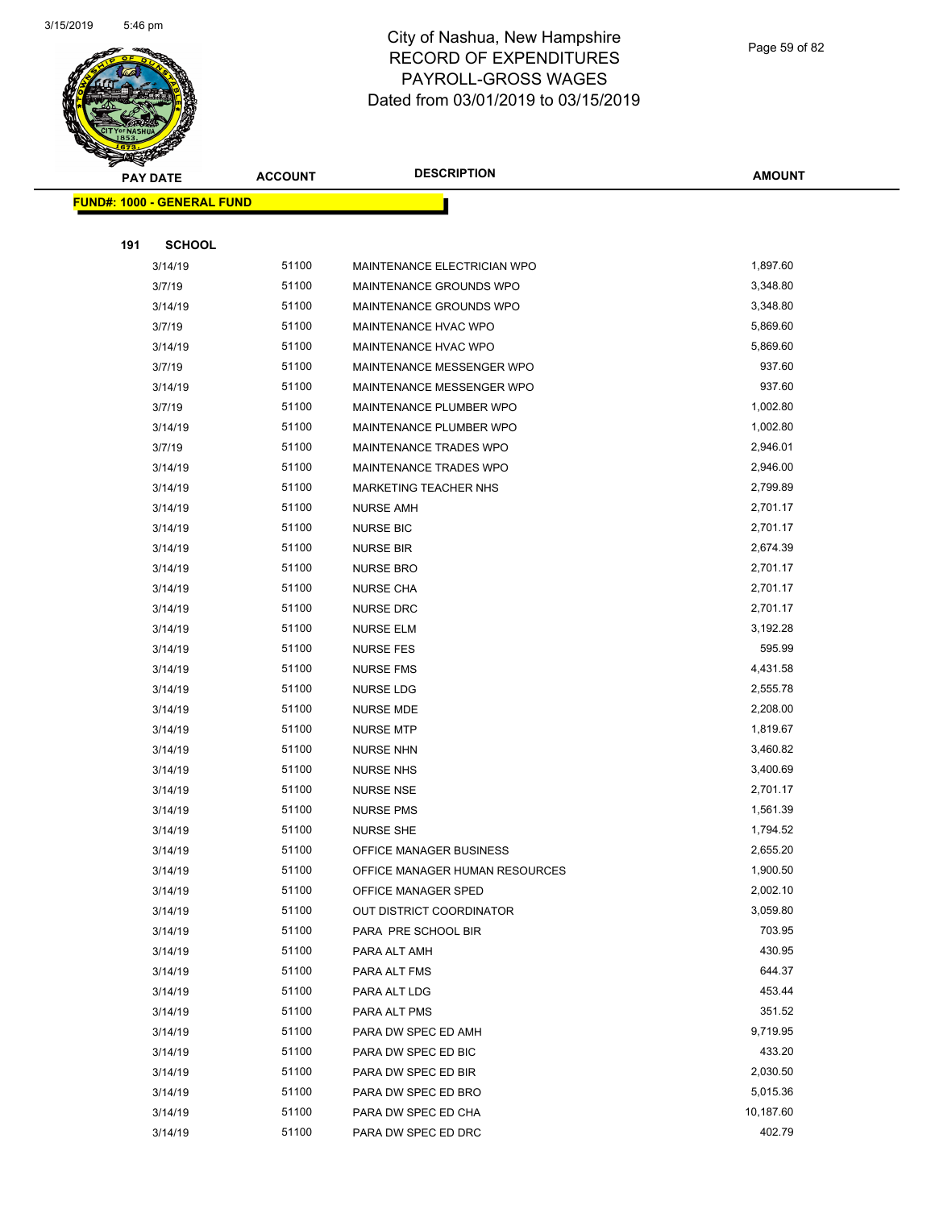

Page 59 of 82

|     | <b>PAY DATE</b>                   | <b>ACCOUNT</b> | <b>DESCRIPTION</b>             | <b>AMOUNT</b> |
|-----|-----------------------------------|----------------|--------------------------------|---------------|
|     | <b>FUND#: 1000 - GENERAL FUND</b> |                |                                |               |
|     |                                   |                |                                |               |
| 191 | <b>SCHOOL</b>                     |                |                                |               |
|     | 3/14/19                           | 51100          | MAINTENANCE ELECTRICIAN WPO    | 1,897.60      |
|     | 3/7/19                            | 51100          | MAINTENANCE GROUNDS WPO        | 3,348.80      |
|     | 3/14/19                           | 51100          | MAINTENANCE GROUNDS WPO        | 3,348.80      |
|     | 3/7/19                            | 51100          | MAINTENANCE HVAC WPO           | 5,869.60      |
|     | 3/14/19                           | 51100          | MAINTENANCE HVAC WPO           | 5,869.60      |
|     | 3/7/19                            | 51100          | MAINTENANCE MESSENGER WPO      | 937.60        |
|     | 3/14/19                           | 51100          | MAINTENANCE MESSENGER WPO      | 937.60        |
|     | 3/7/19                            | 51100          | MAINTENANCE PLUMBER WPO        | 1,002.80      |
|     | 3/14/19                           | 51100          | MAINTENANCE PLUMBER WPO        | 1,002.80      |
|     | 3/7/19                            | 51100          | MAINTENANCE TRADES WPO         | 2,946.01      |
|     | 3/14/19                           | 51100          | MAINTENANCE TRADES WPO         | 2,946.00      |
|     | 3/14/19                           | 51100          | MARKETING TEACHER NHS          | 2,799.89      |
|     | 3/14/19                           | 51100          | <b>NURSE AMH</b>               | 2,701.17      |
|     | 3/14/19                           | 51100          | <b>NURSE BIC</b>               | 2,701.17      |
|     | 3/14/19                           | 51100          | <b>NURSE BIR</b>               | 2,674.39      |
|     | 3/14/19                           | 51100          | <b>NURSE BRO</b>               | 2,701.17      |
|     | 3/14/19                           | 51100          | <b>NURSE CHA</b>               | 2,701.17      |
|     | 3/14/19                           | 51100          | <b>NURSE DRC</b>               | 2,701.17      |
|     | 3/14/19                           | 51100          | <b>NURSE ELM</b>               | 3,192.28      |
|     | 3/14/19                           | 51100          | <b>NURSE FES</b>               | 595.99        |
|     | 3/14/19                           | 51100          | <b>NURSE FMS</b>               | 4,431.58      |
|     | 3/14/19                           | 51100          | NURSE LDG                      | 2,555.78      |
|     | 3/14/19                           | 51100          | <b>NURSE MDE</b>               | 2,208.00      |
|     | 3/14/19                           | 51100          | <b>NURSE MTP</b>               | 1,819.67      |
|     | 3/14/19                           | 51100          | <b>NURSE NHN</b>               | 3,460.82      |
|     | 3/14/19                           | 51100          | <b>NURSE NHS</b>               | 3,400.69      |
|     | 3/14/19                           | 51100          | <b>NURSE NSE</b>               | 2,701.17      |
|     | 3/14/19                           | 51100          | <b>NURSE PMS</b>               | 1,561.39      |
|     | 3/14/19                           | 51100          | <b>NURSE SHE</b>               | 1,794.52      |
|     | 3/14/19                           | 51100          | OFFICE MANAGER BUSINESS        | 2,655.20      |
|     | 3/14/19                           | 51100          | OFFICE MANAGER HUMAN RESOURCES | 1,900.50      |
|     | 3/14/19                           | 51100          | OFFICE MANAGER SPED            | 2,002.10      |
|     | 3/14/19                           | 51100          | OUT DISTRICT COORDINATOR       | 3,059.80      |
|     | 3/14/19                           | 51100          | PARA PRE SCHOOL BIR            | 703.95        |
|     | 3/14/19                           | 51100          | PARA ALT AMH                   | 430.95        |
|     | 3/14/19                           | 51100          | PARA ALT FMS                   | 644.37        |
|     | 3/14/19                           | 51100          | PARA ALT LDG                   | 453.44        |
|     | 3/14/19                           | 51100          | PARA ALT PMS                   | 351.52        |
|     | 3/14/19                           | 51100          | PARA DW SPEC ED AMH            | 9,719.95      |
|     | 3/14/19                           | 51100          | PARA DW SPEC ED BIC            | 433.20        |
|     | 3/14/19                           | 51100          | PARA DW SPEC ED BIR            | 2,030.50      |
|     | 3/14/19                           | 51100          | PARA DW SPEC ED BRO            | 5,015.36      |
|     | 3/14/19                           | 51100          | PARA DW SPEC ED CHA            | 10,187.60     |
|     | 3/14/19                           | 51100          | PARA DW SPEC ED DRC            | 402.79        |
|     |                                   |                |                                |               |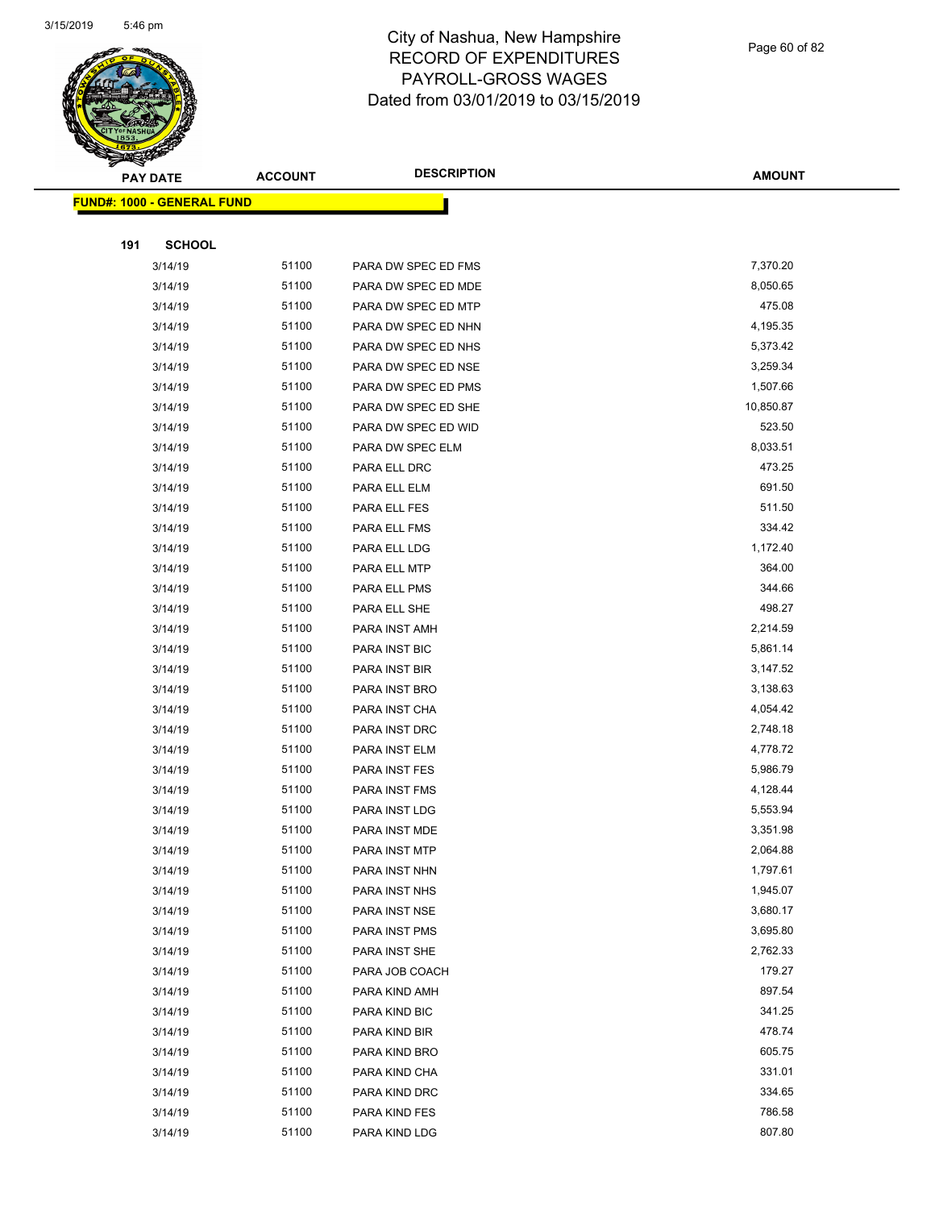

Page 60 of 82

| <b>PAY DATE</b>                   | <b>ACCOUNT</b> | <b>DESCRIPTION</b>   | <b>AMOUNT</b>    |
|-----------------------------------|----------------|----------------------|------------------|
| <b>FUND#: 1000 - GENERAL FUND</b> |                |                      |                  |
|                                   |                |                      |                  |
| <b>SCHOOL</b><br>191              |                |                      |                  |
| 3/14/19                           | 51100          | PARA DW SPEC ED FMS  | 7,370.20         |
| 3/14/19                           | 51100          | PARA DW SPEC ED MDE  | 8,050.65         |
| 3/14/19                           | 51100          | PARA DW SPEC ED MTP  | 475.08           |
| 3/14/19                           | 51100          | PARA DW SPEC ED NHN  | 4,195.35         |
| 3/14/19                           | 51100          | PARA DW SPEC ED NHS  | 5,373.42         |
| 3/14/19                           | 51100          | PARA DW SPEC ED NSE  | 3,259.34         |
| 3/14/19                           | 51100          | PARA DW SPEC ED PMS  | 1,507.66         |
| 3/14/19                           | 51100          | PARA DW SPEC ED SHE  | 10,850.87        |
| 3/14/19                           | 51100          | PARA DW SPEC ED WID  | 523.50           |
| 3/14/19                           | 51100          | PARA DW SPEC ELM     | 8,033.51         |
| 3/14/19                           | 51100          | PARA ELL DRC         | 473.25           |
| 3/14/19                           | 51100          | PARA ELL ELM         | 691.50           |
| 3/14/19                           | 51100          | PARA ELL FES         | 511.50           |
| 3/14/19                           | 51100          | PARA ELL FMS         | 334.42           |
| 3/14/19                           | 51100          | PARA ELL LDG         | 1,172.40         |
| 3/14/19                           | 51100          | PARA ELL MTP         | 364.00           |
| 3/14/19                           | 51100          | PARA ELL PMS         | 344.66           |
| 3/14/19                           | 51100          | PARA ELL SHE         | 498.27           |
| 3/14/19                           | 51100          | PARA INST AMH        | 2,214.59         |
| 3/14/19                           | 51100          | PARA INST BIC        | 5,861.14         |
| 3/14/19                           | 51100          | PARA INST BIR        | 3,147.52         |
| 3/14/19                           | 51100          | PARA INST BRO        | 3,138.63         |
| 3/14/19                           | 51100          | PARA INST CHA        | 4,054.42         |
| 3/14/19                           | 51100          | PARA INST DRC        | 2,748.18         |
| 3/14/19                           | 51100          | PARA INST ELM        | 4,778.72         |
| 3/14/19                           | 51100          | PARA INST FES        | 5,986.79         |
| 3/14/19                           | 51100          | PARA INST FMS        | 4,128.44         |
| 3/14/19                           | 51100          | PARA INST LDG        | 5,553.94         |
| 3/14/19                           | 51100          | PARA INST MDE        | 3,351.98         |
| 3/14/19                           | 51100          | <b>PARA INST MTP</b> | 2,064.88         |
| 3/14/19                           | 51100          | PARA INST NHN        | 1,797.61         |
| 3/14/19                           | 51100          | PARA INST NHS        | 1,945.07         |
| 3/14/19                           | 51100          | PARA INST NSE        | 3,680.17         |
| 3/14/19                           | 51100          | PARA INST PMS        | 3,695.80         |
| 3/14/19                           | 51100          | PARA INST SHE        | 2,762.33         |
| 3/14/19                           | 51100          | PARA JOB COACH       | 179.27           |
| 3/14/19                           | 51100          | PARA KIND AMH        | 897.54           |
| 3/14/19                           | 51100          | PARA KIND BIC        | 341.25           |
| 3/14/19                           | 51100          | PARA KIND BIR        | 478.74           |
| 3/14/19                           | 51100          | PARA KIND BRO        | 605.75<br>331.01 |
| 3/14/19                           | 51100          | PARA KIND CHA        |                  |
| 3/14/19                           | 51100          | PARA KIND DRC        | 334.65           |
| 3/14/19                           | 51100<br>51100 | PARA KIND FES        | 786.58<br>807.80 |
| 3/14/19                           |                | PARA KIND LDG        |                  |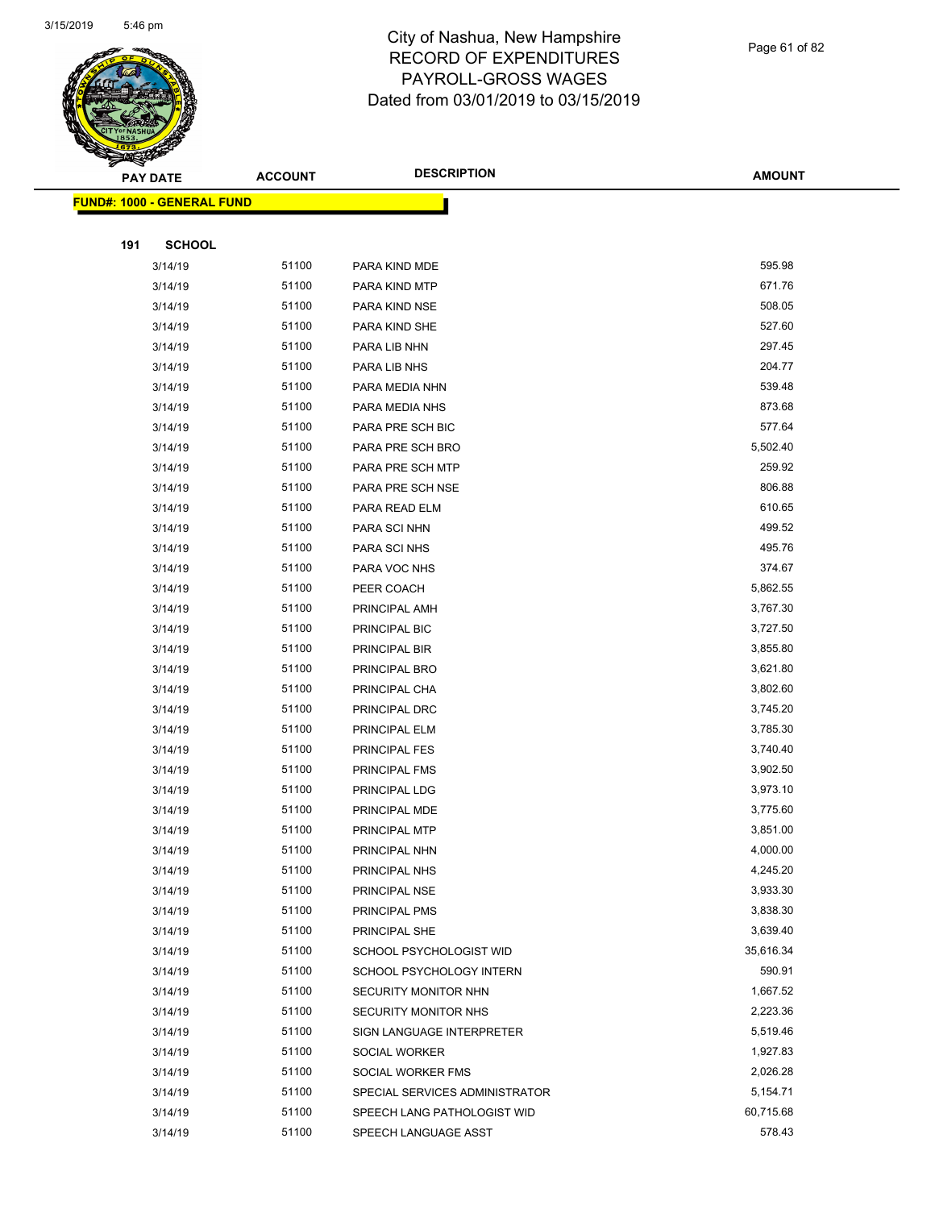

#### Page 61 of 82

|     | <b>PAY DATE</b>                   | <b>ACCOUNT</b> | <b>DESCRIPTION</b>             | <b>AMOUNT</b> |
|-----|-----------------------------------|----------------|--------------------------------|---------------|
|     | <b>FUND#: 1000 - GENERAL FUND</b> |                |                                |               |
|     |                                   |                |                                |               |
| 191 | <b>SCHOOL</b>                     |                |                                |               |
|     | 3/14/19                           | 51100          | PARA KIND MDE                  | 595.98        |
|     | 3/14/19                           | 51100          | PARA KIND MTP                  | 671.76        |
|     | 3/14/19                           | 51100          | PARA KIND NSE                  | 508.05        |
|     | 3/14/19                           | 51100          | PARA KIND SHE                  | 527.60        |
|     | 3/14/19                           | 51100          | PARA LIB NHN                   | 297.45        |
|     | 3/14/19                           | 51100          | PARA LIB NHS                   | 204.77        |
|     | 3/14/19                           | 51100          | PARA MEDIA NHN                 | 539.48        |
|     | 3/14/19                           | 51100          | PARA MEDIA NHS                 | 873.68        |
|     | 3/14/19                           | 51100          | PARA PRE SCH BIC               | 577.64        |
|     | 3/14/19                           | 51100          | PARA PRE SCH BRO               | 5,502.40      |
|     | 3/14/19                           | 51100          | PARA PRE SCH MTP               | 259.92        |
|     | 3/14/19                           | 51100          | PARA PRE SCH NSE               | 806.88        |
|     | 3/14/19                           | 51100          | PARA READ ELM                  | 610.65        |
|     | 3/14/19                           | 51100          | PARA SCI NHN                   | 499.52        |
|     | 3/14/19                           | 51100          | PARA SCI NHS                   | 495.76        |
|     | 3/14/19                           | 51100          | PARA VOC NHS                   | 374.67        |
|     | 3/14/19                           | 51100          | PEER COACH                     | 5,862.55      |
|     | 3/14/19                           | 51100          | PRINCIPAL AMH                  | 3,767.30      |
|     | 3/14/19                           | 51100          | PRINCIPAL BIC                  | 3,727.50      |
|     | 3/14/19                           | 51100          | PRINCIPAL BIR                  | 3,855.80      |
|     | 3/14/19                           | 51100          | PRINCIPAL BRO                  | 3,621.80      |
|     | 3/14/19                           | 51100          | PRINCIPAL CHA                  | 3,802.60      |
|     | 3/14/19                           | 51100          | PRINCIPAL DRC                  | 3,745.20      |
|     | 3/14/19                           | 51100          | PRINCIPAL ELM                  | 3,785.30      |
|     | 3/14/19                           | 51100          | PRINCIPAL FES                  | 3,740.40      |
|     | 3/14/19                           | 51100          | PRINCIPAL FMS                  | 3,902.50      |
|     | 3/14/19                           | 51100          | PRINCIPAL LDG                  | 3,973.10      |
|     | 3/14/19                           | 51100          | PRINCIPAL MDE                  | 3,775.60      |
|     | 3/14/19                           | 51100          | PRINCIPAL MTP                  | 3,851.00      |
|     | 3/14/19                           | 51100          | PRINCIPAL NHN                  | 4,000.00      |
|     | 3/14/19                           | 51100          | PRINCIPAL NHS                  | 4,245.20      |
|     | 3/14/19                           | 51100          | PRINCIPAL NSE                  | 3,933.30      |
|     | 3/14/19                           | 51100          | PRINCIPAL PMS                  | 3,838.30      |
|     | 3/14/19                           | 51100          | PRINCIPAL SHE                  | 3,639.40      |
|     | 3/14/19                           | 51100          | SCHOOL PSYCHOLOGIST WID        | 35,616.34     |
|     | 3/14/19                           | 51100          | SCHOOL PSYCHOLOGY INTERN       | 590.91        |
|     | 3/14/19                           | 51100          | SECURITY MONITOR NHN           | 1,667.52      |
|     | 3/14/19                           | 51100          | SECURITY MONITOR NHS           | 2,223.36      |
|     | 3/14/19                           | 51100          | SIGN LANGUAGE INTERPRETER      | 5,519.46      |
|     | 3/14/19                           | 51100          | SOCIAL WORKER                  | 1,927.83      |
|     | 3/14/19                           | 51100          | SOCIAL WORKER FMS              | 2,026.28      |
|     | 3/14/19                           | 51100          | SPECIAL SERVICES ADMINISTRATOR | 5,154.71      |
|     | 3/14/19                           | 51100          | SPEECH LANG PATHOLOGIST WID    | 60,715.68     |
|     | 3/14/19                           | 51100          | SPEECH LANGUAGE ASST           | 578.43        |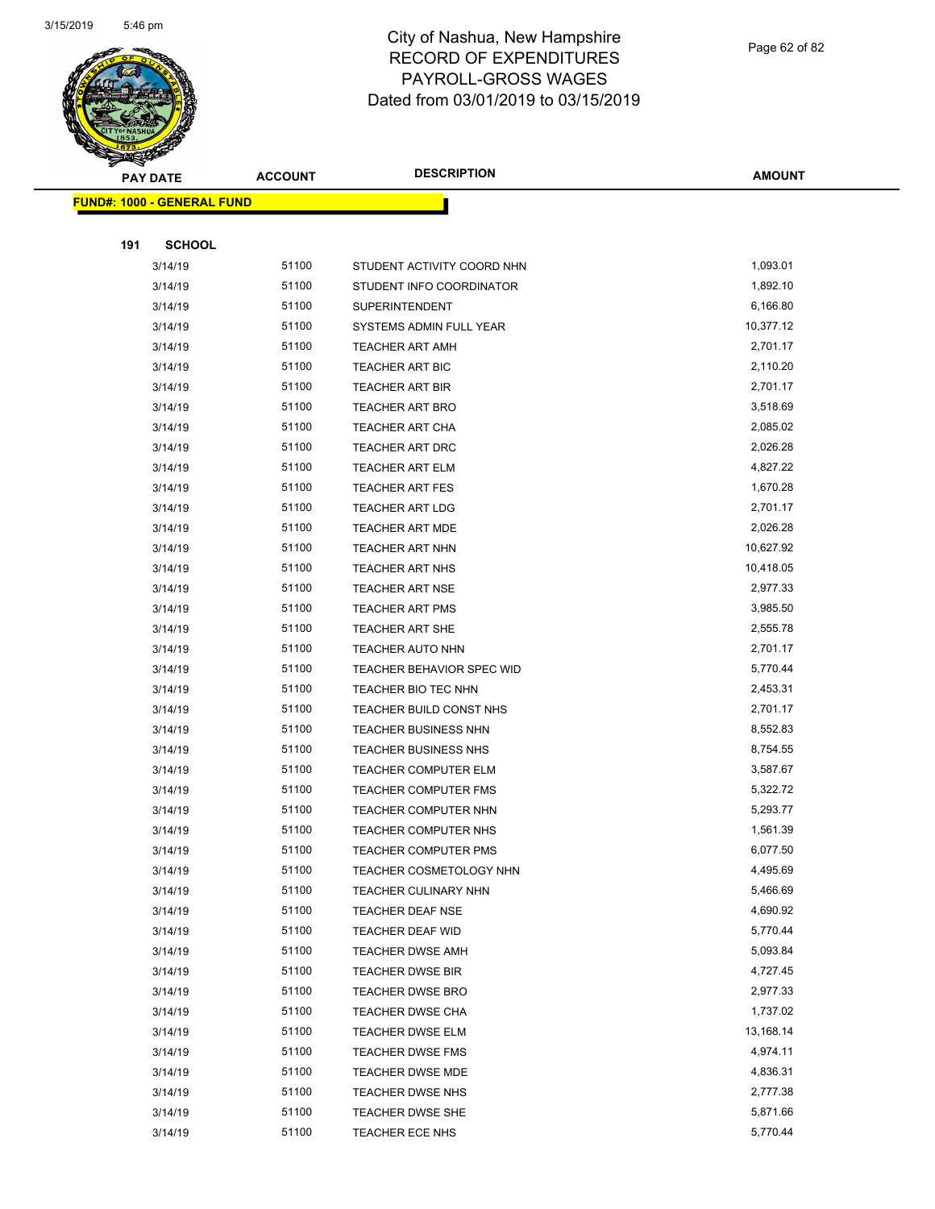

Page 62 of 82

| $\tilde{\phantom{a}}$ | <b>PAY DATE</b>                   | <b>ACCOUNT</b> | <b>DESCRIPTION</b>          | <b>AMOUNT</b> |
|-----------------------|-----------------------------------|----------------|-----------------------------|---------------|
|                       | <b>FUND#: 1000 - GENERAL FUND</b> |                |                             |               |
|                       |                                   |                |                             |               |
| 191                   | <b>SCHOOL</b>                     |                |                             |               |
|                       | 3/14/19                           | 51100          | STUDENT ACTIVITY COORD NHN  | 1,093.01      |
|                       | 3/14/19                           | 51100          | STUDENT INFO COORDINATOR    | 1,892.10      |
|                       | 3/14/19                           | 51100          | <b>SUPERINTENDENT</b>       | 6,166.80      |
|                       | 3/14/19                           | 51100          | SYSTEMS ADMIN FULL YEAR     | 10,377.12     |
|                       | 3/14/19                           | 51100          | TEACHER ART AMH             | 2,701.17      |
|                       | 3/14/19                           | 51100          | <b>TEACHER ART BIC</b>      | 2,110.20      |
|                       | 3/14/19                           | 51100          | TEACHER ART BIR             | 2,701.17      |
|                       | 3/14/19                           | 51100          | TEACHER ART BRO             | 3,518.69      |
|                       | 3/14/19                           | 51100          | TEACHER ART CHA             | 2,085.02      |
|                       | 3/14/19                           | 51100          | <b>TEACHER ART DRC</b>      | 2,026.28      |
|                       | 3/14/19                           | 51100          | TEACHER ART ELM             | 4,827.22      |
|                       | 3/14/19                           | 51100          | <b>TEACHER ART FES</b>      | 1,670.28      |
|                       | 3/14/19                           | 51100          | <b>TEACHER ART LDG</b>      | 2,701.17      |
|                       | 3/14/19                           | 51100          | <b>TEACHER ART MDE</b>      | 2,026.28      |
|                       | 3/14/19                           | 51100          | <b>TEACHER ART NHN</b>      | 10,627.92     |
|                       | 3/14/19                           | 51100          | <b>TEACHER ART NHS</b>      | 10,418.05     |
|                       | 3/14/19                           | 51100          | <b>TEACHER ART NSE</b>      | 2,977.33      |
|                       | 3/14/19                           | 51100          | <b>TEACHER ART PMS</b>      | 3,985.50      |
|                       | 3/14/19                           | 51100          | <b>TEACHER ART SHE</b>      | 2,555.78      |
|                       | 3/14/19                           | 51100          | <b>TEACHER AUTO NHN</b>     | 2,701.17      |
|                       | 3/14/19                           | 51100          | TEACHER BEHAVIOR SPEC WID   | 5,770.44      |
|                       | 3/14/19                           | 51100          | TEACHER BIO TEC NHN         | 2,453.31      |
|                       | 3/14/19                           | 51100          | TEACHER BUILD CONST NHS     | 2,701.17      |
|                       | 3/14/19                           | 51100          | <b>TEACHER BUSINESS NHN</b> | 8,552.83      |
|                       | 3/14/19                           | 51100          | TEACHER BUSINESS NHS        | 8,754.55      |
|                       | 3/14/19                           | 51100          | TEACHER COMPUTER ELM        | 3,587.67      |
|                       | 3/14/19                           | 51100          | <b>TEACHER COMPUTER FMS</b> | 5,322.72      |
|                       | 3/14/19                           | 51100          | TEACHER COMPUTER NHN        | 5,293.77      |
|                       | 3/14/19                           | 51100          | <b>TEACHER COMPUTER NHS</b> | 1,561.39      |
|                       | 3/14/19                           | 51100          | TEACHER COMPUTER PMS        | 6,077.50      |
|                       | 3/14/19                           | 51100          | TEACHER COSMETOLOGY NHN     | 4,495.69      |
|                       | 3/14/19                           | 51100          | TEACHER CULINARY NHN        | 5,466.69      |
|                       | 3/14/19                           | 51100          | TEACHER DEAF NSE            | 4,690.92      |
|                       | 3/14/19                           | 51100          | TEACHER DEAF WID            | 5,770.44      |
|                       | 3/14/19                           | 51100          | <b>TEACHER DWSE AMH</b>     | 5,093.84      |
|                       | 3/14/19                           | 51100          | TEACHER DWSE BIR            | 4,727.45      |
|                       | 3/14/19                           | 51100          | <b>TEACHER DWSE BRO</b>     | 2,977.33      |
|                       | 3/14/19                           | 51100          | <b>TEACHER DWSE CHA</b>     | 1,737.02      |
|                       | 3/14/19                           | 51100          | <b>TEACHER DWSE ELM</b>     | 13,168.14     |
|                       | 3/14/19                           | 51100          | <b>TEACHER DWSE FMS</b>     | 4,974.11      |
|                       | 3/14/19                           | 51100          | <b>TEACHER DWSE MDE</b>     | 4,836.31      |
|                       | 3/14/19                           | 51100          | TEACHER DWSE NHS            | 2,777.38      |
|                       | 3/14/19                           | 51100          | TEACHER DWSE SHE            | 5,871.66      |
|                       | 3/14/19                           | 51100          | TEACHER ECE NHS             | 5,770.44      |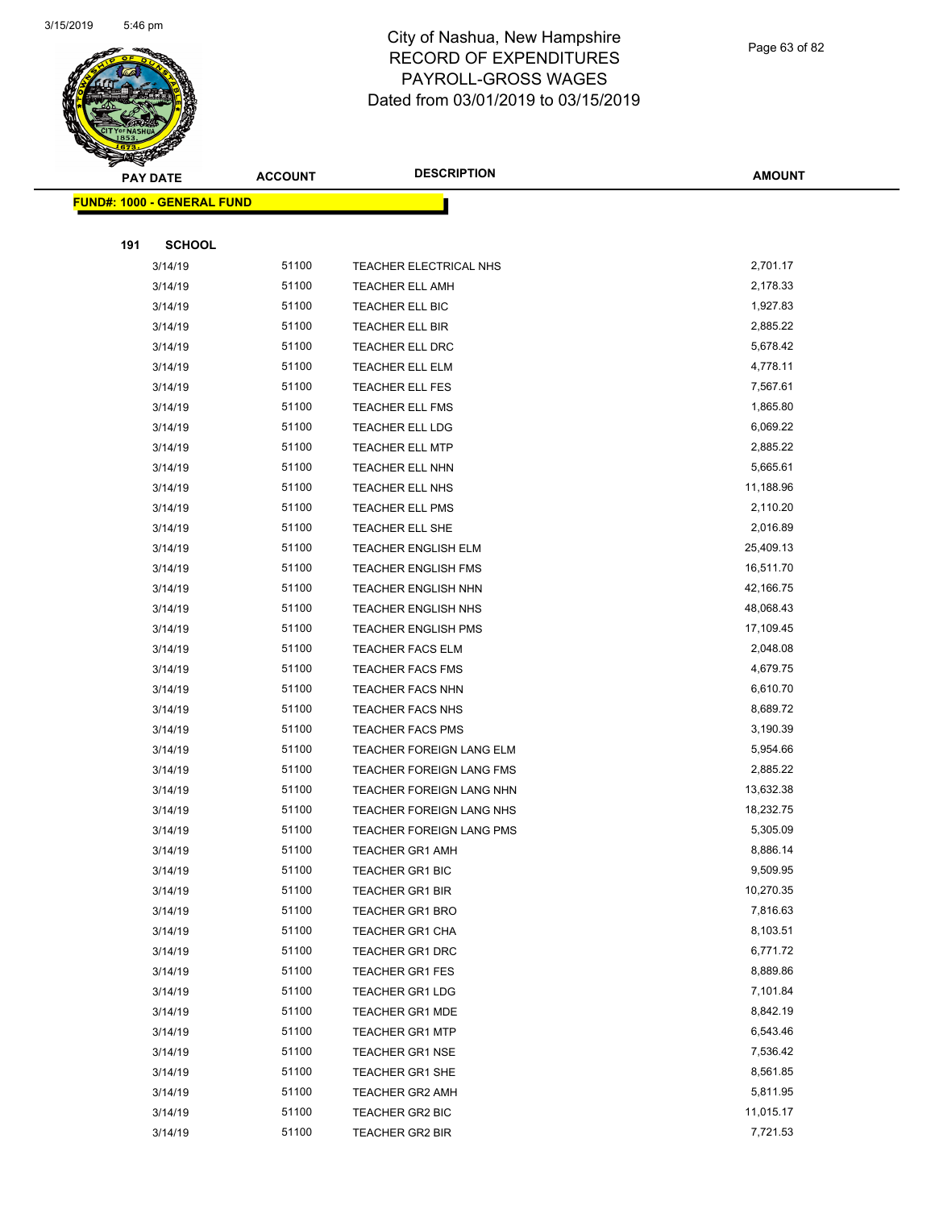

Page 63 of 82

|     | <b>PAY DATE</b>                   | <b>ACCOUNT</b> | <b>DESCRIPTION</b>         | <b>AMOUNT</b> |
|-----|-----------------------------------|----------------|----------------------------|---------------|
|     | <b>FUND#: 1000 - GENERAL FUND</b> |                |                            |               |
|     |                                   |                |                            |               |
| 191 | <b>SCHOOL</b>                     |                |                            |               |
|     | 3/14/19                           | 51100          | TEACHER ELECTRICAL NHS     | 2,701.17      |
|     | 3/14/19                           | 51100          | <b>TEACHER ELL AMH</b>     | 2,178.33      |
|     | 3/14/19                           | 51100          | TEACHER ELL BIC            | 1,927.83      |
|     | 3/14/19                           | 51100          | <b>TEACHER ELL BIR</b>     | 2,885.22      |
|     | 3/14/19                           | 51100          | TEACHER ELL DRC            | 5,678.42      |
|     | 3/14/19                           | 51100          | TEACHER ELL ELM            | 4,778.11      |
|     | 3/14/19                           | 51100          | <b>TEACHER ELL FES</b>     | 7,567.61      |
|     | 3/14/19                           | 51100          | TEACHER ELL FMS            | 1,865.80      |
|     | 3/14/19                           | 51100          | TEACHER ELL LDG            | 6,069.22      |
|     | 3/14/19                           | 51100          | <b>TEACHER ELL MTP</b>     | 2,885.22      |
|     | 3/14/19                           | 51100          | TEACHER ELL NHN            | 5,665.61      |
|     | 3/14/19                           | 51100          | TEACHER ELL NHS            | 11,188.96     |
|     | 3/14/19                           | 51100          | <b>TEACHER ELL PMS</b>     | 2,110.20      |
|     | 3/14/19                           | 51100          | TEACHER ELL SHE            | 2,016.89      |
|     | 3/14/19                           | 51100          | <b>TEACHER ENGLISH ELM</b> | 25,409.13     |
|     | 3/14/19                           | 51100          | <b>TEACHER ENGLISH FMS</b> | 16,511.70     |
|     | 3/14/19                           | 51100          | TEACHER ENGLISH NHN        | 42,166.75     |
|     | 3/14/19                           | 51100          | TEACHER ENGLISH NHS        | 48,068.43     |
|     | 3/14/19                           | 51100          | <b>TEACHER ENGLISH PMS</b> | 17,109.45     |
|     | 3/14/19                           | 51100          | <b>TEACHER FACS ELM</b>    | 2,048.08      |
|     | 3/14/19                           | 51100          | <b>TEACHER FACS FMS</b>    | 4,679.75      |
|     | 3/14/19                           | 51100          | <b>TEACHER FACS NHN</b>    | 6,610.70      |
|     | 3/14/19                           | 51100          | <b>TEACHER FACS NHS</b>    | 8,689.72      |
|     | 3/14/19                           | 51100          | <b>TEACHER FACS PMS</b>    | 3,190.39      |
|     | 3/14/19                           | 51100          | TEACHER FOREIGN LANG ELM   | 5,954.66      |
|     | 3/14/19                           | 51100          | TEACHER FOREIGN LANG FMS   | 2,885.22      |
|     | 3/14/19                           | 51100          | TEACHER FOREIGN LANG NHN   | 13,632.38     |
|     | 3/14/19                           | 51100          | TEACHER FOREIGN LANG NHS   | 18,232.75     |
|     | 3/14/19                           | 51100          | TEACHER FOREIGN LANG PMS   | 5,305.09      |
|     | 3/14/19                           | 51100          | TEACHER GR1 AMH            | 8,886.14      |
|     | 3/14/19                           | 51100          | <b>TEACHER GR1 BIC</b>     | 9,509.95      |
|     | 3/14/19                           | 51100          | <b>TEACHER GR1 BIR</b>     | 10,270.35     |
|     | 3/14/19                           | 51100          | <b>TEACHER GR1 BRO</b>     | 7,816.63      |
|     | 3/14/19                           | 51100          | TEACHER GR1 CHA            | 8,103.51      |
|     | 3/14/19                           | 51100          | <b>TEACHER GR1 DRC</b>     | 6,771.72      |
|     | 3/14/19                           | 51100          | <b>TEACHER GR1 FES</b>     | 8,889.86      |
|     | 3/14/19                           | 51100          | <b>TEACHER GR1 LDG</b>     | 7,101.84      |
|     | 3/14/19                           | 51100          | <b>TEACHER GR1 MDE</b>     | 8,842.19      |
|     | 3/14/19                           | 51100          | <b>TEACHER GR1 MTP</b>     | 6,543.46      |
|     | 3/14/19                           | 51100          | <b>TEACHER GR1 NSE</b>     | 7,536.42      |
|     | 3/14/19                           | 51100          | TEACHER GR1 SHE            | 8,561.85      |
|     | 3/14/19                           | 51100          | <b>TEACHER GR2 AMH</b>     | 5,811.95      |
|     | 3/14/19                           | 51100          | TEACHER GR2 BIC            | 11,015.17     |
|     | 3/14/19                           | 51100          | TEACHER GR2 BIR            | 7,721.53      |
|     |                                   |                |                            |               |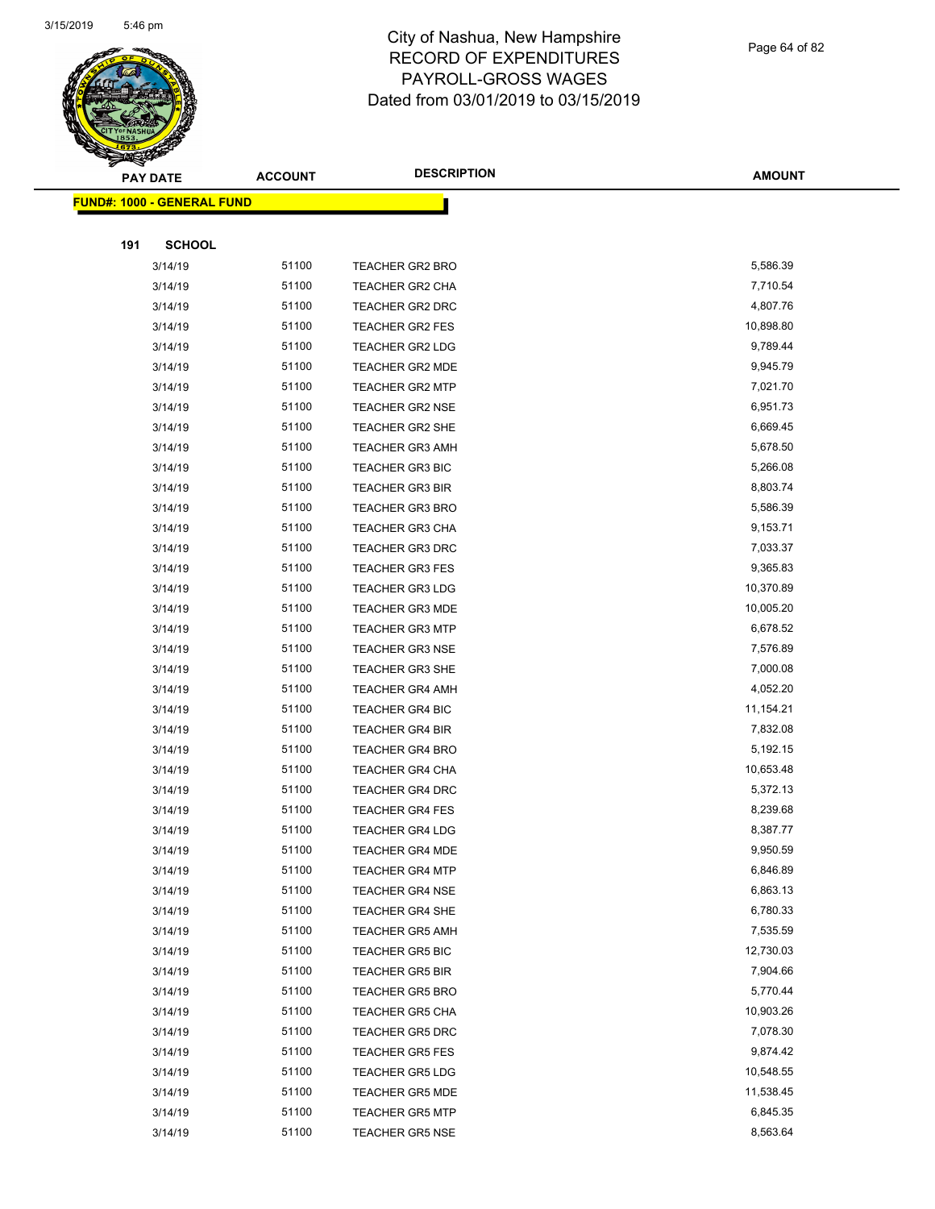

Page 64 of 82

|     | <b>PAY DATE</b>                    | <b>ACCOUNT</b> | <b>DESCRIPTION</b>     | <b>AMOUNT</b> |
|-----|------------------------------------|----------------|------------------------|---------------|
|     | <u> FUND#: 1000 - GENERAL FUND</u> |                |                        |               |
|     |                                    |                |                        |               |
| 191 | <b>SCHOOL</b>                      |                |                        |               |
|     | 3/14/19                            | 51100          | <b>TEACHER GR2 BRO</b> | 5,586.39      |
|     | 3/14/19                            | 51100          | <b>TEACHER GR2 CHA</b> | 7,710.54      |
|     | 3/14/19                            | 51100          | <b>TEACHER GR2 DRC</b> | 4,807.76      |
|     | 3/14/19                            | 51100          | TEACHER GR2 FES        | 10,898.80     |
|     | 3/14/19                            | 51100          | <b>TEACHER GR2 LDG</b> | 9,789.44      |
|     | 3/14/19                            | 51100          | <b>TEACHER GR2 MDE</b> | 9,945.79      |
|     | 3/14/19                            | 51100          | <b>TEACHER GR2 MTP</b> | 7,021.70      |
|     | 3/14/19                            | 51100          | <b>TEACHER GR2 NSE</b> | 6,951.73      |
|     | 3/14/19                            | 51100          | TEACHER GR2 SHE        | 6,669.45      |
|     | 3/14/19                            | 51100          | <b>TEACHER GR3 AMH</b> | 5,678.50      |
|     | 3/14/19                            | 51100          | <b>TEACHER GR3 BIC</b> | 5,266.08      |
|     | 3/14/19                            | 51100          | <b>TEACHER GR3 BIR</b> | 8,803.74      |
|     | 3/14/19                            | 51100          | <b>TEACHER GR3 BRO</b> | 5,586.39      |
|     | 3/14/19                            | 51100          | <b>TEACHER GR3 CHA</b> | 9,153.71      |
|     | 3/14/19                            | 51100          | <b>TEACHER GR3 DRC</b> | 7,033.37      |
|     | 3/14/19                            | 51100          | <b>TEACHER GR3 FES</b> | 9,365.83      |
|     | 3/14/19                            | 51100          | <b>TEACHER GR3 LDG</b> | 10,370.89     |
|     | 3/14/19                            | 51100          | <b>TEACHER GR3 MDE</b> | 10,005.20     |
|     | 3/14/19                            | 51100          | <b>TEACHER GR3 MTP</b> | 6,678.52      |
|     | 3/14/19                            | 51100          | <b>TEACHER GR3 NSE</b> | 7,576.89      |
|     | 3/14/19                            | 51100          | TEACHER GR3 SHE        | 7,000.08      |
|     | 3/14/19                            | 51100          | <b>TEACHER GR4 AMH</b> | 4,052.20      |
|     | 3/14/19                            | 51100          | <b>TEACHER GR4 BIC</b> | 11,154.21     |
|     | 3/14/19                            | 51100          | <b>TEACHER GR4 BIR</b> | 7,832.08      |
|     | 3/14/19                            | 51100          | <b>TEACHER GR4 BRO</b> | 5,192.15      |
|     | 3/14/19                            | 51100          | TEACHER GR4 CHA        | 10,653.48     |
|     | 3/14/19                            | 51100          | <b>TEACHER GR4 DRC</b> | 5,372.13      |
|     | 3/14/19                            | 51100          | <b>TEACHER GR4 FES</b> | 8,239.68      |
|     | 3/14/19                            | 51100          | <b>TEACHER GR4 LDG</b> | 8,387.77      |
|     | 3/14/19                            | 51100          | <b>TEACHER GR4 MDE</b> | 9,950.59      |
|     | 3/14/19                            | 51100          | <b>TEACHER GR4 MTP</b> | 6,846.89      |
|     | 3/14/19                            | 51100          | <b>TEACHER GR4 NSE</b> | 6,863.13      |
|     | 3/14/19                            | 51100          | <b>TEACHER GR4 SHE</b> | 6,780.33      |
|     | 3/14/19                            | 51100          | <b>TEACHER GR5 AMH</b> | 7,535.59      |
|     | 3/14/19                            | 51100          | <b>TEACHER GR5 BIC</b> | 12,730.03     |
|     | 3/14/19                            | 51100          | TEACHER GR5 BIR        | 7,904.66      |
|     | 3/14/19                            | 51100          | <b>TEACHER GR5 BRO</b> | 5,770.44      |
|     | 3/14/19                            | 51100          | <b>TEACHER GR5 CHA</b> | 10,903.26     |
|     | 3/14/19                            | 51100          | <b>TEACHER GR5 DRC</b> | 7,078.30      |
|     | 3/14/19                            | 51100          | <b>TEACHER GR5 FES</b> | 9,874.42      |
|     | 3/14/19                            | 51100          | <b>TEACHER GR5 LDG</b> | 10,548.55     |
|     | 3/14/19                            | 51100          | <b>TEACHER GR5 MDE</b> | 11,538.45     |
|     | 3/14/19                            | 51100          | <b>TEACHER GR5 MTP</b> | 6,845.35      |
|     | 3/14/19                            | 51100          | <b>TEACHER GR5 NSE</b> | 8,563.64      |
|     |                                    |                |                        |               |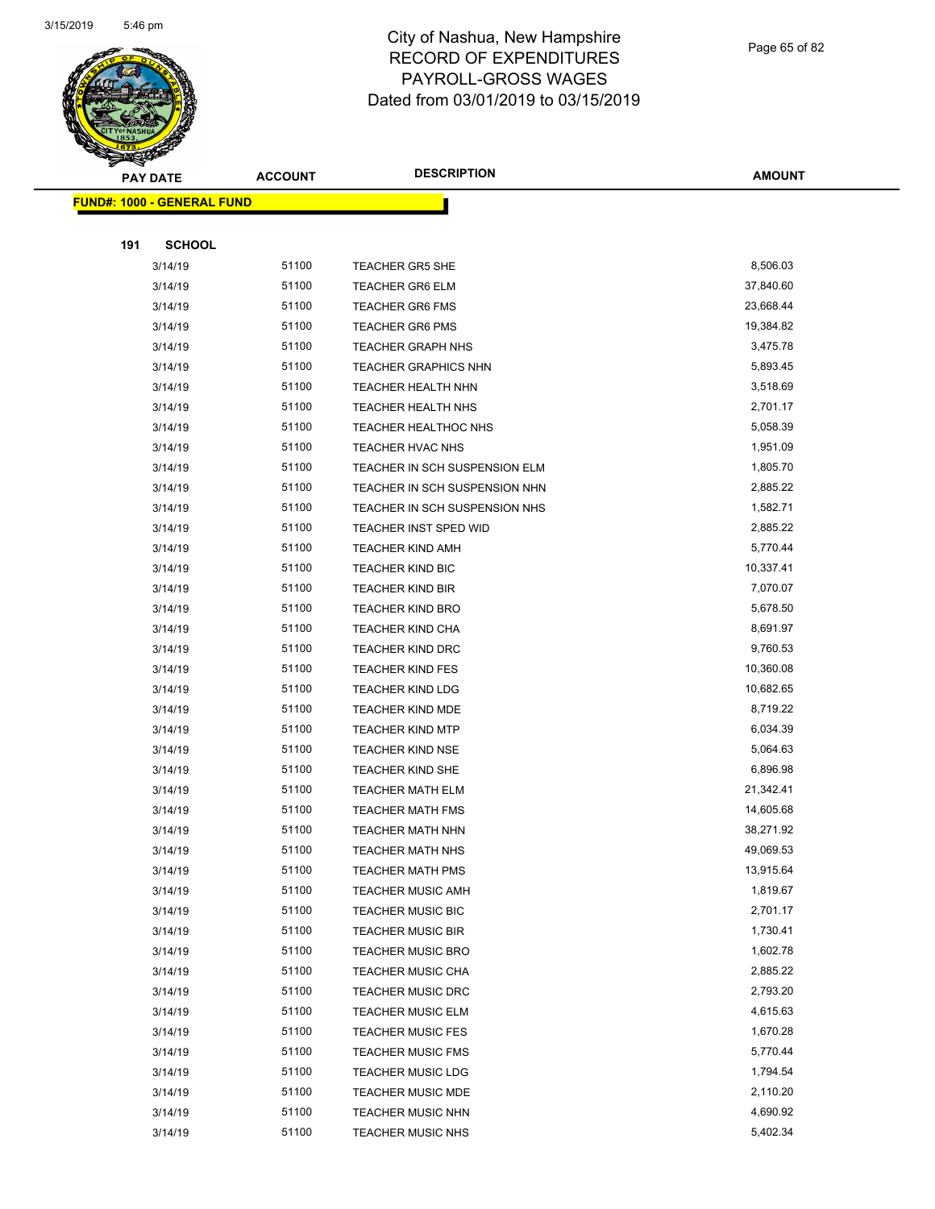

Page 65 of 82

| $\tilde{\phantom{a}}$<br><b>PAY DATE</b> | <b>ACCOUNT</b> | <b>DESCRIPTION</b>            | AMOUNT    |
|------------------------------------------|----------------|-------------------------------|-----------|
| <b>FUND#: 1000 - GENERAL FUND</b>        |                |                               |           |
|                                          |                |                               |           |
| 191<br><b>SCHOOL</b>                     |                |                               |           |
| 3/14/19                                  | 51100          | <b>TEACHER GR5 SHE</b>        | 8,506.03  |
| 3/14/19                                  | 51100          | <b>TEACHER GR6 ELM</b>        | 37,840.60 |
| 3/14/19                                  | 51100          | <b>TEACHER GR6 FMS</b>        | 23,668.44 |
| 3/14/19                                  | 51100          | <b>TEACHER GR6 PMS</b>        | 19,384.82 |
| 3/14/19                                  | 51100          | <b>TEACHER GRAPH NHS</b>      | 3,475.78  |
| 3/14/19                                  | 51100          | <b>TEACHER GRAPHICS NHN</b>   | 5,893.45  |
| 3/14/19                                  | 51100          | <b>TEACHER HEALTH NHN</b>     | 3,518.69  |
| 3/14/19                                  | 51100          | <b>TEACHER HEALTH NHS</b>     | 2,701.17  |
| 3/14/19                                  | 51100          | <b>TEACHER HEALTHOC NHS</b>   | 5,058.39  |
| 3/14/19                                  | 51100          | TEACHER HVAC NHS              | 1,951.09  |
| 3/14/19                                  | 51100          | TEACHER IN SCH SUSPENSION ELM | 1,805.70  |
| 3/14/19                                  | 51100          | TEACHER IN SCH SUSPENSION NHN | 2,885.22  |
| 3/14/19                                  | 51100          | TEACHER IN SCH SUSPENSION NHS | 1,582.71  |
| 3/14/19                                  | 51100          | TEACHER INST SPED WID         | 2,885.22  |
| 3/14/19                                  | 51100          | <b>TEACHER KIND AMH</b>       | 5,770.44  |
| 3/14/19                                  | 51100          | <b>TEACHER KIND BIC</b>       | 10,337.41 |
| 3/14/19                                  | 51100          | <b>TEACHER KIND BIR</b>       | 7,070.07  |
| 3/14/19                                  | 51100          | <b>TEACHER KIND BRO</b>       | 5,678.50  |
| 3/14/19                                  | 51100          | TEACHER KIND CHA              | 8,691.97  |
| 3/14/19                                  | 51100          | <b>TEACHER KIND DRC</b>       | 9,760.53  |
| 3/14/19                                  | 51100          | <b>TEACHER KIND FES</b>       | 10,360.08 |
| 3/14/19                                  | 51100          | <b>TEACHER KIND LDG</b>       | 10,682.65 |
| 3/14/19                                  | 51100          | <b>TEACHER KIND MDE</b>       | 8,719.22  |
| 3/14/19                                  | 51100          | <b>TEACHER KIND MTP</b>       | 6,034.39  |
| 3/14/19                                  | 51100          | <b>TEACHER KIND NSE</b>       | 5,064.63  |
| 3/14/19                                  | 51100          | <b>TEACHER KIND SHE</b>       | 6,896.98  |
| 3/14/19                                  | 51100          | <b>TEACHER MATH ELM</b>       | 21,342.41 |
| 3/14/19                                  | 51100          | <b>TEACHER MATH FMS</b>       | 14,605.68 |
| 3/14/19                                  | 51100          | TEACHER MATH NHN              | 38,271.92 |
| 3/14/19                                  | 51100          | TEACHER MATH NHS              | 49,069.53 |
| 3/14/19                                  | 51100          | <b>TEACHER MATH PMS</b>       | 13,915.64 |
| 3/14/19                                  | 51100          | <b>TEACHER MUSIC AMH</b>      | 1,819.67  |
| 3/14/19                                  | 51100          | <b>TEACHER MUSIC BIC</b>      | 2,701.17  |
| 3/14/19                                  | 51100          | <b>TEACHER MUSIC BIR</b>      | 1,730.41  |
| 3/14/19                                  | 51100          | <b>TEACHER MUSIC BRO</b>      | 1,602.78  |
| 3/14/19                                  | 51100          | <b>TEACHER MUSIC CHA</b>      | 2,885.22  |
| 3/14/19                                  | 51100          | <b>TEACHER MUSIC DRC</b>      | 2,793.20  |
| 3/14/19                                  | 51100          | <b>TEACHER MUSIC ELM</b>      | 4,615.63  |
| 3/14/19                                  | 51100          | <b>TEACHER MUSIC FES</b>      | 1,670.28  |
| 3/14/19                                  | 51100          | <b>TEACHER MUSIC FMS</b>      | 5,770.44  |
| 3/14/19                                  | 51100          | <b>TEACHER MUSIC LDG</b>      | 1,794.54  |
| 3/14/19                                  | 51100          | <b>TEACHER MUSIC MDE</b>      | 2,110.20  |
| 3/14/19                                  | 51100          | <b>TEACHER MUSIC NHN</b>      | 4,690.92  |
| 3/14/19                                  | 51100          | <b>TEACHER MUSIC NHS</b>      | 5,402.34  |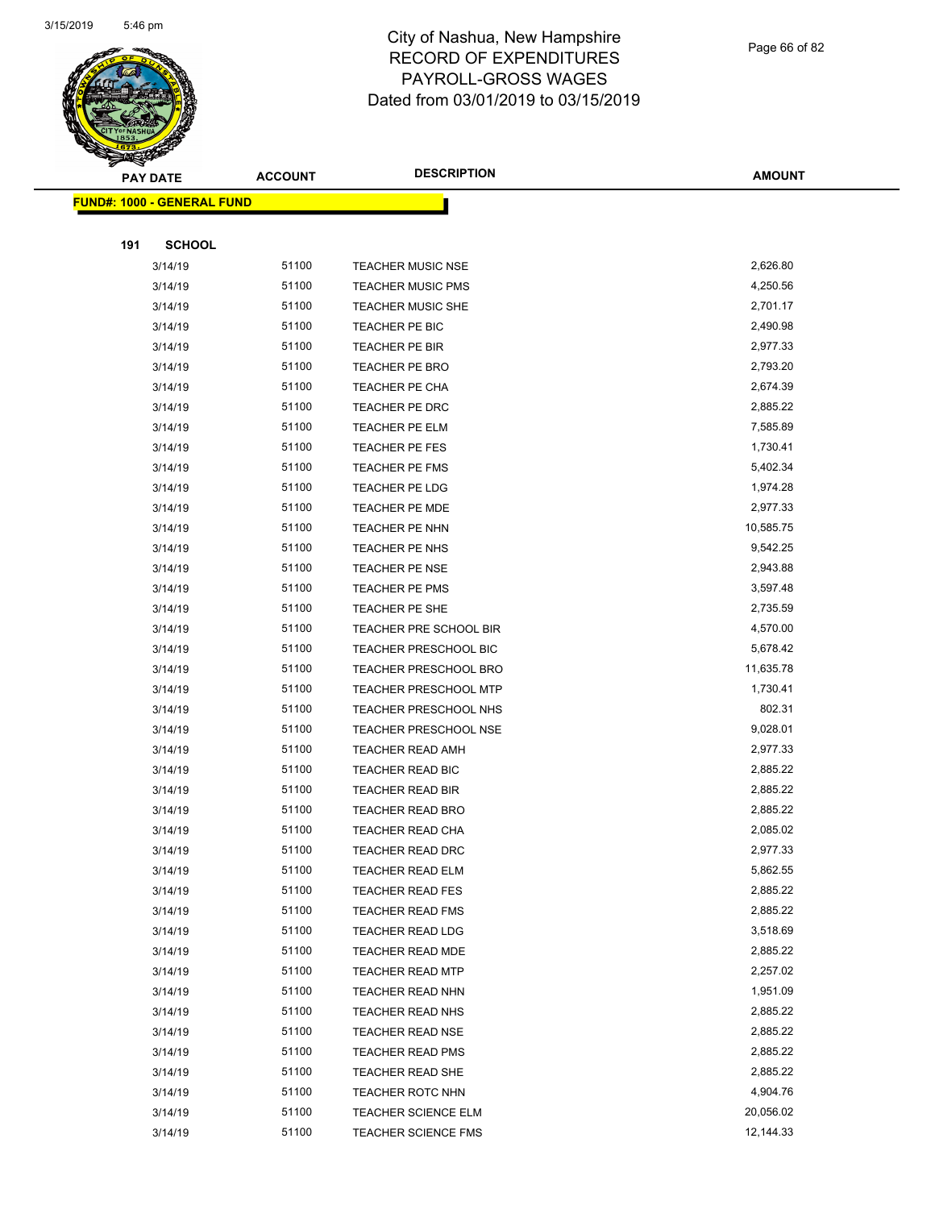

Page 66 of 82

|     | <b>PAY DATE</b>                   | <b>ACCOUNT</b> | <b>DESCRIPTION</b>           | <b>AMOUNT</b> |
|-----|-----------------------------------|----------------|------------------------------|---------------|
|     | <b>FUND#: 1000 - GENERAL FUND</b> |                |                              |               |
|     |                                   |                |                              |               |
| 191 | <b>SCHOOL</b>                     |                |                              |               |
|     | 3/14/19                           | 51100          | <b>TEACHER MUSIC NSE</b>     | 2,626.80      |
|     | 3/14/19                           | 51100          | <b>TEACHER MUSIC PMS</b>     | 4,250.56      |
|     | 3/14/19                           | 51100          | <b>TEACHER MUSIC SHE</b>     | 2,701.17      |
|     | 3/14/19                           | 51100          | TEACHER PE BIC               | 2,490.98      |
|     | 3/14/19                           | 51100          | <b>TEACHER PE BIR</b>        | 2,977.33      |
|     | 3/14/19                           | 51100          | TEACHER PE BRO               | 2,793.20      |
|     | 3/14/19                           | 51100          | <b>TEACHER PE CHA</b>        | 2,674.39      |
|     | 3/14/19                           | 51100          | <b>TEACHER PE DRC</b>        | 2,885.22      |
|     | 3/14/19                           | 51100          | <b>TEACHER PE ELM</b>        | 7,585.89      |
|     | 3/14/19                           | 51100          | TEACHER PE FES               | 1,730.41      |
|     | 3/14/19                           | 51100          | <b>TEACHER PE FMS</b>        | 5,402.34      |
|     | 3/14/19                           | 51100          | TEACHER PE LDG               | 1,974.28      |
|     | 3/14/19                           | 51100          | <b>TEACHER PE MDE</b>        | 2,977.33      |
|     | 3/14/19                           | 51100          | <b>TEACHER PE NHN</b>        | 10,585.75     |
|     | 3/14/19                           | 51100          | <b>TEACHER PE NHS</b>        | 9,542.25      |
|     | 3/14/19                           | 51100          | <b>TEACHER PE NSE</b>        | 2,943.88      |
|     | 3/14/19                           | 51100          | <b>TEACHER PE PMS</b>        | 3,597.48      |
|     | 3/14/19                           | 51100          | <b>TEACHER PE SHE</b>        | 2,735.59      |
|     | 3/14/19                           | 51100          | TEACHER PRE SCHOOL BIR       | 4,570.00      |
|     | 3/14/19                           | 51100          | TEACHER PRESCHOOL BIC        | 5,678.42      |
|     | 3/14/19                           | 51100          | TEACHER PRESCHOOL BRO        | 11,635.78     |
|     | 3/14/19                           | 51100          | TEACHER PRESCHOOL MTP        | 1,730.41      |
|     | 3/14/19                           | 51100          | <b>TEACHER PRESCHOOL NHS</b> | 802.31        |
|     | 3/14/19                           | 51100          | <b>TEACHER PRESCHOOL NSE</b> | 9,028.01      |
|     | 3/14/19                           | 51100          | <b>TEACHER READ AMH</b>      | 2,977.33      |
|     | 3/14/19                           | 51100          | TEACHER READ BIC             | 2,885.22      |
|     | 3/14/19                           | 51100          | <b>TEACHER READ BIR</b>      | 2,885.22      |
|     | 3/14/19                           | 51100          | TEACHER READ BRO             | 2,885.22      |
|     | 3/14/19                           | 51100          | TEACHER READ CHA             | 2,085.02      |
|     | 3/14/19                           | 51100          | <b>TEACHER READ DRC</b>      | 2,977.33      |
|     | 3/14/19                           | 51100          | <b>TEACHER READ ELM</b>      | 5,862.55      |
|     | 3/14/19                           | 51100          | TEACHER READ FES             | 2,885.22      |
|     | 3/14/19                           | 51100          | TEACHER READ FMS             | 2,885.22      |
|     | 3/14/19                           | 51100          | <b>TEACHER READ LDG</b>      | 3,518.69      |
|     | 3/14/19                           | 51100          | <b>TEACHER READ MDE</b>      | 2,885.22      |
|     | 3/14/19                           | 51100          | <b>TEACHER READ MTP</b>      | 2,257.02      |
|     | 3/14/19                           | 51100          | <b>TEACHER READ NHN</b>      | 1,951.09      |
|     | 3/14/19                           | 51100          | TEACHER READ NHS             | 2,885.22      |
|     | 3/14/19                           | 51100          | <b>TEACHER READ NSE</b>      | 2,885.22      |
|     | 3/14/19                           | 51100          | <b>TEACHER READ PMS</b>      | 2,885.22      |
|     | 3/14/19                           | 51100          | TEACHER READ SHE             | 2,885.22      |
|     | 3/14/19                           | 51100          | <b>TEACHER ROTC NHN</b>      | 4,904.76      |
|     | 3/14/19                           | 51100          | <b>TEACHER SCIENCE ELM</b>   | 20,056.02     |
|     | 3/14/19                           | 51100          | <b>TEACHER SCIENCE FMS</b>   | 12,144.33     |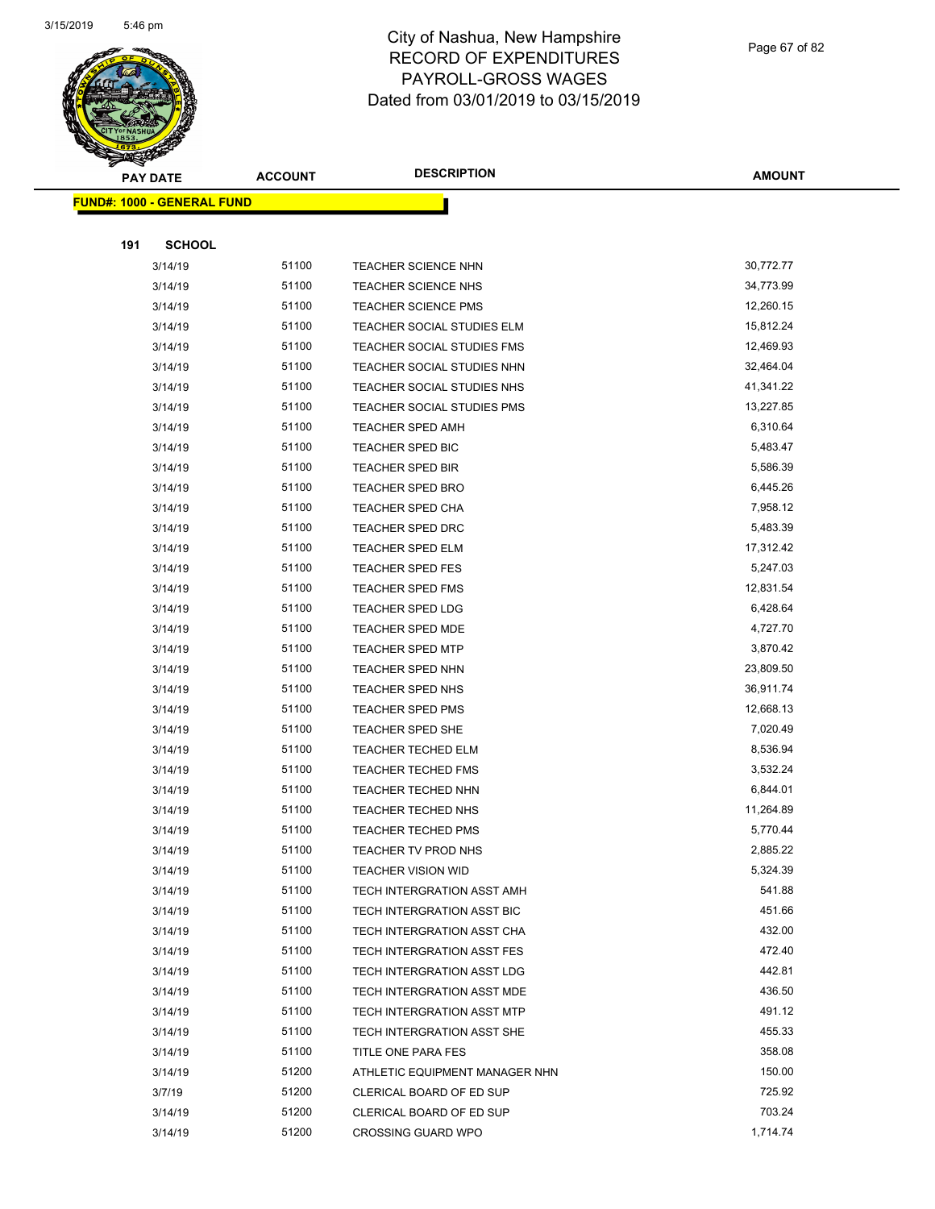

Page 67 of 82

| <b>PAY DATE</b>                   | <b>ACCOUNT</b> | <b>DESCRIPTION</b>             | <b>AMOUNT</b> |
|-----------------------------------|----------------|--------------------------------|---------------|
| <b>FUND#: 1000 - GENERAL FUND</b> |                |                                |               |
|                                   |                |                                |               |
| 191<br><b>SCHOOL</b>              |                |                                |               |
| 3/14/19                           | 51100          | TEACHER SCIENCE NHN            | 30,772.77     |
| 3/14/19                           | 51100          | TEACHER SCIENCE NHS            | 34,773.99     |
| 3/14/19                           | 51100          | <b>TEACHER SCIENCE PMS</b>     | 12,260.15     |
| 3/14/19                           | 51100          | TEACHER SOCIAL STUDIES ELM     | 15,812.24     |
| 3/14/19                           | 51100          | TEACHER SOCIAL STUDIES FMS     | 12,469.93     |
| 3/14/19                           | 51100          | TEACHER SOCIAL STUDIES NHN     | 32,464.04     |
| 3/14/19                           | 51100          | TEACHER SOCIAL STUDIES NHS     | 41,341.22     |
| 3/14/19                           | 51100          | TEACHER SOCIAL STUDIES PMS     | 13,227.85     |
| 3/14/19                           | 51100          | <b>TEACHER SPED AMH</b>        | 6,310.64      |
| 3/14/19                           | 51100          | TEACHER SPED BIC               | 5,483.47      |
| 3/14/19                           | 51100          | <b>TEACHER SPED BIR</b>        | 5,586.39      |
| 3/14/19                           | 51100          | <b>TEACHER SPED BRO</b>        | 6,445.26      |
| 3/14/19                           | 51100          | <b>TEACHER SPED CHA</b>        | 7,958.12      |
| 3/14/19                           | 51100          | <b>TEACHER SPED DRC</b>        | 5,483.39      |
| 3/14/19                           | 51100          | <b>TEACHER SPED ELM</b>        | 17,312.42     |
| 3/14/19                           | 51100          | TEACHER SPED FES               | 5,247.03      |
| 3/14/19                           | 51100          | TEACHER SPED FMS               | 12,831.54     |
| 3/14/19                           | 51100          | <b>TEACHER SPED LDG</b>        | 6,428.64      |
| 3/14/19                           | 51100          | <b>TEACHER SPED MDE</b>        | 4,727.70      |
| 3/14/19                           | 51100          | <b>TEACHER SPED MTP</b>        | 3,870.42      |
| 3/14/19                           | 51100          | <b>TEACHER SPED NHN</b>        | 23,809.50     |
| 3/14/19                           | 51100          | <b>TEACHER SPED NHS</b>        | 36,911.74     |
| 3/14/19                           | 51100          | <b>TEACHER SPED PMS</b>        | 12,668.13     |
| 3/14/19                           | 51100          | TEACHER SPED SHE               | 7,020.49      |
| 3/14/19                           | 51100          | <b>TEACHER TECHED ELM</b>      | 8,536.94      |
| 3/14/19                           | 51100          | TEACHER TECHED FMS             | 3,532.24      |
| 3/14/19                           | 51100          | TEACHER TECHED NHN             | 6,844.01      |
| 3/14/19                           | 51100          | <b>TEACHER TECHED NHS</b>      | 11,264.89     |
| 3/14/19                           | 51100          | TEACHER TECHED PMS             | 5,770.44      |
| 3/14/19                           | 51100          | TEACHER TV PROD NHS            | 2,885.22      |
| 3/14/19                           | 51100          | <b>TEACHER VISION WID</b>      | 5,324.39      |
| 3/14/19                           | 51100          | TECH INTERGRATION ASST AMH     | 541.88        |
| 3/14/19                           | 51100          | TECH INTERGRATION ASST BIC     | 451.66        |
| 3/14/19                           | 51100          | TECH INTERGRATION ASST CHA     | 432.00        |
| 3/14/19                           | 51100          | TECH INTERGRATION ASST FES     | 472.40        |
| 3/14/19                           | 51100          | TECH INTERGRATION ASST LDG     | 442.81        |
| 3/14/19                           | 51100          | TECH INTERGRATION ASST MDE     | 436.50        |
| 3/14/19                           | 51100          | TECH INTERGRATION ASST MTP     | 491.12        |
| 3/14/19                           | 51100          | TECH INTERGRATION ASST SHE     | 455.33        |
| 3/14/19                           | 51100          | TITLE ONE PARA FES             | 358.08        |
| 3/14/19                           | 51200          | ATHLETIC EQUIPMENT MANAGER NHN | 150.00        |
| 3/7/19                            | 51200          | CLERICAL BOARD OF ED SUP       | 725.92        |
| 3/14/19                           | 51200          | CLERICAL BOARD OF ED SUP       | 703.24        |
| 3/14/19                           | 51200          | <b>CROSSING GUARD WPO</b>      | 1,714.74      |
|                                   |                |                                |               |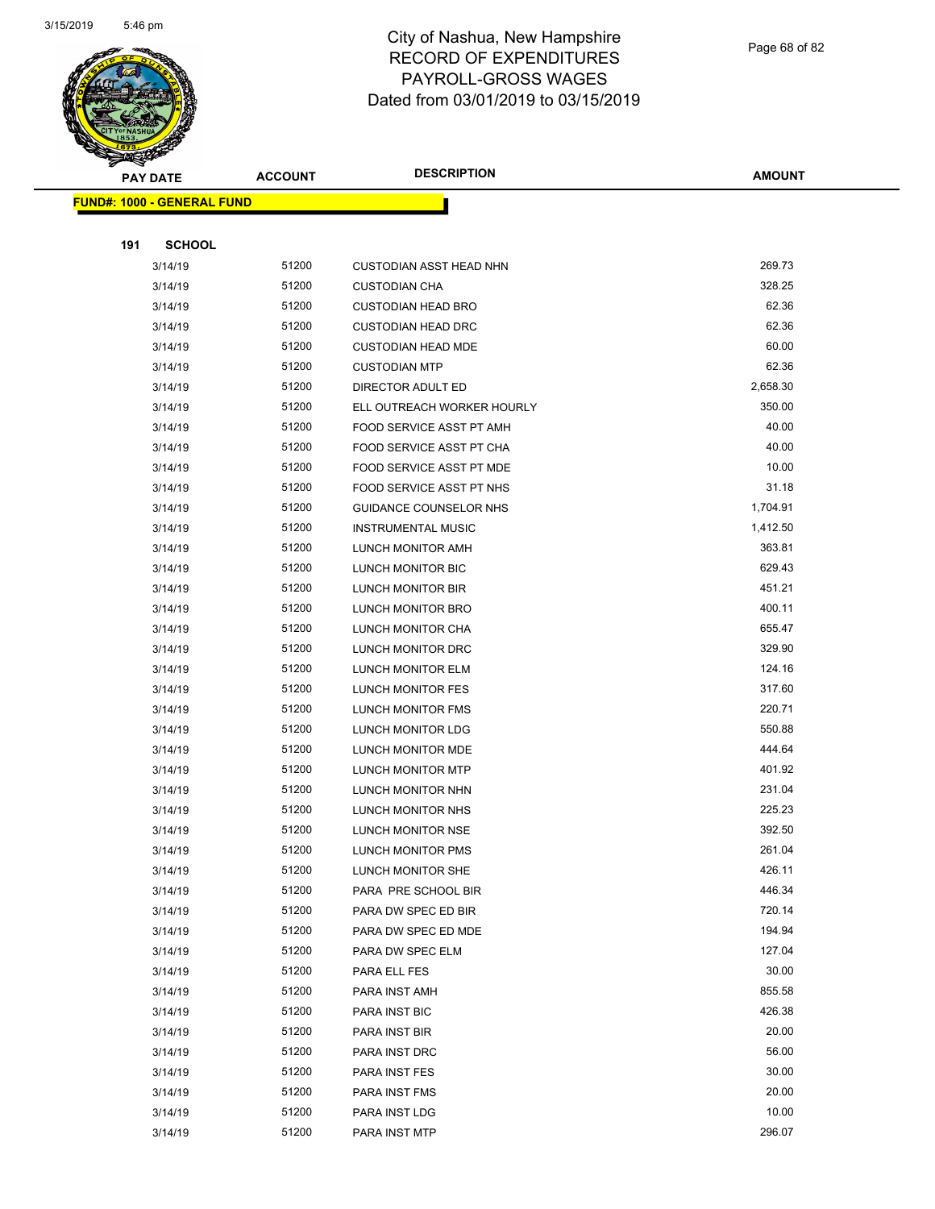

Page 68 of 82

|     | <b>PAY DATE</b>                   | <b>ACCOUNT</b> | <b>DESCRIPTION</b>             | <b>AMOUNT</b> |
|-----|-----------------------------------|----------------|--------------------------------|---------------|
|     | <b>FUND#: 1000 - GENERAL FUND</b> |                |                                |               |
|     |                                   |                |                                |               |
| 191 | <b>SCHOOL</b>                     |                |                                |               |
|     | 3/14/19                           | 51200          | <b>CUSTODIAN ASST HEAD NHN</b> | 269.73        |
|     | 3/14/19                           | 51200          | <b>CUSTODIAN CHA</b>           | 328.25        |
|     | 3/14/19                           | 51200          | <b>CUSTODIAN HEAD BRO</b>      | 62.36         |
|     | 3/14/19                           | 51200          | <b>CUSTODIAN HEAD DRC</b>      | 62.36         |
|     | 3/14/19                           | 51200          | <b>CUSTODIAN HEAD MDE</b>      | 60.00         |
|     | 3/14/19                           | 51200          | <b>CUSTODIAN MTP</b>           | 62.36         |
|     | 3/14/19                           | 51200          | DIRECTOR ADULT ED              | 2,658.30      |
|     | 3/14/19                           | 51200          | ELL OUTREACH WORKER HOURLY     | 350.00        |
|     | 3/14/19                           | 51200          | FOOD SERVICE ASST PT AMH       | 40.00         |
|     | 3/14/19                           | 51200          | FOOD SERVICE ASST PT CHA       | 40.00         |
|     | 3/14/19                           | 51200          | FOOD SERVICE ASST PT MDE       | 10.00         |
|     | 3/14/19                           | 51200          | FOOD SERVICE ASST PT NHS       | 31.18         |
|     | 3/14/19                           | 51200          | GUIDANCE COUNSELOR NHS         | 1,704.91      |
|     | 3/14/19                           | 51200          | <b>INSTRUMENTAL MUSIC</b>      | 1,412.50      |
|     | 3/14/19                           | 51200          | LUNCH MONITOR AMH              | 363.81        |
|     | 3/14/19                           | 51200          | LUNCH MONITOR BIC              | 629.43        |
|     | 3/14/19                           | 51200          | LUNCH MONITOR BIR              | 451.21        |
|     | 3/14/19                           | 51200          | LUNCH MONITOR BRO              | 400.11        |
|     | 3/14/19                           | 51200          | LUNCH MONITOR CHA              | 655.47        |
|     | 3/14/19                           | 51200          | LUNCH MONITOR DRC              | 329.90        |
|     | 3/14/19                           | 51200          | LUNCH MONITOR ELM              | 124.16        |
|     | 3/14/19                           | 51200          | LUNCH MONITOR FES              | 317.60        |
|     | 3/14/19                           | 51200          | LUNCH MONITOR FMS              | 220.71        |
|     | 3/14/19                           | 51200          | LUNCH MONITOR LDG              | 550.88        |
|     | 3/14/19                           | 51200          | LUNCH MONITOR MDE              | 444.64        |
|     | 3/14/19                           | 51200          | LUNCH MONITOR MTP              | 401.92        |
|     | 3/14/19                           | 51200          | LUNCH MONITOR NHN              | 231.04        |
|     | 3/14/19                           | 51200          | LUNCH MONITOR NHS              | 225.23        |
|     | 3/14/19                           | 51200          | LUNCH MONITOR NSE              | 392.50        |
|     | 3/14/19                           | 51200          | LUNCH MONITOR PMS              | 261.04        |
|     | 3/14/19                           | 51200          | LUNCH MONITOR SHE              | 426.11        |
|     | 3/14/19                           | 51200          | PARA PRE SCHOOL BIR            | 446.34        |
|     | 3/14/19                           | 51200          | PARA DW SPEC ED BIR            | 720.14        |
|     | 3/14/19                           | 51200          | PARA DW SPEC ED MDE            | 194.94        |
|     | 3/14/19                           | 51200          | PARA DW SPEC ELM               | 127.04        |
|     | 3/14/19                           | 51200          | PARA ELL FES                   | 30.00         |
|     | 3/14/19                           | 51200          | PARA INST AMH                  | 855.58        |
|     | 3/14/19                           | 51200          | PARA INST BIC                  | 426.38        |
|     | 3/14/19                           | 51200          | PARA INST BIR                  | 20.00         |
|     | 3/14/19                           | 51200          | PARA INST DRC                  | 56.00         |
|     | 3/14/19                           | 51200          | PARA INST FES                  | 30.00         |
|     | 3/14/19                           | 51200          | PARA INST FMS                  | 20.00         |
|     | 3/14/19                           | 51200          | PARA INST LDG                  | 10.00         |
|     | 3/14/19                           | 51200          | PARA INST MTP                  | 296.07        |
|     |                                   |                |                                |               |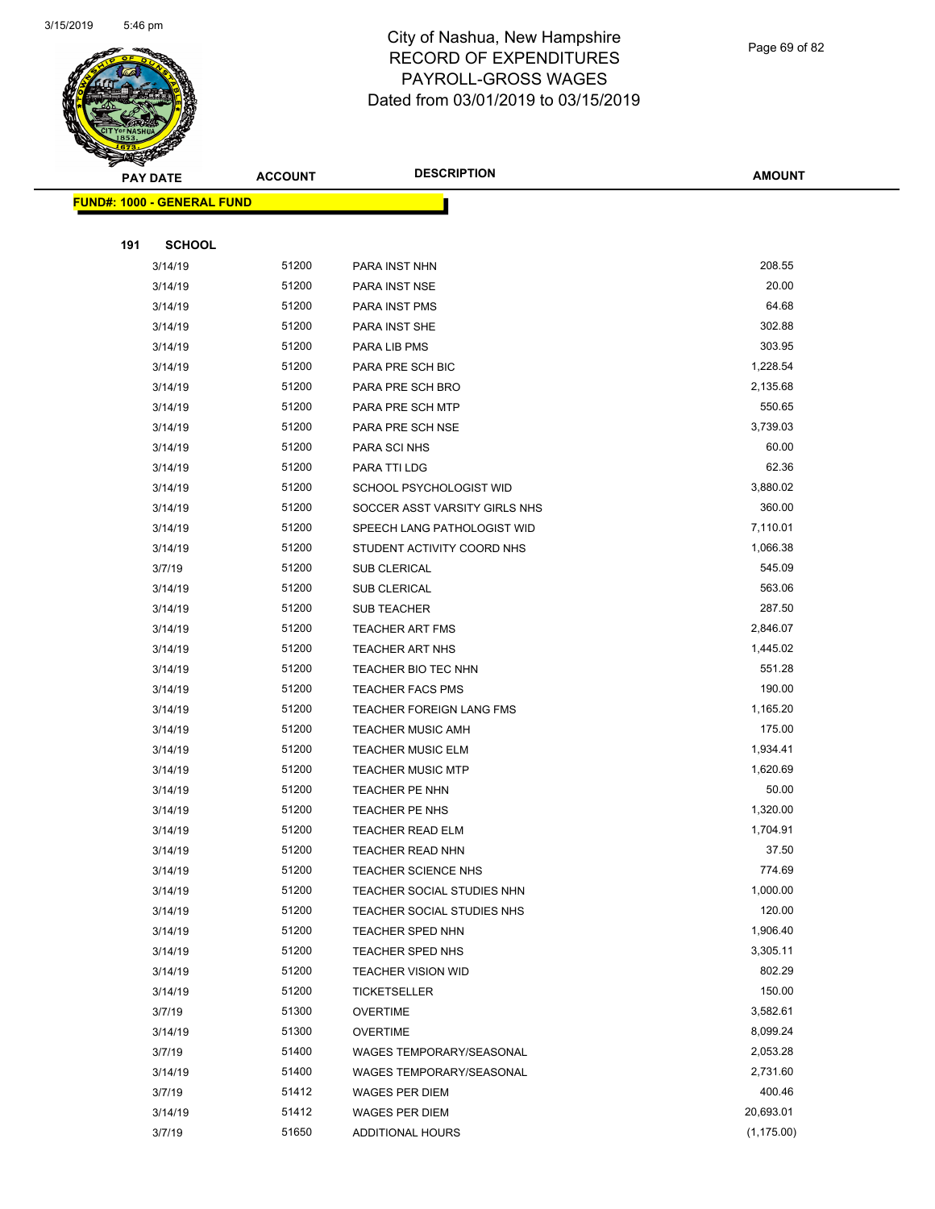

Page 69 of 82

| <b>PAY DATE</b>                   |               | <b>ACCOUNT</b> | <b>DESCRIPTION</b>              | <b>AMOUNT</b> |
|-----------------------------------|---------------|----------------|---------------------------------|---------------|
| <b>FUND#: 1000 - GENERAL FUND</b> |               |                |                                 |               |
|                                   |               |                |                                 |               |
| 191                               | <b>SCHOOL</b> |                |                                 |               |
|                                   | 3/14/19       | 51200          | PARA INST NHN                   | 208.55        |
|                                   | 3/14/19       | 51200          | PARA INST NSE                   | 20.00         |
|                                   | 3/14/19       | 51200          | PARA INST PMS                   | 64.68         |
|                                   | 3/14/19       | 51200          | PARA INST SHE                   | 302.88        |
|                                   | 3/14/19       | 51200          | PARA LIB PMS                    | 303.95        |
|                                   | 3/14/19       | 51200          | PARA PRE SCH BIC                | 1,228.54      |
|                                   | 3/14/19       | 51200          | PARA PRE SCH BRO                | 2,135.68      |
|                                   | 3/14/19       | 51200          | PARA PRE SCH MTP                | 550.65        |
|                                   | 3/14/19       | 51200          | PARA PRE SCH NSE                | 3,739.03      |
|                                   | 3/14/19       | 51200          | PARA SCI NHS                    | 60.00         |
|                                   | 3/14/19       | 51200          | PARA TTI LDG                    | 62.36         |
|                                   | 3/14/19       | 51200          | SCHOOL PSYCHOLOGIST WID         | 3,880.02      |
|                                   | 3/14/19       | 51200          | SOCCER ASST VARSITY GIRLS NHS   | 360.00        |
|                                   | 3/14/19       | 51200          | SPEECH LANG PATHOLOGIST WID     | 7,110.01      |
|                                   | 3/14/19       | 51200          | STUDENT ACTIVITY COORD NHS      | 1,066.38      |
|                                   | 3/7/19        | 51200          | <b>SUB CLERICAL</b>             | 545.09        |
|                                   | 3/14/19       | 51200          | SUB CLERICAL                    | 563.06        |
|                                   | 3/14/19       | 51200          | SUB TEACHER                     | 287.50        |
|                                   | 3/14/19       | 51200          | <b>TEACHER ART FMS</b>          | 2,846.07      |
|                                   | 3/14/19       | 51200          | <b>TEACHER ART NHS</b>          | 1,445.02      |
|                                   | 3/14/19       | 51200          | TEACHER BIO TEC NHN             | 551.28        |
|                                   | 3/14/19       | 51200          | <b>TEACHER FACS PMS</b>         | 190.00        |
|                                   | 3/14/19       | 51200          | <b>TEACHER FOREIGN LANG FMS</b> | 1,165.20      |
|                                   | 3/14/19       | 51200          | <b>TEACHER MUSIC AMH</b>        | 175.00        |
|                                   | 3/14/19       | 51200          | <b>TEACHER MUSIC ELM</b>        | 1,934.41      |
|                                   | 3/14/19       | 51200          | <b>TEACHER MUSIC MTP</b>        | 1,620.69      |
|                                   | 3/14/19       | 51200          | <b>TEACHER PE NHN</b>           | 50.00         |
|                                   | 3/14/19       | 51200          | TEACHER PE NHS                  | 1,320.00      |
|                                   | 3/14/19       | 51200          | <b>TEACHER READ ELM</b>         | 1,704.91      |
|                                   | 3/14/19       | 51200          | TEACHER READ NHN                | 37.50         |
|                                   | 3/14/19       | 51200          | <b>TEACHER SCIENCE NHS</b>      | 774.69        |
|                                   | 3/14/19       | 51200          | TEACHER SOCIAL STUDIES NHN      | 1,000.00      |
|                                   | 3/14/19       | 51200          | TEACHER SOCIAL STUDIES NHS      | 120.00        |
|                                   | 3/14/19       | 51200          | TEACHER SPED NHN                | 1,906.40      |
|                                   | 3/14/19       | 51200          | TEACHER SPED NHS                | 3,305.11      |
|                                   | 3/14/19       | 51200          | <b>TEACHER VISION WID</b>       | 802.29        |
|                                   | 3/14/19       | 51200          | <b>TICKETSELLER</b>             | 150.00        |
|                                   | 3/7/19        | 51300          | <b>OVERTIME</b>                 | 3,582.61      |
|                                   | 3/14/19       | 51300          | <b>OVERTIME</b>                 | 8,099.24      |
|                                   | 3/7/19        | 51400          | WAGES TEMPORARY/SEASONAL        | 2,053.28      |
|                                   | 3/14/19       | 51400          | WAGES TEMPORARY/SEASONAL        | 2,731.60      |
|                                   | 3/7/19        | 51412          | WAGES PER DIEM                  | 400.46        |
|                                   | 3/14/19       | 51412          | WAGES PER DIEM                  | 20,693.01     |
|                                   | 3/7/19        | 51650          | <b>ADDITIONAL HOURS</b>         | (1, 175.00)   |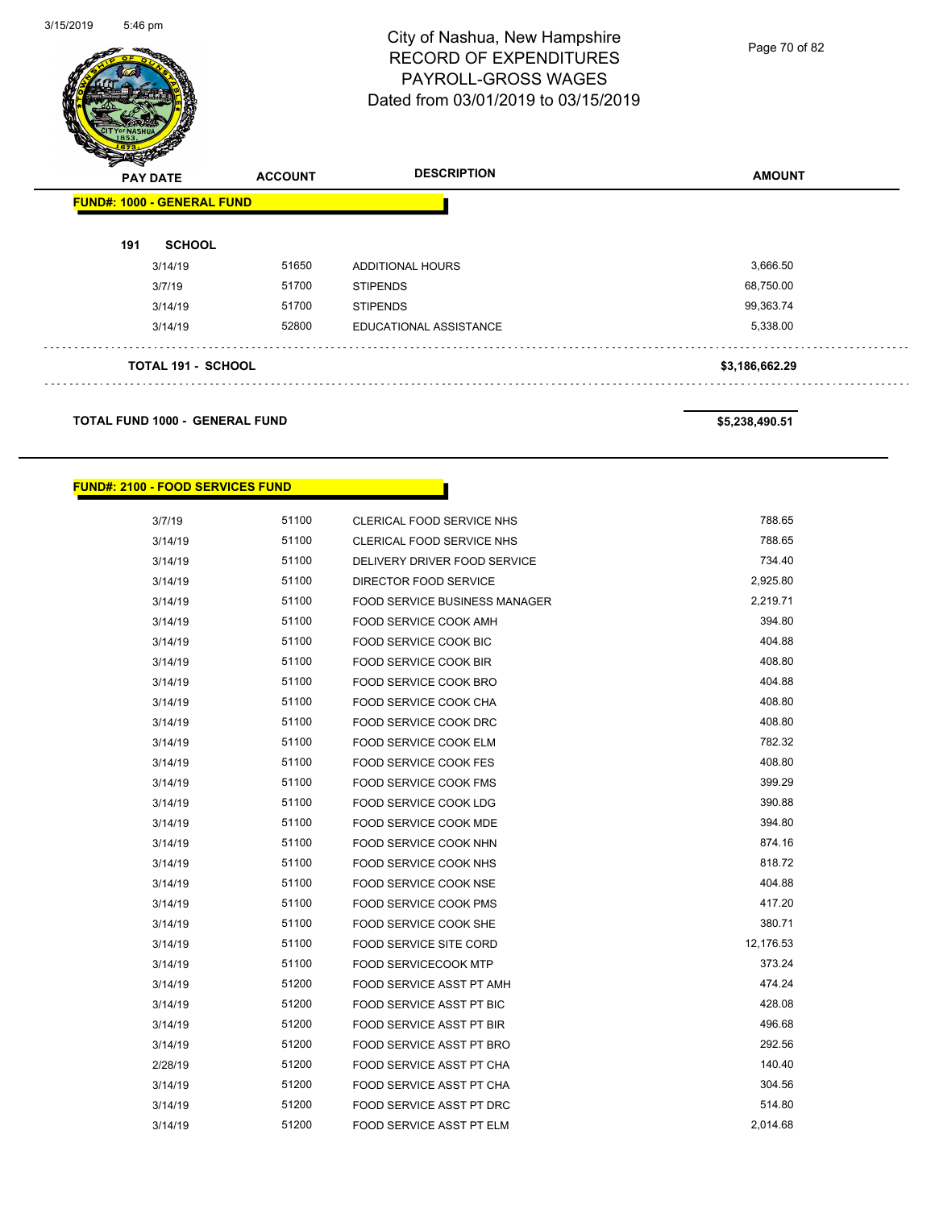

Page 70 of 82

| <b>FUND#: 1000 - GENERAL FUND</b><br>51650<br>51700 | <b>ADDITIONAL HOURS</b>   | 3,666.50       |
|-----------------------------------------------------|---------------------------|----------------|
|                                                     |                           |                |
|                                                     |                           |                |
|                                                     |                           |                |
|                                                     | <b>STIPENDS</b>           | 68,750.00      |
| 51700                                               | <b>STIPENDS</b>           | 99,363.74      |
| 52800                                               | EDUCATIONAL ASSISTANCE    | 5,338.00       |
|                                                     |                           | \$3,186,662.29 |
|                                                     | <b>TOTAL 191 - SCHOOL</b> |                |

**TOTAL FUND 1000 - GENERAL FUND \$5,238,490.51** 

#### **FUND#: 2100 - FOOD SERVICES FUND**

| 3/7/19  | 51100 | CLERICAL FOOD SERVICE NHS            | 788.65    |
|---------|-------|--------------------------------------|-----------|
| 3/14/19 | 51100 | CLERICAL FOOD SERVICE NHS            | 788.65    |
| 3/14/19 | 51100 | DELIVERY DRIVER FOOD SERVICE         | 734.40    |
| 3/14/19 | 51100 | DIRECTOR FOOD SERVICE                | 2,925.80  |
| 3/14/19 | 51100 | <b>FOOD SERVICE BUSINESS MANAGER</b> | 2,219.71  |
| 3/14/19 | 51100 | FOOD SERVICE COOK AMH                | 394.80    |
| 3/14/19 | 51100 | <b>FOOD SERVICE COOK BIC</b>         | 404.88    |
| 3/14/19 | 51100 | <b>FOOD SERVICE COOK BIR</b>         | 408.80    |
| 3/14/19 | 51100 | <b>FOOD SERVICE COOK BRO</b>         | 404.88    |
| 3/14/19 | 51100 | FOOD SERVICE COOK CHA                | 408.80    |
| 3/14/19 | 51100 | FOOD SERVICE COOK DRC                | 408.80    |
| 3/14/19 | 51100 | <b>FOOD SERVICE COOK ELM</b>         | 782.32    |
| 3/14/19 | 51100 | <b>FOOD SERVICE COOK FES</b>         | 408.80    |
| 3/14/19 | 51100 | <b>FOOD SERVICE COOK FMS</b>         | 399.29    |
| 3/14/19 | 51100 | <b>FOOD SERVICE COOK LDG</b>         | 390.88    |
| 3/14/19 | 51100 | FOOD SERVICE COOK MDE                | 394.80    |
| 3/14/19 | 51100 | FOOD SERVICE COOK NHN                | 874.16    |
| 3/14/19 | 51100 | FOOD SERVICE COOK NHS                | 818.72    |
| 3/14/19 | 51100 | <b>FOOD SERVICE COOK NSE</b>         | 404.88    |
| 3/14/19 | 51100 | <b>FOOD SERVICE COOK PMS</b>         | 417.20    |
| 3/14/19 | 51100 | FOOD SERVICE COOK SHE                | 380.71    |
| 3/14/19 | 51100 | <b>FOOD SERVICE SITE CORD</b>        | 12,176.53 |
| 3/14/19 | 51100 | <b>FOOD SERVICECOOK MTP</b>          | 373.24    |
| 3/14/19 | 51200 | FOOD SERVICE ASST PT AMH             | 474.24    |
| 3/14/19 | 51200 | FOOD SERVICE ASST PT BIC             | 428.08    |
| 3/14/19 | 51200 | FOOD SERVICE ASST PT BIR             | 496.68    |
| 3/14/19 | 51200 | FOOD SERVICE ASST PT BRO             | 292.56    |
| 2/28/19 | 51200 | FOOD SERVICE ASST PT CHA             | 140.40    |
| 3/14/19 | 51200 | FOOD SERVICE ASST PT CHA             | 304.56    |
| 3/14/19 | 51200 | FOOD SERVICE ASST PT DRC             | 514.80    |
| 3/14/19 | 51200 | FOOD SERVICE ASST PT ELM             | 2,014.68  |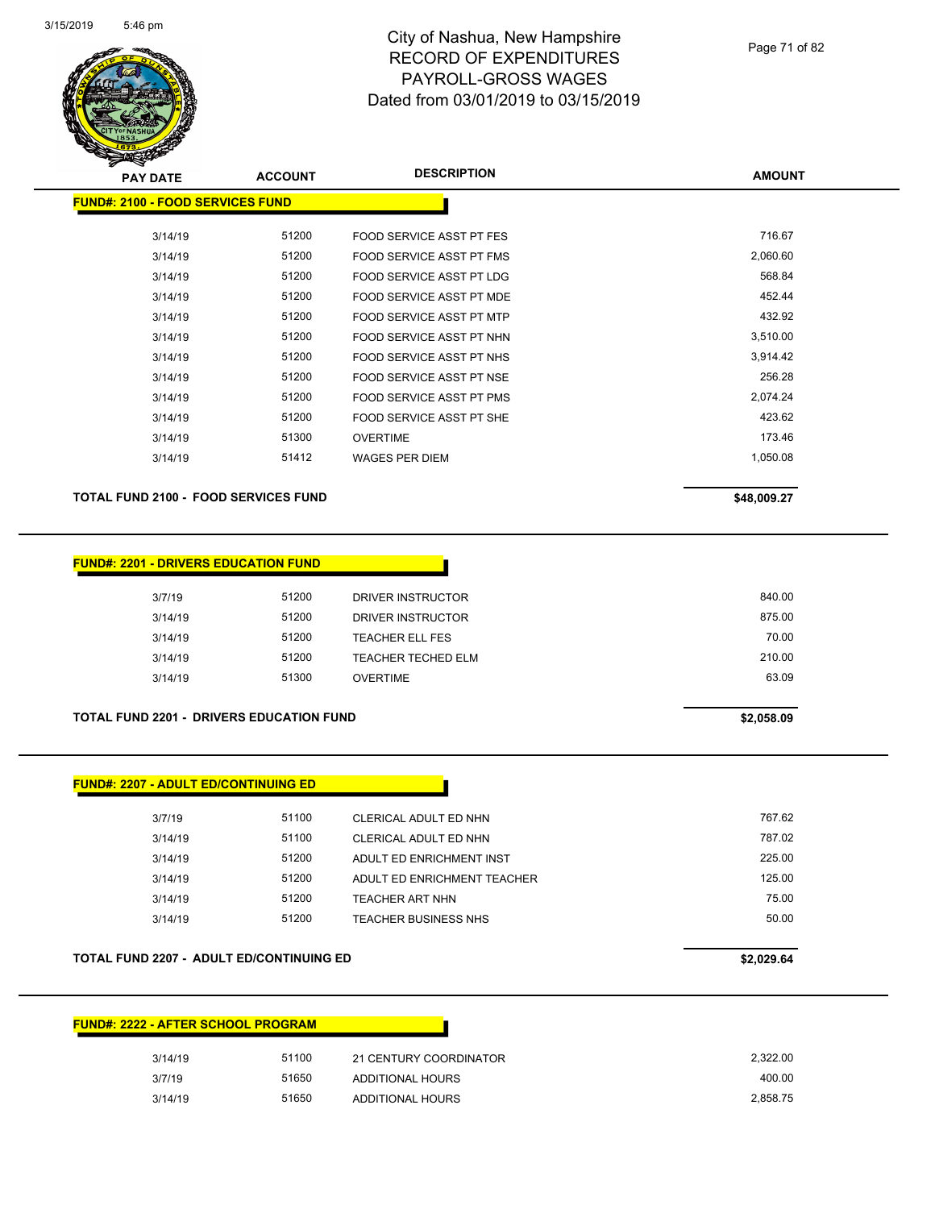

| <b>PAY DATE</b>                         | <b>ACCOUNT</b> | <b>DESCRIPTION</b>              | <b>AMOUNT</b> |
|-----------------------------------------|----------------|---------------------------------|---------------|
| <b>FUND#: 2100 - FOOD SERVICES FUND</b> |                |                                 |               |
| 3/14/19                                 | 51200          | <b>FOOD SERVICE ASST PT FES</b> | 716.67        |
| 3/14/19                                 | 51200          | <b>FOOD SERVICE ASST PT FMS</b> | 2,060.60      |
| 3/14/19                                 | 51200          | <b>FOOD SERVICE ASST PT LDG</b> | 568.84        |
| 3/14/19                                 | 51200          | FOOD SERVICE ASST PT MDE        | 452.44        |
| 3/14/19                                 | 51200          | FOOD SERVICE ASST PT MTP        | 432.92        |
| 3/14/19                                 | 51200          | FOOD SERVICE ASST PT NHN        | 3,510.00      |
| 3/14/19                                 | 51200          | FOOD SERVICE ASST PT NHS        | 3,914.42      |
| 3/14/19                                 | 51200          | FOOD SERVICE ASST PT NSE        | 256.28        |
| 3/14/19                                 | 51200          | <b>FOOD SERVICE ASST PT PMS</b> | 2,074.24      |
| 3/14/19                                 | 51200          | FOOD SERVICE ASST PT SHE        | 423.62        |
| 3/14/19                                 | 51300          | <b>OVERTIME</b>                 | 173.46        |
| 3/14/19                                 | 51412          | WAGES PER DIEM                  | 1,050.08      |
|                                         |                |                                 |               |

#### TOTAL FUND 2100 - FOOD SERVICES FUND **\$48,009.27**

| <b>FUND#: 2201 - DRIVERS EDUCATION FUND</b> |
|---------------------------------------------|
|---------------------------------------------|

| 3/7/19  | 51200 | DRIVER INSTRUCTOR      | 840.00 |
|---------|-------|------------------------|--------|
| 3/14/19 | 51200 | DRIVER INSTRUCTOR      | 875.00 |
| 3/14/19 | 51200 | <b>TEACHER ELL FES</b> | 70.00  |
| 3/14/19 | 51200 | TEACHER TECHED ELM     | 210.00 |
| 3/14/19 | 51300 | <b>OVERTIME</b>        | 63.09  |
|         |       |                        |        |

#### **TOTAL FUND 2201 - DRIVERS EDUCATION FUND \$2,058.09**

| <b>FUND#: 2207 - ADULT ED/CONTINUING ED</b> |       |                             |        |
|---------------------------------------------|-------|-----------------------------|--------|
| 3/7/19                                      | 51100 | CLERICAL ADULT ED NHN       | 767.62 |
| 3/14/19                                     | 51100 | CLERICAL ADULT ED NHN       | 787.02 |
| 3/14/19                                     | 51200 | ADULT ED ENRICHMENT INST    | 225.00 |
| 3/14/19                                     | 51200 | ADULT ED ENRICHMENT TEACHER | 125.00 |
| 3/14/19                                     | 51200 | TEACHER ART NHN             | 75.00  |
| 3/14/19                                     | 51200 | <b>TEACHER BUSINESS NHS</b> | 50.00  |
|                                             |       |                             |        |

#### **TOTAL FUND 2207 - ADULT ED/CONTINUING ED \$2,029.64**

| <b>FUND#: 2222 - AFTER SCHOOL PROGRAM</b> |       |                        |          |
|-------------------------------------------|-------|------------------------|----------|
| 3/14/19                                   | 51100 | 21 CENTURY COORDINATOR | 2,322.00 |
| 3/7/19                                    | 51650 | ADDITIONAL HOURS       | 400.00   |
| 3/14/19                                   | 51650 | ADDITIONAL HOURS       | 2,858.75 |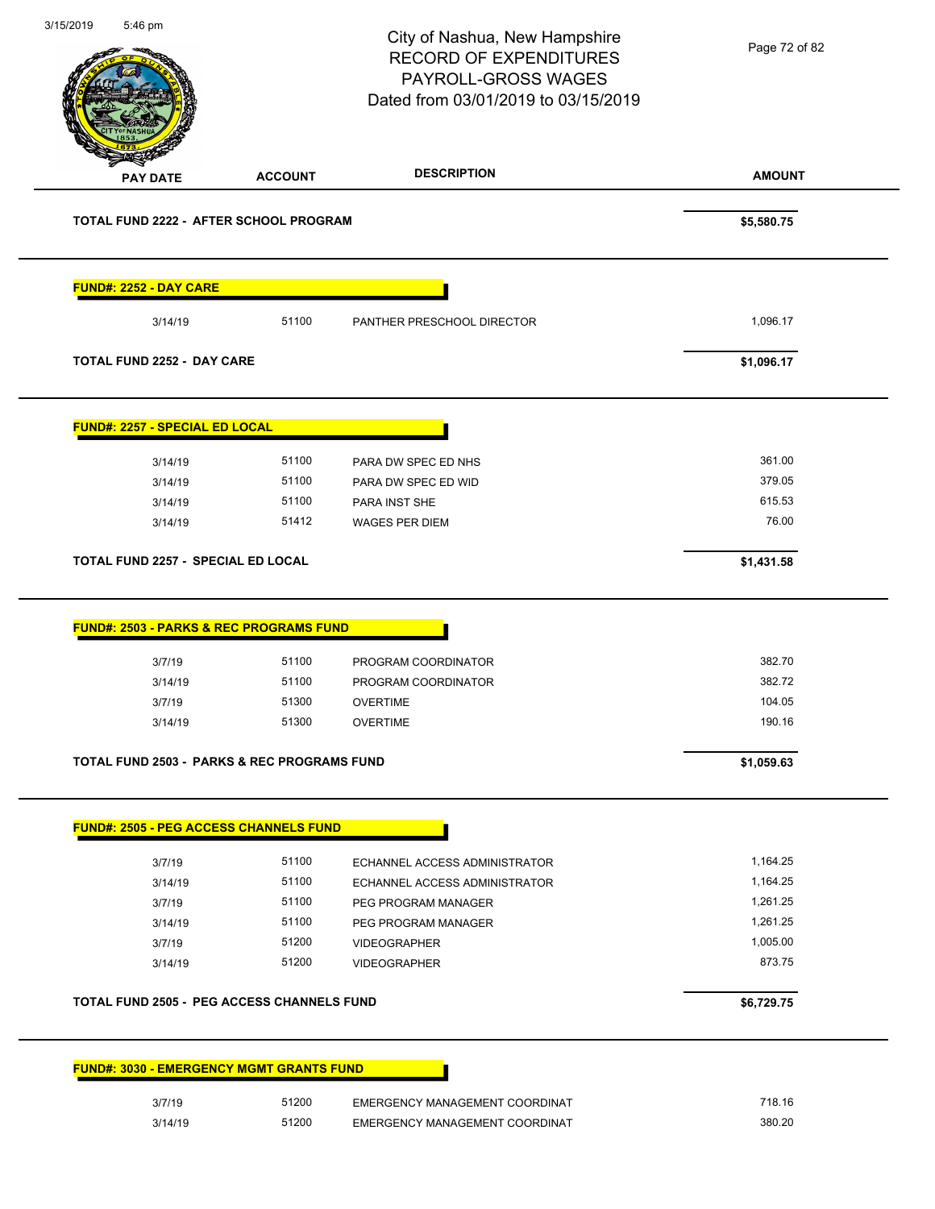**AMOUNT** City of Nashua, New Hampshire RECORD OF EXPENDITURES PAYROLL-GROSS WAGES Dated from 03/01/2019 to 03/15/2019 **PAY DATE ACCOUNT DESCRIPTION** 3/15/2019 5:46 pm **TOTAL FUND 2222 - AFTER SCHOOL PROGRAM \$5,580.75 FUND#: 2252 - DAY CARE** 3/14/19 51100 PANTHER PRESCHOOL DIRECTOR 1,096.17 **TOTAL FUND 2252 - DAY CARE \$1,096.17 FUND#: 2257 - SPECIAL ED LOCAL** 3/14/19 51100 PARA DW SPEC ED NHS 361.00 3/14/19 51100 PARA DW SPEC ED WID 379.05 3/14/19 51100 PARA INST SHE 615.53 3/14/19 51412 WAGES PER DIEM 76.00 **TOTAL FUND 2257 - SPECIAL ED LOCAL \$1,431.58 FUND#: 2503 - PARKS & REC PROGRAMS FUND** 3/7/19 51100 PROGRAM COORDINATOR 382.70 3/14/19 51100 PROGRAM COORDINATOR 382.72 3/7/19 51300 OVERTIME 104.05 3/14/19 51300 OVERTIME 190.16 **TOTAL FUND 2503 - PARKS & REC PROGRAMS FUND \$1,059.63 FUND#: 2505 - PEG ACCESS CHANNELS FUND** 3/7/19 51100 ECHANNEL ACCESS ADMINISTRATOR 1,164.25 3/14/19 51100 ECHANNEL ACCESS ADMINISTRATOR 1,164.25 3/7/19 51100 PEG PROGRAM MANAGER 1,261.25 3/14/19 51100 PEG PROGRAM MANAGER 1,261.25 3/7/19 51200 VIDEOGRAPHER 1,005.00 3/14/19 51200 VIDEOGRAPHER 873.75 **TOTAL FUND 2505 - PEG ACCESS CHANNELS FUND \$6,729.75 FUND#: 3030 - EMERGENCY MGMT GRANTS FUND** 3/7/19 51200 EMERGENCY MANAGEMENT COORDINAT 6 1718.16 Page 72 of 82

3/14/19 51200 EMERGENCY MANAGEMENT COORDINAT 380.20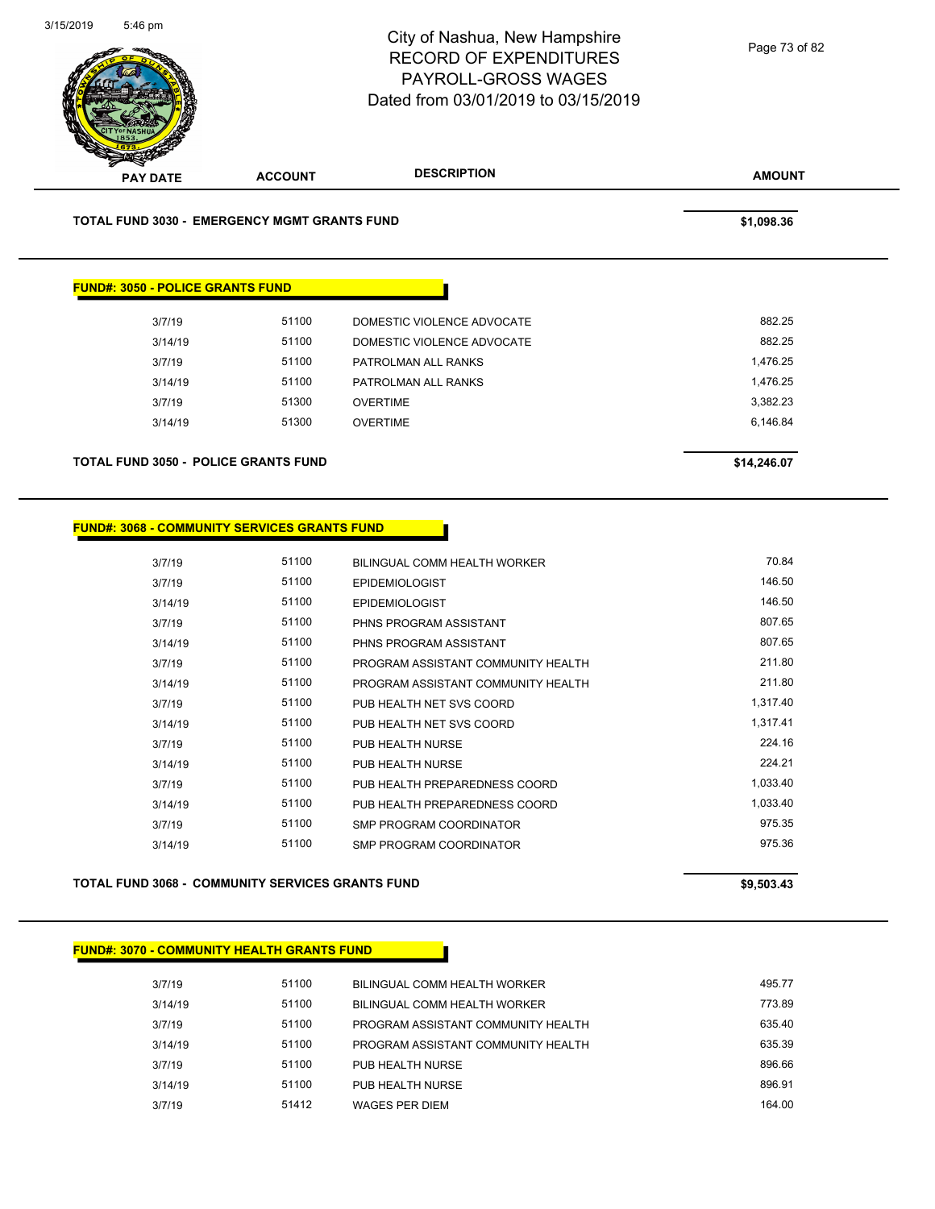

### **FUND#: 3068 - COMMUNITY SERVICES GRANTS FUND**

| 3/7/19  | 51100 | BILINGUAL COMM HEALTH WORKER       | 70.84    |
|---------|-------|------------------------------------|----------|
| 3/7/19  | 51100 | <b>EPIDEMIOLOGIST</b>              | 146.50   |
| 3/14/19 | 51100 | <b>EPIDEMIOLOGIST</b>              | 146.50   |
| 3/7/19  | 51100 | PHNS PROGRAM ASSISTANT             | 807.65   |
| 3/14/19 | 51100 | PHNS PROGRAM ASSISTANT             | 807.65   |
| 3/7/19  | 51100 | PROGRAM ASSISTANT COMMUNITY HEALTH | 211.80   |
| 3/14/19 | 51100 | PROGRAM ASSISTANT COMMUNITY HEALTH | 211.80   |
| 3/7/19  | 51100 | PUB HEALTH NET SVS COORD           | 1,317.40 |
| 3/14/19 | 51100 | PUB HEALTH NET SVS COORD           | 1,317.41 |
| 3/7/19  | 51100 | PUB HEALTH NURSE                   | 224.16   |
| 3/14/19 | 51100 | PUB HEALTH NURSE                   | 224.21   |
| 3/7/19  | 51100 | PUB HEALTH PREPAREDNESS COORD      | 1,033.40 |
| 3/14/19 | 51100 | PUB HEALTH PREPAREDNESS COORD      | 1.033.40 |
| 3/7/19  | 51100 | SMP PROGRAM COORDINATOR            | 975.35   |
| 3/14/19 | 51100 | SMP PROGRAM COORDINATOR            | 975.36   |
|         |       |                                    |          |

## **TOTAL FUND 3068 - COMMUNITY SERVICES GRANTS FUND \$9,503.43**

#### **FUND#: 3070 - COMMUNITY HEALTH GRANTS FUND**

| 3/7/19  | 51100 | BILINGUAL COMM HEALTH WORKER       | 495.77 |
|---------|-------|------------------------------------|--------|
| 3/14/19 | 51100 | BILINGUAL COMM HEALTH WORKER       | 773.89 |
| 3/7/19  | 51100 | PROGRAM ASSISTANT COMMUNITY HEALTH | 635.40 |
| 3/14/19 | 51100 | PROGRAM ASSISTANT COMMUNITY HEALTH | 635.39 |
| 3/7/19  | 51100 | PUB HEALTH NURSE                   | 896.66 |
| 3/14/19 | 51100 | PUB HEALTH NURSE                   | 896.91 |
| 3/7/19  | 51412 | WAGES PER DIEM                     | 164.00 |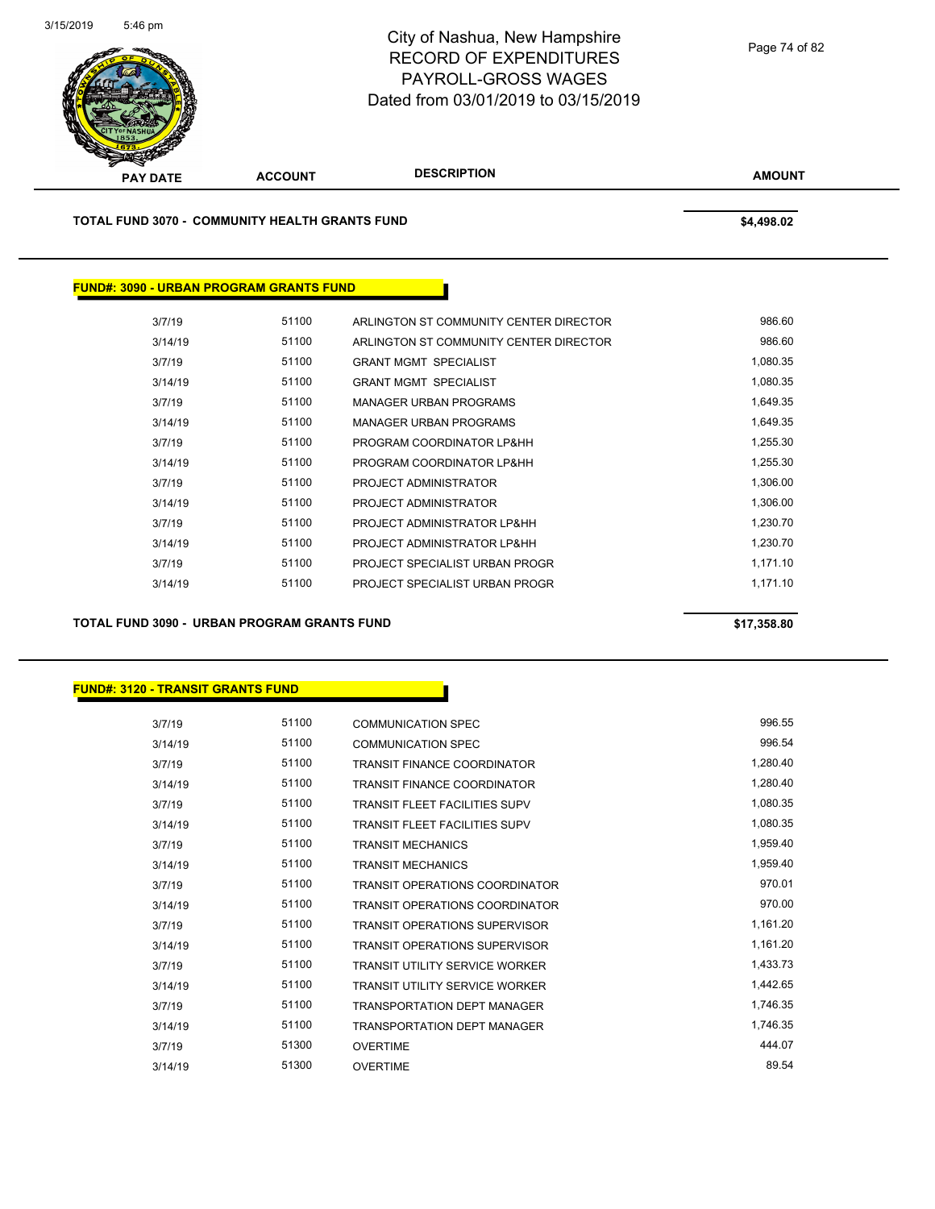

**TOTAL FUND 3070 - COMMUNITY HEALTH GRANTS FUND \$4,498.02** 

## **FUND#: 3090 - URBAN PROGRAM GRANTS FUND**

| 3/7/19  | 51100 | ARLINGTON ST COMMUNITY CENTER DIRECTOR | 986.60   |
|---------|-------|----------------------------------------|----------|
| 3/14/19 | 51100 | ARLINGTON ST COMMUNITY CENTER DIRECTOR | 986.60   |
| 3/7/19  | 51100 | <b>GRANT MGMT SPECIALIST</b>           | 1,080.35 |
| 3/14/19 | 51100 | <b>GRANT MGMT SPECIALIST</b>           | 1,080.35 |
| 3/7/19  | 51100 | MANAGER URBAN PROGRAMS                 | 1.649.35 |
| 3/14/19 | 51100 | MANAGER URBAN PROGRAMS                 | 1,649.35 |
| 3/7/19  | 51100 | PROGRAM COORDINATOR LP&HH              | 1,255.30 |
| 3/14/19 | 51100 | PROGRAM COORDINATOR LP&HH              | 1,255.30 |
| 3/7/19  | 51100 | PROJECT ADMINISTRATOR                  | 1.306.00 |
| 3/14/19 | 51100 | PROJECT ADMINISTRATOR                  | 1,306.00 |
| 3/7/19  | 51100 | PROJECT ADMINISTRATOR LP&HH            | 1,230.70 |
| 3/14/19 | 51100 | PROJECT ADMINISTRATOR LP&HH            | 1.230.70 |
| 3/7/19  | 51100 | PROJECT SPECIALIST URBAN PROGR         | 1,171.10 |
| 3/14/19 | 51100 | PROJECT SPECIALIST URBAN PROGR         | 1.171.10 |
|         |       |                                        |          |

**TOTAL FUND 3090 - URBAN PROGRAM GRANTS FUND \$17,358.80** 

## **FUND#: 3120 - TRANSIT GRANTS FUND**

| 3/7/19  | 51100 | <b>COMMUNICATION SPEC</b>             | 996.55   |
|---------|-------|---------------------------------------|----------|
| 3/14/19 | 51100 | <b>COMMUNICATION SPEC</b>             | 996.54   |
| 3/7/19  | 51100 | <b>TRANSIT FINANCE COORDINATOR</b>    | 1,280.40 |
| 3/14/19 | 51100 | <b>TRANSIT FINANCE COORDINATOR</b>    | 1,280.40 |
| 3/7/19  | 51100 | <b>TRANSIT FLEET FACILITIES SUPV</b>  | 1,080.35 |
| 3/14/19 | 51100 | <b>TRANSIT FLEET FACILITIES SUPV</b>  | 1,080.35 |
| 3/7/19  | 51100 | <b>TRANSIT MECHANICS</b>              | 1,959.40 |
| 3/14/19 | 51100 | <b>TRANSIT MECHANICS</b>              | 1,959.40 |
| 3/7/19  | 51100 | <b>TRANSIT OPERATIONS COORDINATOR</b> | 970.01   |
| 3/14/19 | 51100 | <b>TRANSIT OPERATIONS COORDINATOR</b> | 970.00   |
| 3/7/19  | 51100 | <b>TRANSIT OPERATIONS SUPERVISOR</b>  | 1,161.20 |
| 3/14/19 | 51100 | <b>TRANSIT OPERATIONS SUPERVISOR</b>  | 1,161.20 |
| 3/7/19  | 51100 | <b>TRANSIT UTILITY SERVICE WORKER</b> | 1,433.73 |
| 3/14/19 | 51100 | <b>TRANSIT UTILITY SERVICE WORKER</b> | 1,442.65 |
| 3/7/19  | 51100 | <b>TRANSPORTATION DEPT MANAGER</b>    | 1,746.35 |
| 3/14/19 | 51100 | <b>TRANSPORTATION DEPT MANAGER</b>    | 1,746.35 |
| 3/7/19  | 51300 | <b>OVERTIME</b>                       | 444.07   |
| 3/14/19 | 51300 | <b>OVERTIME</b>                       | 89.54    |

Page 74 of 82

**AMOUNT**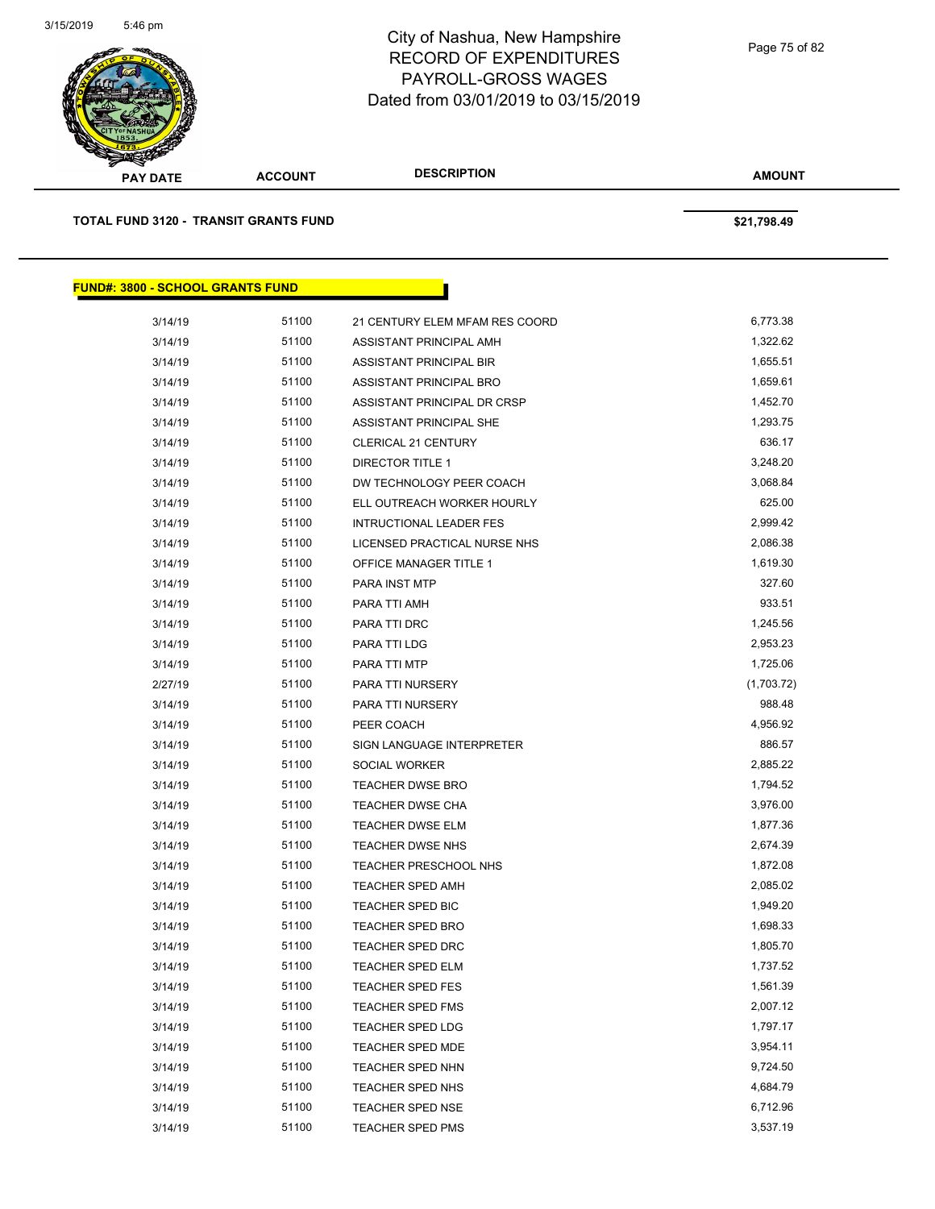

| <b>PAY DATE</b>                         | <b>ACCOUNT</b>                               | <b>DESCRIPTION</b>             | <b>AMOUNT</b> |  |
|-----------------------------------------|----------------------------------------------|--------------------------------|---------------|--|
|                                         | <b>TOTAL FUND 3120 - TRANSIT GRANTS FUND</b> |                                | \$21,798.49   |  |
| <b>FUND#: 3800 - SCHOOL GRANTS FUND</b> |                                              |                                |               |  |
| 3/14/19                                 | 51100                                        | 21 CENTURY ELEM MFAM RES COORD | 6,773.38      |  |
| 3/14/19                                 | 51100                                        | ASSISTANT PRINCIPAL AMH        | 1,322.62      |  |
| 3/14/19                                 | 51100                                        | ASSISTANT PRINCIPAL BIR        | 1,655.51      |  |
| 3/14/19                                 | 51100                                        | ASSISTANT PRINCIPAL BRO        | 1,659.61      |  |
| 3/14/19                                 | 51100                                        | ASSISTANT PRINCIPAL DR CRSP    | 1,452.70      |  |
| 3/14/19                                 | 51100                                        | ASSISTANT PRINCIPAL SHE        | 1,293.75      |  |
| 3/14/19                                 | 51100                                        | <b>CLERICAL 21 CENTURY</b>     | 636.17        |  |
| 3/14/19                                 | 51100                                        | DIRECTOR TITLE 1               | 3,248.20      |  |
| 3/14/19                                 | 51100                                        | DW TECHNOLOGY PEER COACH       | 3,068.84      |  |
| 3/14/19                                 | 51100                                        | ELL OUTREACH WORKER HOURLY     | 625.00        |  |
| 3/14/19                                 | 51100                                        | INTRUCTIONAL LEADER FES        | 2,999.42      |  |
| 3/14/19                                 | 51100                                        | LICENSED PRACTICAL NURSE NHS   | 2,086.38      |  |
| 3/14/19                                 | 51100                                        | <b>OFFICE MANAGER TITLE 1</b>  | 1,619.30      |  |
| 3/14/19                                 | 51100                                        | PARA INST MTP                  | 327.60        |  |
| 3/14/19                                 | 51100                                        | PARA TTI AMH                   | 933.51        |  |
| 3/14/19                                 | 51100                                        | PARA TTI DRC                   | 1,245.56      |  |
| 3/14/19                                 | 51100                                        | <b>PARA TTI LDG</b>            | 2,953.23      |  |
| 3/14/19                                 | 51100                                        | PARA TTI MTP                   | 1,725.06      |  |
| 2/27/19                                 | 51100                                        | PARA TTI NURSERY               | (1,703.72)    |  |
| 3/14/19                                 | 51100                                        | PARA TTI NURSERY               | 988.48        |  |
| 3/14/19                                 | 51100                                        | PEER COACH                     | 4,956.92      |  |
| 3/14/19                                 | 51100                                        | SIGN LANGUAGE INTERPRETER      | 886.57        |  |
| 3/14/19                                 | 51100                                        | SOCIAL WORKER                  | 2,885.22      |  |
| 3/14/19                                 | 51100                                        | <b>TEACHER DWSE BRO</b>        | 1,794.52      |  |
| 3/14/19                                 | 51100                                        | <b>TEACHER DWSE CHA</b>        | 3,976.00      |  |
| 3/14/19                                 | 51100                                        | <b>TEACHER DWSE ELM</b>        | 1,877.36      |  |
| 3/14/19                                 | 51100                                        | <b>TEACHER DWSE NHS</b>        | 2,674.39      |  |
| 3/14/19                                 | 51100                                        | <b>TEACHER PRESCHOOL NHS</b>   | 1,872.08      |  |
| 3/14/19                                 | 51100                                        | <b>TEACHER SPED AMH</b>        | 2,085.02      |  |
| 3/14/19                                 | 51100                                        | TEACHER SPED BIC               | 1,949.20      |  |
| 3/14/19                                 | 51100                                        | <b>TEACHER SPED BRO</b>        | 1,698.33      |  |
| 3/14/19                                 | 51100                                        | <b>TEACHER SPED DRC</b>        | 1,805.70      |  |
| 3/14/19                                 | 51100                                        | TEACHER SPED ELM               | 1,737.52      |  |
| 3/14/19                                 | 51100                                        | <b>TEACHER SPED FES</b>        | 1,561.39      |  |
| 3/14/19                                 | 51100                                        | <b>TEACHER SPED FMS</b>        | 2,007.12      |  |
| 3/14/19                                 | 51100                                        | TEACHER SPED LDG               | 1,797.17      |  |
| 3/14/19                                 | 51100                                        | <b>TEACHER SPED MDE</b>        | 3,954.11      |  |
| 3/14/19                                 | 51100                                        | TEACHER SPED NHN               | 9,724.50      |  |
| 3/14/19                                 | 51100                                        | TEACHER SPED NHS               | 4,684.79      |  |
| 3/14/19                                 | 51100                                        | <b>TEACHER SPED NSE</b>        | 6,712.96      |  |
| 3/14/19                                 | 51100                                        | TEACHER SPED PMS               | 3,537.19      |  |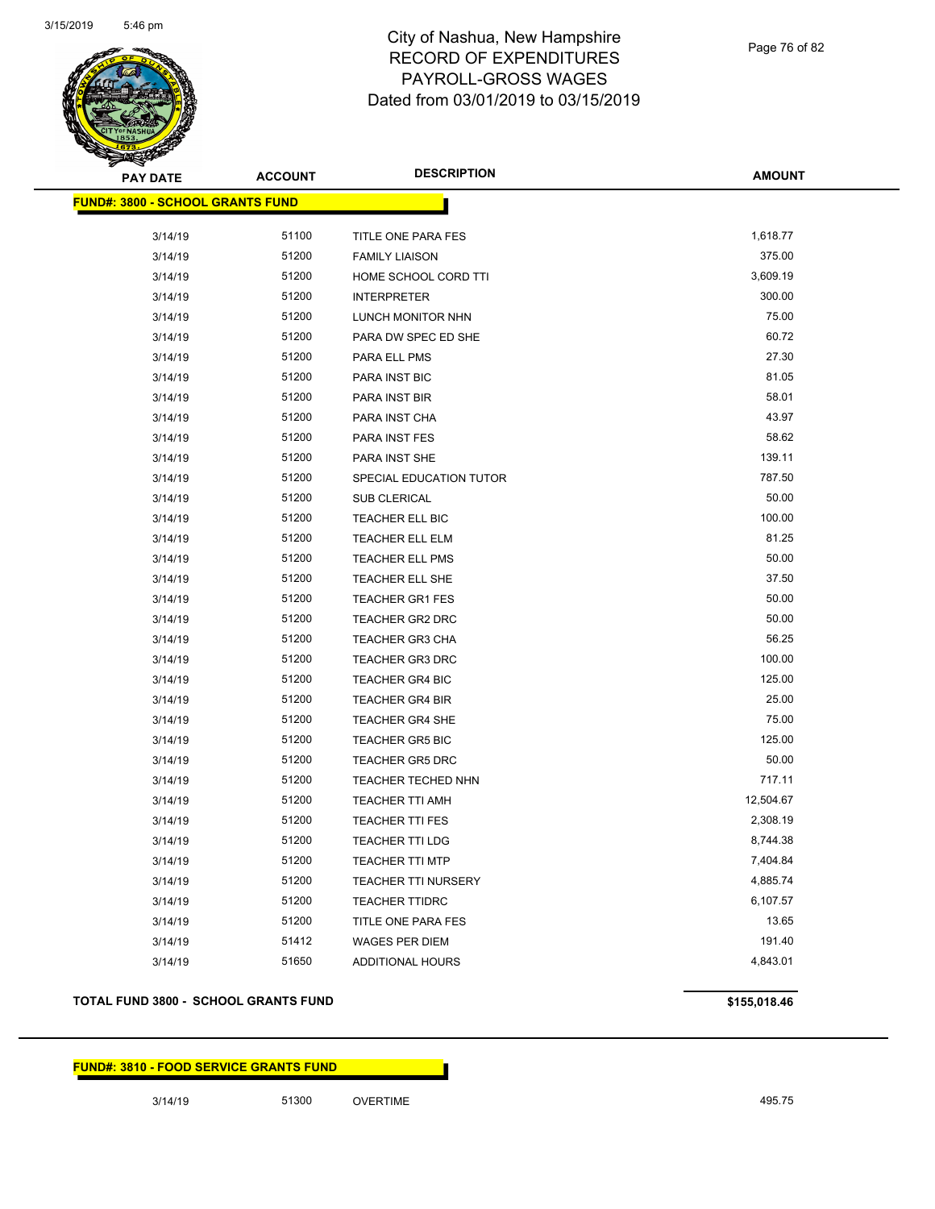

Page 76 of 82

| <b>PAY DATE</b>                         | <b>ACCOUNT</b> | <b>DESCRIPTION</b>         | <b>AMOUNT</b> |
|-----------------------------------------|----------------|----------------------------|---------------|
| <b>FUND#: 3800 - SCHOOL GRANTS FUND</b> |                |                            |               |
| 3/14/19                                 | 51100          | TITLE ONE PARA FES         | 1,618.77      |
| 3/14/19                                 | 51200          | <b>FAMILY LIAISON</b>      | 375.00        |
| 3/14/19                                 | 51200          | HOME SCHOOL CORD TTI       | 3,609.19      |
| 3/14/19                                 | 51200          | <b>INTERPRETER</b>         | 300.00        |
| 3/14/19                                 | 51200          | LUNCH MONITOR NHN          | 75.00         |
| 3/14/19                                 | 51200          | PARA DW SPEC ED SHE        | 60.72         |
| 3/14/19                                 | 51200          | PARA ELL PMS               | 27.30         |
| 3/14/19                                 | 51200          | PARA INST BIC              | 81.05         |
| 3/14/19                                 | 51200          | PARA INST BIR              | 58.01         |
| 3/14/19                                 | 51200          | PARA INST CHA              | 43.97         |
| 3/14/19                                 | 51200          | PARA INST FES              | 58.62         |
| 3/14/19                                 | 51200          | PARA INST SHE              | 139.11        |
| 3/14/19                                 | 51200          | SPECIAL EDUCATION TUTOR    | 787.50        |
| 3/14/19                                 | 51200          | SUB CLERICAL               | 50.00         |
| 3/14/19                                 | 51200          | TEACHER ELL BIC            | 100.00        |
| 3/14/19                                 | 51200          | <b>TEACHER ELL ELM</b>     | 81.25         |
| 3/14/19                                 | 51200          | <b>TEACHER ELL PMS</b>     | 50.00         |
| 3/14/19                                 | 51200          | TEACHER ELL SHE            | 37.50         |
| 3/14/19                                 | 51200          | TEACHER GR1 FES            | 50.00         |
| 3/14/19                                 | 51200          | <b>TEACHER GR2 DRC</b>     | 50.00         |
| 3/14/19                                 | 51200          | <b>TEACHER GR3 CHA</b>     | 56.25         |
| 3/14/19                                 | 51200          | <b>TEACHER GR3 DRC</b>     | 100.00        |
| 3/14/19                                 | 51200          | <b>TEACHER GR4 BIC</b>     | 125.00        |
| 3/14/19                                 | 51200          | <b>TEACHER GR4 BIR</b>     | 25.00         |
| 3/14/19                                 | 51200          | <b>TEACHER GR4 SHE</b>     | 75.00         |
| 3/14/19                                 | 51200          | <b>TEACHER GR5 BIC</b>     | 125.00        |
| 3/14/19                                 | 51200          | <b>TEACHER GR5 DRC</b>     | 50.00         |
| 3/14/19                                 | 51200          | <b>TEACHER TECHED NHN</b>  | 717.11        |
| 3/14/19                                 | 51200          | <b>TEACHER TTI AMH</b>     | 12,504.67     |
| 3/14/19                                 | 51200          | <b>TEACHER TTI FES</b>     | 2,308.19      |
| 3/14/19                                 | 51200          | <b>TEACHER TTI LDG</b>     | 8,744.38      |
| 3/14/19                                 | 51200          | TEACHER TTI MTP            | 7,404.84      |
| 3/14/19                                 | 51200          | <b>TEACHER TTI NURSERY</b> | 4,885.74      |
| 3/14/19                                 | 51200          | <b>TEACHER TTIDRC</b>      | 6,107.57      |
| 3/14/19                                 | 51200          | TITLE ONE PARA FES         | 13.65         |
| 3/14/19                                 | 51412          | <b>WAGES PER DIEM</b>      | 191.40        |
| 3/14/19                                 | 51650          | ADDITIONAL HOURS           | 4,843.01      |
|                                         |                |                            |               |

## **TOTAL FUND 3800 - SCHOOL GRANTS FUND \$155,018.46**

**FUND#: 3810 - FOOD SERVICE GRANTS FUND**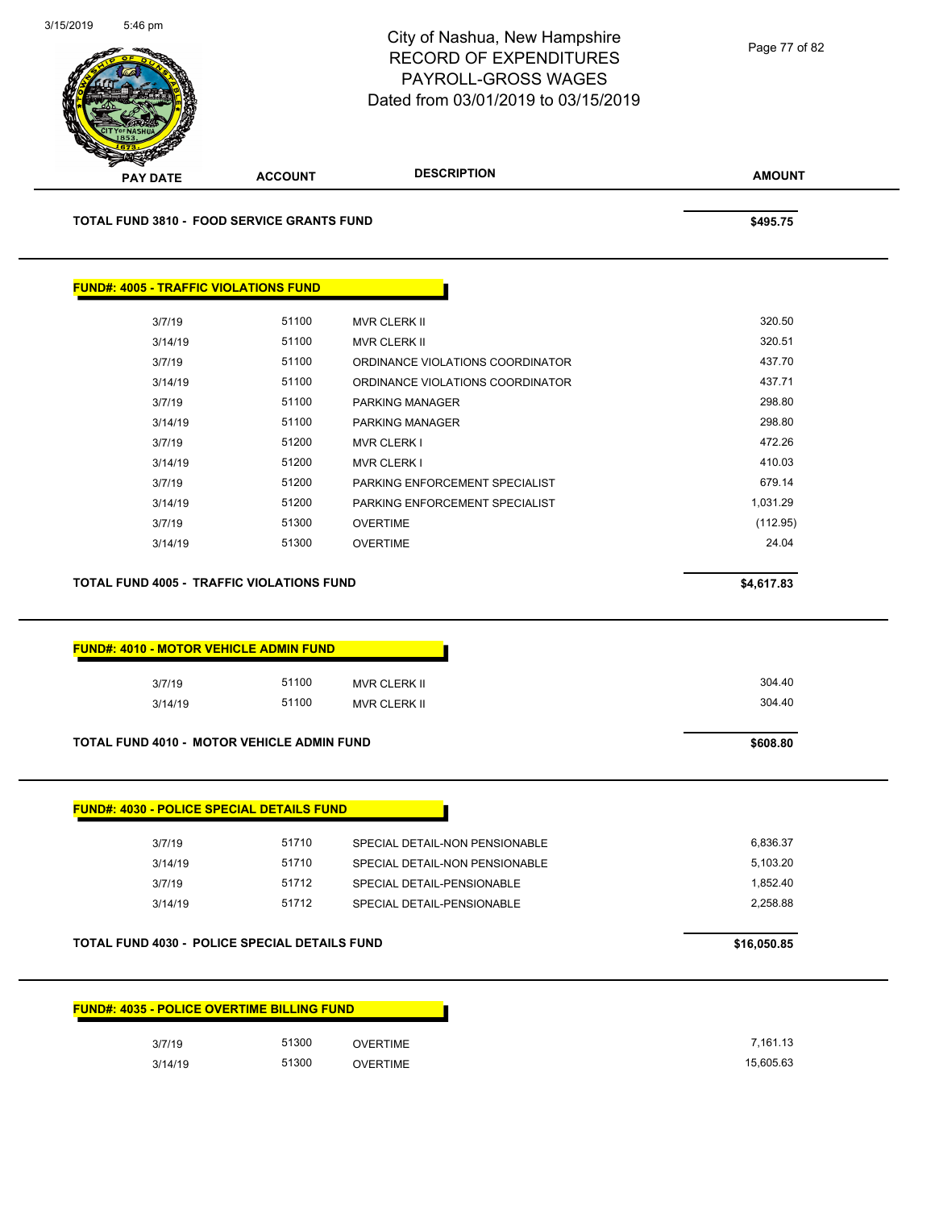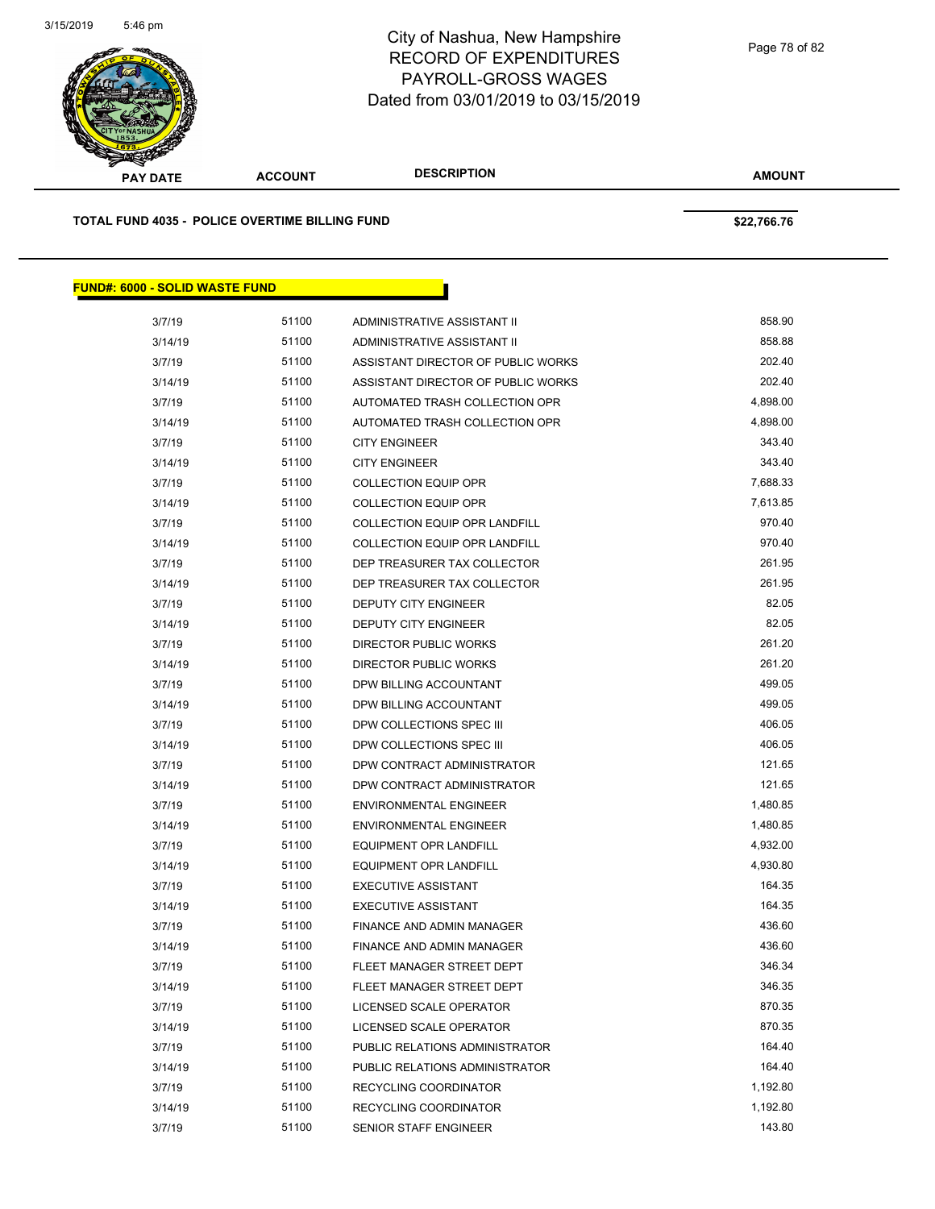

Page 78 of 82

| s<br>$\tilde{\phantom{a}}$<br><b>PAY DATE</b>  | <b>ACCOUNT</b> | <b>DESCRIPTION</b>                   | <b>AMOUNT</b> |
|------------------------------------------------|----------------|--------------------------------------|---------------|
| TOTAL FUND 4035 - POLICE OVERTIME BILLING FUND |                |                                      | \$22,766.76   |
| <b>FUND#: 6000 - SOLID WASTE FUND</b>          |                |                                      |               |
| 3/7/19                                         | 51100          | ADMINISTRATIVE ASSISTANT II          | 858.90        |
| 3/14/19                                        | 51100          | ADMINISTRATIVE ASSISTANT II          | 858.88        |
| 3/7/19                                         | 51100          | ASSISTANT DIRECTOR OF PUBLIC WORKS   | 202.40        |
| 3/14/19                                        | 51100          | ASSISTANT DIRECTOR OF PUBLIC WORKS   | 202.40        |
| 3/7/19                                         | 51100          | AUTOMATED TRASH COLLECTION OPR       | 4,898.00      |
| 3/14/19                                        | 51100          | AUTOMATED TRASH COLLECTION OPR       | 4,898.00      |
| 3/7/19                                         | 51100          | <b>CITY ENGINEER</b>                 | 343.40        |
| 3/14/19                                        | 51100          | <b>CITY ENGINEER</b>                 | 343.40        |
| 3/7/19                                         | 51100          | <b>COLLECTION EQUIP OPR</b>          | 7,688.33      |
| 3/14/19                                        | 51100          | <b>COLLECTION EQUIP OPR</b>          | 7,613.85      |
| 3/7/19                                         | 51100          | <b>COLLECTION EQUIP OPR LANDFILL</b> | 970.40        |
| 3/14/19                                        | 51100          | COLLECTION EQUIP OPR LANDFILL        | 970.40        |
| 3/7/19                                         | 51100          | DEP TREASURER TAX COLLECTOR          | 261.95        |
| 3/14/19                                        | 51100          | DEP TREASURER TAX COLLECTOR          | 261.95        |
| 3/7/19                                         | 51100          | <b>DEPUTY CITY ENGINEER</b>          | 82.05         |
| 3/14/19                                        | 51100          | <b>DEPUTY CITY ENGINEER</b>          | 82.05         |
| 3/7/19                                         | 51100          | <b>DIRECTOR PUBLIC WORKS</b>         | 261.20        |
| 3/14/19                                        | 51100          | DIRECTOR PUBLIC WORKS                | 261.20        |
| 3/7/19                                         | 51100          | DPW BILLING ACCOUNTANT               | 499.05        |
| 3/14/19                                        | 51100          | DPW BILLING ACCOUNTANT               | 499.05        |
| 3/7/19                                         | 51100          | DPW COLLECTIONS SPEC III             | 406.05        |
| 3/14/19                                        | 51100          | DPW COLLECTIONS SPEC III             | 406.05        |

3/7/19 51100 DPW CONTRACT ADMINISTRATOR 121.65 3/14/19 51100 DPW CONTRACT ADMINISTRATOR 121.65 3/7/19 51100 ENVIRONMENTAL ENGINEER 1,480.85 3/14/19 51100 ENVIRONMENTAL ENGINEER 1,480.85 3/7/19 51100 EQUIPMENT OPR LANDFILL 6 6 10 20 4,932.00 3/14/19 51100 EQUIPMENT OPR LANDFILL 4,930.80 3/7/19 51100 EXECUTIVE ASSISTANT 164.35 3/14/19 51100 EXECUTIVE ASSISTANT 164.35 3/7/19 51100 FINANCE AND ADMIN MANAGER 436.60 3/14/19 51100 FINANCE AND ADMIN MANAGER 436.60 3/7/19 51100 FLEET MANAGER STREET DEPT 346.34 3/14/19 51100 FLEET MANAGER STREET DEPT 346.35 3/7/19 51100 LICENSED SCALE OPERATOR 870.35 3/14/19 51100 LICENSED SCALE OPERATOR 870.35 3/7/19 51100 PUBLIC RELATIONS ADMINISTRATOR 164.40 3/14/19 51100 PUBLIC RELATIONS ADMINISTRATOR 164.40 3/7/19 51100 RECYCLING COORDINATOR 1,192.80 3/14/19 51100 RECYCLING COORDINATOR 1,192.80 3/7/19 51100 SENIOR STAFF ENGINEER 143.80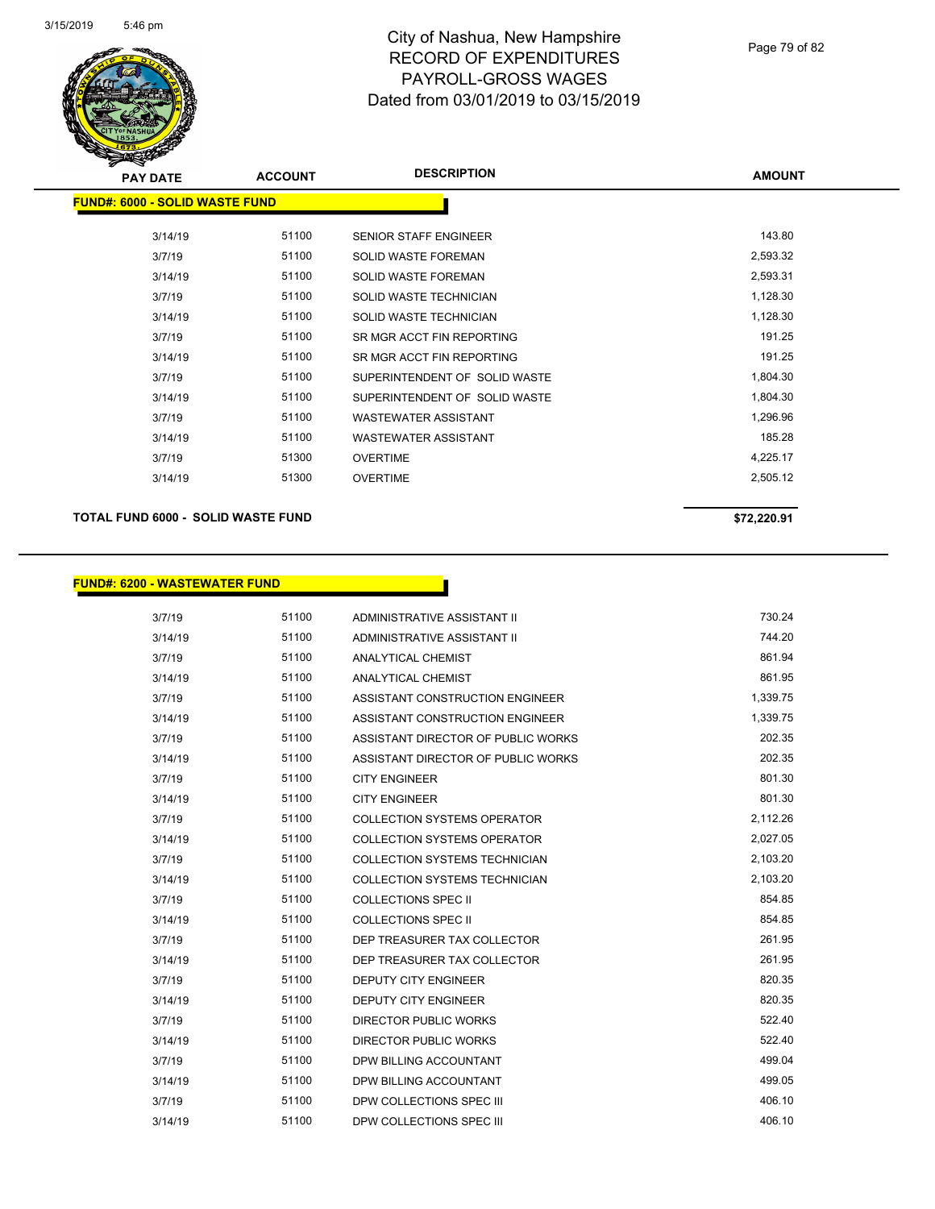

| <b>PAY DATE</b>                       | <b>ACCOUNT</b> | <b>DESCRIPTION</b>            | <b>AMOUNT</b> |
|---------------------------------------|----------------|-------------------------------|---------------|
| <b>FUND#: 6000 - SOLID WASTE FUND</b> |                |                               |               |
| 3/14/19                               | 51100          | <b>SENIOR STAFF ENGINEER</b>  | 143.80        |
| 3/7/19                                | 51100          | <b>SOLID WASTE FOREMAN</b>    | 2,593.32      |
| 3/14/19                               | 51100          | SOLID WASTE FOREMAN           | 2,593.31      |
| 3/7/19                                | 51100          | SOLID WASTE TECHNICIAN        | 1,128.30      |
| 3/14/19                               | 51100          | SOLID WASTE TECHNICIAN        | 1,128.30      |
| 3/7/19                                | 51100          | SR MGR ACCT FIN REPORTING     | 191.25        |
| 3/14/19                               | 51100          | SR MGR ACCT FIN REPORTING     | 191.25        |
| 3/7/19                                | 51100          | SUPERINTENDENT OF SOLID WASTE | 1,804.30      |
| 3/14/19                               | 51100          | SUPERINTENDENT OF SOLID WASTE | 1,804.30      |
| 3/7/19                                | 51100          | WASTEWATER ASSISTANT          | 1,296.96      |
| 3/14/19                               | 51100          | <b>WASTEWATER ASSISTANT</b>   | 185.28        |
| 3/7/19                                | 51300          | <b>OVERTIME</b>               | 4,225.17      |
| 3/14/19                               | 51300          | <b>OVERTIME</b>               | 2,505.12      |
|                                       |                |                               |               |

## **TOTAL FUND 6000 - SOLID WASTE FUND \$72,220.91**

## **FUND#: 6200 - WASTEWATER FUND**

| 3/7/19  | 51100 | ADMINISTRATIVE ASSISTANT II          | 730.24   |
|---------|-------|--------------------------------------|----------|
| 3/14/19 | 51100 | ADMINISTRATIVE ASSISTANT II          | 744.20   |
| 3/7/19  | 51100 | <b>ANALYTICAL CHEMIST</b>            | 861.94   |
| 3/14/19 | 51100 | <b>ANALYTICAL CHEMIST</b>            | 861.95   |
| 3/7/19  | 51100 | ASSISTANT CONSTRUCTION ENGINEER      | 1,339.75 |
| 3/14/19 | 51100 | ASSISTANT CONSTRUCTION ENGINEER      | 1,339.75 |
| 3/7/19  | 51100 | ASSISTANT DIRECTOR OF PUBLIC WORKS   | 202.35   |
| 3/14/19 | 51100 | ASSISTANT DIRECTOR OF PUBLIC WORKS   | 202.35   |
| 3/7/19  | 51100 | <b>CITY ENGINEER</b>                 | 801.30   |
| 3/14/19 | 51100 | <b>CITY ENGINEER</b>                 | 801.30   |
| 3/7/19  | 51100 | COLLECTION SYSTEMS OPERATOR          | 2,112.26 |
| 3/14/19 | 51100 | <b>COLLECTION SYSTEMS OPERATOR</b>   | 2,027.05 |
| 3/7/19  | 51100 | COLLECTION SYSTEMS TECHNICIAN        | 2,103.20 |
| 3/14/19 | 51100 | <b>COLLECTION SYSTEMS TECHNICIAN</b> | 2,103.20 |
| 3/7/19  | 51100 | <b>COLLECTIONS SPEC II</b>           | 854.85   |
| 3/14/19 | 51100 | <b>COLLECTIONS SPEC II</b>           | 854.85   |
| 3/7/19  | 51100 | DEP TREASURER TAX COLLECTOR          | 261.95   |
| 3/14/19 | 51100 | DEP TREASURER TAX COLLECTOR          | 261.95   |
| 3/7/19  | 51100 | <b>DEPUTY CITY ENGINEER</b>          | 820.35   |
| 3/14/19 | 51100 | <b>DEPUTY CITY ENGINEER</b>          | 820.35   |
| 3/7/19  | 51100 | <b>DIRECTOR PUBLIC WORKS</b>         | 522.40   |
| 3/14/19 | 51100 | <b>DIRECTOR PUBLIC WORKS</b>         | 522.40   |
| 3/7/19  | 51100 | DPW BILLING ACCOUNTANT               | 499.04   |
| 3/14/19 | 51100 | DPW BILLING ACCOUNTANT               | 499.05   |
| 3/7/19  | 51100 | DPW COLLECTIONS SPEC III             | 406.10   |
| 3/14/19 | 51100 | DPW COLLECTIONS SPEC III             | 406.10   |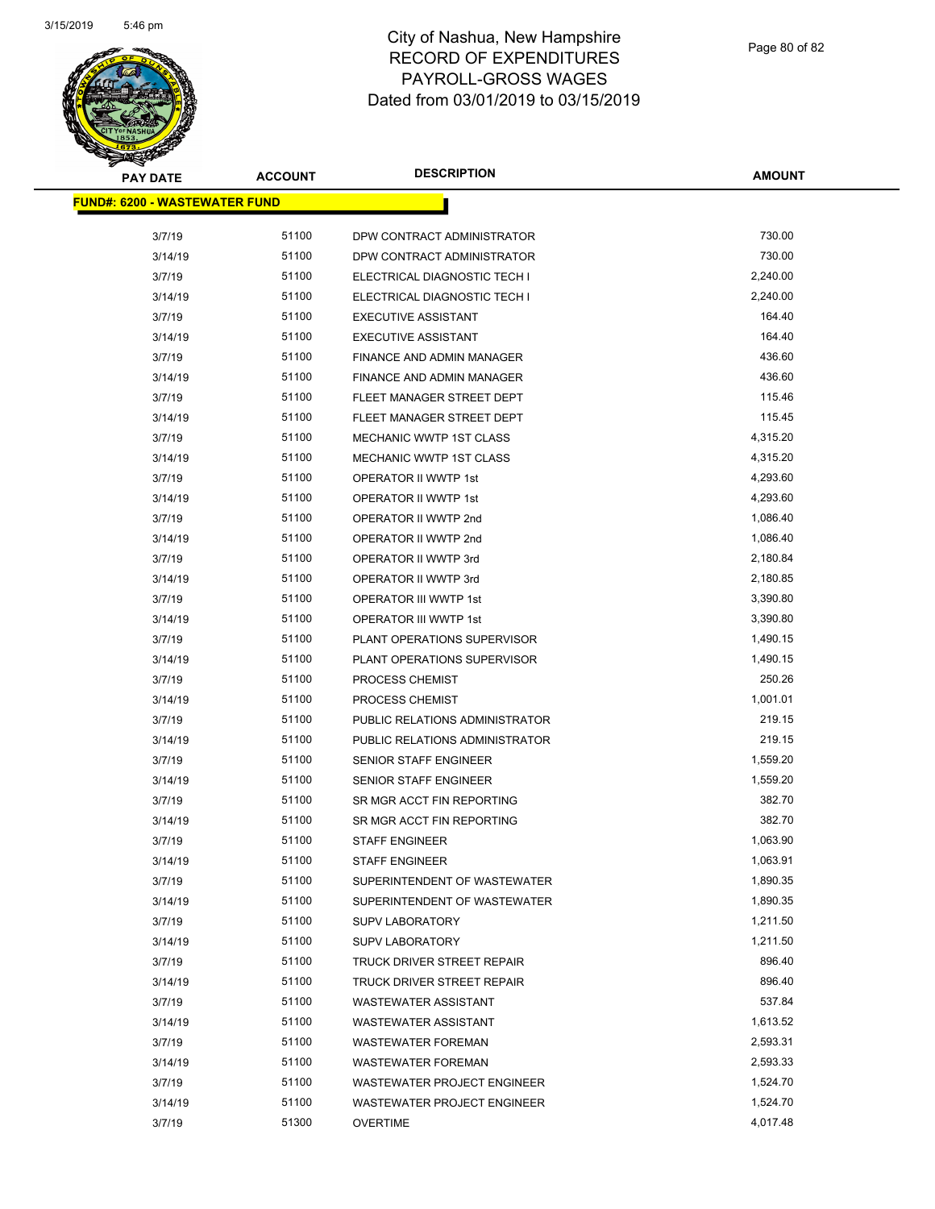

| <b>PAY DATE</b>                       | <b>ACCOUNT</b> | <b>DESCRIPTION</b>                 | <b>AMOUNT</b> |
|---------------------------------------|----------------|------------------------------------|---------------|
| <u> FUND#: 6200 - WASTEWATER FUND</u> |                |                                    |               |
| 3/7/19                                | 51100          | DPW CONTRACT ADMINISTRATOR         | 730.00        |
| 3/14/19                               | 51100          | DPW CONTRACT ADMINISTRATOR         | 730.00        |
| 3/7/19                                | 51100          | ELECTRICAL DIAGNOSTIC TECH I       | 2,240.00      |
| 3/14/19                               | 51100          | ELECTRICAL DIAGNOSTIC TECH I       | 2,240.00      |
| 3/7/19                                | 51100          | <b>EXECUTIVE ASSISTANT</b>         | 164.40        |
| 3/14/19                               | 51100          | <b>EXECUTIVE ASSISTANT</b>         | 164.40        |
| 3/7/19                                | 51100          | FINANCE AND ADMIN MANAGER          | 436.60        |
| 3/14/19                               | 51100          | FINANCE AND ADMIN MANAGER          | 436.60        |
| 3/7/19                                | 51100          | FLEET MANAGER STREET DEPT          | 115.46        |
| 3/14/19                               | 51100          | FLEET MANAGER STREET DEPT          | 115.45        |
| 3/7/19                                | 51100          | MECHANIC WWTP 1ST CLASS            | 4,315.20      |
| 3/14/19                               | 51100          | MECHANIC WWTP 1ST CLASS            | 4,315.20      |
| 3/7/19                                | 51100          | <b>OPERATOR II WWTP 1st</b>        | 4,293.60      |
| 3/14/19                               | 51100          | OPERATOR II WWTP 1st               | 4,293.60      |
| 3/7/19                                | 51100          | OPERATOR II WWTP 2nd               | 1,086.40      |
| 3/14/19                               | 51100          | OPERATOR II WWTP 2nd               | 1,086.40      |
| 3/7/19                                | 51100          | <b>OPERATOR II WWTP 3rd</b>        | 2,180.84      |
| 3/14/19                               | 51100          | OPERATOR II WWTP 3rd               | 2,180.85      |
| 3/7/19                                | 51100          | OPERATOR III WWTP 1st              | 3,390.80      |
| 3/14/19                               | 51100          | OPERATOR III WWTP 1st              | 3,390.80      |
| 3/7/19                                | 51100          | PLANT OPERATIONS SUPERVISOR        | 1,490.15      |
| 3/14/19                               | 51100          | PLANT OPERATIONS SUPERVISOR        | 1,490.15      |
| 3/7/19                                | 51100          | PROCESS CHEMIST                    | 250.26        |
| 3/14/19                               | 51100          | PROCESS CHEMIST                    | 1,001.01      |
| 3/7/19                                | 51100          | PUBLIC RELATIONS ADMINISTRATOR     | 219.15        |
| 3/14/19                               | 51100          | PUBLIC RELATIONS ADMINISTRATOR     | 219.15        |
| 3/7/19                                | 51100          | <b>SENIOR STAFF ENGINEER</b>       | 1,559.20      |
| 3/14/19                               | 51100          | <b>SENIOR STAFF ENGINEER</b>       | 1,559.20      |
| 3/7/19                                | 51100          | SR MGR ACCT FIN REPORTING          | 382.70        |
| 3/14/19                               | 51100          | SR MGR ACCT FIN REPORTING          | 382.70        |
| 3/7/19                                | 51100          | <b>STAFF ENGINEER</b>              | 1,063.90      |
| 3/14/19                               | 51100          | <b>STAFF ENGINEER</b>              | 1,063.91      |
| 3/7/19                                | 51100          | SUPERINTENDENT OF WASTEWATER       | 1,890.35      |
| 3/14/19                               | 51100          | SUPERINTENDENT OF WASTEWATER       | 1,890.35      |
| 3/7/19                                | 51100          | <b>SUPV LABORATORY</b>             | 1,211.50      |
| 3/14/19                               | 51100          | <b>SUPV LABORATORY</b>             | 1,211.50      |
| 3/7/19                                | 51100          | TRUCK DRIVER STREET REPAIR         | 896.40        |
| 3/14/19                               | 51100          | TRUCK DRIVER STREET REPAIR         | 896.40        |
| 3/7/19                                | 51100          | <b>WASTEWATER ASSISTANT</b>        | 537.84        |
| 3/14/19                               | 51100          | <b>WASTEWATER ASSISTANT</b>        | 1,613.52      |
| 3/7/19                                | 51100          | <b>WASTEWATER FOREMAN</b>          | 2,593.31      |
| 3/14/19                               | 51100          | <b>WASTEWATER FOREMAN</b>          | 2,593.33      |
| 3/7/19                                | 51100          | <b>WASTEWATER PROJECT ENGINEER</b> | 1,524.70      |
| 3/14/19                               | 51100          | WASTEWATER PROJECT ENGINEER        | 1,524.70      |
| 3/7/19                                | 51300          | <b>OVERTIME</b>                    | 4,017.48      |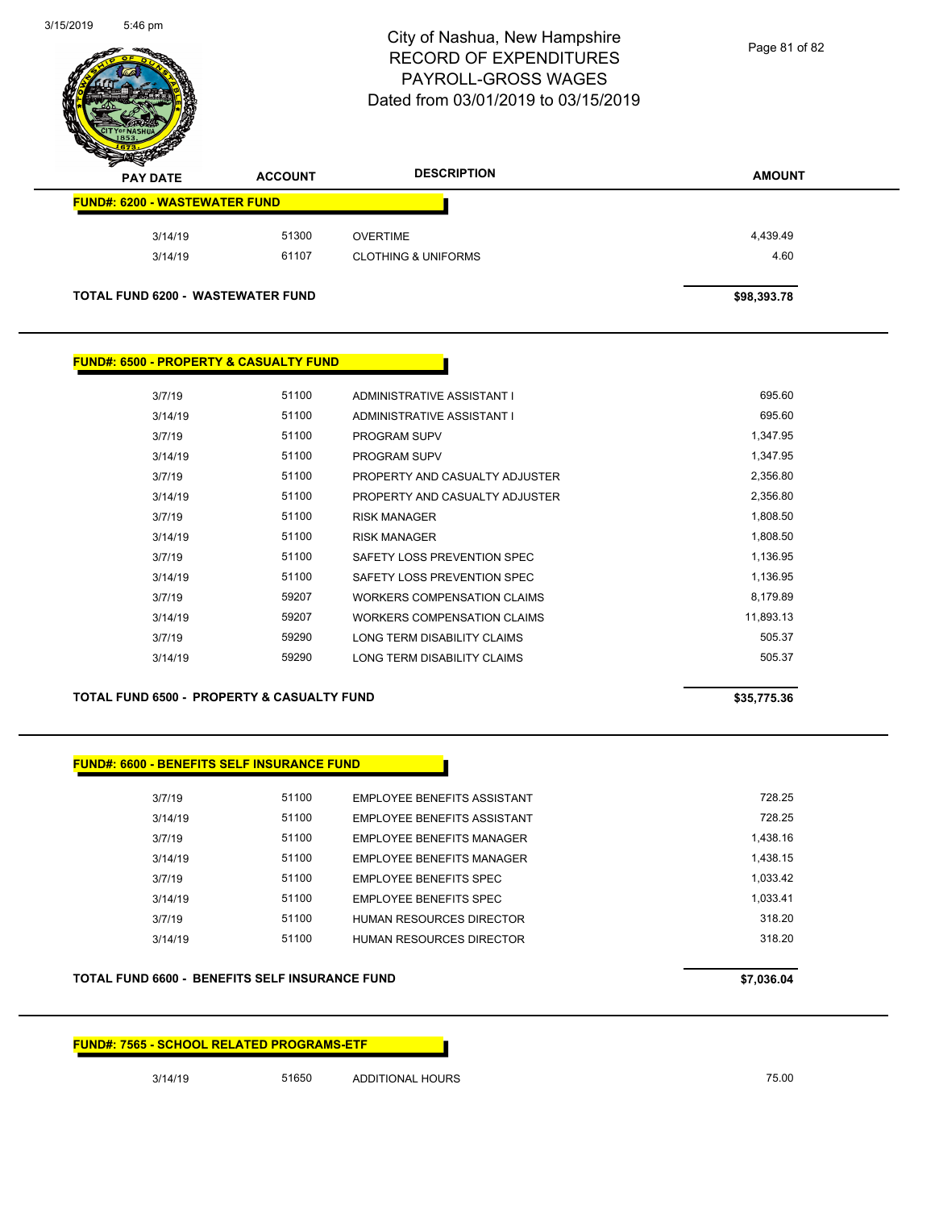

Page 81 of 82

| <b>AMOUNT</b> | <b>DESCRIPTION</b>             | <b>ACCOUNT</b> | z<br>◅<br><b>PAY DATE</b>                |
|---------------|--------------------------------|----------------|------------------------------------------|
|               |                                |                | <b>FUND#: 6200 - WASTEWATER FUND</b>     |
| 4,439.49      | <b>OVERTIME</b>                | 51300          | 3/14/19                                  |
| 4.60          | <b>CLOTHING &amp; UNIFORMS</b> | 61107          | 3/14/19                                  |
| \$98,393.78   |                                |                | <b>TOTAL FUND 6200 - WASTEWATER FUND</b> |

#### **FUND#: 6500 - PROPERTY & CASUALTY FUND**

| 3/7/19  | 51100 | ADMINISTRATIVE ASSISTANT I         | 695.60    |
|---------|-------|------------------------------------|-----------|
| 3/14/19 | 51100 | ADMINISTRATIVE ASSISTANT I         | 695.60    |
| 3/7/19  | 51100 | <b>PROGRAM SUPV</b>                | 1.347.95  |
| 3/14/19 | 51100 | <b>PROGRAM SUPV</b>                | 1,347.95  |
| 3/7/19  | 51100 | PROPERTY AND CASUALTY ADJUSTER     | 2,356.80  |
| 3/14/19 | 51100 | PROPERTY AND CASUALTY ADJUSTER     | 2,356.80  |
| 3/7/19  | 51100 | <b>RISK MANAGER</b>                | 1,808.50  |
| 3/14/19 | 51100 | <b>RISK MANAGER</b>                | 1.808.50  |
| 3/7/19  | 51100 | SAFETY LOSS PREVENTION SPEC        | 1,136.95  |
| 3/14/19 | 51100 | SAFETY LOSS PREVENTION SPEC        | 1,136.95  |
| 3/7/19  | 59207 | WORKERS COMPENSATION CLAIMS        | 8,179.89  |
| 3/14/19 | 59207 | <b>WORKERS COMPENSATION CLAIMS</b> | 11,893.13 |
| 3/7/19  | 59290 | LONG TERM DISABILITY CLAIMS        | 505.37    |
| 3/14/19 | 59290 | LONG TERM DISABILITY CLAIMS        | 505.37    |
|         |       |                                    |           |

#### **TOTAL FUND 6500 - PROPERTY & CASUALTY FUND \$35,775.36**

## **FUND#: 6600 - BENEFITS SELF INSURANCE FUND**

| 3/7/19  | 51100 | EMPLOYEE BENEFITS ASSISTANT | 728.25   |
|---------|-------|-----------------------------|----------|
| 3/14/19 | 51100 | EMPLOYEE BENEFITS ASSISTANT | 728.25   |
| 3/7/19  | 51100 | EMPLOYEE BENEFITS MANAGER   | 1.438.16 |
| 3/14/19 | 51100 | EMPLOYEE BENEFITS MANAGER   | 1.438.15 |
| 3/7/19  | 51100 | EMPLOYEE BENEFITS SPEC      | 1.033.42 |
| 3/14/19 | 51100 | EMPLOYEE BENEFITS SPEC      | 1.033.41 |
| 3/7/19  | 51100 | HUMAN RESOURCES DIRECTOR    | 318 20   |
| 3/14/19 | 51100 | HUMAN RESOURCES DIRECTOR    | 318.20   |
|         |       |                             |          |

#### **TOTAL FUND 6600 - BENEFITS SELF INSURANCE FUND \$7,036.04**

#### **FUND#: 7565 - SCHOOL RELATED PROGRAMS-ETF**